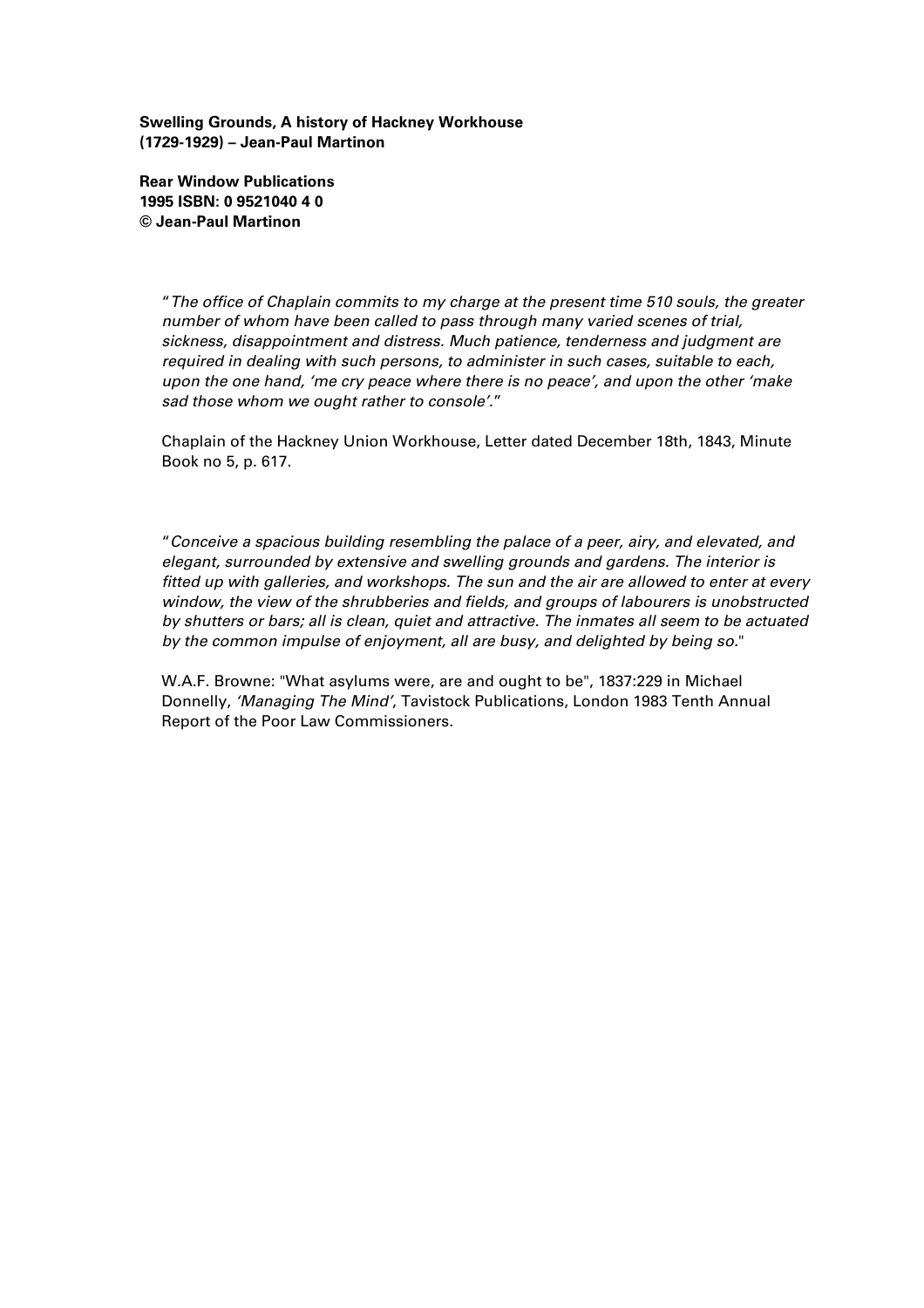**Swelling Grounds, A history of Hackney Workhouse (1729-1929) – Jean-Paul Martinon**

**Rear Window Publications 1995 ISBN: 0 9521040 4 0 © Jean-Paul Martinon**

> "*The office of Chaplain commits to my charge at the present time 510 souls, the greater number of whom have been called to pass through many varied scenes of trial, sickness, disappointment and distress. Much patience, tenderness and judgment are required in dealing with such persons, to administer in such cases, suitable to each, upon the one hand, 'me cry peace where there is no peace', and upon the other 'make sad those whom we ought rather to console'.*"

Chaplain of the Hackney Union Workhouse, Letter dated December 18th, 1843, Minute Book no 5, p. 617.

"*Conceive a spacious building resembling the palace of a peer, airy, and elevated, and elegant, surrounded by extensive and swelling grounds and gardens. The interior is fitted up with galleries, and workshops. The sun and the air are allowed to enter at every window, the view of the shrubberies and fields, and groups of labourers is unobstructed by shutters or bars; all is clean, quiet and attractive. The inmates all seem to be actuated by the common impulse of enjoyment, all are busy, and delighted by being so.*"

W.A.F. Browne: "What asylums were, are and ought to be", 1837:229 in Michael Donnelly, *'Managing The Mind'*, Tavistock Publications, London 1983 Tenth Annual Report of the Poor Law Commissioners.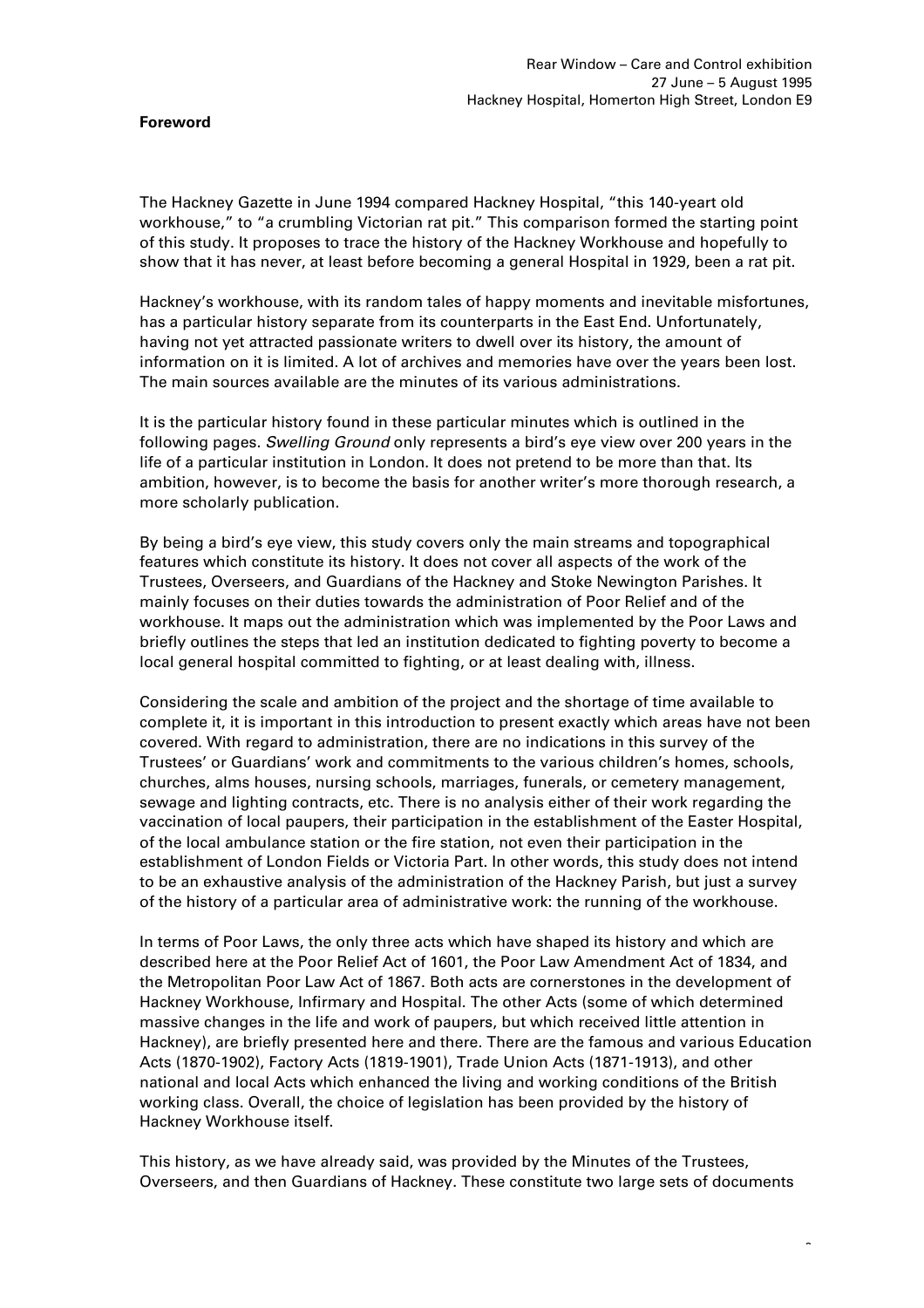#### **Foreword**

The Hackney Gazette in June 1994 compared Hackney Hospital, "this 140-yeart old workhouse," to "a crumbling Victorian rat pit." This comparison formed the starting point of this study. It proposes to trace the history of the Hackney Workhouse and hopefully to show that it has never, at least before becoming a general Hospital in 1929, been a rat pit.

Hackney's workhouse, with its random tales of happy moments and inevitable misfortunes, has a particular history separate from its counterparts in the East End. Unfortunately, having not yet attracted passionate writers to dwell over its history, the amount of information on it is limited. A lot of archives and memories have over the years been lost. The main sources available are the minutes of its various administrations.

It is the particular history found in these particular minutes which is outlined in the following pages. *Swelling Ground* only represents a bird's eye view over 200 years in the life of a particular institution in London. It does not pretend to be more than that. Its ambition, however, is to become the basis for another writer's more thorough research, a more scholarly publication.

By being a bird's eye view, this study covers only the main streams and topographical features which constitute its history. It does not cover all aspects of the work of the Trustees, Overseers, and Guardians of the Hackney and Stoke Newington Parishes. It mainly focuses on their duties towards the administration of Poor Relief and of the workhouse. It maps out the administration which was implemented by the Poor Laws and briefly outlines the steps that led an institution dedicated to fighting poverty to become a local general hospital committed to fighting, or at least dealing with, illness.

Considering the scale and ambition of the project and the shortage of time available to complete it, it is important in this introduction to present exactly which areas have not been covered. With regard to administration, there are no indications in this survey of the Trustees' or Guardians' work and commitments to the various children's homes, schools, churches, alms houses, nursing schools, marriages, funerals, or cemetery management, sewage and lighting contracts, etc. There is no analysis either of their work regarding the vaccination of local paupers, their participation in the establishment of the Easter Hospital, of the local ambulance station or the fire station, not even their participation in the establishment of London Fields or Victoria Part. In other words, this study does not intend to be an exhaustive analysis of the administration of the Hackney Parish, but just a survey of the history of a particular area of administrative work: the running of the workhouse.

In terms of Poor Laws, the only three acts which have shaped its history and which are described here at the Poor Relief Act of 1601, the Poor Law Amendment Act of 1834, and the Metropolitan Poor Law Act of 1867. Both acts are cornerstones in the development of Hackney Workhouse, Infirmary and Hospital. The other Acts (some of which determined massive changes in the life and work of paupers, but which received little attention in Hackney), are briefly presented here and there. There are the famous and various Education Acts (1870-1902), Factory Acts (1819-1901), Trade Union Acts (1871-1913), and other national and local Acts which enhanced the living and working conditions of the British working class. Overall, the choice of legislation has been provided by the history of Hackney Workhouse itself.

This history, as we have already said, was provided by the Minutes of the Trustees, Overseers, and then Guardians of Hackney. These constitute two large sets of documents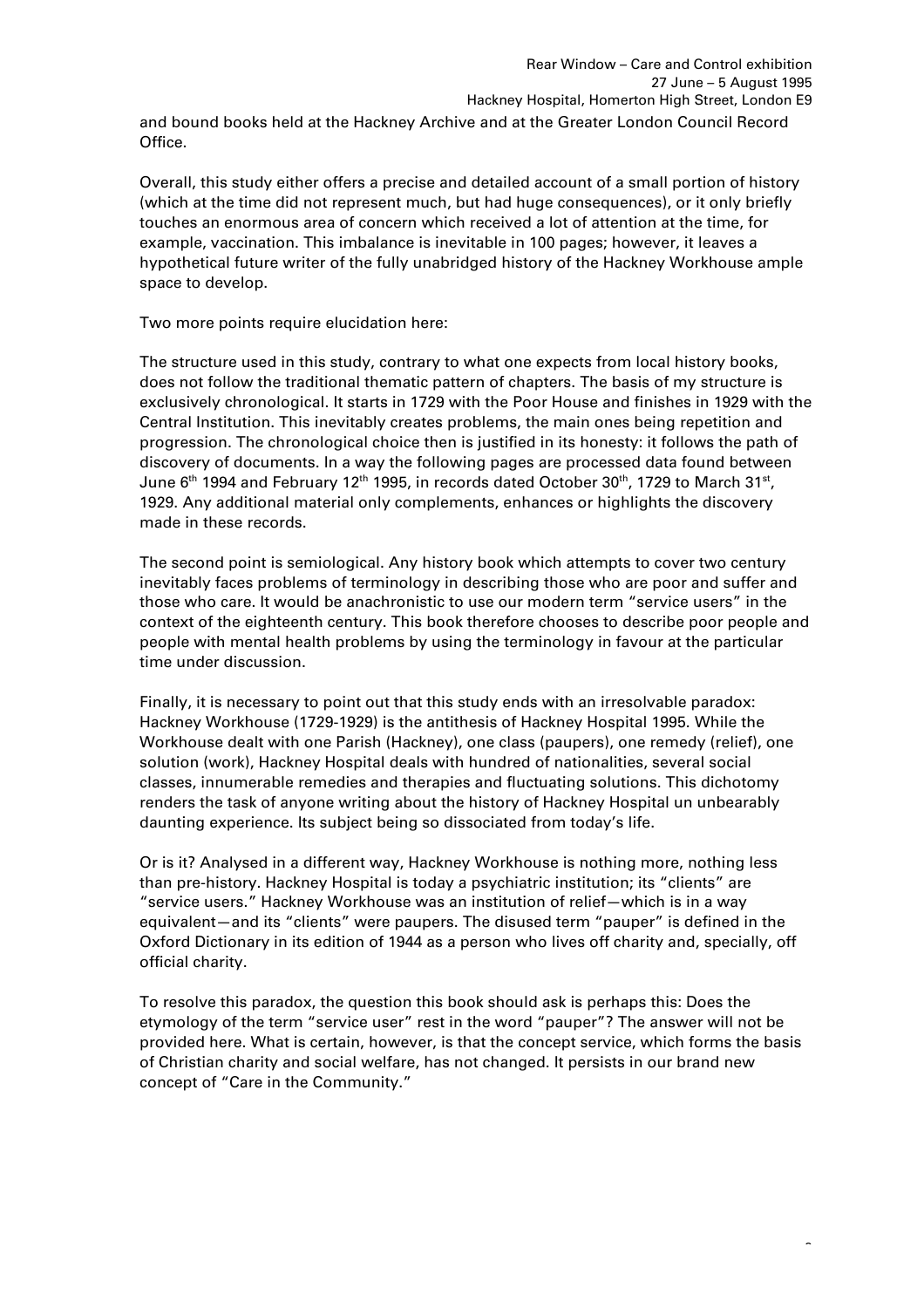and bound books held at the Hackney Archive and at the Greater London Council Record Office.

Overall, this study either offers a precise and detailed account of a small portion of history (which at the time did not represent much, but had huge consequences), or it only briefly touches an enormous area of concern which received a lot of attention at the time, for example, vaccination. This imbalance is inevitable in 100 pages; however, it leaves a hypothetical future writer of the fully unabridged history of the Hackney Workhouse ample space to develop.

Two more points require elucidation here:

The structure used in this study, contrary to what one expects from local history books, does not follow the traditional thematic pattern of chapters. The basis of my structure is exclusively chronological. It starts in 1729 with the Poor House and finishes in 1929 with the Central Institution. This inevitably creates problems, the main ones being repetition and progression. The chronological choice then is justified in its honesty: it follows the path of discovery of documents. In a way the following pages are processed data found between June  $6^{\text{th}}$  1994 and February 12 $^{\text{th}}$  1995, in records dated October 30 $^{\text{th}}$ , 1729 to March 31 $^{\text{st}}$ , 1929. Any additional material only complements, enhances or highlights the discovery made in these records.

The second point is semiological. Any history book which attempts to cover two century inevitably faces problems of terminology in describing those who are poor and suffer and those who care. It would be anachronistic to use our modern term "service users" in the context of the eighteenth century. This book therefore chooses to describe poor people and people with mental health problems by using the terminology in favour at the particular time under discussion.

Finally, it is necessary to point out that this study ends with an irresolvable paradox: Hackney Workhouse (1729-1929) is the antithesis of Hackney Hospital 1995. While the Workhouse dealt with one Parish (Hackney), one class (paupers), one remedy (relief), one solution (work), Hackney Hospital deals with hundred of nationalities, several social classes, innumerable remedies and therapies and fluctuating solutions. This dichotomy renders the task of anyone writing about the history of Hackney Hospital un unbearably daunting experience. Its subject being so dissociated from today's life.

Or is it? Analysed in a different way, Hackney Workhouse is nothing more, nothing less than pre-history. Hackney Hospital is today a psychiatric institution; its "clients" are "service users." Hackney Workhouse was an institution of relief—which is in a way equivalent—and its "clients" were paupers. The disused term "pauper" is defined in the Oxford Dictionary in its edition of 1944 as a person who lives off charity and, specially, off official charity.

To resolve this paradox, the question this book should ask is perhaps this: Does the etymology of the term "service user" rest in the word "pauper"? The answer will not be provided here. What is certain, however, is that the concept service, which forms the basis of Christian charity and social welfare, has not changed. It persists in our brand new concept of "Care in the Community."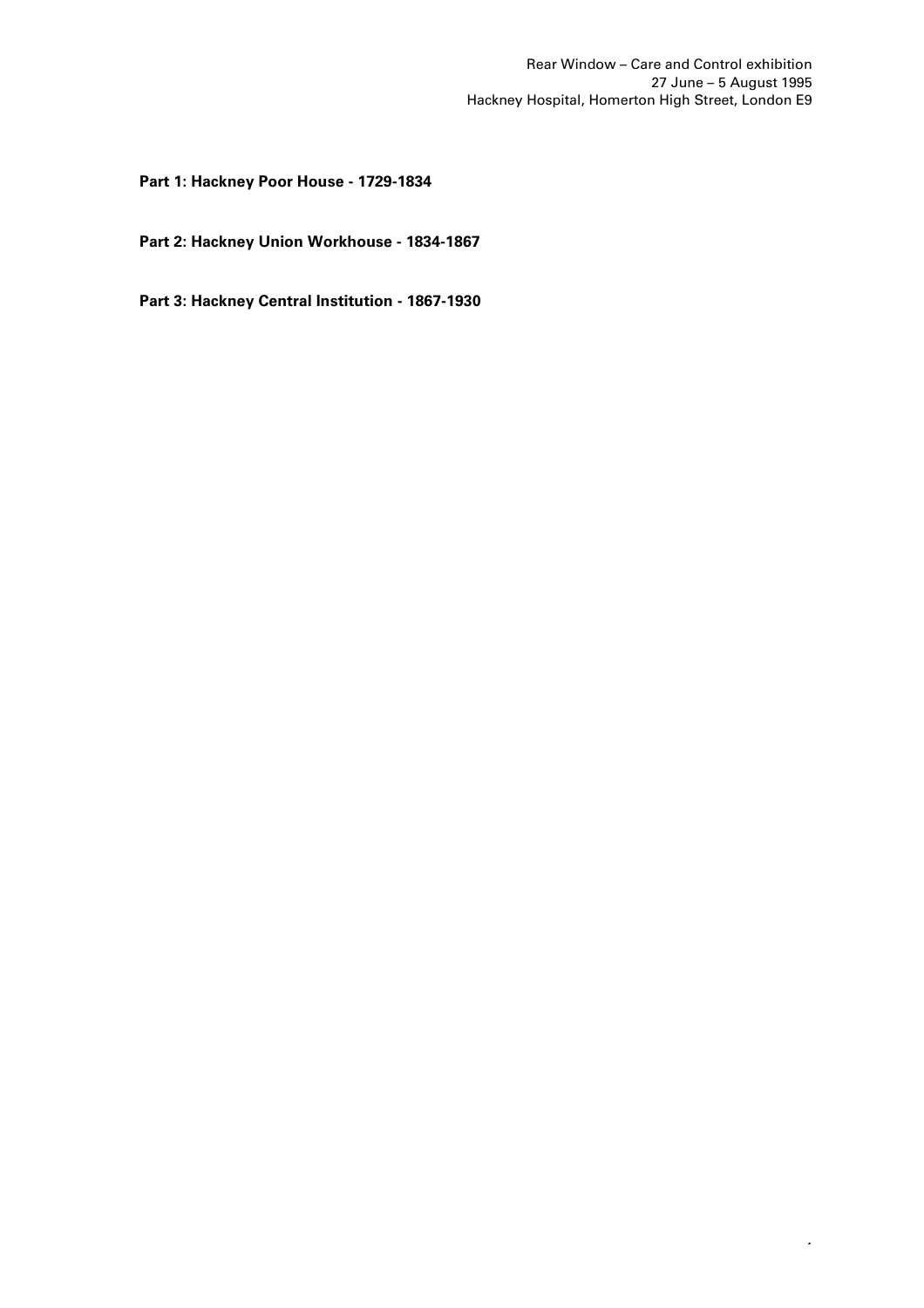4

# **Part 1: Hackney Poor House - 1729-1834**

**Part 2: Hackney Union Workhouse - 1834-1867**

**Part 3: Hackney Central Institution - 1867-1930**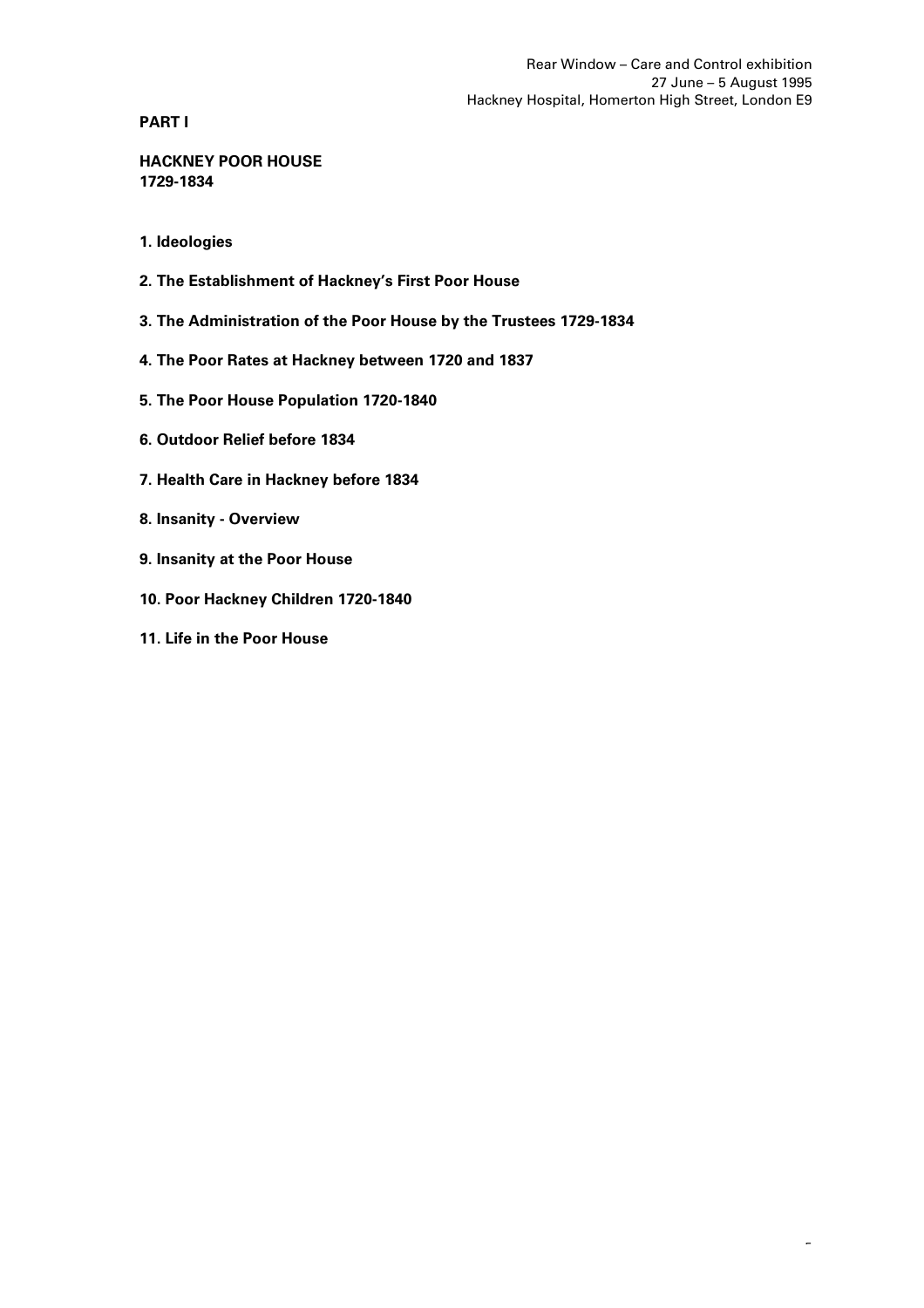**PART I**

**HACKNEY POOR HOUSE 1729-1834**

- **1. Ideologies**
- **2. The Establishment of Hackney's First Poor House**
- **3. The Administration of the Poor House by the Trustees 1729-1834**
- **4. The Poor Rates at Hackney between 1720 and 1837**
- **5. The Poor House Population 1720-1840**
- **6. Outdoor Relief before 1834**
- **7. Health Care in Hackney before 1834**
- **8. Insanity Overview**
- **9. Insanity at the Poor House**
- **10. Poor Hackney Children 1720-1840**
- **11. Life in the Poor House**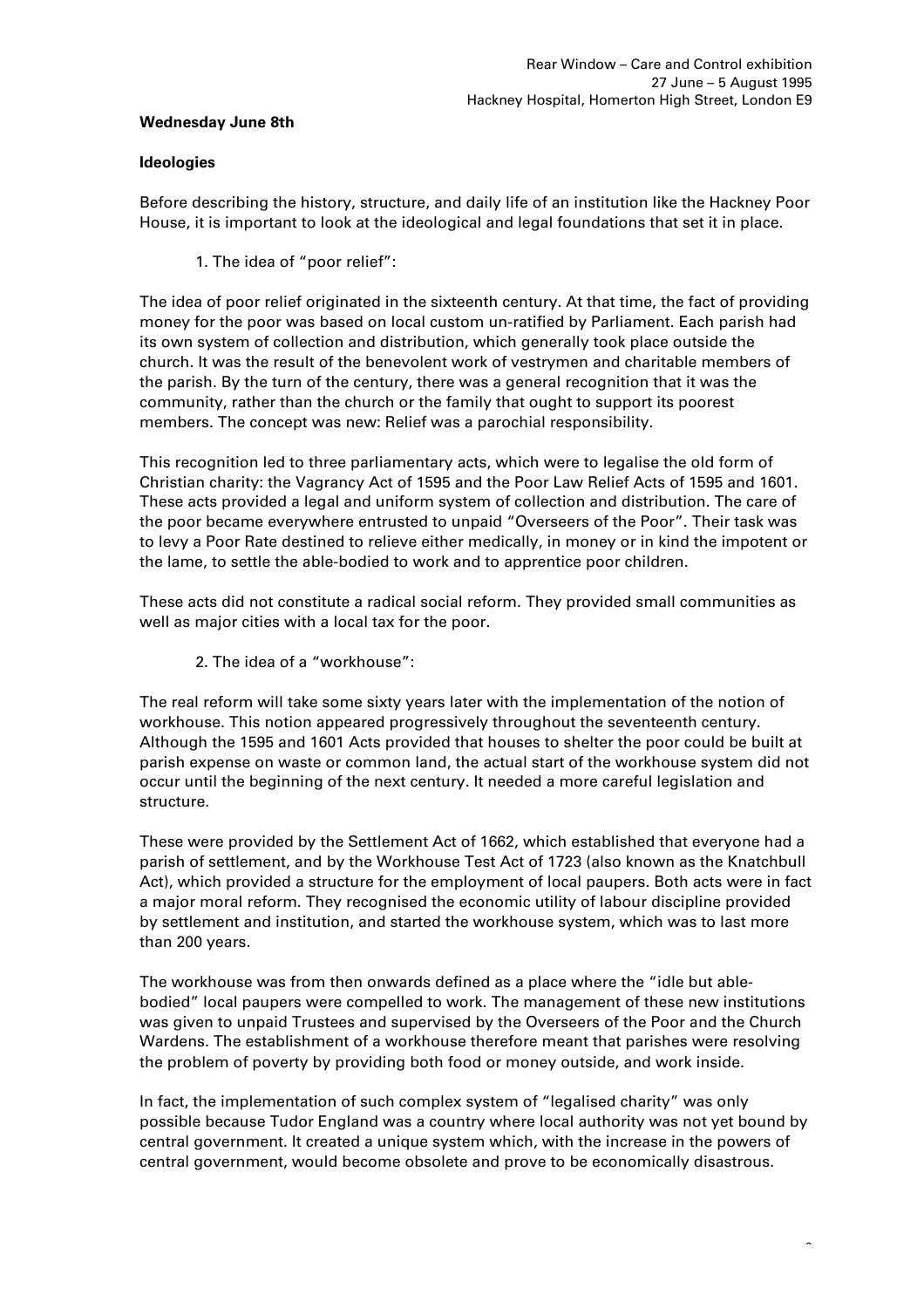## **Wednesday June 8th**

# **Ideologies**

Before describing the history, structure, and daily life of an institution like the Hackney Poor House, it is important to look at the ideological and legal foundations that set it in place.

1. The idea of "poor relief":

The idea of poor relief originated in the sixteenth century. At that time, the fact of providing money for the poor was based on local custom un-ratified by Parliament. Each parish had its own system of collection and distribution, which generally took place outside the church. It was the result of the benevolent work of vestrymen and charitable members of the parish. By the turn of the century, there was a general recognition that it was the community, rather than the church or the family that ought to support its poorest members. The concept was new: Relief was a parochial responsibility.

This recognition led to three parliamentary acts, which were to legalise the old form of Christian charity: the Vagrancy Act of 1595 and the Poor Law Relief Acts of 1595 and 1601. These acts provided a legal and uniform system of collection and distribution. The care of the poor became everywhere entrusted to unpaid "Overseers of the Poor". Their task was to levy a Poor Rate destined to relieve either medically, in money or in kind the impotent or the lame, to settle the able-bodied to work and to apprentice poor children.

These acts did not constitute a radical social reform. They provided small communities as well as major cities with a local tax for the poor.

2. The idea of a "workhouse":

The real reform will take some sixty years later with the implementation of the notion of workhouse. This notion appeared progressively throughout the seventeenth century. Although the 1595 and 1601 Acts provided that houses to shelter the poor could be built at parish expense on waste or common land, the actual start of the workhouse system did not occur until the beginning of the next century. It needed a more careful legislation and structure.

These were provided by the Settlement Act of 1662, which established that everyone had a parish of settlement, and by the Workhouse Test Act of 1723 (also known as the Knatchbull Act), which provided a structure for the employment of local paupers. Both acts were in fact a major moral reform. They recognised the economic utility of labour discipline provided by settlement and institution, and started the workhouse system, which was to last more than 200 years.

The workhouse was from then onwards defined as a place where the "idle but ablebodied" local paupers were compelled to work. The management of these new institutions was given to unpaid Trustees and supervised by the Overseers of the Poor and the Church Wardens. The establishment of a workhouse therefore meant that parishes were resolving the problem of poverty by providing both food or money outside, and work inside.

In fact, the implementation of such complex system of "legalised charity" was only possible because Tudor England was a country where local authority was not yet bound by central government. It created a unique system which, with the increase in the powers of central government, would become obsolete and prove to be economically disastrous.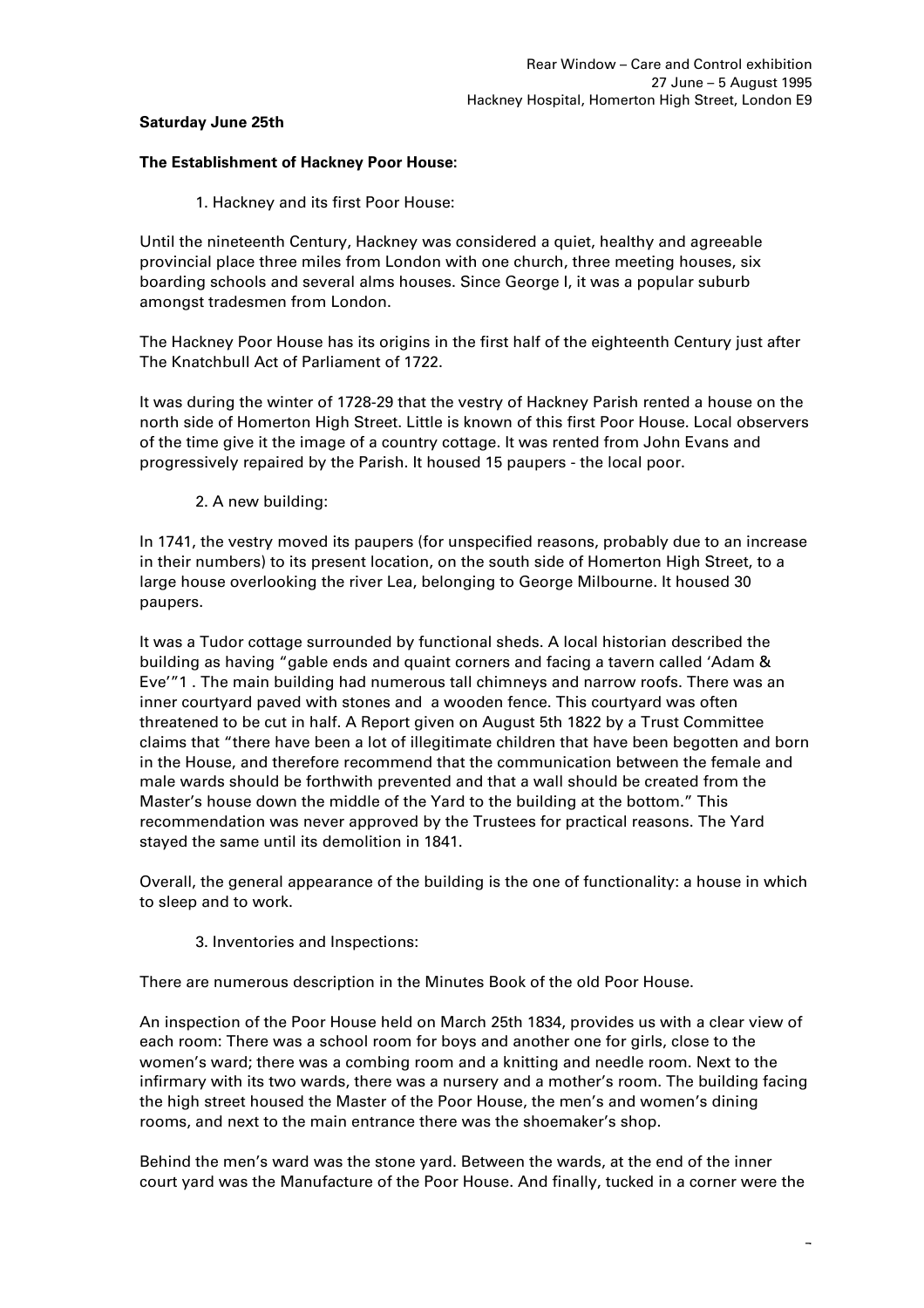# **Saturday June 25th**

## **The Establishment of Hackney Poor House:**

1. Hackney and its first Poor House:

Until the nineteenth Century, Hackney was considered a quiet, healthy and agreeable provincial place three miles from London with one church, three meeting houses, six boarding schools and several alms houses. Since George I, it was a popular suburb amongst tradesmen from London.

The Hackney Poor House has its origins in the first half of the eighteenth Century just after The Knatchbull Act of Parliament of 1722.

It was during the winter of 1728-29 that the vestry of Hackney Parish rented a house on the north side of Homerton High Street. Little is known of this first Poor House. Local observers of the time give it the image of a country cottage. It was rented from John Evans and progressively repaired by the Parish. It housed 15 paupers - the local poor.

# 2. A new building:

In 1741, the vestry moved its paupers (for unspecified reasons, probably due to an increase in their numbers) to its present location, on the south side of Homerton High Street, to a large house overlooking the river Lea, belonging to George Milbourne. It housed 30 paupers.

It was a Tudor cottage surrounded by functional sheds. A local historian described the building as having "gable ends and quaint corners and facing a tavern called 'Adam & Eve'"1 . The main building had numerous tall chimneys and narrow roofs. There was an inner courtyard paved with stones and a wooden fence. This courtyard was often threatened to be cut in half. A Report given on August 5th 1822 by a Trust Committee claims that "there have been a lot of illegitimate children that have been begotten and born in the House, and therefore recommend that the communication between the female and male wards should be forthwith prevented and that a wall should be created from the Master's house down the middle of the Yard to the building at the bottom." This recommendation was never approved by the Trustees for practical reasons. The Yard stayed the same until its demolition in 1841.

Overall, the general appearance of the building is the one of functionality: a house in which to sleep and to work.

3. Inventories and Inspections:

There are numerous description in the Minutes Book of the old Poor House.

An inspection of the Poor House held on March 25th 1834, provides us with a clear view of each room: There was a school room for boys and another one for girls, close to the women's ward; there was a combing room and a knitting and needle room. Next to the infirmary with its two wards, there was a nursery and a mother's room. The building facing the high street housed the Master of the Poor House, the men's and women's dining rooms, and next to the main entrance there was the shoemaker's shop.

Behind the men's ward was the stone yard. Between the wards, at the end of the inner court yard was the Manufacture of the Poor House. And finally, tucked in a corner were the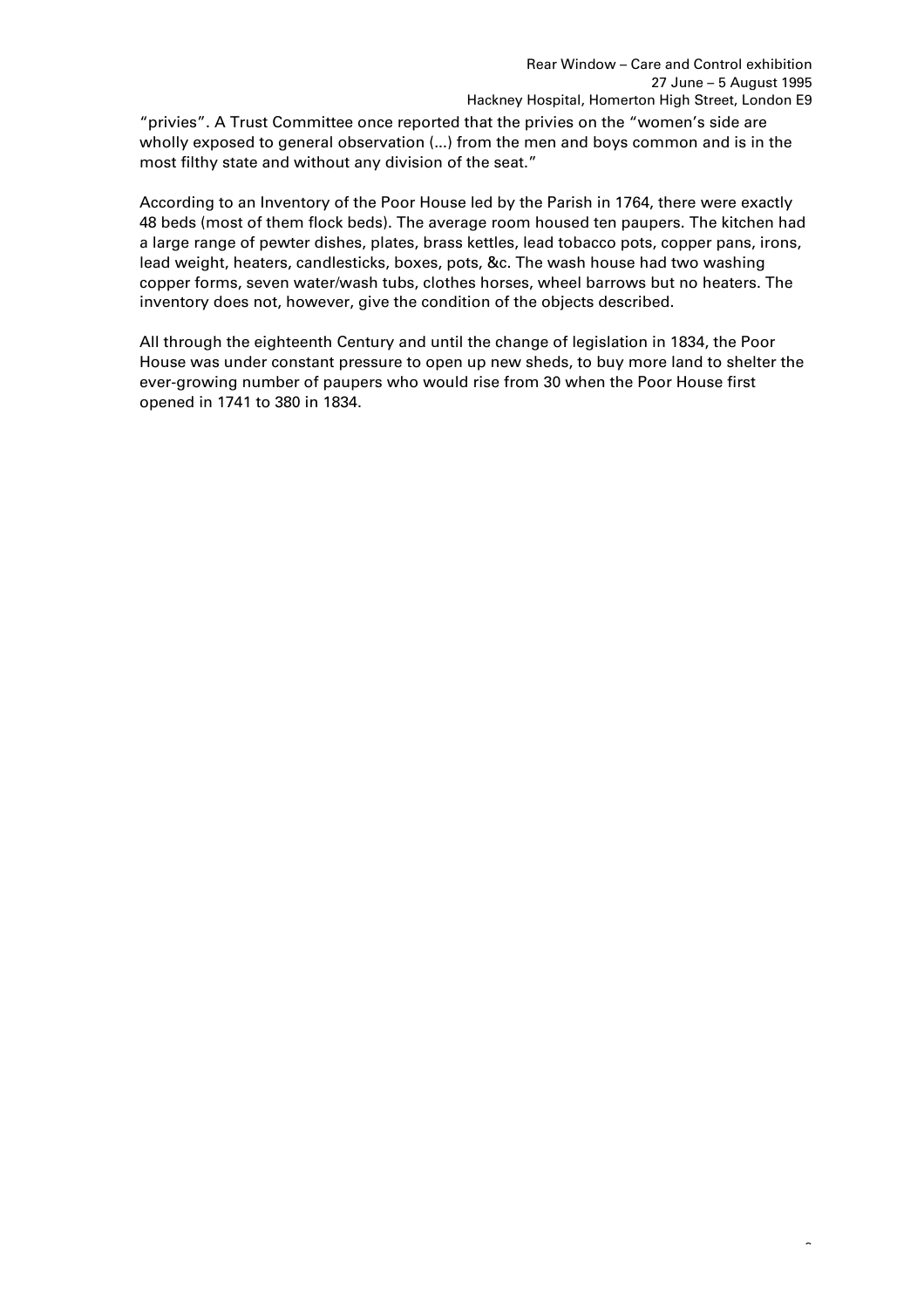$\overline{a}$ 

"privies". A Trust Committee once reported that the privies on the "women's side are wholly exposed to general observation (...) from the men and boys common and is in the most filthy state and without any division of the seat."

According to an Inventory of the Poor House led by the Parish in 1764, there were exactly 48 beds (most of them flock beds). The average room housed ten paupers. The kitchen had a large range of pewter dishes, plates, brass kettles, lead tobacco pots, copper pans, irons, lead weight, heaters, candlesticks, boxes, pots, &c. The wash house had two washing copper forms, seven water/wash tubs, clothes horses, wheel barrows but no heaters. The inventory does not, however, give the condition of the objects described.

All through the eighteenth Century and until the change of legislation in 1834, the Poor House was under constant pressure to open up new sheds, to buy more land to shelter the ever-growing number of paupers who would rise from 30 when the Poor House first opened in 1741 to 380 in 1834.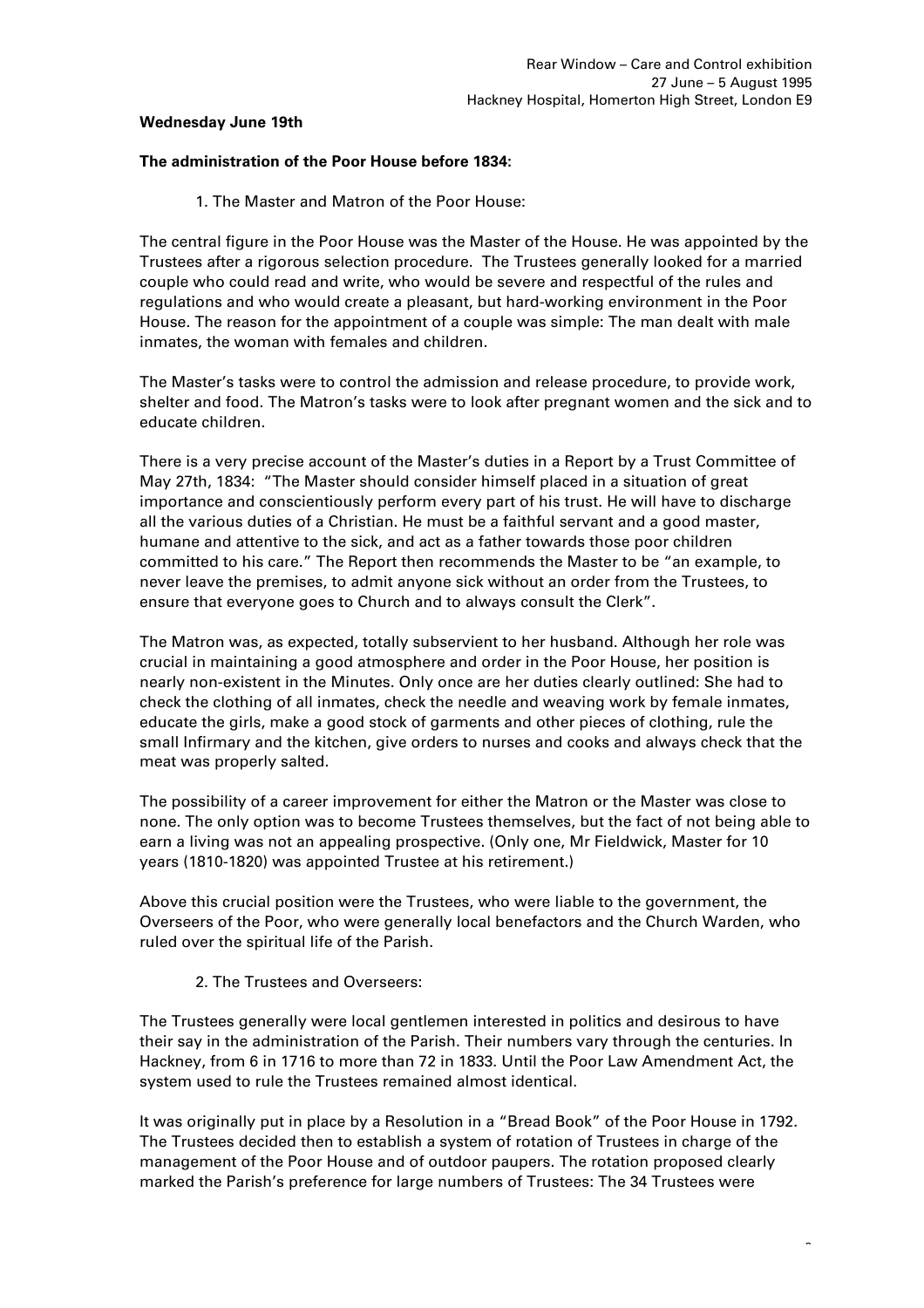## **Wednesday June 19th**

# **The administration of the Poor House before 1834:**

1. The Master and Matron of the Poor House:

The central figure in the Poor House was the Master of the House. He was appointed by the Trustees after a rigorous selection procedure. The Trustees generally looked for a married couple who could read and write, who would be severe and respectful of the rules and regulations and who would create a pleasant, but hard-working environment in the Poor House. The reason for the appointment of a couple was simple: The man dealt with male inmates, the woman with females and children.

The Master's tasks were to control the admission and release procedure, to provide work, shelter and food. The Matron's tasks were to look after pregnant women and the sick and to educate children.

There is a very precise account of the Master's duties in a Report by a Trust Committee of May 27th, 1834: "The Master should consider himself placed in a situation of great importance and conscientiously perform every part of his trust. He will have to discharge all the various duties of a Christian. He must be a faithful servant and a good master, humane and attentive to the sick, and act as a father towards those poor children committed to his care." The Report then recommends the Master to be "an example, to never leave the premises, to admit anyone sick without an order from the Trustees, to ensure that everyone goes to Church and to always consult the Clerk".

The Matron was, as expected, totally subservient to her husband. Although her role was crucial in maintaining a good atmosphere and order in the Poor House, her position is nearly non-existent in the Minutes. Only once are her duties clearly outlined: She had to check the clothing of all inmates, check the needle and weaving work by female inmates, educate the girls, make a good stock of garments and other pieces of clothing, rule the small Infirmary and the kitchen, give orders to nurses and cooks and always check that the meat was properly salted.

The possibility of a career improvement for either the Matron or the Master was close to none. The only option was to become Trustees themselves, but the fact of not being able to earn a living was not an appealing prospective. (Only one, Mr Fieldwick, Master for 10 years (1810-1820) was appointed Trustee at his retirement.)

Above this crucial position were the Trustees, who were liable to the government, the Overseers of the Poor, who were generally local benefactors and the Church Warden, who ruled over the spiritual life of the Parish.

# 2. The Trustees and Overseers:

The Trustees generally were local gentlemen interested in politics and desirous to have their say in the administration of the Parish. Their numbers vary through the centuries. In Hackney, from 6 in 1716 to more than 72 in 1833. Until the Poor Law Amendment Act, the system used to rule the Trustees remained almost identical.

It was originally put in place by a Resolution in a "Bread Book" of the Poor House in 1792. The Trustees decided then to establish a system of rotation of Trustees in charge of the management of the Poor House and of outdoor paupers. The rotation proposed clearly marked the Parish's preference for large numbers of Trustees: The 34 Trustees were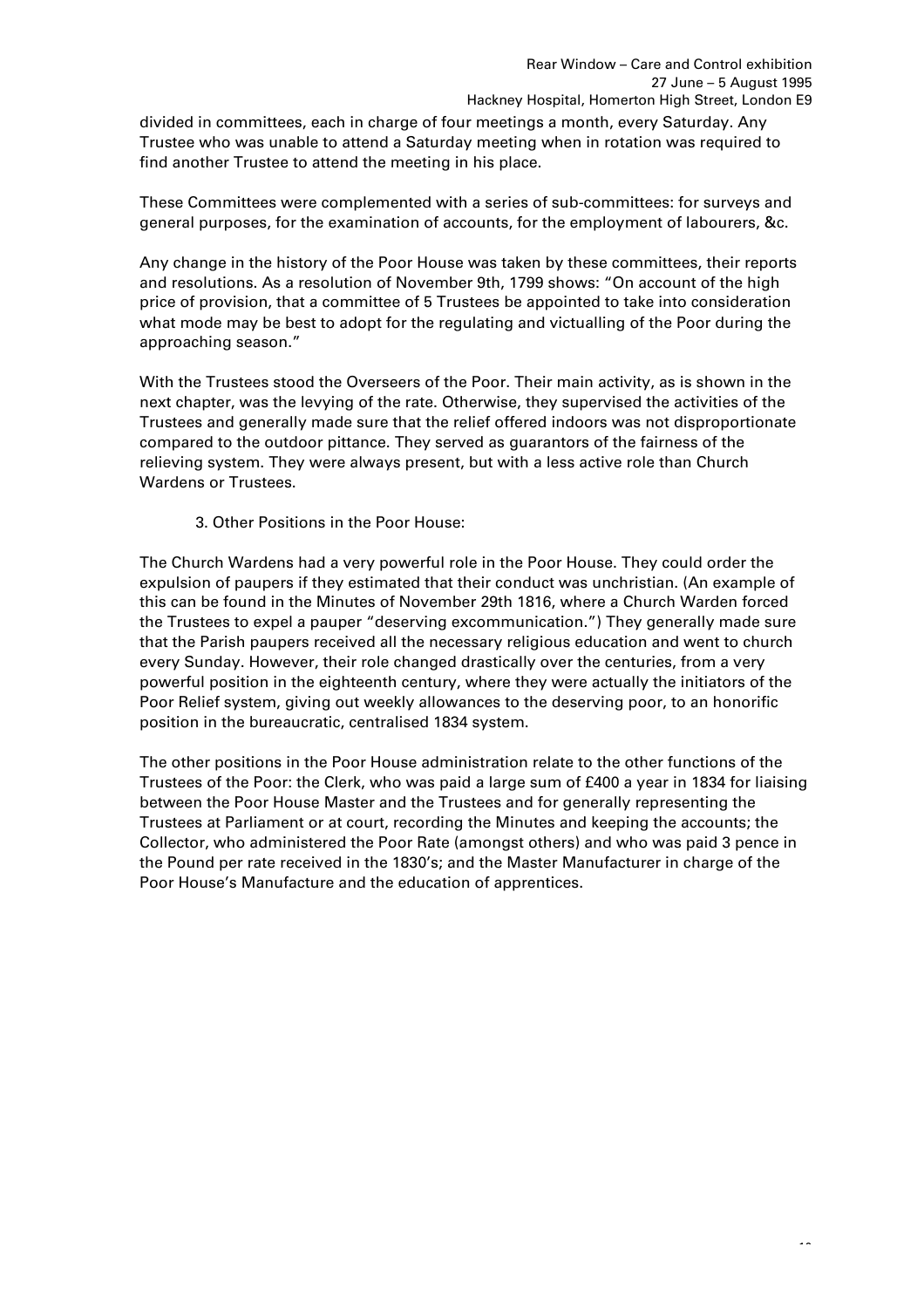divided in committees, each in charge of four meetings a month, every Saturday. Any Trustee who was unable to attend a Saturday meeting when in rotation was required to find another Trustee to attend the meeting in his place.

These Committees were complemented with a series of sub-committees: for surveys and general purposes, for the examination of accounts, for the employment of labourers, &c.

Any change in the history of the Poor House was taken by these committees, their reports and resolutions. As a resolution of November 9th, 1799 shows: "On account of the high price of provision, that a committee of 5 Trustees be appointed to take into consideration what mode may be best to adopt for the regulating and victualling of the Poor during the approaching season."

With the Trustees stood the Overseers of the Poor. Their main activity, as is shown in the next chapter, was the levying of the rate. Otherwise, they supervised the activities of the Trustees and generally made sure that the relief offered indoors was not disproportionate compared to the outdoor pittance. They served as guarantors of the fairness of the relieving system. They were always present, but with a less active role than Church Wardens or Trustees.

3. Other Positions in the Poor House:

The Church Wardens had a very powerful role in the Poor House. They could order the expulsion of paupers if they estimated that their conduct was unchristian. (An example of this can be found in the Minutes of November 29th 1816, where a Church Warden forced the Trustees to expel a pauper "deserving excommunication.") They generally made sure that the Parish paupers received all the necessary religious education and went to church every Sunday. However, their role changed drastically over the centuries, from a very powerful position in the eighteenth century, where they were actually the initiators of the Poor Relief system, giving out weekly allowances to the deserving poor, to an honorific position in the bureaucratic, centralised 1834 system.

The other positions in the Poor House administration relate to the other functions of the Trustees of the Poor: the Clerk, who was paid a large sum of £400 a year in 1834 for liaising between the Poor House Master and the Trustees and for generally representing the Trustees at Parliament or at court, recording the Minutes and keeping the accounts; the Collector, who administered the Poor Rate (amongst others) and who was paid 3 pence in the Pound per rate received in the 1830's; and the Master Manufacturer in charge of the Poor House's Manufacture and the education of apprentices.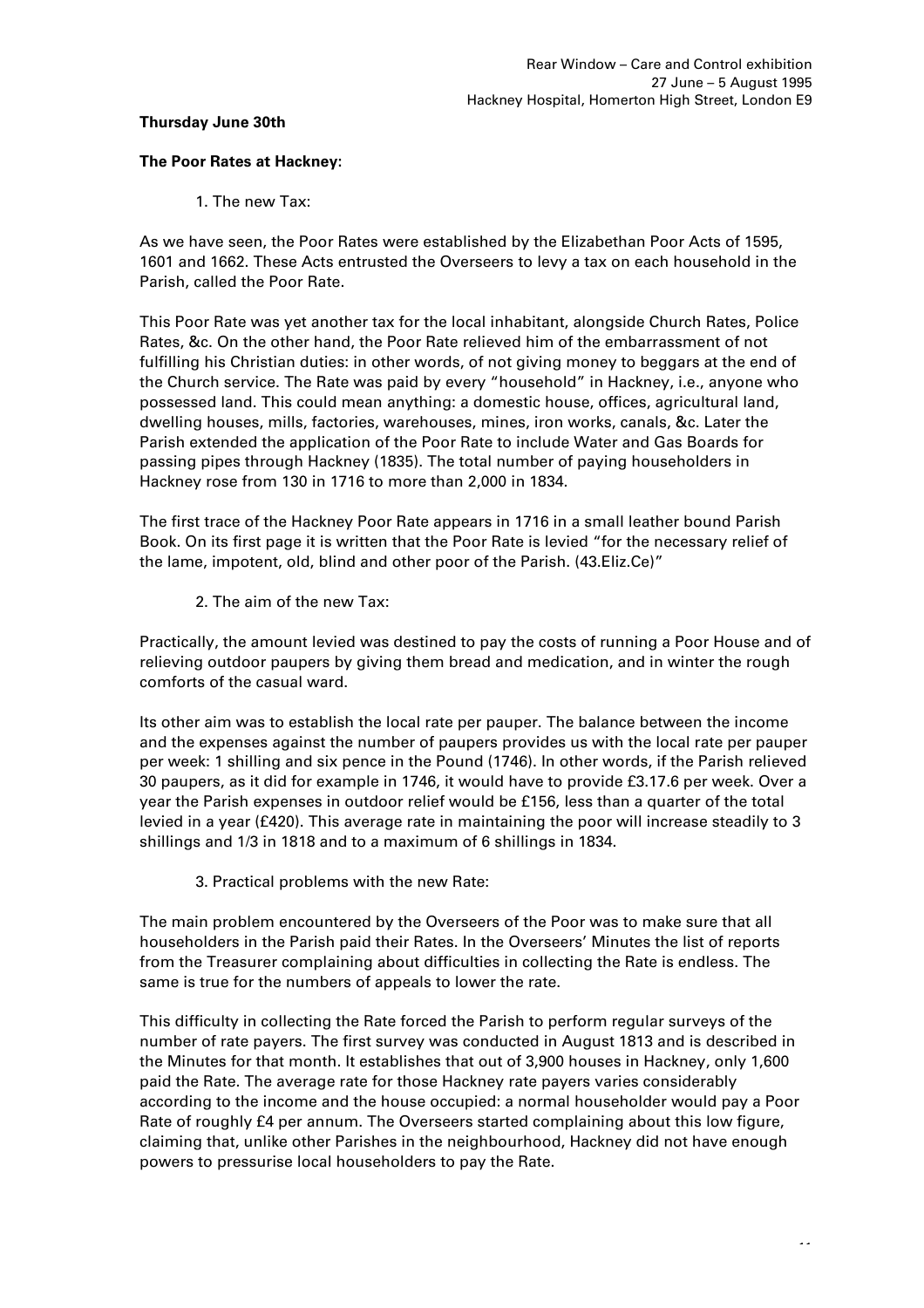#### **Thursday June 30th**

# **The Poor Rates at Hackney:**

1. The new Tax:

As we have seen, the Poor Rates were established by the Elizabethan Poor Acts of 1595, 1601 and 1662. These Acts entrusted the Overseers to levy a tax on each household in the Parish, called the Poor Rate.

This Poor Rate was yet another tax for the local inhabitant, alongside Church Rates, Police Rates, &c. On the other hand, the Poor Rate relieved him of the embarrassment of not fulfilling his Christian duties: in other words, of not giving money to beggars at the end of the Church service. The Rate was paid by every "household" in Hackney, i.e., anyone who possessed land. This could mean anything: a domestic house, offices, agricultural land, dwelling houses, mills, factories, warehouses, mines, iron works, canals, &c. Later the Parish extended the application of the Poor Rate to include Water and Gas Boards for passing pipes through Hackney (1835). The total number of paying householders in Hackney rose from 130 in 1716 to more than 2,000 in 1834.

The first trace of the Hackney Poor Rate appears in 1716 in a small leather bound Parish Book. On its first page it is written that the Poor Rate is levied "for the necessary relief of the lame, impotent, old, blind and other poor of the Parish. (43.Eliz.Ce)"

2. The aim of the new Tax:

Practically, the amount levied was destined to pay the costs of running a Poor House and of relieving outdoor paupers by giving them bread and medication, and in winter the rough comforts of the casual ward.

Its other aim was to establish the local rate per pauper. The balance between the income and the expenses against the number of paupers provides us with the local rate per pauper per week: 1 shilling and six pence in the Pound (1746). In other words, if the Parish relieved 30 paupers, as it did for example in 1746, it would have to provide £3.17.6 per week. Over a year the Parish expenses in outdoor relief would be £156, less than a quarter of the total levied in a year (£420). This average rate in maintaining the poor will increase steadily to 3 shillings and 1/3 in 1818 and to a maximum of 6 shillings in 1834.

3. Practical problems with the new Rate:

The main problem encountered by the Overseers of the Poor was to make sure that all householders in the Parish paid their Rates. In the Overseers' Minutes the list of reports from the Treasurer complaining about difficulties in collecting the Rate is endless. The same is true for the numbers of appeals to lower the rate.

This difficulty in collecting the Rate forced the Parish to perform regular surveys of the number of rate payers. The first survey was conducted in August 1813 and is described in the Minutes for that month. It establishes that out of 3,900 houses in Hackney, only 1,600 paid the Rate. The average rate for those Hackney rate payers varies considerably according to the income and the house occupied: a normal householder would pay a Poor Rate of roughly £4 per annum. The Overseers started complaining about this low figure, claiming that, unlike other Parishes in the neighbourhood, Hackney did not have enough powers to pressurise local householders to pay the Rate.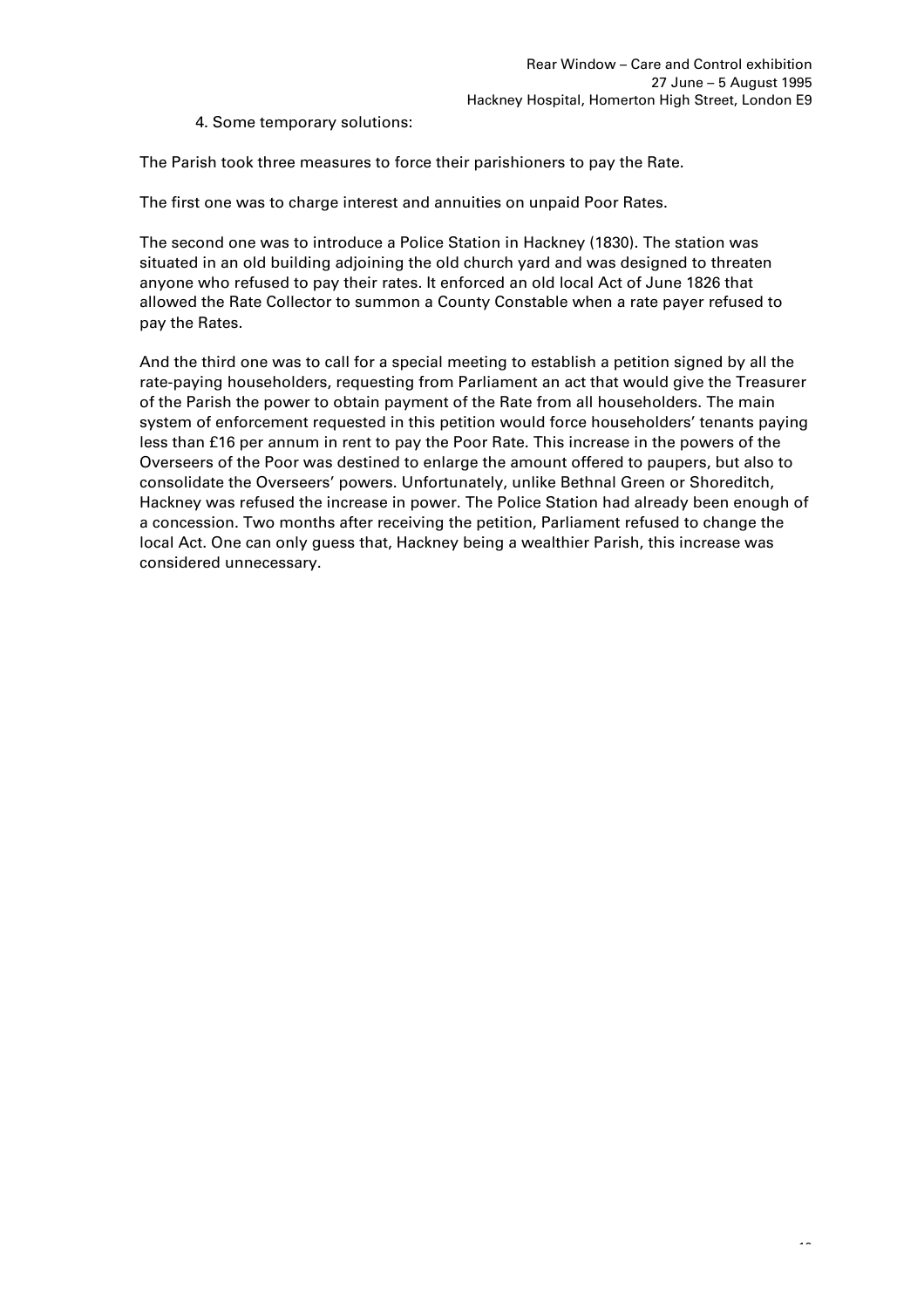4. Some temporary solutions:

The Parish took three measures to force their parishioners to pay the Rate.

The first one was to charge interest and annuities on unpaid Poor Rates.

The second one was to introduce a Police Station in Hackney (1830). The station was situated in an old building adjoining the old church yard and was designed to threaten anyone who refused to pay their rates. It enforced an old local Act of June 1826 that allowed the Rate Collector to summon a County Constable when a rate payer refused to pay the Rates.

And the third one was to call for a special meeting to establish a petition signed by all the rate-paying householders, requesting from Parliament an act that would give the Treasurer of the Parish the power to obtain payment of the Rate from all householders. The main system of enforcement requested in this petition would force householders' tenants paying less than £16 per annum in rent to pay the Poor Rate. This increase in the powers of the Overseers of the Poor was destined to enlarge the amount offered to paupers, but also to consolidate the Overseers' powers. Unfortunately, unlike Bethnal Green or Shoreditch, Hackney was refused the increase in power. The Police Station had already been enough of a concession. Two months after receiving the petition, Parliament refused to change the local Act. One can only guess that, Hackney being a wealthier Parish, this increase was considered unnecessary.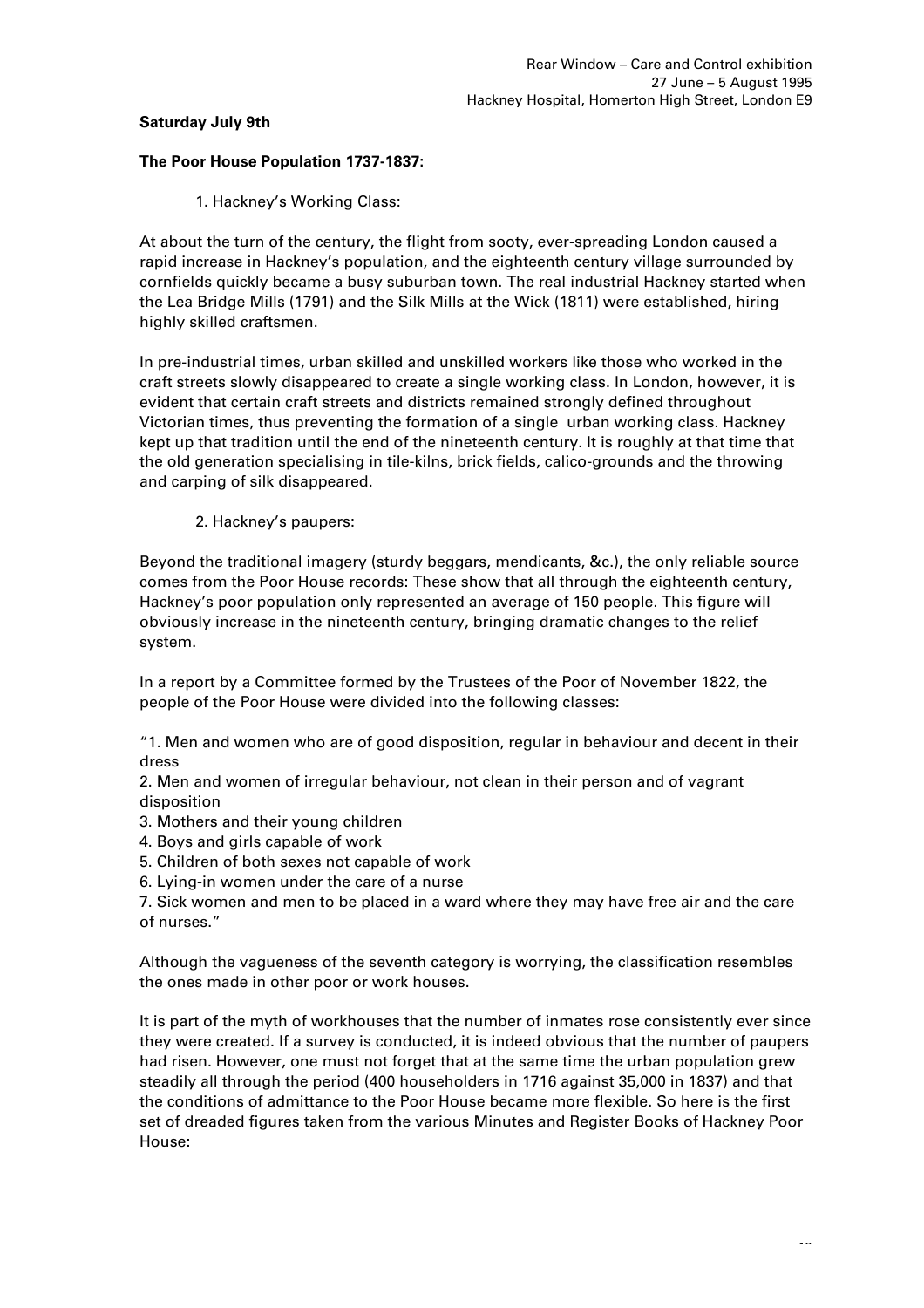# **Saturday July 9th**

# **The Poor House Population 1737-1837:**

1. Hackney's Working Class:

At about the turn of the century, the flight from sooty, ever-spreading London caused a rapid increase in Hackney's population, and the eighteenth century village surrounded by cornfields quickly became a busy suburban town. The real industrial Hackney started when the Lea Bridge Mills (1791) and the Silk Mills at the Wick (1811) were established, hiring highly skilled craftsmen.

In pre-industrial times, urban skilled and unskilled workers like those who worked in the craft streets slowly disappeared to create a single working class. In London, however, it is evident that certain craft streets and districts remained strongly defined throughout Victorian times, thus preventing the formation of a single urban working class. Hackney kept up that tradition until the end of the nineteenth century. It is roughly at that time that the old generation specialising in tile-kilns, brick fields, calico-grounds and the throwing and carping of silk disappeared.

2. Hackney's paupers:

Beyond the traditional imagery (sturdy beggars, mendicants, &c.), the only reliable source comes from the Poor House records: These show that all through the eighteenth century, Hackney's poor population only represented an average of 150 people. This figure will obviously increase in the nineteenth century, bringing dramatic changes to the relief system.

In a report by a Committee formed by the Trustees of the Poor of November 1822, the people of the Poor House were divided into the following classes:

"1. Men and women who are of good disposition, regular in behaviour and decent in their dress

2. Men and women of irregular behaviour, not clean in their person and of vagrant disposition

- 3. Mothers and their young children
- 4. Boys and girls capable of work
- 5. Children of both sexes not capable of work
- 6. Lying-in women under the care of a nurse

7. Sick women and men to be placed in a ward where they may have free air and the care of nurses."

Although the vagueness of the seventh category is worrying, the classification resembles the ones made in other poor or work houses.

It is part of the myth of workhouses that the number of inmates rose consistently ever since they were created. If a survey is conducted, it is indeed obvious that the number of paupers had risen. However, one must not forget that at the same time the urban population grew steadily all through the period (400 householders in 1716 against 35,000 in 1837) and that the conditions of admittance to the Poor House became more flexible. So here is the first set of dreaded figures taken from the various Minutes and Register Books of Hackney Poor House: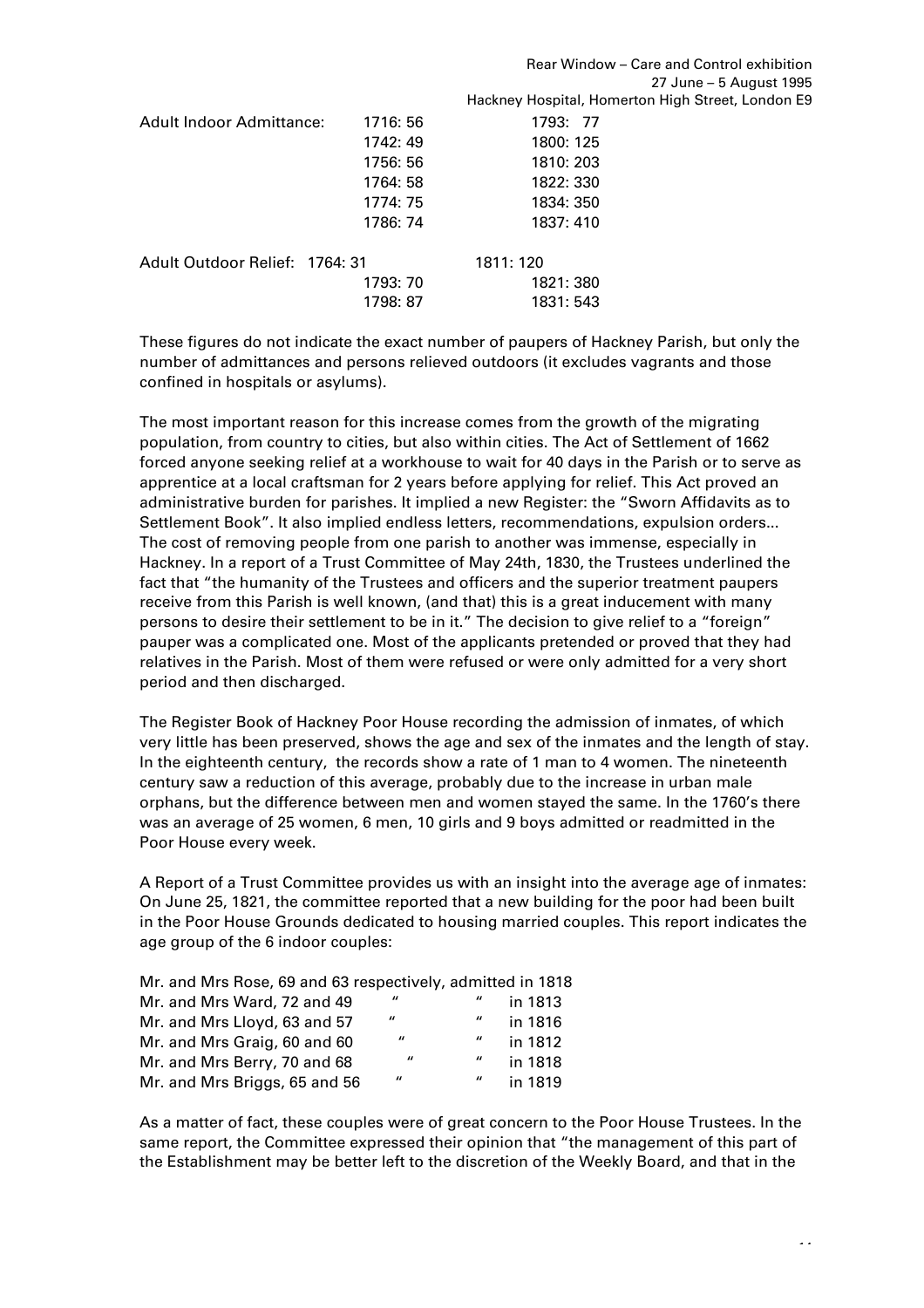|                                 |          | Rear Window – Care and Control exhibition<br>27 June – 5 August 1995 |
|---------------------------------|----------|----------------------------------------------------------------------|
|                                 |          |                                                                      |
|                                 |          | Hackney Hospital, Homerton High Street, London E9                    |
| <b>Adult Indoor Admittance:</b> | 1716: 56 | 1793: 77                                                             |
|                                 | 1742: 49 | 1800: 125                                                            |
|                                 | 1756: 56 | 1810: 203                                                            |
|                                 | 1764: 58 | 1822: 330                                                            |
|                                 | 1774: 75 | 1834: 350                                                            |
|                                 | 1786: 74 | 1837: 410                                                            |
| Adult Outdoor Relief: 1764: 31  |          | 1811: 120                                                            |
|                                 | 1793: 70 | 1821: 380                                                            |
|                                 | 1798: 87 | 1831: 543                                                            |
|                                 |          |                                                                      |

These figures do not indicate the exact number of paupers of Hackney Parish, but only the number of admittances and persons relieved outdoors (it excludes vagrants and those confined in hospitals or asylums).

The most important reason for this increase comes from the growth of the migrating population, from country to cities, but also within cities. The Act of Settlement of 1662 forced anyone seeking relief at a workhouse to wait for 40 days in the Parish or to serve as apprentice at a local craftsman for 2 years before applying for relief. This Act proved an administrative burden for parishes. It implied a new Register: the "Sworn Affidavits as to Settlement Book". It also implied endless letters, recommendations, expulsion orders... The cost of removing people from one parish to another was immense, especially in Hackney. In a report of a Trust Committee of May 24th, 1830, the Trustees underlined the fact that "the humanity of the Trustees and officers and the superior treatment paupers receive from this Parish is well known, (and that) this is a great inducement with many persons to desire their settlement to be in it." The decision to give relief to a "foreign" pauper was a complicated one. Most of the applicants pretended or proved that they had relatives in the Parish. Most of them were refused or were only admitted for a very short period and then discharged.

The Register Book of Hackney Poor House recording the admission of inmates, of which very little has been preserved, shows the age and sex of the inmates and the length of stay. In the eighteenth century, the records show a rate of 1 man to 4 women. The nineteenth century saw a reduction of this average, probably due to the increase in urban male orphans, but the difference between men and women stayed the same. In the 1760's there was an average of 25 women, 6 men, 10 girls and 9 boys admitted or readmitted in the Poor House every week.

A Report of a Trust Committee provides us with an insight into the average age of inmates: On June 25, 1821, the committee reported that a new building for the poor had been built in the Poor House Grounds dedicated to housing married couples. This report indicates the age group of the 6 indoor couples:

|                              |  |                    |                           | Mr. and Mrs Rose, 69 and 63 respectively, admitted in 1818 |
|------------------------------|--|--------------------|---------------------------|------------------------------------------------------------|
| Mr. and Mrs Ward, 72 and 49  |  | $^{\prime\prime}$  | "                         | in 1813                                                    |
| Mr. and Mrs Llovd, 63 and 57 |  | $\boldsymbol{\mu}$ | $\boldsymbol{\mathit{u}}$ | in 1816                                                    |
| Mr. and Mrs Graig, 60 and 60 |  | $^{\prime\prime}$  | $\boldsymbol{\mathit{u}}$ | in 1812                                                    |

Mr. and Mrs Berry, 70 and 68  $\mu$  " in 1818 Mr. and Mrs Briggs, 65 and 56  $\frac{1}{2}$  " in 1819

As a matter of fact, these couples were of great concern to the Poor House Trustees. In the same report, the Committee expressed their opinion that "the management of this part of the Establishment may be better left to the discretion of the Weekly Board, and that in the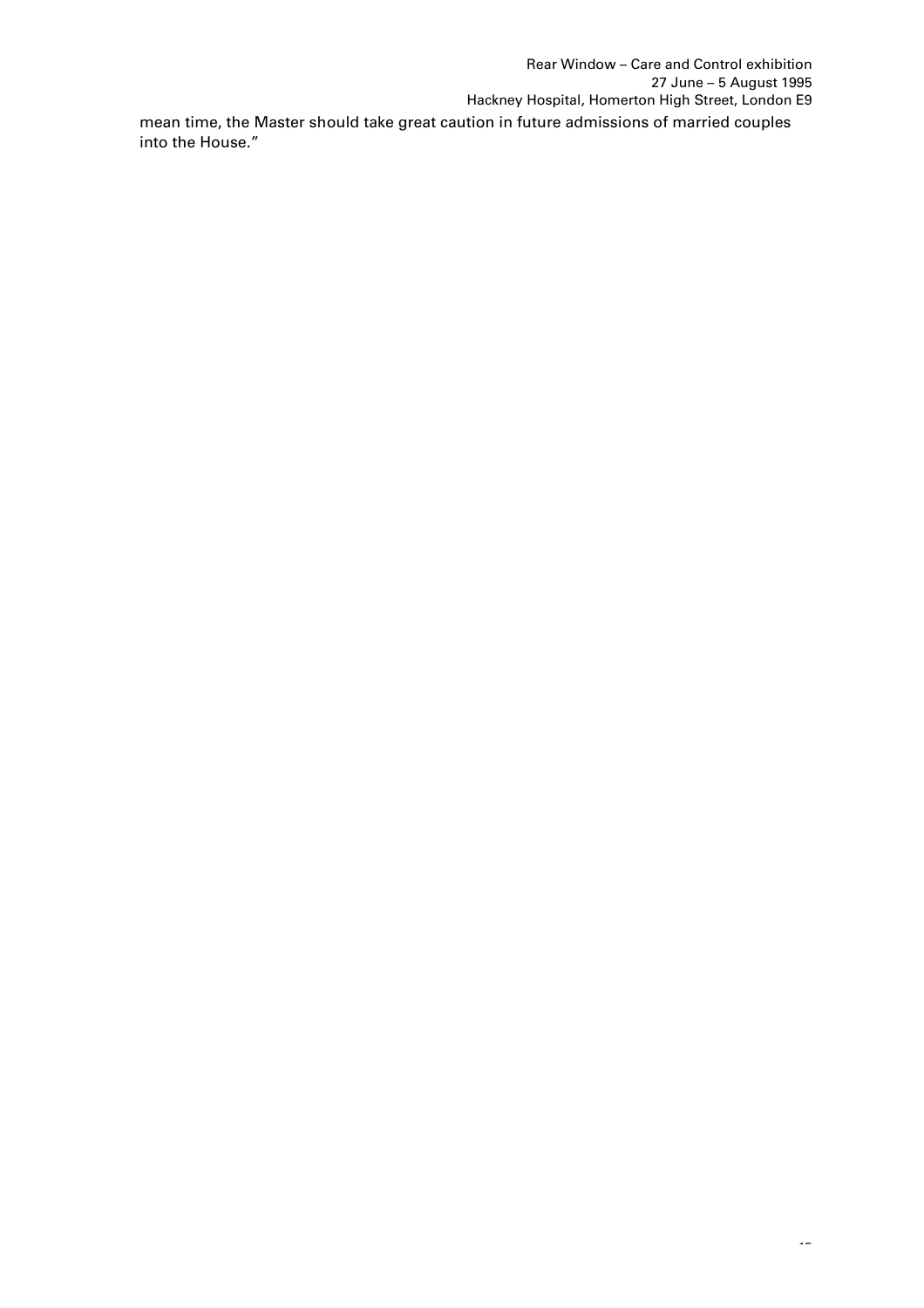Rear Window – Care and Control exhibition 27 June – 5 August 1995 Hackney Hospital, Homerton High Street, London E9 mean time, the Master should take great caution in future admissions of married couples into the House."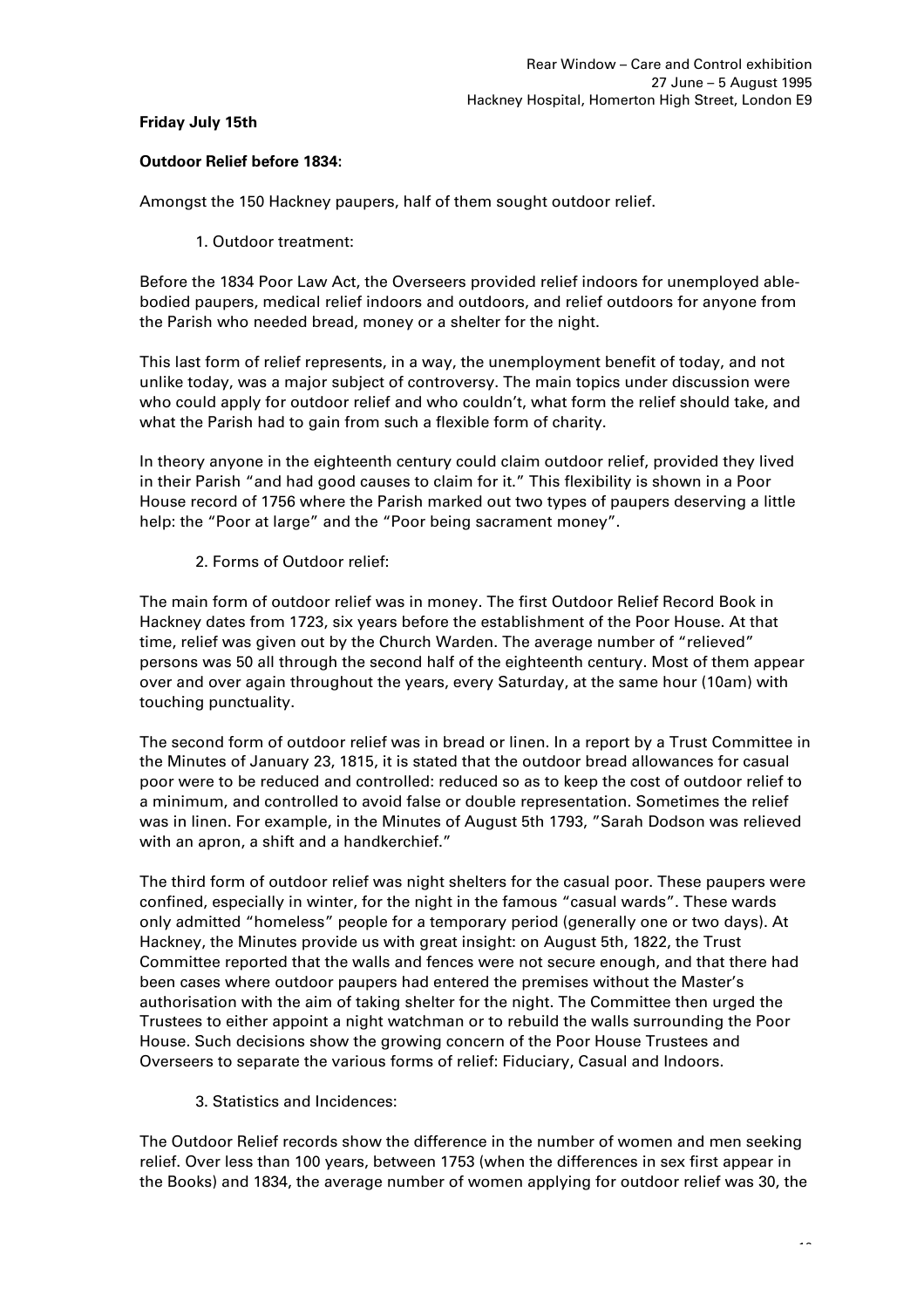# **Friday July 15th**

# **Outdoor Relief before 1834:**

Amongst the 150 Hackney paupers, half of them sought outdoor relief.

1. Outdoor treatment:

Before the 1834 Poor Law Act, the Overseers provided relief indoors for unemployed ablebodied paupers, medical relief indoors and outdoors, and relief outdoors for anyone from the Parish who needed bread, money or a shelter for the night.

This last form of relief represents, in a way, the unemployment benefit of today, and not unlike today, was a major subject of controversy. The main topics under discussion were who could apply for outdoor relief and who couldn't, what form the relief should take, and what the Parish had to gain from such a flexible form of charity.

In theory anyone in the eighteenth century could claim outdoor relief, provided they lived in their Parish "and had good causes to claim for it." This flexibility is shown in a Poor House record of 1756 where the Parish marked out two types of paupers deserving a little help: the "Poor at large" and the "Poor being sacrament money".

2. Forms of Outdoor relief:

The main form of outdoor relief was in money. The first Outdoor Relief Record Book in Hackney dates from 1723, six years before the establishment of the Poor House. At that time, relief was given out by the Church Warden. The average number of "relieved" persons was 50 all through the second half of the eighteenth century. Most of them appear over and over again throughout the years, every Saturday, at the same hour (10am) with touching punctuality.

The second form of outdoor relief was in bread or linen. In a report by a Trust Committee in the Minutes of January 23, 1815, it is stated that the outdoor bread allowances for casual poor were to be reduced and controlled: reduced so as to keep the cost of outdoor relief to a minimum, and controlled to avoid false or double representation. Sometimes the relief was in linen. For example, in the Minutes of August 5th 1793, "Sarah Dodson was relieved with an apron, a shift and a handkerchief."

The third form of outdoor relief was night shelters for the casual poor. These paupers were confined, especially in winter, for the night in the famous "casual wards". These wards only admitted "homeless" people for a temporary period (generally one or two days). At Hackney, the Minutes provide us with great insight: on August 5th, 1822, the Trust Committee reported that the walls and fences were not secure enough, and that there had been cases where outdoor paupers had entered the premises without the Master's authorisation with the aim of taking shelter for the night. The Committee then urged the Trustees to either appoint a night watchman or to rebuild the walls surrounding the Poor House. Such decisions show the growing concern of the Poor House Trustees and Overseers to separate the various forms of relief: Fiduciary, Casual and Indoors.

3. Statistics and Incidences:

The Outdoor Relief records show the difference in the number of women and men seeking relief. Over less than 100 years, between 1753 (when the differences in sex first appear in the Books) and 1834, the average number of women applying for outdoor relief was 30, the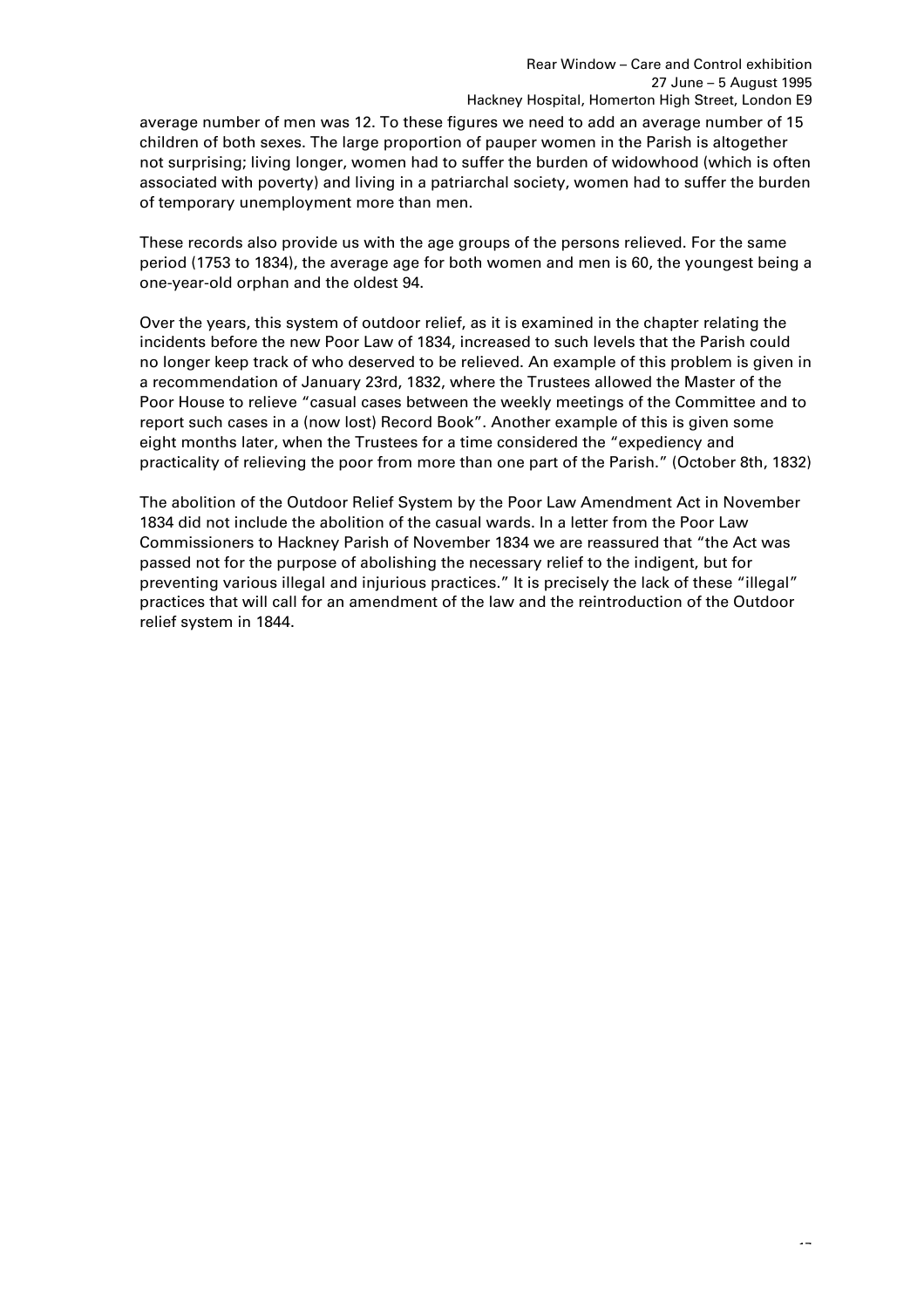average number of men was 12. To these figures we need to add an average number of 15 children of both sexes. The large proportion of pauper women in the Parish is altogether not surprising; living longer, women had to suffer the burden of widowhood (which is often associated with poverty) and living in a patriarchal society, women had to suffer the burden of temporary unemployment more than men.

These records also provide us with the age groups of the persons relieved. For the same period (1753 to 1834), the average age for both women and men is 60, the youngest being a one-year-old orphan and the oldest 94.

Over the years, this system of outdoor relief, as it is examined in the chapter relating the incidents before the new Poor Law of 1834, increased to such levels that the Parish could no longer keep track of who deserved to be relieved. An example of this problem is given in a recommendation of January 23rd, 1832, where the Trustees allowed the Master of the Poor House to relieve "casual cases between the weekly meetings of the Committee and to report such cases in a (now lost) Record Book". Another example of this is given some eight months later, when the Trustees for a time considered the "expediency and practicality of relieving the poor from more than one part of the Parish." (October 8th, 1832)

The abolition of the Outdoor Relief System by the Poor Law Amendment Act in November 1834 did not include the abolition of the casual wards. In a letter from the Poor Law Commissioners to Hackney Parish of November 1834 we are reassured that "the Act was passed not for the purpose of abolishing the necessary relief to the indigent, but for preventing various illegal and injurious practices." It is precisely the lack of these "illegal" practices that will call for an amendment of the law and the reintroduction of the Outdoor relief system in 1844.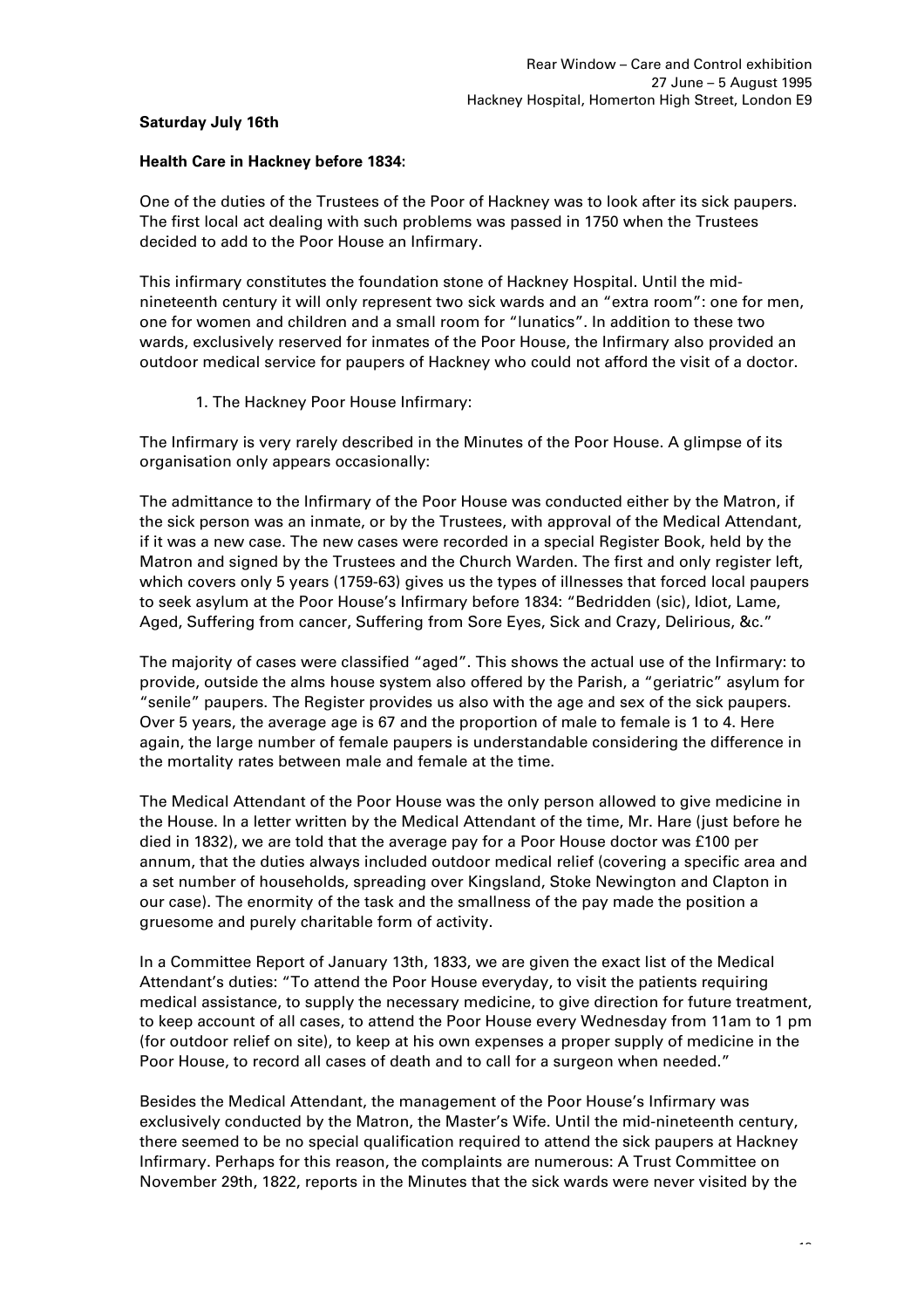## **Saturday July 16th**

## **Health Care in Hackney before 1834:**

One of the duties of the Trustees of the Poor of Hackney was to look after its sick paupers. The first local act dealing with such problems was passed in 1750 when the Trustees decided to add to the Poor House an Infirmary.

This infirmary constitutes the foundation stone of Hackney Hospital. Until the midnineteenth century it will only represent two sick wards and an "extra room": one for men, one for women and children and a small room for "lunatics". In addition to these two wards, exclusively reserved for inmates of the Poor House, the Infirmary also provided an outdoor medical service for paupers of Hackney who could not afford the visit of a doctor.

1. The Hackney Poor House Infirmary:

The Infirmary is very rarely described in the Minutes of the Poor House. A glimpse of its organisation only appears occasionally:

The admittance to the Infirmary of the Poor House was conducted either by the Matron, if the sick person was an inmate, or by the Trustees, with approval of the Medical Attendant, if it was a new case. The new cases were recorded in a special Register Book, held by the Matron and signed by the Trustees and the Church Warden. The first and only register left, which covers only 5 years (1759-63) gives us the types of illnesses that forced local paupers to seek asylum at the Poor House's Infirmary before 1834: "Bedridden (sic), Idiot, Lame, Aged, Suffering from cancer, Suffering from Sore Eyes, Sick and Crazy, Delirious, &c."

The majority of cases were classified "aged". This shows the actual use of the Infirmary: to provide, outside the alms house system also offered by the Parish, a "geriatric" asylum for "senile" paupers. The Register provides us also with the age and sex of the sick paupers. Over 5 years, the average age is 67 and the proportion of male to female is 1 to 4. Here again, the large number of female paupers is understandable considering the difference in the mortality rates between male and female at the time.

The Medical Attendant of the Poor House was the only person allowed to give medicine in the House. In a letter written by the Medical Attendant of the time, Mr. Hare (just before he died in 1832), we are told that the average pay for a Poor House doctor was £100 per annum, that the duties always included outdoor medical relief (covering a specific area and a set number of households, spreading over Kingsland, Stoke Newington and Clapton in our case). The enormity of the task and the smallness of the pay made the position a gruesome and purely charitable form of activity.

In a Committee Report of January 13th, 1833, we are given the exact list of the Medical Attendant's duties: "To attend the Poor House everyday, to visit the patients requiring medical assistance, to supply the necessary medicine, to give direction for future treatment, to keep account of all cases, to attend the Poor House every Wednesday from 11am to 1 pm (for outdoor relief on site), to keep at his own expenses a proper supply of medicine in the Poor House, to record all cases of death and to call for a surgeon when needed."

Besides the Medical Attendant, the management of the Poor House's Infirmary was exclusively conducted by the Matron, the Master's Wife. Until the mid-nineteenth century, there seemed to be no special qualification required to attend the sick paupers at Hackney Infirmary. Perhaps for this reason, the complaints are numerous: A Trust Committee on November 29th, 1822, reports in the Minutes that the sick wards were never visited by the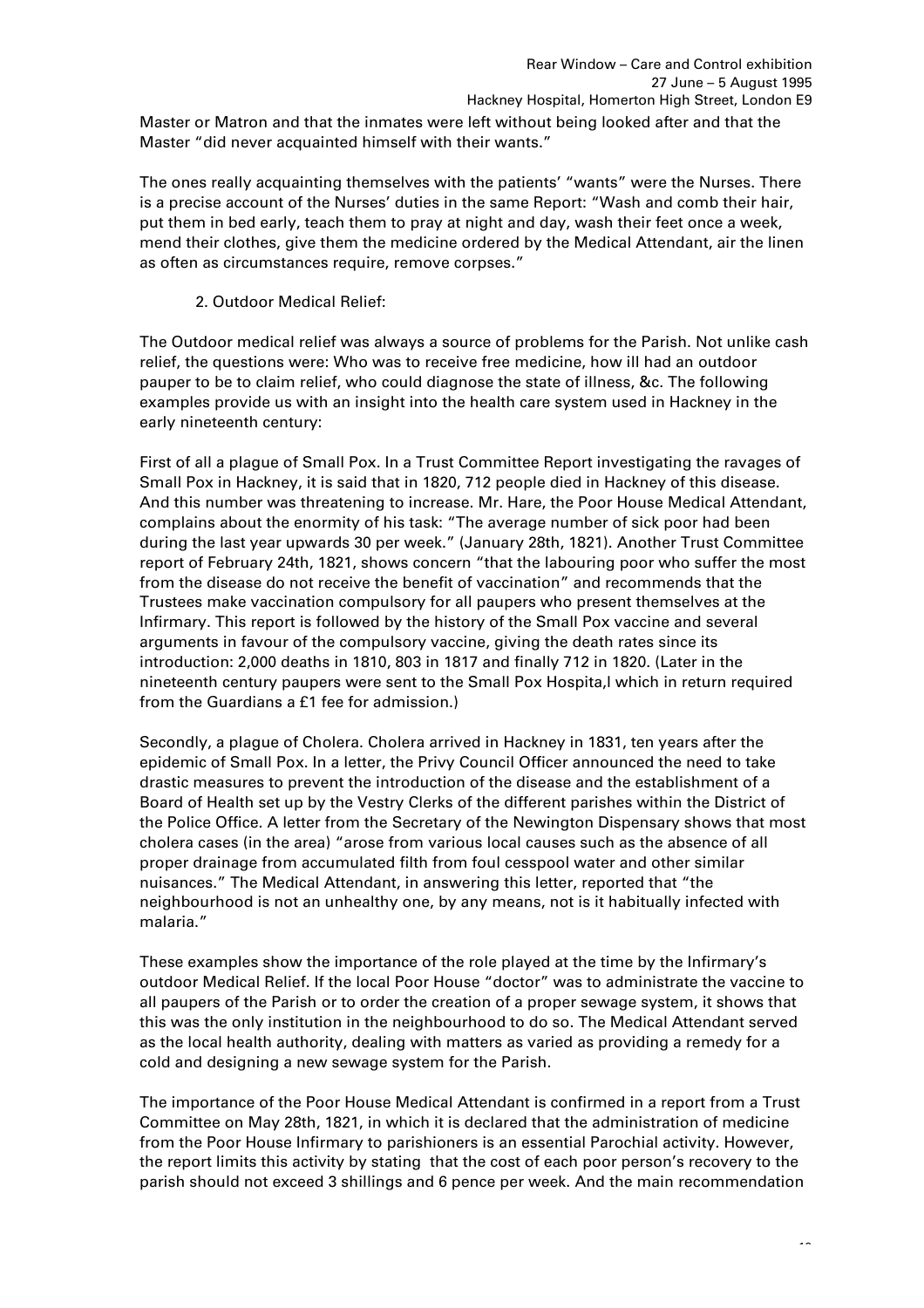Master or Matron and that the inmates were left without being looked after and that the Master "did never acquainted himself with their wants."

The ones really acquainting themselves with the patients' "wants" were the Nurses. There is a precise account of the Nurses' duties in the same Report: "Wash and comb their hair, put them in bed early, teach them to pray at night and day, wash their feet once a week, mend their clothes, give them the medicine ordered by the Medical Attendant, air the linen as often as circumstances require, remove corpses."

2. Outdoor Medical Relief:

The Outdoor medical relief was always a source of problems for the Parish. Not unlike cash relief, the questions were: Who was to receive free medicine, how ill had an outdoor pauper to be to claim relief, who could diagnose the state of illness, &c. The following examples provide us with an insight into the health care system used in Hackney in the early nineteenth century:

First of all a plague of Small Pox. In a Trust Committee Report investigating the ravages of Small Pox in Hackney, it is said that in 1820, 712 people died in Hackney of this disease. And this number was threatening to increase. Mr. Hare, the Poor House Medical Attendant, complains about the enormity of his task: "The average number of sick poor had been during the last year upwards 30 per week." (January 28th, 1821). Another Trust Committee report of February 24th, 1821, shows concern "that the labouring poor who suffer the most from the disease do not receive the benefit of vaccination" and recommends that the Trustees make vaccination compulsory for all paupers who present themselves at the Infirmary. This report is followed by the history of the Small Pox vaccine and several arguments in favour of the compulsory vaccine, giving the death rates since its introduction: 2,000 deaths in 1810, 803 in 1817 and finally 712 in 1820. (Later in the nineteenth century paupers were sent to the Small Pox Hospita,l which in return required from the Guardians a £1 fee for admission.)

Secondly, a plague of Cholera. Cholera arrived in Hackney in 1831, ten years after the epidemic of Small Pox. In a letter, the Privy Council Officer announced the need to take drastic measures to prevent the introduction of the disease and the establishment of a Board of Health set up by the Vestry Clerks of the different parishes within the District of the Police Office. A letter from the Secretary of the Newington Dispensary shows that most cholera cases (in the area) "arose from various local causes such as the absence of all proper drainage from accumulated filth from foul cesspool water and other similar nuisances." The Medical Attendant, in answering this letter, reported that "the neighbourhood is not an unhealthy one, by any means, not is it habitually infected with malaria."

These examples show the importance of the role played at the time by the Infirmary's outdoor Medical Relief. If the local Poor House "doctor" was to administrate the vaccine to all paupers of the Parish or to order the creation of a proper sewage system, it shows that this was the only institution in the neighbourhood to do so. The Medical Attendant served as the local health authority, dealing with matters as varied as providing a remedy for a cold and designing a new sewage system for the Parish.

The importance of the Poor House Medical Attendant is confirmed in a report from a Trust Committee on May 28th, 1821, in which it is declared that the administration of medicine from the Poor House Infirmary to parishioners is an essential Parochial activity. However, the report limits this activity by stating that the cost of each poor person's recovery to the parish should not exceed 3 shillings and 6 pence per week. And the main recommendation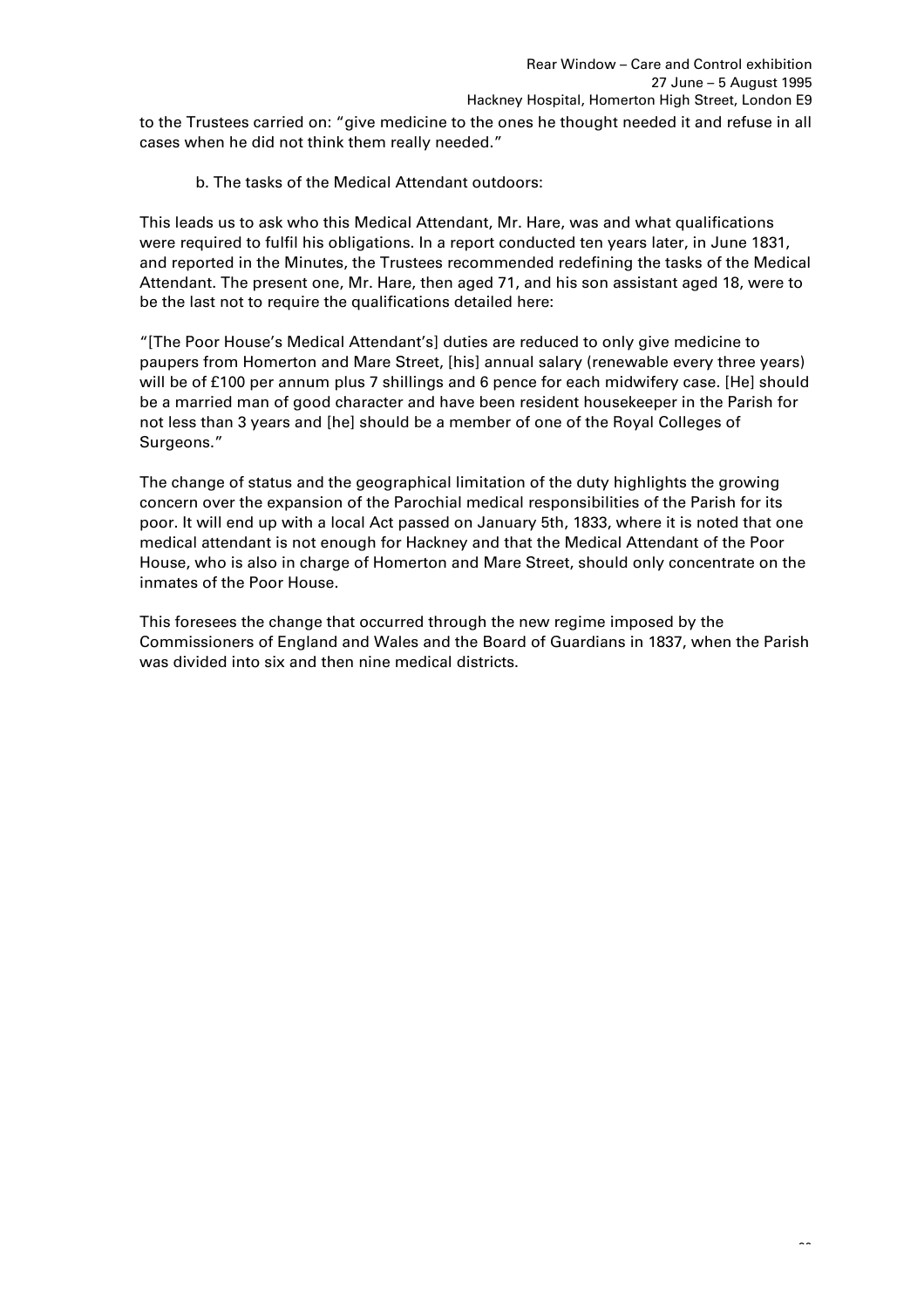to the Trustees carried on: "give medicine to the ones he thought needed it and refuse in all cases when he did not think them really needed."

b. The tasks of the Medical Attendant outdoors:

This leads us to ask who this Medical Attendant, Mr. Hare, was and what qualifications were required to fulfil his obligations. In a report conducted ten years later, in June 1831, and reported in the Minutes, the Trustees recommended redefining the tasks of the Medical Attendant. The present one, Mr. Hare, then aged 71, and his son assistant aged 18, were to be the last not to require the qualifications detailed here:

"[The Poor House's Medical Attendant's] duties are reduced to only give medicine to paupers from Homerton and Mare Street, [his] annual salary (renewable every three years) will be of £100 per annum plus 7 shillings and 6 pence for each midwifery case. [He] should be a married man of good character and have been resident housekeeper in the Parish for not less than 3 years and [he] should be a member of one of the Royal Colleges of Surgeons."

The change of status and the geographical limitation of the duty highlights the growing concern over the expansion of the Parochial medical responsibilities of the Parish for its poor. It will end up with a local Act passed on January 5th, 1833, where it is noted that one medical attendant is not enough for Hackney and that the Medical Attendant of the Poor House, who is also in charge of Homerton and Mare Street, should only concentrate on the inmates of the Poor House.

This foresees the change that occurred through the new regime imposed by the Commissioners of England and Wales and the Board of Guardians in 1837, when the Parish was divided into six and then nine medical districts.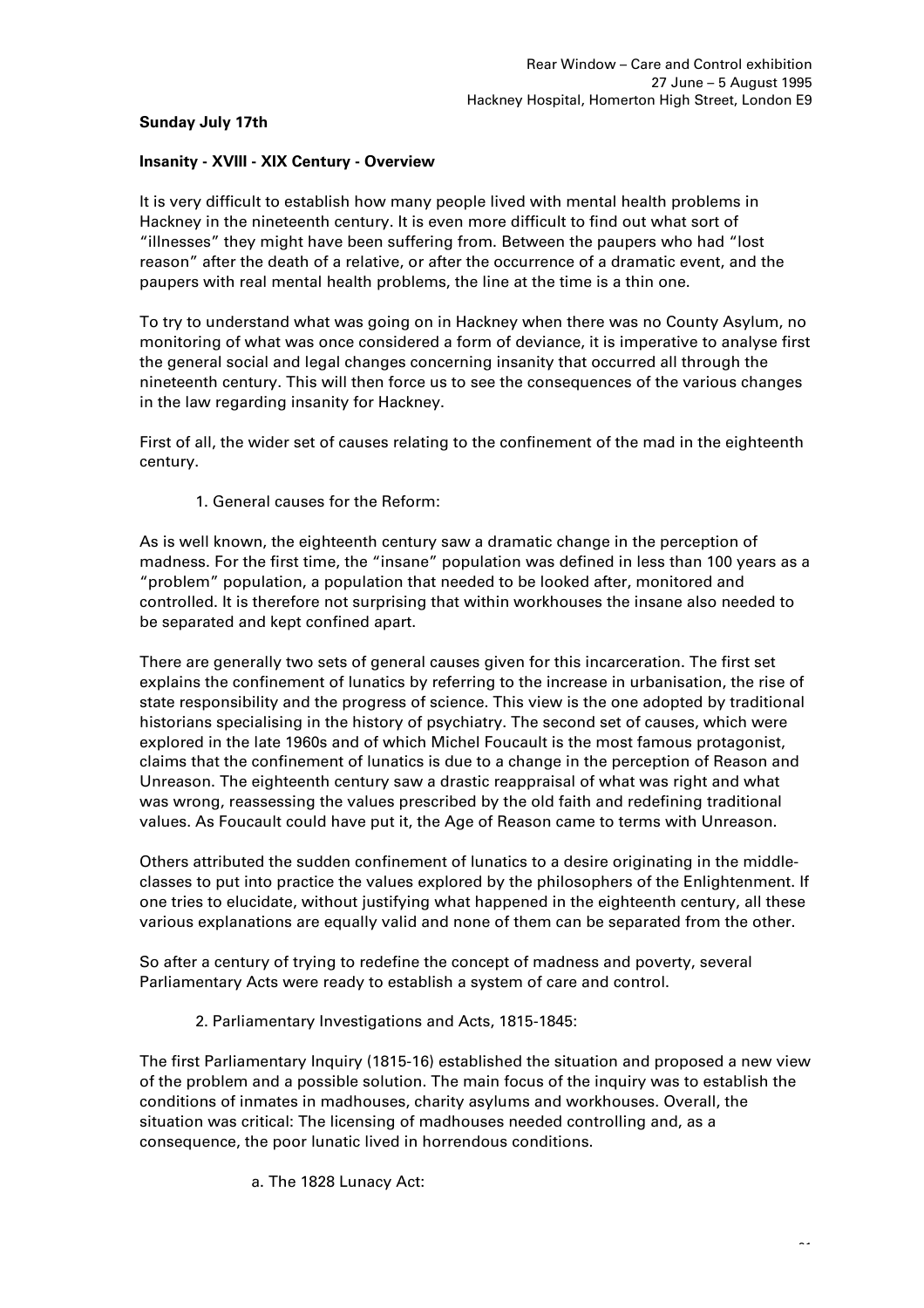# **Sunday July 17th**

# **Insanity - XVIII - XIX Century - Overview**

It is very difficult to establish how many people lived with mental health problems in Hackney in the nineteenth century. It is even more difficult to find out what sort of "illnesses" they might have been suffering from. Between the paupers who had "lost reason" after the death of a relative, or after the occurrence of a dramatic event, and the paupers with real mental health problems, the line at the time is a thin one.

To try to understand what was going on in Hackney when there was no County Asylum, no monitoring of what was once considered a form of deviance, it is imperative to analyse first the general social and legal changes concerning insanity that occurred all through the nineteenth century. This will then force us to see the consequences of the various changes in the law regarding insanity for Hackney.

First of all, the wider set of causes relating to the confinement of the mad in the eighteenth century.

1. General causes for the Reform:

As is well known, the eighteenth century saw a dramatic change in the perception of madness. For the first time, the "insane" population was defined in less than 100 years as a "problem" population, a population that needed to be looked after, monitored and controlled. It is therefore not surprising that within workhouses the insane also needed to be separated and kept confined apart.

There are generally two sets of general causes given for this incarceration. The first set explains the confinement of lunatics by referring to the increase in urbanisation, the rise of state responsibility and the progress of science. This view is the one adopted by traditional historians specialising in the history of psychiatry. The second set of causes, which were explored in the late 1960s and of which Michel Foucault is the most famous protagonist, claims that the confinement of lunatics is due to a change in the perception of Reason and Unreason. The eighteenth century saw a drastic reappraisal of what was right and what was wrong, reassessing the values prescribed by the old faith and redefining traditional values. As Foucault could have put it, the Age of Reason came to terms with Unreason.

Others attributed the sudden confinement of lunatics to a desire originating in the middleclasses to put into practice the values explored by the philosophers of the Enlightenment. If one tries to elucidate, without justifying what happened in the eighteenth century, all these various explanations are equally valid and none of them can be separated from the other.

So after a century of trying to redefine the concept of madness and poverty, several Parliamentary Acts were ready to establish a system of care and control.

2. Parliamentary Investigations and Acts, 1815-1845:

The first Parliamentary Inquiry (1815-16) established the situation and proposed a new view of the problem and a possible solution. The main focus of the inquiry was to establish the conditions of inmates in madhouses, charity asylums and workhouses. Overall, the situation was critical: The licensing of madhouses needed controlling and, as a consequence, the poor lunatic lived in horrendous conditions.

a. The 1828 Lunacy Act: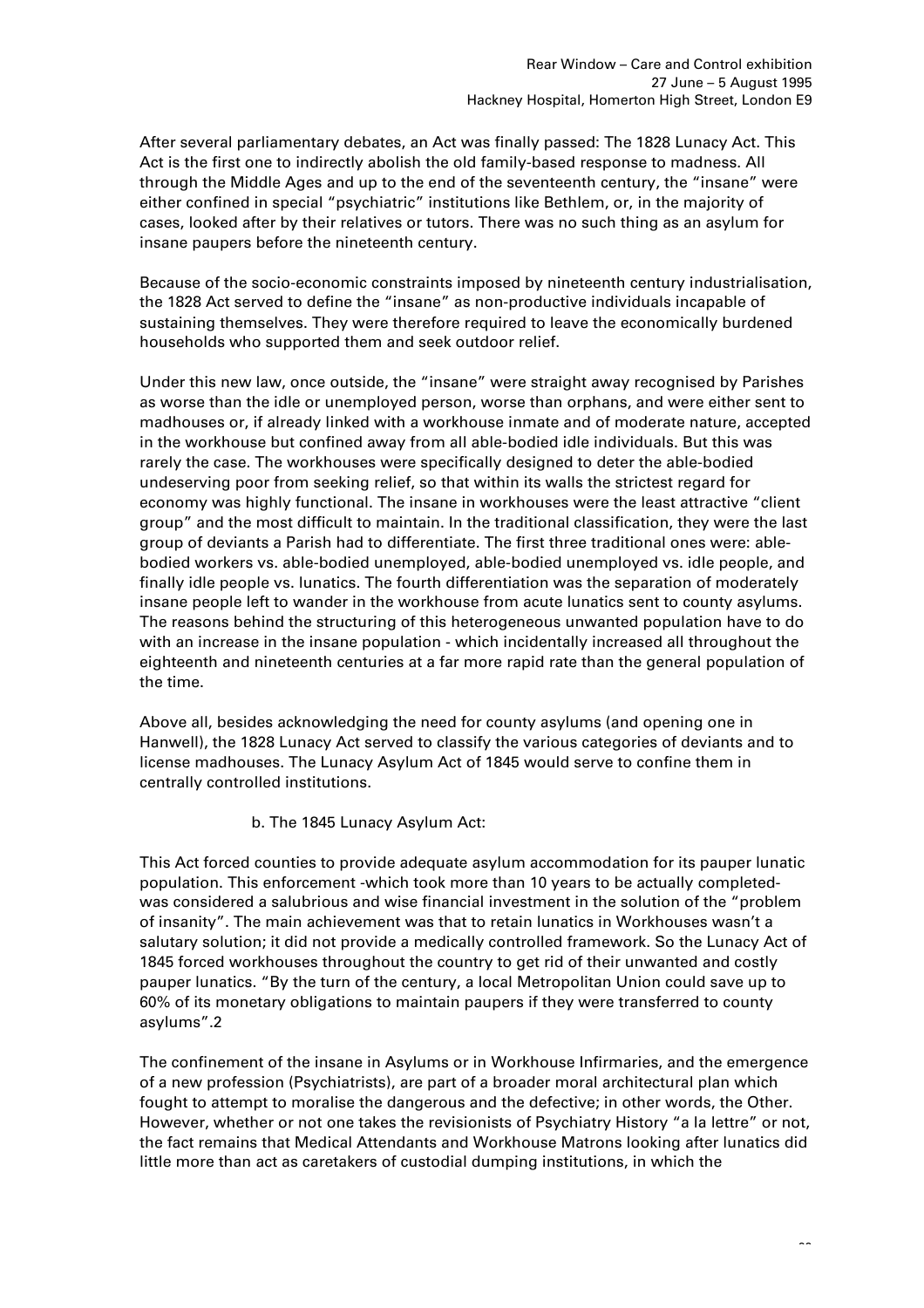After several parliamentary debates, an Act was finally passed: The 1828 Lunacy Act. This Act is the first one to indirectly abolish the old family-based response to madness. All through the Middle Ages and up to the end of the seventeenth century, the "insane" were either confined in special "psychiatric" institutions like Bethlem, or, in the majority of cases, looked after by their relatives or tutors. There was no such thing as an asylum for insane paupers before the nineteenth century.

Because of the socio-economic constraints imposed by nineteenth century industrialisation, the 1828 Act served to define the "insane" as non-productive individuals incapable of sustaining themselves. They were therefore required to leave the economically burdened households who supported them and seek outdoor relief.

Under this new law, once outside, the "insane" were straight away recognised by Parishes as worse than the idle or unemployed person, worse than orphans, and were either sent to madhouses or, if already linked with a workhouse inmate and of moderate nature, accepted in the workhouse but confined away from all able-bodied idle individuals. But this was rarely the case. The workhouses were specifically designed to deter the able-bodied undeserving poor from seeking relief, so that within its walls the strictest regard for economy was highly functional. The insane in workhouses were the least attractive "client group" and the most difficult to maintain. In the traditional classification, they were the last group of deviants a Parish had to differentiate. The first three traditional ones were: ablebodied workers vs. able-bodied unemployed, able-bodied unemployed vs. idle people, and finally idle people vs. lunatics. The fourth differentiation was the separation of moderately insane people left to wander in the workhouse from acute lunatics sent to county asylums. The reasons behind the structuring of this heterogeneous unwanted population have to do with an increase in the insane population - which incidentally increased all throughout the eighteenth and nineteenth centuries at a far more rapid rate than the general population of the time.

Above all, besides acknowledging the need for county asylums (and opening one in Hanwell), the 1828 Lunacy Act served to classify the various categories of deviants and to license madhouses. The Lunacy Asylum Act of 1845 would serve to confine them in centrally controlled institutions.

# b. The 1845 Lunacy Asylum Act:

This Act forced counties to provide adequate asylum accommodation for its pauper lunatic population. This enforcement -which took more than 10 years to be actually completedwas considered a salubrious and wise financial investment in the solution of the "problem of insanity". The main achievement was that to retain lunatics in Workhouses wasn't a salutary solution; it did not provide a medically controlled framework. So the Lunacy Act of 1845 forced workhouses throughout the country to get rid of their unwanted and costly pauper lunatics. "By the turn of the century, a local Metropolitan Union could save up to 60% of its monetary obligations to maintain paupers if they were transferred to county asylums".2

The confinement of the insane in Asylums or in Workhouse Infirmaries, and the emergence of a new profession (Psychiatrists), are part of a broader moral architectural plan which fought to attempt to moralise the dangerous and the defective; in other words, the Other. However, whether or not one takes the revisionists of Psychiatry History "a la lettre" or not, the fact remains that Medical Attendants and Workhouse Matrons looking after lunatics did little more than act as caretakers of custodial dumping institutions, in which the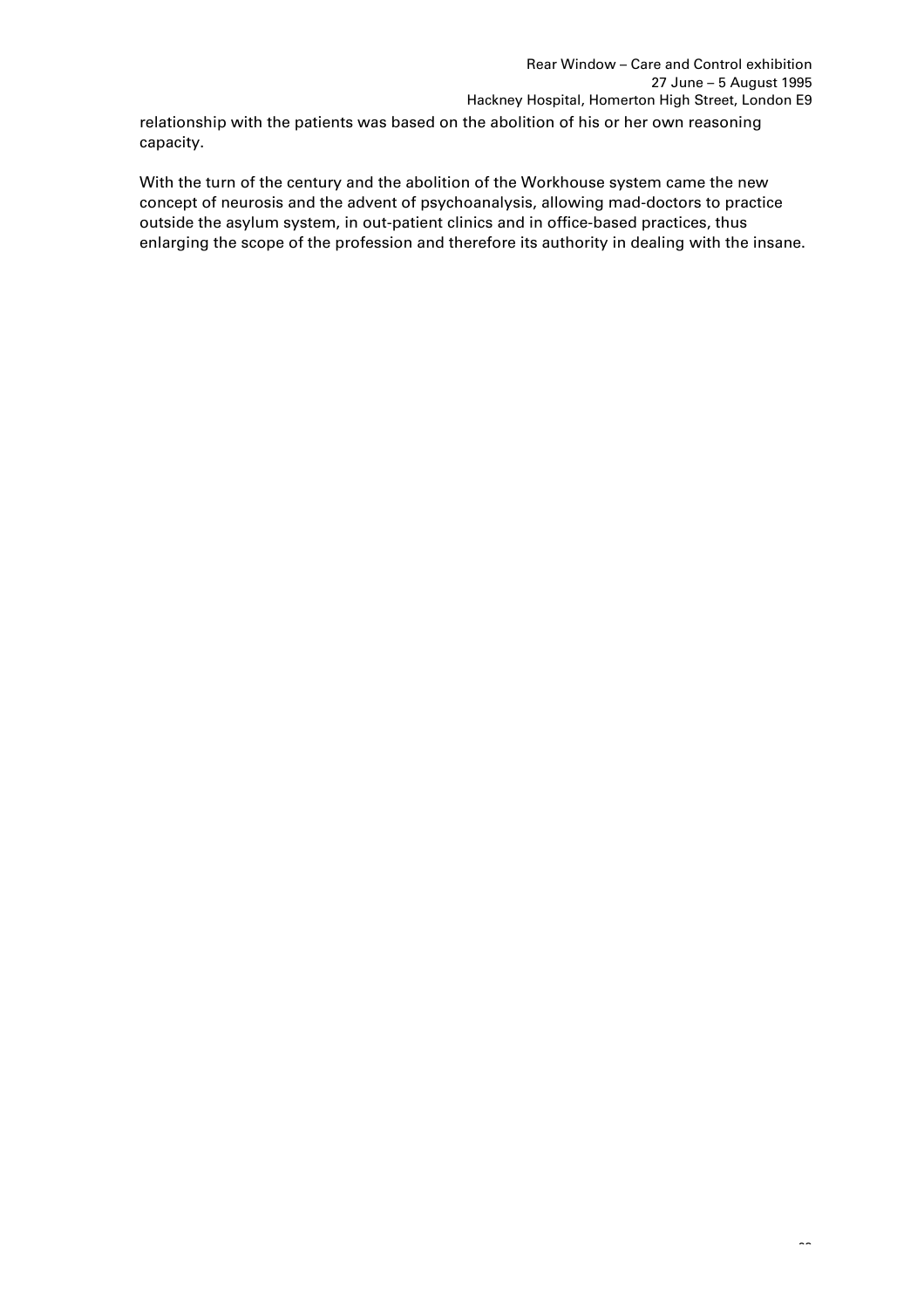relationship with the patients was based on the abolition of his or her own reasoning capacity.

With the turn of the century and the abolition of the Workhouse system came the new concept of neurosis and the advent of psychoanalysis, allowing mad-doctors to practice outside the asylum system, in out-patient clinics and in office-based practices, thus enlarging the scope of the profession and therefore its authority in dealing with the insane.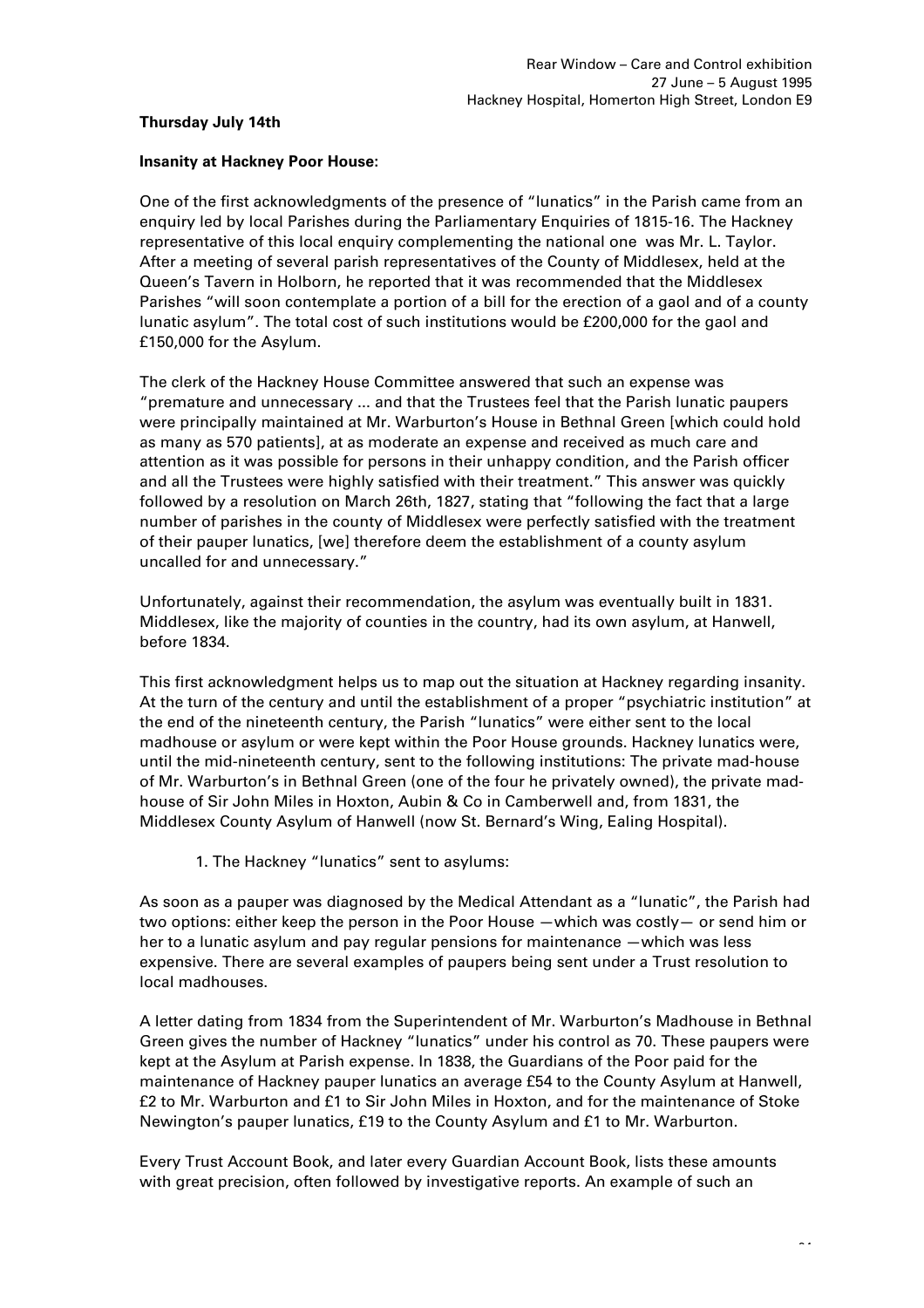## **Thursday July 14th**

## **Insanity at Hackney Poor House:**

One of the first acknowledgments of the presence of "lunatics" in the Parish came from an enquiry led by local Parishes during the Parliamentary Enquiries of 1815-16. The Hackney representative of this local enquiry complementing the national one was Mr. L. Taylor. After a meeting of several parish representatives of the County of Middlesex, held at the Queen's Tavern in Holborn, he reported that it was recommended that the Middlesex Parishes "will soon contemplate a portion of a bill for the erection of a gaol and of a county lunatic asylum". The total cost of such institutions would be £200,000 for the gaol and £150,000 for the Asylum.

The clerk of the Hackney House Committee answered that such an expense was "premature and unnecessary ... and that the Trustees feel that the Parish lunatic paupers were principally maintained at Mr. Warburton's House in Bethnal Green [which could hold as many as 570 patients], at as moderate an expense and received as much care and attention as it was possible for persons in their unhappy condition, and the Parish officer and all the Trustees were highly satisfied with their treatment." This answer was quickly followed by a resolution on March 26th, 1827, stating that "following the fact that a large number of parishes in the county of Middlesex were perfectly satisfied with the treatment of their pauper lunatics, [we] therefore deem the establishment of a county asylum uncalled for and unnecessary."

Unfortunately, against their recommendation, the asylum was eventually built in 1831. Middlesex, like the majority of counties in the country, had its own asylum, at Hanwell, before 1834.

This first acknowledgment helps us to map out the situation at Hackney regarding insanity. At the turn of the century and until the establishment of a proper "psychiatric institution" at the end of the nineteenth century, the Parish "lunatics" were either sent to the local madhouse or asylum or were kept within the Poor House grounds. Hackney lunatics were, until the mid-nineteenth century, sent to the following institutions: The private mad-house of Mr. Warburton's in Bethnal Green (one of the four he privately owned), the private madhouse of Sir John Miles in Hoxton, Aubin & Co in Camberwell and, from 1831, the Middlesex County Asylum of Hanwell (now St. Bernard's Wing, Ealing Hospital).

1. The Hackney "lunatics" sent to asylums:

As soon as a pauper was diagnosed by the Medical Attendant as a "lunatic", the Parish had two options: either keep the person in the Poor House —which was costly— or send him or her to a lunatic asylum and pay regular pensions for maintenance —which was less expensive. There are several examples of paupers being sent under a Trust resolution to local madhouses.

A letter dating from 1834 from the Superintendent of Mr. Warburton's Madhouse in Bethnal Green gives the number of Hackney "lunatics" under his control as 70. These paupers were kept at the Asylum at Parish expense. In 1838, the Guardians of the Poor paid for the maintenance of Hackney pauper lunatics an average £54 to the County Asylum at Hanwell, £2 to Mr. Warburton and £1 to Sir John Miles in Hoxton, and for the maintenance of Stoke Newington's pauper lunatics, £19 to the County Asylum and £1 to Mr. Warburton.

Every Trust Account Book, and later every Guardian Account Book, lists these amounts with great precision, often followed by investigative reports. An example of such an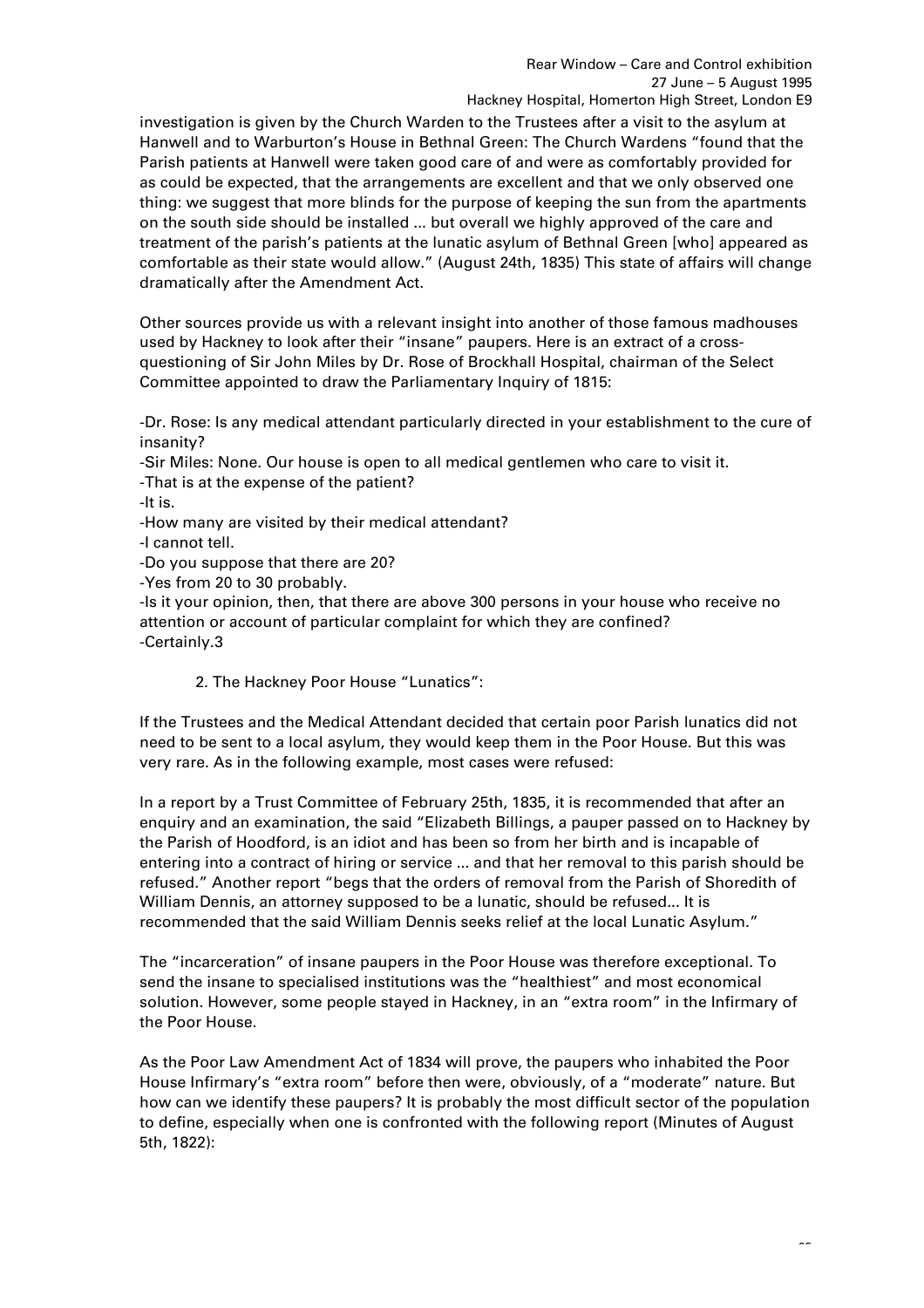investigation is given by the Church Warden to the Trustees after a visit to the asylum at Hanwell and to Warburton's House in Bethnal Green: The Church Wardens "found that the Parish patients at Hanwell were taken good care of and were as comfortably provided for as could be expected, that the arrangements are excellent and that we only observed one thing: we suggest that more blinds for the purpose of keeping the sun from the apartments on the south side should be installed ... but overall we highly approved of the care and treatment of the parish's patients at the lunatic asylum of Bethnal Green [who] appeared as comfortable as their state would allow." (August 24th, 1835) This state of affairs will change dramatically after the Amendment Act.

Other sources provide us with a relevant insight into another of those famous madhouses used by Hackney to look after their "insane" paupers. Here is an extract of a crossquestioning of Sir John Miles by Dr. Rose of Brockhall Hospital, chairman of the Select Committee appointed to draw the Parliamentary Inquiry of 1815:

-Dr. Rose: Is any medical attendant particularly directed in your establishment to the cure of insanity?

-Sir Miles: None. Our house is open to all medical gentlemen who care to visit it. -That is at the expense of the patient?

-It is.

-How many are visited by their medical attendant?

-I cannot tell.

-Do you suppose that there are 20?

-Yes from 20 to 30 probably.

-Is it your opinion, then, that there are above 300 persons in your house who receive no attention or account of particular complaint for which they are confined? -Certainly.3

2. The Hackney Poor House "Lunatics":

If the Trustees and the Medical Attendant decided that certain poor Parish lunatics did not need to be sent to a local asylum, they would keep them in the Poor House. But this was very rare. As in the following example, most cases were refused:

In a report by a Trust Committee of February 25th, 1835, it is recommended that after an enquiry and an examination, the said "Elizabeth Billings, a pauper passed on to Hackney by the Parish of Hoodford, is an idiot and has been so from her birth and is incapable of entering into a contract of hiring or service ... and that her removal to this parish should be refused." Another report "begs that the orders of removal from the Parish of Shoredith of William Dennis, an attorney supposed to be a lunatic, should be refused... It is recommended that the said William Dennis seeks relief at the local Lunatic Asylum."

The "incarceration" of insane paupers in the Poor House was therefore exceptional. To send the insane to specialised institutions was the "healthiest" and most economical solution. However, some people stayed in Hackney, in an "extra room" in the Infirmary of the Poor House.

As the Poor Law Amendment Act of 1834 will prove, the paupers who inhabited the Poor House Infirmary's "extra room" before then were, obviously, of a "moderate" nature. But how can we identify these paupers? It is probably the most difficult sector of the population to define, especially when one is confronted with the following report (Minutes of August 5th, 1822):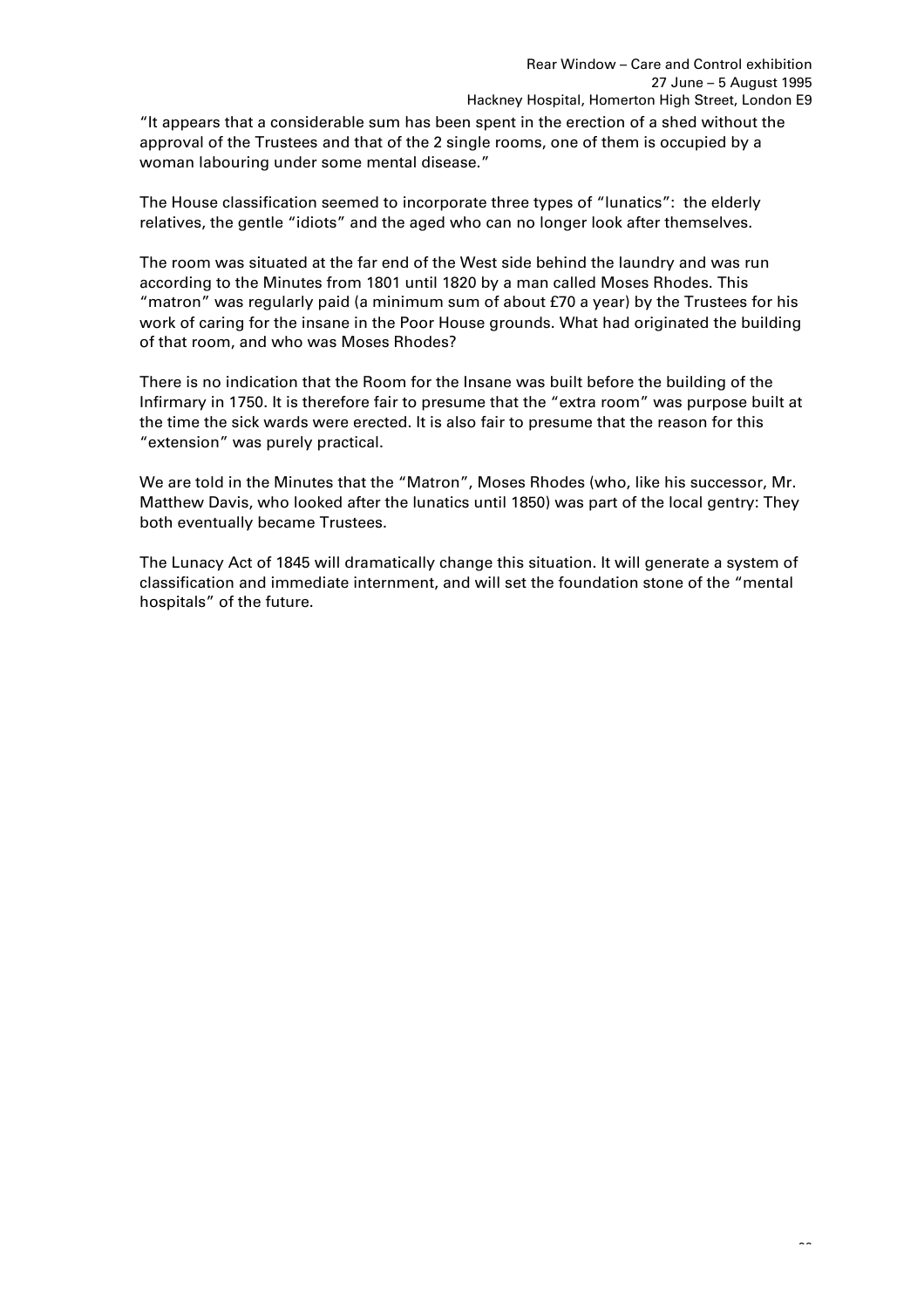"It appears that a considerable sum has been spent in the erection of a shed without the approval of the Trustees and that of the 2 single rooms, one of them is occupied by a woman labouring under some mental disease."

The House classification seemed to incorporate three types of "lunatics": the elderly relatives, the gentle "idiots" and the aged who can no longer look after themselves.

The room was situated at the far end of the West side behind the laundry and was run according to the Minutes from 1801 until 1820 by a man called Moses Rhodes. This "matron" was regularly paid (a minimum sum of about £70 a year) by the Trustees for his work of caring for the insane in the Poor House grounds. What had originated the building of that room, and who was Moses Rhodes?

There is no indication that the Room for the Insane was built before the building of the Infirmary in 1750. It is therefore fair to presume that the "extra room" was purpose built at the time the sick wards were erected. It is also fair to presume that the reason for this "extension" was purely practical.

We are told in the Minutes that the "Matron", Moses Rhodes (who, like his successor, Mr. Matthew Davis, who looked after the lunatics until 1850) was part of the local gentry: They both eventually became Trustees.

The Lunacy Act of 1845 will dramatically change this situation. It will generate a system of classification and immediate internment, and will set the foundation stone of the "mental hospitals" of the future.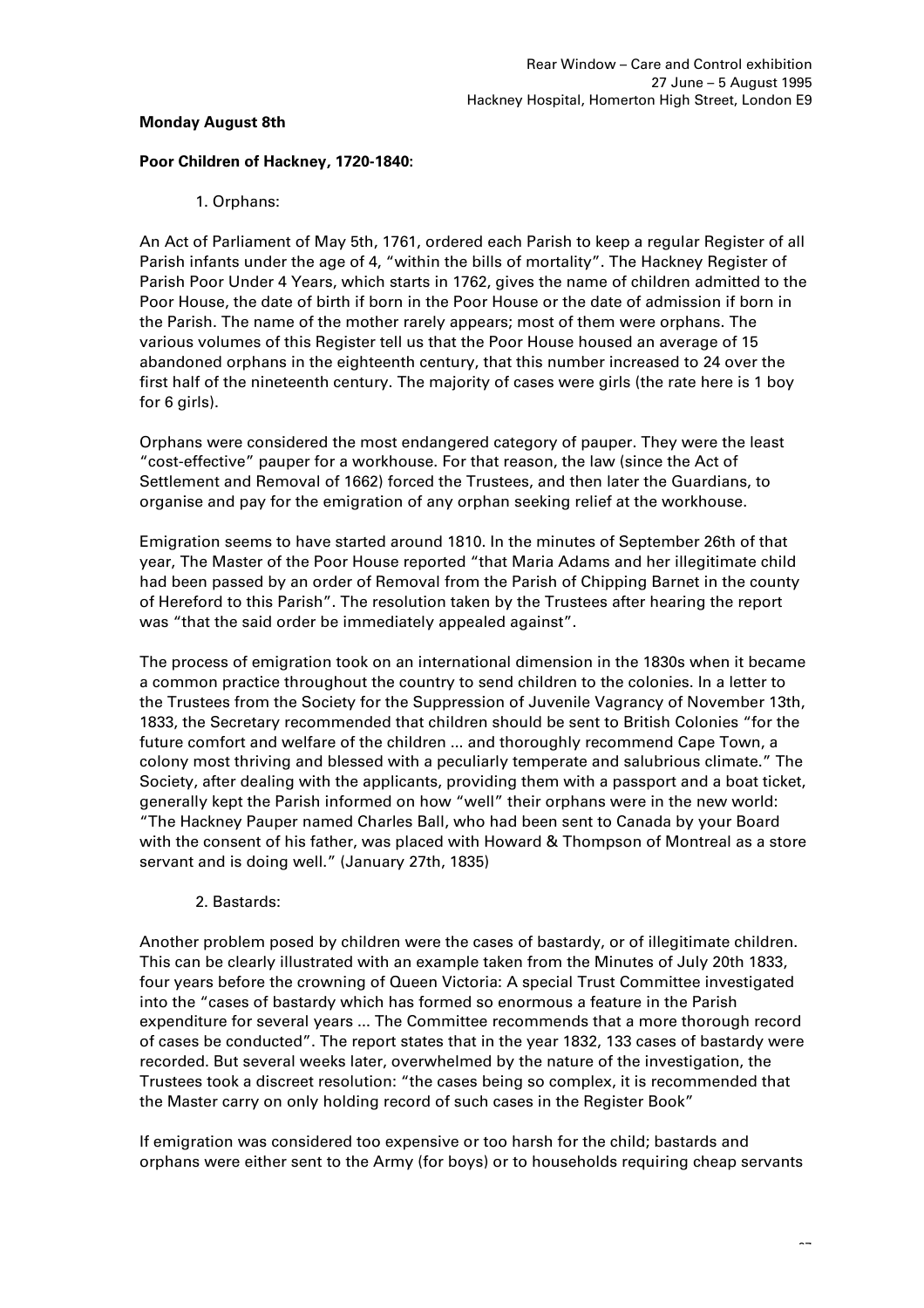## **Monday August 8th**

# **Poor Children of Hackney, 1720-1840:**

# 1. Orphans:

An Act of Parliament of May 5th, 1761, ordered each Parish to keep a regular Register of all Parish infants under the age of 4, "within the bills of mortality". The Hackney Register of Parish Poor Under 4 Years, which starts in 1762, gives the name of children admitted to the Poor House, the date of birth if born in the Poor House or the date of admission if born in the Parish. The name of the mother rarely appears; most of them were orphans. The various volumes of this Register tell us that the Poor House housed an average of 15 abandoned orphans in the eighteenth century, that this number increased to 24 over the first half of the nineteenth century. The majority of cases were girls (the rate here is 1 boy for 6 girls).

Orphans were considered the most endangered category of pauper. They were the least "cost-effective" pauper for a workhouse. For that reason, the law (since the Act of Settlement and Removal of 1662) forced the Trustees, and then later the Guardians, to organise and pay for the emigration of any orphan seeking relief at the workhouse.

Emigration seems to have started around 1810. In the minutes of September 26th of that year, The Master of the Poor House reported "that Maria Adams and her illegitimate child had been passed by an order of Removal from the Parish of Chipping Barnet in the county of Hereford to this Parish". The resolution taken by the Trustees after hearing the report was "that the said order be immediately appealed against".

The process of emigration took on an international dimension in the 1830s when it became a common practice throughout the country to send children to the colonies. In a letter to the Trustees from the Society for the Suppression of Juvenile Vagrancy of November 13th, 1833, the Secretary recommended that children should be sent to British Colonies "for the future comfort and welfare of the children ... and thoroughly recommend Cape Town, a colony most thriving and blessed with a peculiarly temperate and salubrious climate." The Society, after dealing with the applicants, providing them with a passport and a boat ticket, generally kept the Parish informed on how "well" their orphans were in the new world: "The Hackney Pauper named Charles Ball, who had been sent to Canada by your Board with the consent of his father, was placed with Howard & Thompson of Montreal as a store servant and is doing well." (January 27th, 1835)

# 2. Bastards:

Another problem posed by children were the cases of bastardy, or of illegitimate children. This can be clearly illustrated with an example taken from the Minutes of July 20th 1833, four years before the crowning of Queen Victoria: A special Trust Committee investigated into the "cases of bastardy which has formed so enormous a feature in the Parish expenditure for several years ... The Committee recommends that a more thorough record of cases be conducted". The report states that in the year 1832, 133 cases of bastardy were recorded. But several weeks later, overwhelmed by the nature of the investigation, the Trustees took a discreet resolution: "the cases being so complex, it is recommended that the Master carry on only holding record of such cases in the Register Book"

If emigration was considered too expensive or too harsh for the child; bastards and orphans were either sent to the Army (for boys) or to households requiring cheap servants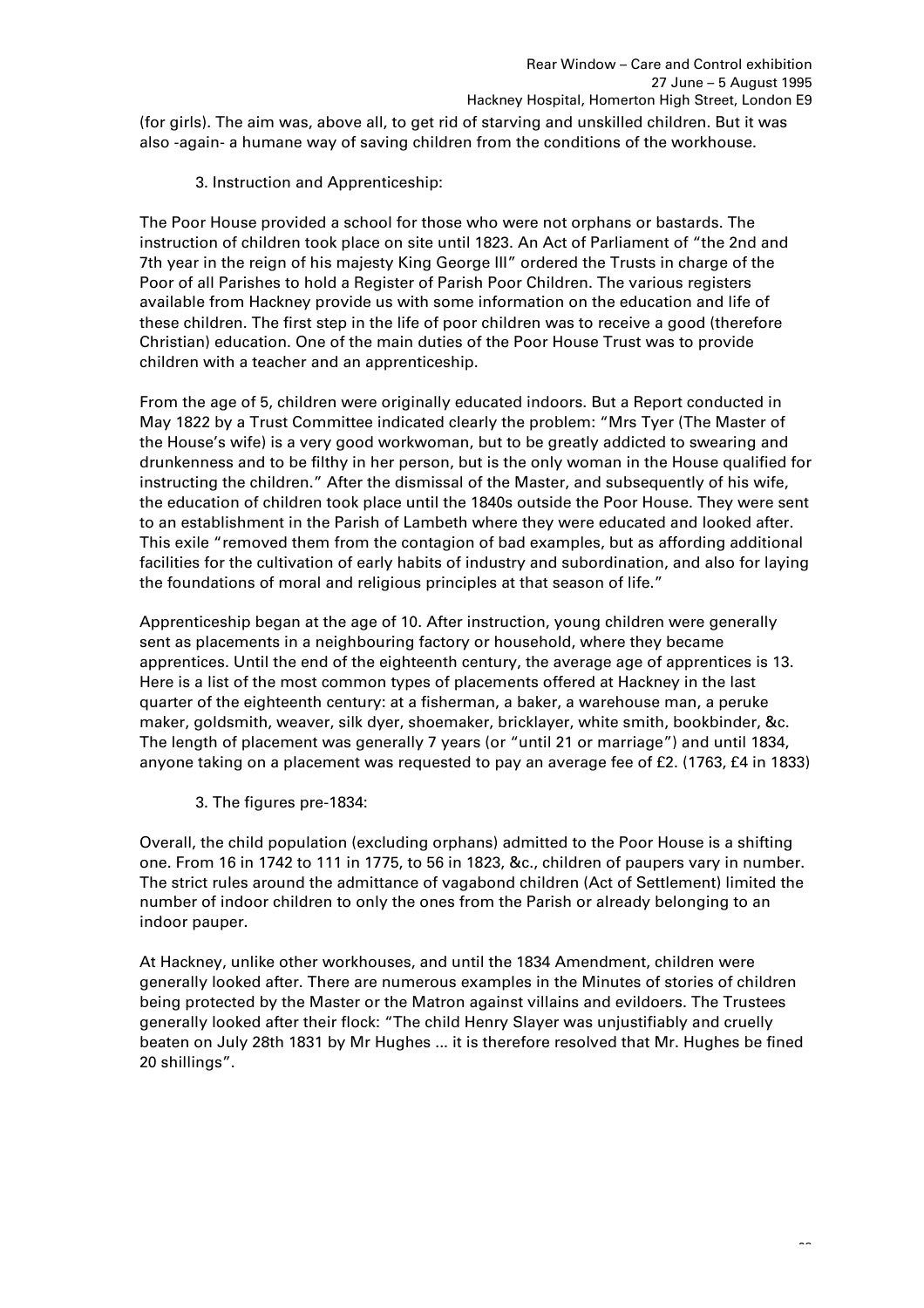(for girls). The aim was, above all, to get rid of starving and unskilled children. But it was also -again- a humane way of saving children from the conditions of the workhouse.

3. Instruction and Apprenticeship:

The Poor House provided a school for those who were not orphans or bastards. The instruction of children took place on site until 1823. An Act of Parliament of "the 2nd and 7th year in the reign of his majesty King George III" ordered the Trusts in charge of the Poor of all Parishes to hold a Register of Parish Poor Children. The various registers available from Hackney provide us with some information on the education and life of these children. The first step in the life of poor children was to receive a good (therefore Christian) education. One of the main duties of the Poor House Trust was to provide children with a teacher and an apprenticeship.

From the age of 5, children were originally educated indoors. But a Report conducted in May 1822 by a Trust Committee indicated clearly the problem: "Mrs Tyer (The Master of the House's wife) is a very good workwoman, but to be greatly addicted to swearing and drunkenness and to be filthy in her person, but is the only woman in the House qualified for instructing the children." After the dismissal of the Master, and subsequently of his wife, the education of children took place until the 1840s outside the Poor House. They were sent to an establishment in the Parish of Lambeth where they were educated and looked after. This exile "removed them from the contagion of bad examples, but as affording additional facilities for the cultivation of early habits of industry and subordination, and also for laying the foundations of moral and religious principles at that season of life."

Apprenticeship began at the age of 10. After instruction, young children were generally sent as placements in a neighbouring factory or household, where they became apprentices. Until the end of the eighteenth century, the average age of apprentices is 13. Here is a list of the most common types of placements offered at Hackney in the last quarter of the eighteenth century: at a fisherman, a baker, a warehouse man, a peruke maker, goldsmith, weaver, silk dyer, shoemaker, bricklayer, white smith, bookbinder, &c. The length of placement was generally 7 years (or "until 21 or marriage") and until 1834, anyone taking on a placement was requested to pay an average fee of £2. (1763, £4 in 1833)

3. The figures pre-1834:

Overall, the child population (excluding orphans) admitted to the Poor House is a shifting one. From 16 in 1742 to 111 in 1775, to 56 in 1823, &c., children of paupers vary in number. The strict rules around the admittance of vagabond children (Act of Settlement) limited the number of indoor children to only the ones from the Parish or already belonging to an indoor pauper.

At Hackney, unlike other workhouses, and until the 1834 Amendment, children were generally looked after. There are numerous examples in the Minutes of stories of children being protected by the Master or the Matron against villains and evildoers. The Trustees generally looked after their flock: "The child Henry Slayer was unjustifiably and cruelly beaten on July 28th 1831 by Mr Hughes ... it is therefore resolved that Mr. Hughes be fined 20 shillings".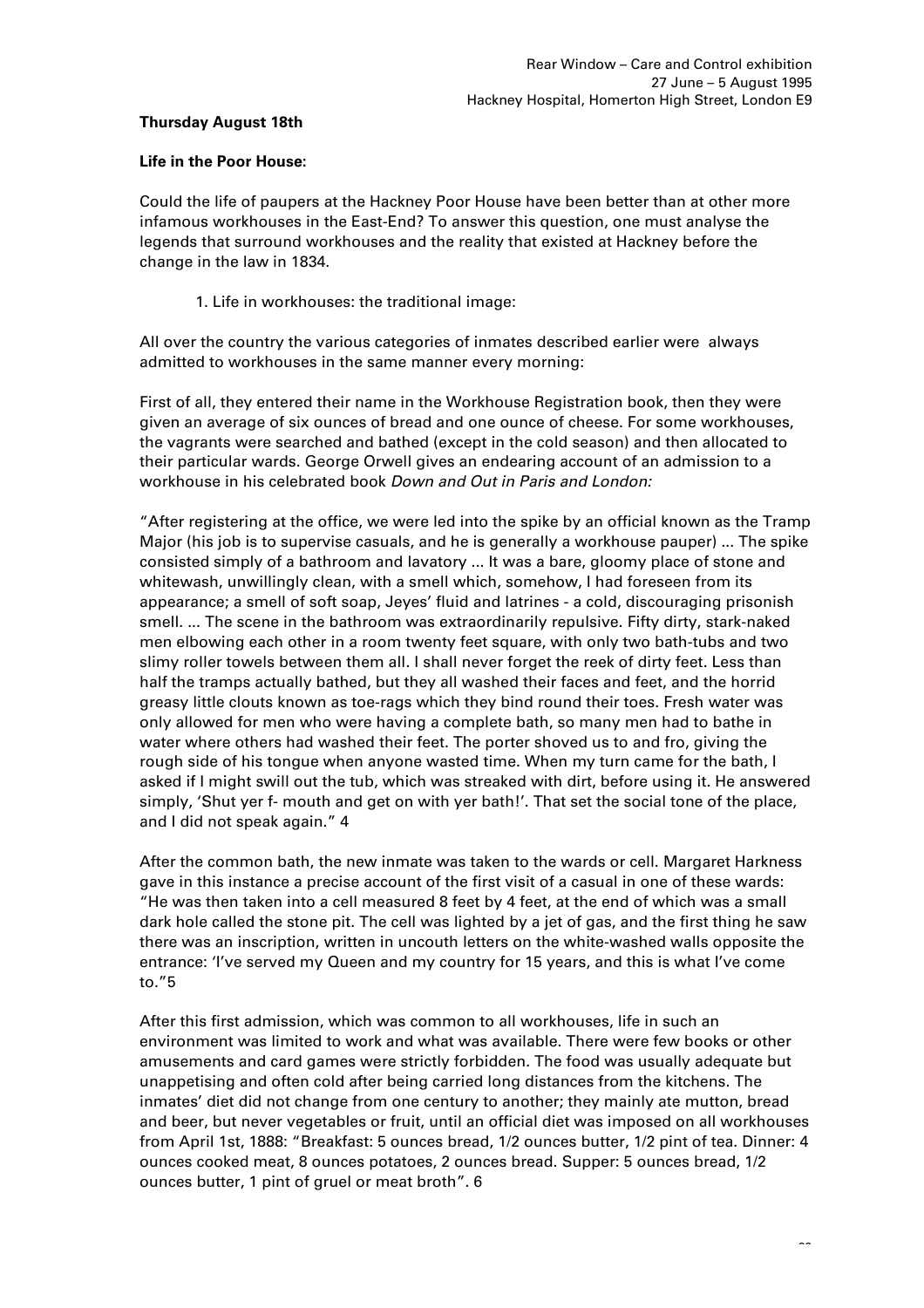# **Thursday August 18th**

#### **Life in the Poor House:**

Could the life of paupers at the Hackney Poor House have been better than at other more infamous workhouses in the East-End? To answer this question, one must analyse the legends that surround workhouses and the reality that existed at Hackney before the change in the law in 1834.

1. Life in workhouses: the traditional image:

All over the country the various categories of inmates described earlier were always admitted to workhouses in the same manner every morning:

First of all, they entered their name in the Workhouse Registration book, then they were given an average of six ounces of bread and one ounce of cheese. For some workhouses, the vagrants were searched and bathed (except in the cold season) and then allocated to their particular wards. George Orwell gives an endearing account of an admission to a workhouse in his celebrated book *Down and Out in Paris and London:* 

"After registering at the office, we were led into the spike by an official known as the Tramp Major (his job is to supervise casuals, and he is generally a workhouse pauper) ... The spike consisted simply of a bathroom and lavatory ... It was a bare, gloomy place of stone and whitewash, unwillingly clean, with a smell which, somehow, I had foreseen from its appearance; a smell of soft soap, Jeyes' fluid and latrines - a cold, discouraging prisonish smell. ... The scene in the bathroom was extraordinarily repulsive. Fifty dirty, stark-naked men elbowing each other in a room twenty feet square, with only two bath-tubs and two slimy roller towels between them all. I shall never forget the reek of dirty feet. Less than half the tramps actually bathed, but they all washed their faces and feet, and the horrid greasy little clouts known as toe-rags which they bind round their toes. Fresh water was only allowed for men who were having a complete bath, so many men had to bathe in water where others had washed their feet. The porter shoved us to and fro, giving the rough side of his tongue when anyone wasted time. When my turn came for the bath, I asked if I might swill out the tub, which was streaked with dirt, before using it. He answered simply, 'Shut yer f- mouth and get on with yer bath!'. That set the social tone of the place, and I did not speak again." 4

After the common bath, the new inmate was taken to the wards or cell. Margaret Harkness gave in this instance a precise account of the first visit of a casual in one of these wards: "He was then taken into a cell measured 8 feet by 4 feet, at the end of which was a small dark hole called the stone pit. The cell was lighted by a jet of gas, and the first thing he saw there was an inscription, written in uncouth letters on the white-washed walls opposite the entrance: 'I've served my Queen and my country for 15 years, and this is what I've come to."5

After this first admission, which was common to all workhouses, life in such an environment was limited to work and what was available. There were few books or other amusements and card games were strictly forbidden. The food was usually adequate but unappetising and often cold after being carried long distances from the kitchens. The inmates' diet did not change from one century to another; they mainly ate mutton, bread and beer, but never vegetables or fruit, until an official diet was imposed on all workhouses from April 1st, 1888: "Breakfast: 5 ounces bread, 1/2 ounces butter, 1/2 pint of tea. Dinner: 4 ounces cooked meat, 8 ounces potatoes, 2 ounces bread. Supper: 5 ounces bread, 1/2 ounces butter, 1 pint of gruel or meat broth". 6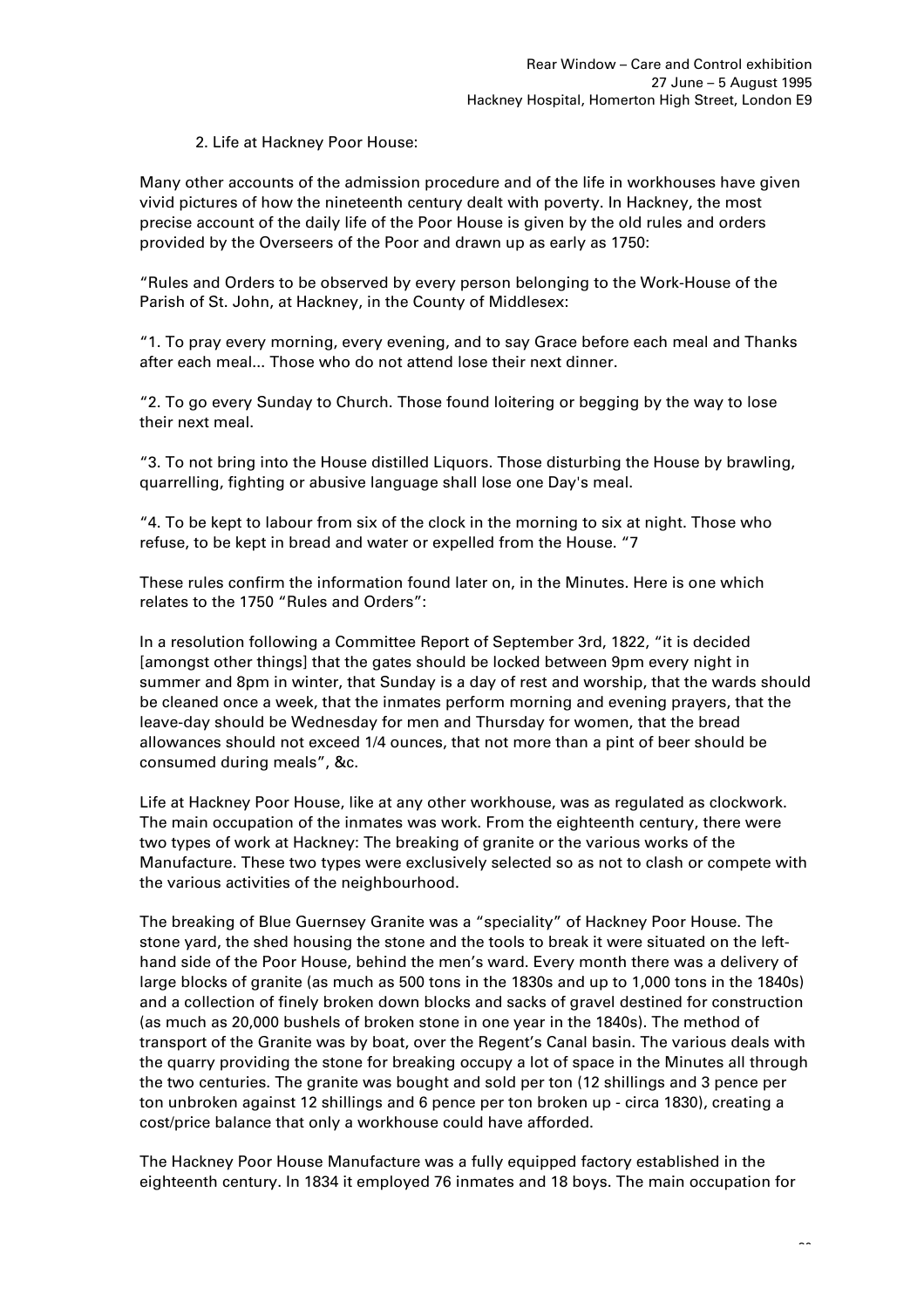# 2. Life at Hackney Poor House:

Many other accounts of the admission procedure and of the life in workhouses have given vivid pictures of how the nineteenth century dealt with poverty. In Hackney, the most precise account of the daily life of the Poor House is given by the old rules and orders provided by the Overseers of the Poor and drawn up as early as 1750:

"Rules and Orders to be observed by every person belonging to the Work-House of the Parish of St. John, at Hackney, in the County of Middlesex:

"1. To pray every morning, every evening, and to say Grace before each meal and Thanks after each meal... Those who do not attend lose their next dinner.

"2. To go every Sunday to Church. Those found loitering or begging by the way to lose their next meal.

"3. To not bring into the House distilled Liquors. Those disturbing the House by brawling, quarrelling, fighting or abusive language shall lose one Day's meal.

"4. To be kept to labour from six of the clock in the morning to six at night. Those who refuse, to be kept in bread and water or expelled from the House. "7

These rules confirm the information found later on, in the Minutes. Here is one which relates to the 1750 "Rules and Orders":

In a resolution following a Committee Report of September 3rd, 1822, "it is decided [amongst other things] that the gates should be locked between 9pm every night in summer and 8pm in winter, that Sunday is a day of rest and worship, that the wards should be cleaned once a week, that the inmates perform morning and evening prayers, that the leave-day should be Wednesday for men and Thursday for women, that the bread allowances should not exceed 1/4 ounces, that not more than a pint of beer should be consumed during meals", &c.

Life at Hackney Poor House, like at any other workhouse, was as regulated as clockwork. The main occupation of the inmates was work. From the eighteenth century, there were two types of work at Hackney: The breaking of granite or the various works of the Manufacture. These two types were exclusively selected so as not to clash or compete with the various activities of the neighbourhood.

The breaking of Blue Guernsey Granite was a "speciality" of Hackney Poor House. The stone yard, the shed housing the stone and the tools to break it were situated on the lefthand side of the Poor House, behind the men's ward. Every month there was a delivery of large blocks of granite (as much as 500 tons in the 1830s and up to 1,000 tons in the 1840s) and a collection of finely broken down blocks and sacks of gravel destined for construction (as much as 20,000 bushels of broken stone in one year in the 1840s). The method of transport of the Granite was by boat, over the Regent's Canal basin. The various deals with the quarry providing the stone for breaking occupy a lot of space in the Minutes all through the two centuries. The granite was bought and sold per ton (12 shillings and 3 pence per ton unbroken against 12 shillings and 6 pence per ton broken up - circa 1830), creating a cost/price balance that only a workhouse could have afforded.

The Hackney Poor House Manufacture was a fully equipped factory established in the eighteenth century. In 1834 it employed 76 inmates and 18 boys. The main occupation for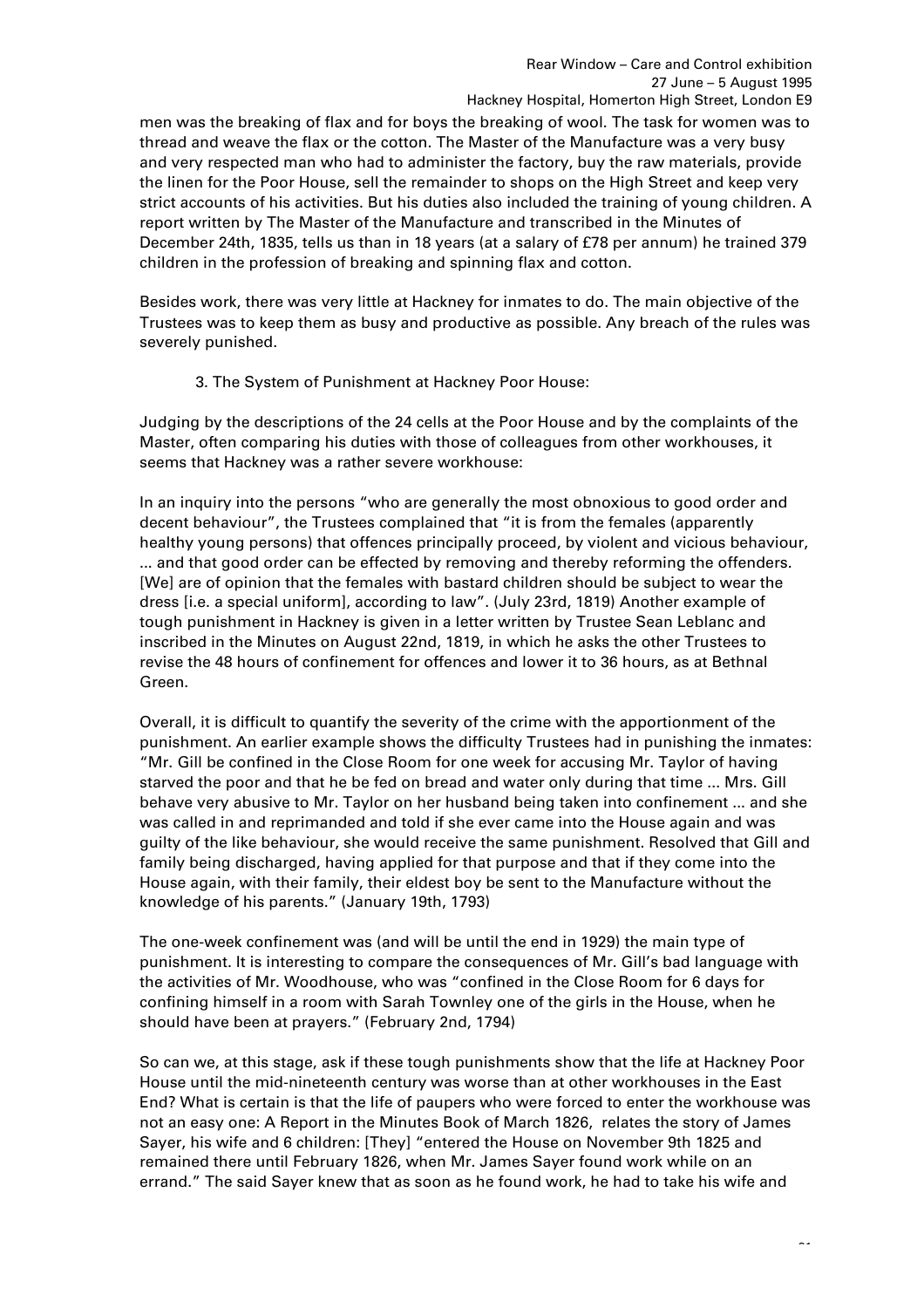men was the breaking of flax and for boys the breaking of wool. The task for women was to thread and weave the flax or the cotton. The Master of the Manufacture was a very busy and very respected man who had to administer the factory, buy the raw materials, provide the linen for the Poor House, sell the remainder to shops on the High Street and keep very strict accounts of his activities. But his duties also included the training of young children. A report written by The Master of the Manufacture and transcribed in the Minutes of December 24th, 1835, tells us than in 18 years (at a salary of £78 per annum) he trained 379 children in the profession of breaking and spinning flax and cotton.

Besides work, there was very little at Hackney for inmates to do. The main objective of the Trustees was to keep them as busy and productive as possible. Any breach of the rules was severely punished.

3. The System of Punishment at Hackney Poor House:

Judging by the descriptions of the 24 cells at the Poor House and by the complaints of the Master, often comparing his duties with those of colleagues from other workhouses, it seems that Hackney was a rather severe workhouse:

In an inquiry into the persons "who are generally the most obnoxious to good order and decent behaviour", the Trustees complained that "it is from the females (apparently healthy young persons) that offences principally proceed, by violent and vicious behaviour, ... and that good order can be effected by removing and thereby reforming the offenders. [We] are of opinion that the females with bastard children should be subject to wear the dress [i.e. a special uniform], according to law". (July 23rd, 1819) Another example of tough punishment in Hackney is given in a letter written by Trustee Sean Leblanc and inscribed in the Minutes on August 22nd, 1819, in which he asks the other Trustees to revise the 48 hours of confinement for offences and lower it to 36 hours, as at Bethnal Green.

Overall, it is difficult to quantify the severity of the crime with the apportionment of the punishment. An earlier example shows the difficulty Trustees had in punishing the inmates: "Mr. Gill be confined in the Close Room for one week for accusing Mr. Taylor of having starved the poor and that he be fed on bread and water only during that time ... Mrs. Gill behave very abusive to Mr. Taylor on her husband being taken into confinement ... and she was called in and reprimanded and told if she ever came into the House again and was guilty of the like behaviour, she would receive the same punishment. Resolved that Gill and family being discharged, having applied for that purpose and that if they come into the House again, with their family, their eldest boy be sent to the Manufacture without the knowledge of his parents." (January 19th, 1793)

The one-week confinement was (and will be until the end in 1929) the main type of punishment. It is interesting to compare the consequences of Mr. Gill's bad language with the activities of Mr. Woodhouse, who was "confined in the Close Room for 6 days for confining himself in a room with Sarah Townley one of the girls in the House, when he should have been at prayers." (February 2nd, 1794)

So can we, at this stage, ask if these tough punishments show that the life at Hackney Poor House until the mid-nineteenth century was worse than at other workhouses in the East End? What is certain is that the life of paupers who were forced to enter the workhouse was not an easy one: A Report in the Minutes Book of March 1826, relates the story of James Sayer, his wife and 6 children: [They] "entered the House on November 9th 1825 and remained there until February 1826, when Mr. James Sayer found work while on an errand." The said Sayer knew that as soon as he found work, he had to take his wife and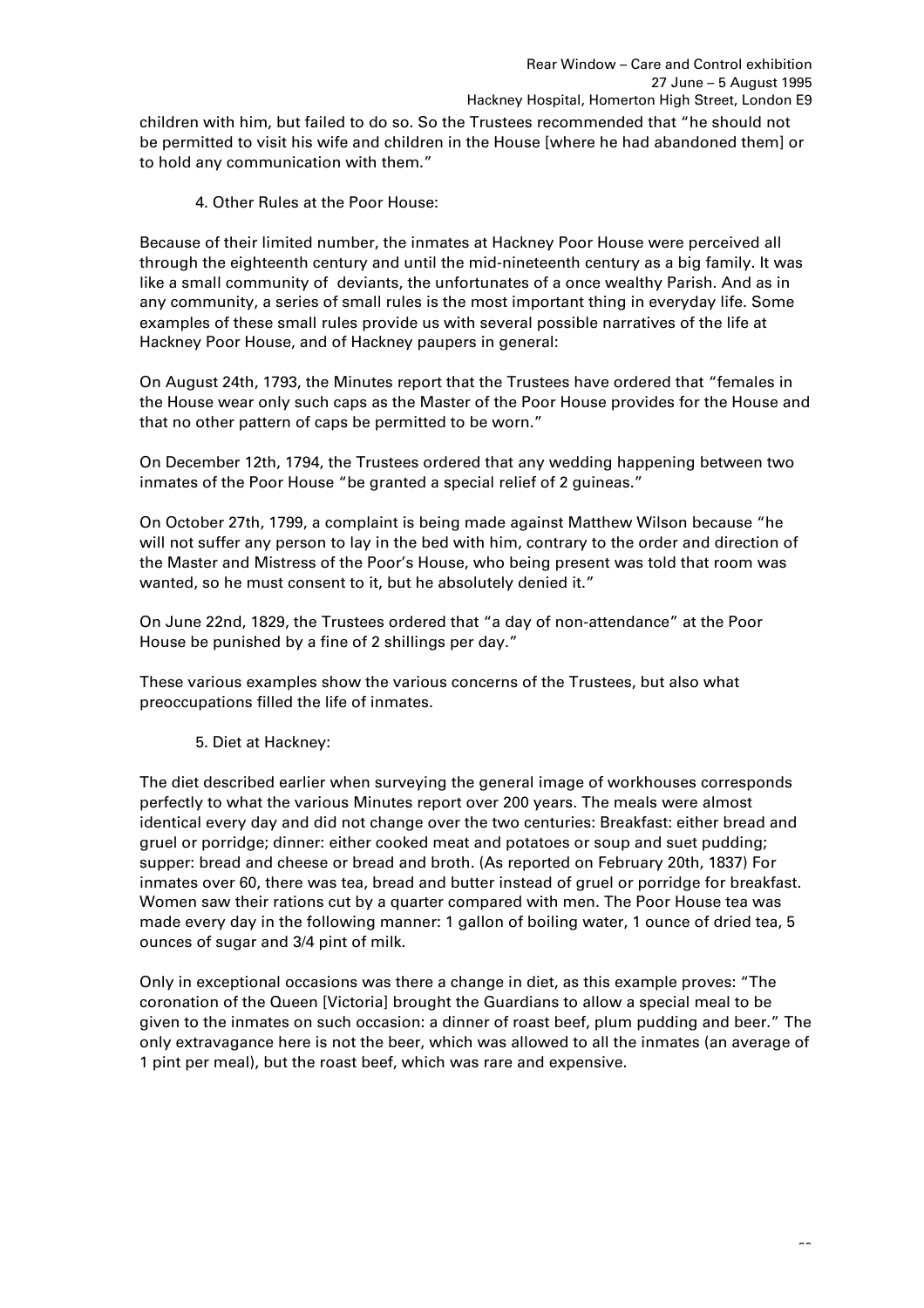children with him, but failed to do so. So the Trustees recommended that "he should not be permitted to visit his wife and children in the House [where he had abandoned them] or to hold any communication with them."

4. Other Rules at the Poor House:

Because of their limited number, the inmates at Hackney Poor House were perceived all through the eighteenth century and until the mid-nineteenth century as a big family. It was like a small community of deviants, the unfortunates of a once wealthy Parish. And as in any community, a series of small rules is the most important thing in everyday life. Some examples of these small rules provide us with several possible narratives of the life at Hackney Poor House, and of Hackney paupers in general:

On August 24th, 1793, the Minutes report that the Trustees have ordered that "females in the House wear only such caps as the Master of the Poor House provides for the House and that no other pattern of caps be permitted to be worn."

On December 12th, 1794, the Trustees ordered that any wedding happening between two inmates of the Poor House "be granted a special relief of 2 guineas."

On October 27th, 1799, a complaint is being made against Matthew Wilson because "he will not suffer any person to lay in the bed with him, contrary to the order and direction of the Master and Mistress of the Poor's House, who being present was told that room was wanted, so he must consent to it, but he absolutely denied it."

On June 22nd, 1829, the Trustees ordered that "a day of non-attendance" at the Poor House be punished by a fine of 2 shillings per day."

These various examples show the various concerns of the Trustees, but also what preoccupations filled the life of inmates.

5. Diet at Hackney:

The diet described earlier when surveying the general image of workhouses corresponds perfectly to what the various Minutes report over 200 years. The meals were almost identical every day and did not change over the two centuries: Breakfast: either bread and gruel or porridge; dinner: either cooked meat and potatoes or soup and suet pudding; supper: bread and cheese or bread and broth. (As reported on February 20th, 1837) For inmates over 60, there was tea, bread and butter instead of gruel or porridge for breakfast. Women saw their rations cut by a quarter compared with men. The Poor House tea was made every day in the following manner: 1 gallon of boiling water, 1 ounce of dried tea, 5 ounces of sugar and 3/4 pint of milk.

Only in exceptional occasions was there a change in diet, as this example proves: "The coronation of the Queen [Victoria] brought the Guardians to allow a special meal to be given to the inmates on such occasion: a dinner of roast beef, plum pudding and beer." The only extravagance here is not the beer, which was allowed to all the inmates (an average of 1 pint per meal), but the roast beef, which was rare and expensive.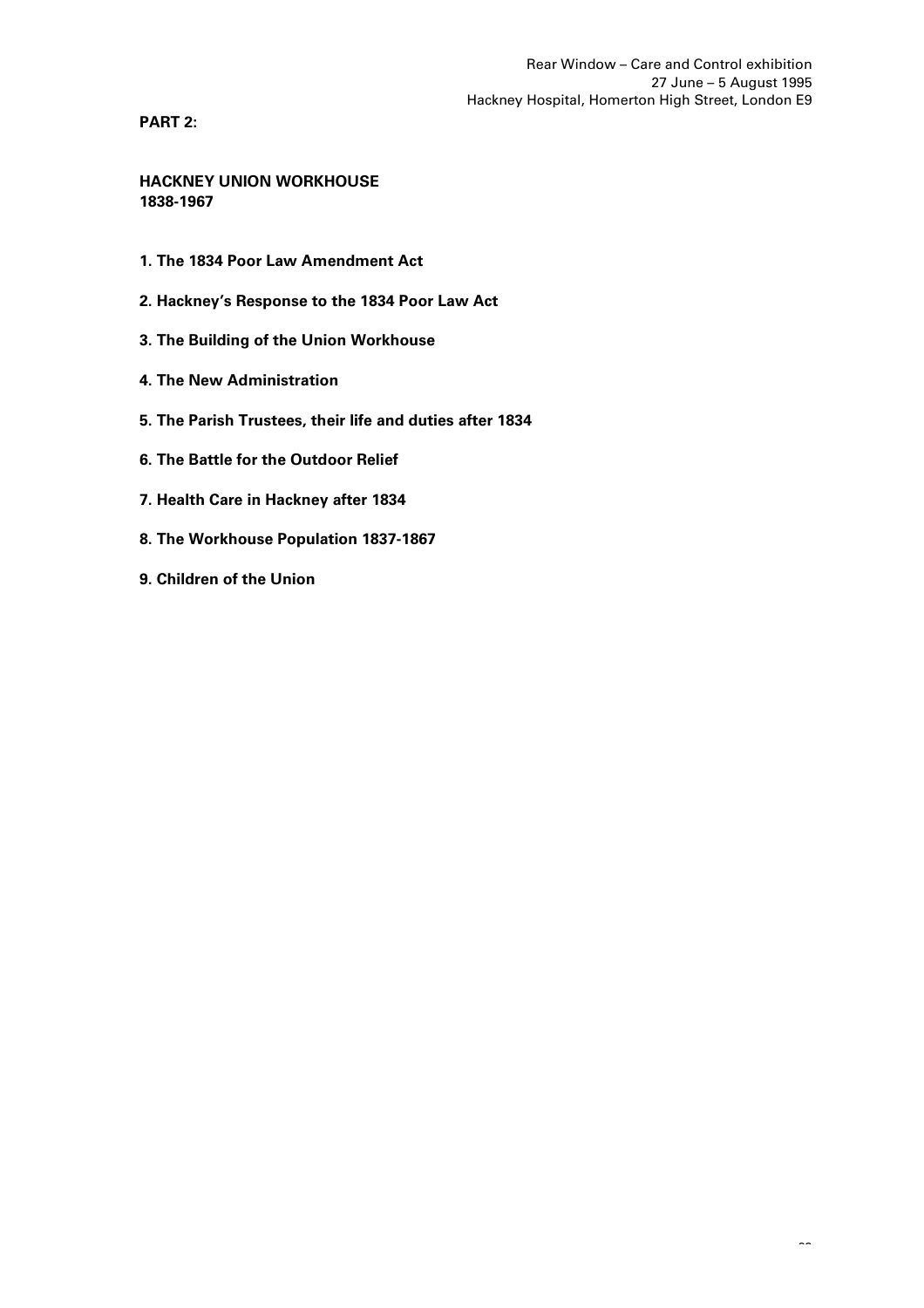**PART 2:**

**HACKNEY UNION WORKHOUSE 1838-1967**

- **1. The 1834 Poor Law Amendment Act**
- **2. Hackney's Response to the 1834 Poor Law Act**
- **3. The Building of the Union Workhouse**
- **4. The New Administration**
- **5. The Parish Trustees, their life and duties after 1834**
- **6. The Battle for the Outdoor Relief**
- **7. Health Care in Hackney after 1834**
- **8. The Workhouse Population 1837-1867**
- **9. Children of the Union**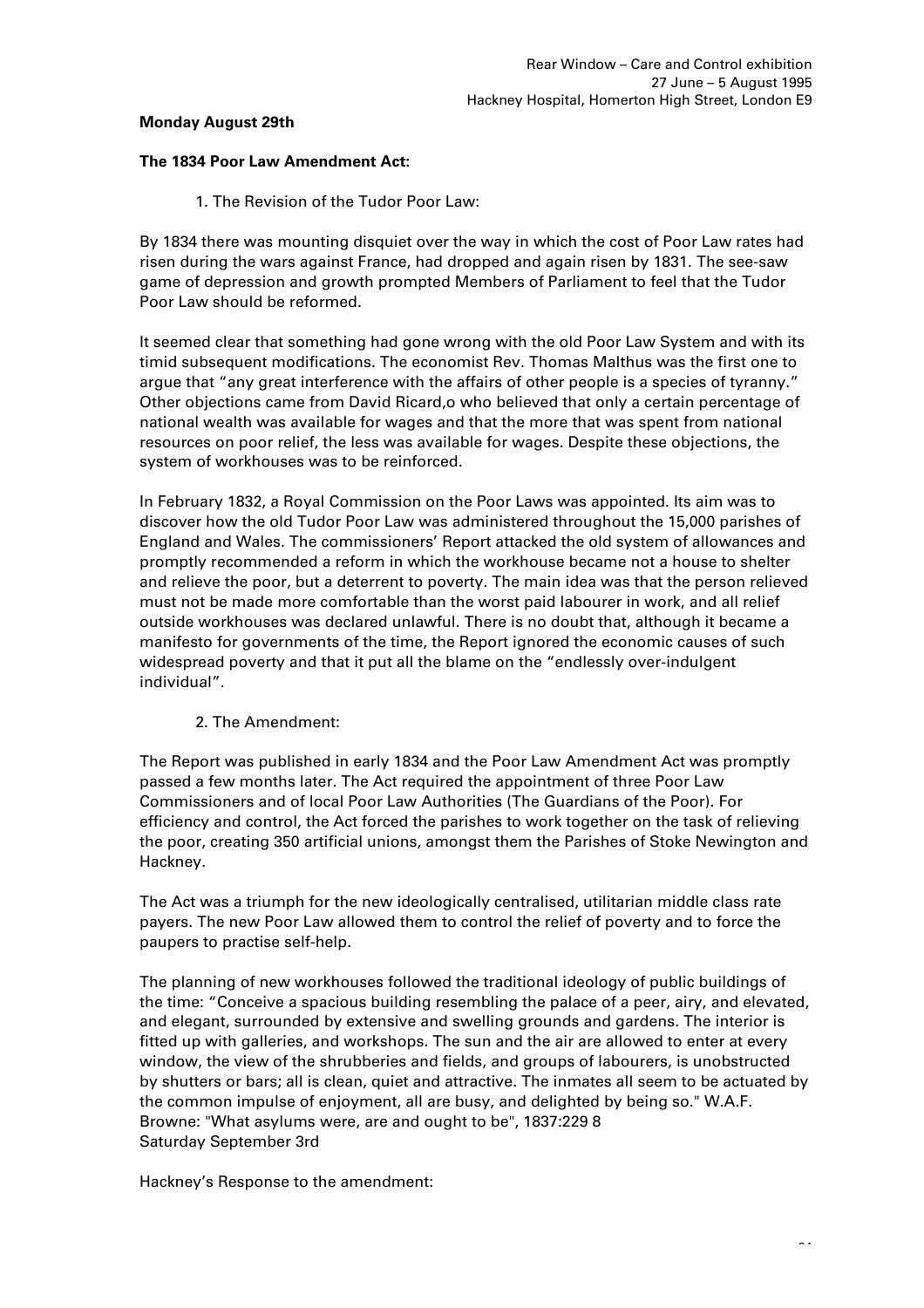## **Monday August 29th**

# **The 1834 Poor Law Amendment Act:**

1. The Revision of the Tudor Poor Law:

By 1834 there was mounting disquiet over the way in which the cost of Poor Law rates had risen during the wars against France, had dropped and again risen by 1831. The see-saw game of depression and growth prompted Members of Parliament to feel that the Tudor Poor Law should be reformed.

It seemed clear that something had gone wrong with the old Poor Law System and with its timid subsequent modifications. The economist Rev. Thomas Malthus was the first one to argue that "any great interference with the affairs of other people is a species of tyranny." Other objections came from David Ricard,o who believed that only a certain percentage of national wealth was available for wages and that the more that was spent from national resources on poor relief, the less was available for wages. Despite these objections, the system of workhouses was to be reinforced.

In February 1832, a Royal Commission on the Poor Laws was appointed. Its aim was to discover how the old Tudor Poor Law was administered throughout the 15,000 parishes of England and Wales. The commissioners' Report attacked the old system of allowances and promptly recommended a reform in which the workhouse became not a house to shelter and relieve the poor, but a deterrent to poverty. The main idea was that the person relieved must not be made more comfortable than the worst paid labourer in work, and all relief outside workhouses was declared unlawful. There is no doubt that, although it became a manifesto for governments of the time, the Report ignored the economic causes of such widespread poverty and that it put all the blame on the "endlessly over-indulgent individual".

# 2. The Amendment:

The Report was published in early 1834 and the Poor Law Amendment Act was promptly passed a few months later. The Act required the appointment of three Poor Law Commissioners and of local Poor Law Authorities (The Guardians of the Poor). For efficiency and control, the Act forced the parishes to work together on the task of relieving the poor, creating 350 artificial unions, amongst them the Parishes of Stoke Newington and Hackney.

The Act was a triumph for the new ideologically centralised, utilitarian middle class rate payers. The new Poor Law allowed them to control the relief of poverty and to force the paupers to practise self-help.

The planning of new workhouses followed the traditional ideology of public buildings of the time: "Conceive a spacious building resembling the palace of a peer, airy, and elevated, and elegant, surrounded by extensive and swelling grounds and gardens. The interior is fitted up with galleries, and workshops. The sun and the air are allowed to enter at every window, the view of the shrubberies and fields, and groups of labourers, is unobstructed by shutters or bars; all is clean, quiet and attractive. The inmates all seem to be actuated by the common impulse of enjoyment, all are busy, and delighted by being so." W.A.F. Browne: "What asylums were, are and ought to be", 1837:229 8 Saturday September 3rd

Hackney's Response to the amendment: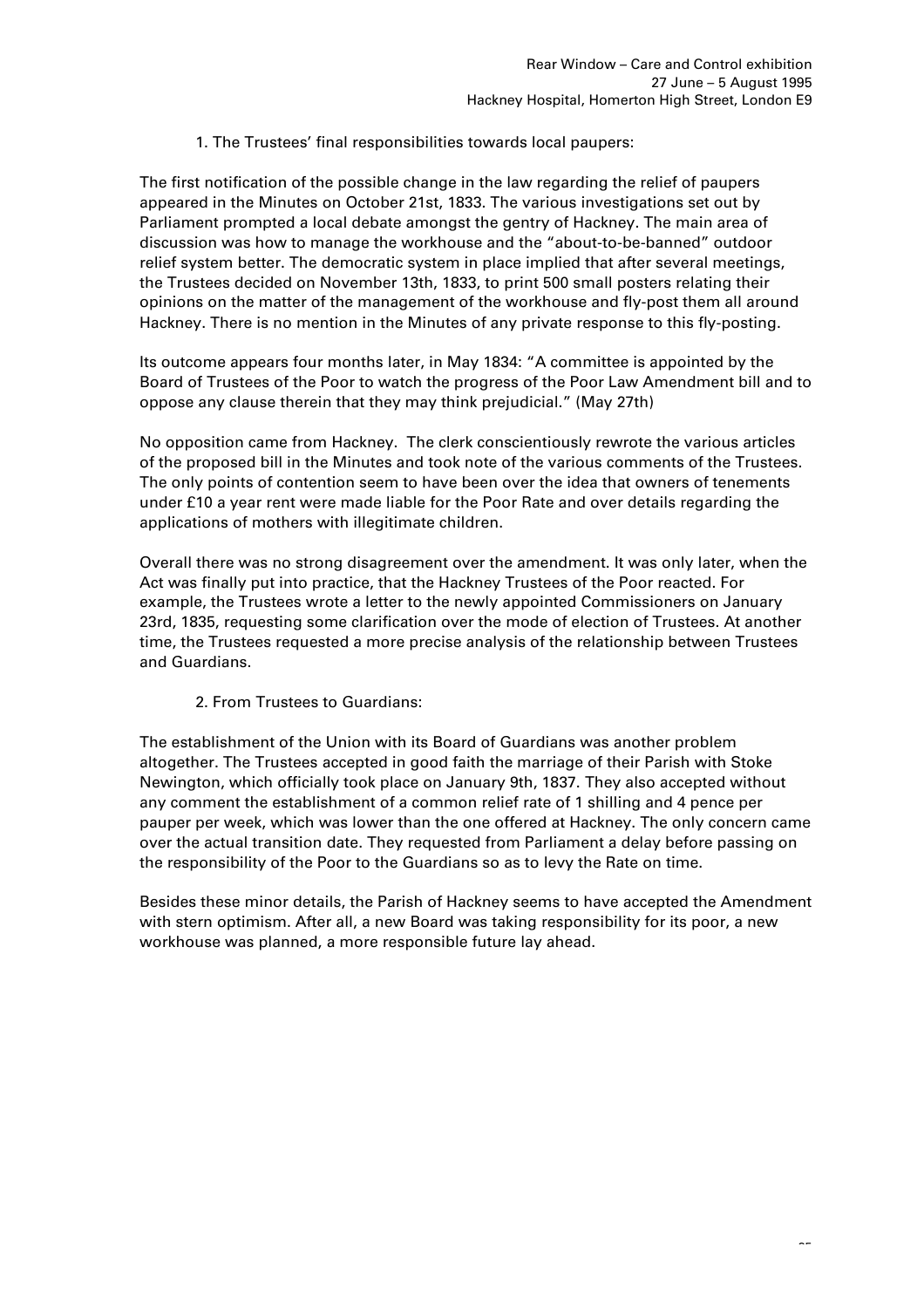1. The Trustees' final responsibilities towards local paupers:

The first notification of the possible change in the law regarding the relief of paupers appeared in the Minutes on October 21st, 1833. The various investigations set out by Parliament prompted a local debate amongst the gentry of Hackney. The main area of discussion was how to manage the workhouse and the "about-to-be-banned" outdoor relief system better. The democratic system in place implied that after several meetings, the Trustees decided on November 13th, 1833, to print 500 small posters relating their opinions on the matter of the management of the workhouse and fly-post them all around Hackney. There is no mention in the Minutes of any private response to this fly-posting.

Its outcome appears four months later, in May 1834: "A committee is appointed by the Board of Trustees of the Poor to watch the progress of the Poor Law Amendment bill and to oppose any clause therein that they may think prejudicial." (May 27th)

No opposition came from Hackney. The clerk conscientiously rewrote the various articles of the proposed bill in the Minutes and took note of the various comments of the Trustees. The only points of contention seem to have been over the idea that owners of tenements under £10 a year rent were made liable for the Poor Rate and over details regarding the applications of mothers with illegitimate children.

Overall there was no strong disagreement over the amendment. It was only later, when the Act was finally put into practice, that the Hackney Trustees of the Poor reacted. For example, the Trustees wrote a letter to the newly appointed Commissioners on January 23rd, 1835, requesting some clarification over the mode of election of Trustees. At another time, the Trustees requested a more precise analysis of the relationship between Trustees and Guardians.

2. From Trustees to Guardians:

The establishment of the Union with its Board of Guardians was another problem altogether. The Trustees accepted in good faith the marriage of their Parish with Stoke Newington, which officially took place on January 9th, 1837. They also accepted without any comment the establishment of a common relief rate of 1 shilling and 4 pence per pauper per week, which was lower than the one offered at Hackney. The only concern came over the actual transition date. They requested from Parliament a delay before passing on the responsibility of the Poor to the Guardians so as to levy the Rate on time.

Besides these minor details, the Parish of Hackney seems to have accepted the Amendment with stern optimism. After all, a new Board was taking responsibility for its poor, a new workhouse was planned, a more responsible future lay ahead.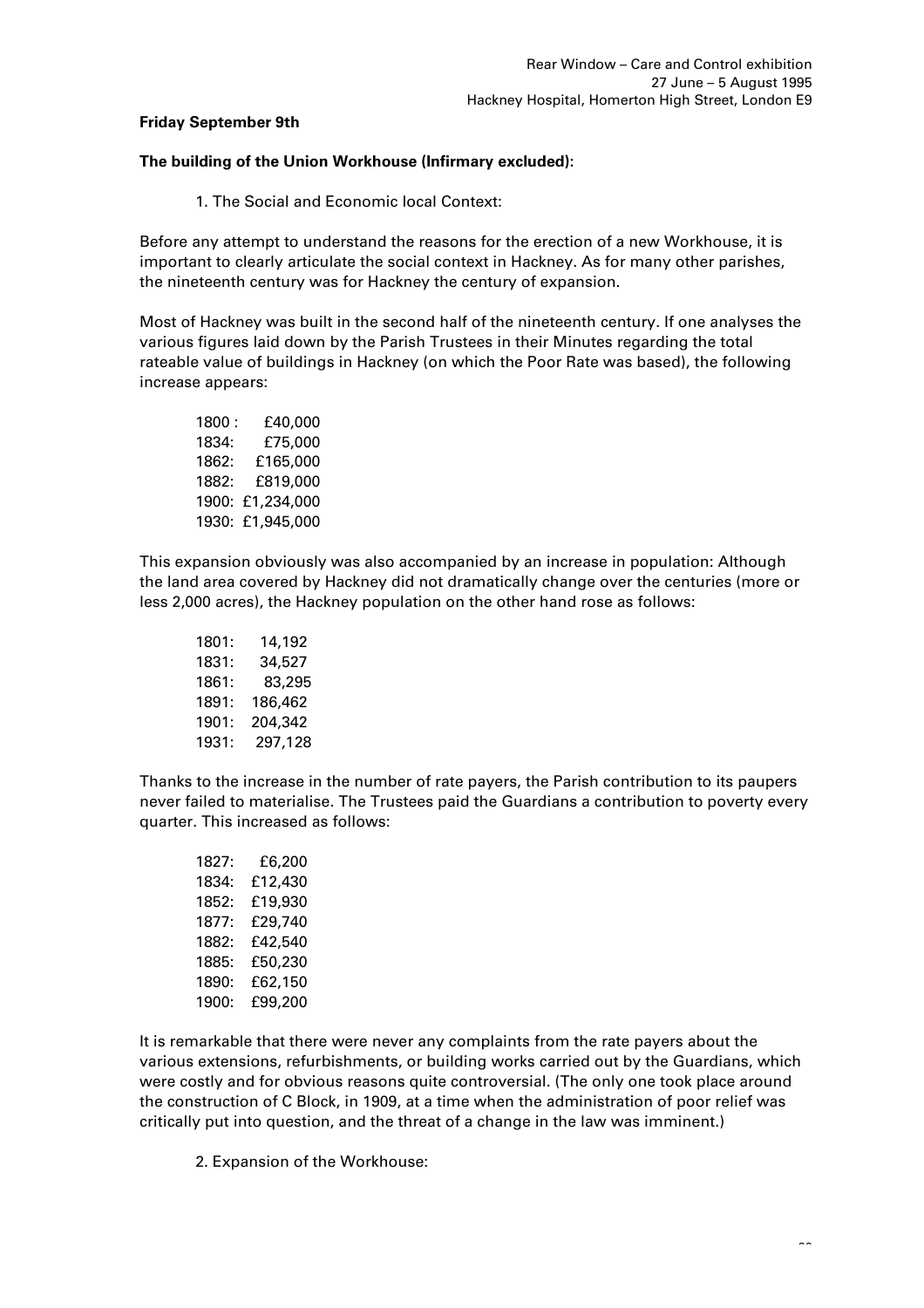# **Friday September 9th**

## **The building of the Union Workhouse (Infirmary excluded):**

1. The Social and Economic local Context:

Before any attempt to understand the reasons for the erection of a new Workhouse, it is important to clearly articulate the social context in Hackney. As for many other parishes, the nineteenth century was for Hackney the century of expansion.

Most of Hackney was built in the second half of the nineteenth century. If one analyses the various figures laid down by the Parish Trustees in their Minutes regarding the total rateable value of buildings in Hackney (on which the Poor Rate was based), the following increase appears:

1800 : £40,000 1834: £75,000 1862: £165,000 1882: £819,000 1900: £1,234,000 1930: £1,945,000

This expansion obviously was also accompanied by an increase in population: Although the land area covered by Hackney did not dramatically change over the centuries (more or less 2,000 acres), the Hackney population on the other hand rose as follows:

1801: 14,192 1831: 34,527 1861: 83,295 1891: 186,462 1901: 204,342 1931: 297,128

Thanks to the increase in the number of rate payers, the Parish contribution to its paupers never failed to materialise. The Trustees paid the Guardians a contribution to poverty every quarter. This increased as follows:

| 1827: | £6,200  |
|-------|---------|
| 1834: | £12,430 |
| 1852: | £19.930 |
| 1877: | £29,740 |
| 1882: | £42,540 |
| 1885: | £50,230 |
| 1890: | £62,150 |
| 1900: | £99,200 |
|       |         |

It is remarkable that there were never any complaints from the rate payers about the various extensions, refurbishments, or building works carried out by the Guardians, which were costly and for obvious reasons quite controversial. (The only one took place around the construction of C Block, in 1909, at a time when the administration of poor relief was critically put into question, and the threat of a change in the law was imminent.)

2. Expansion of the Workhouse: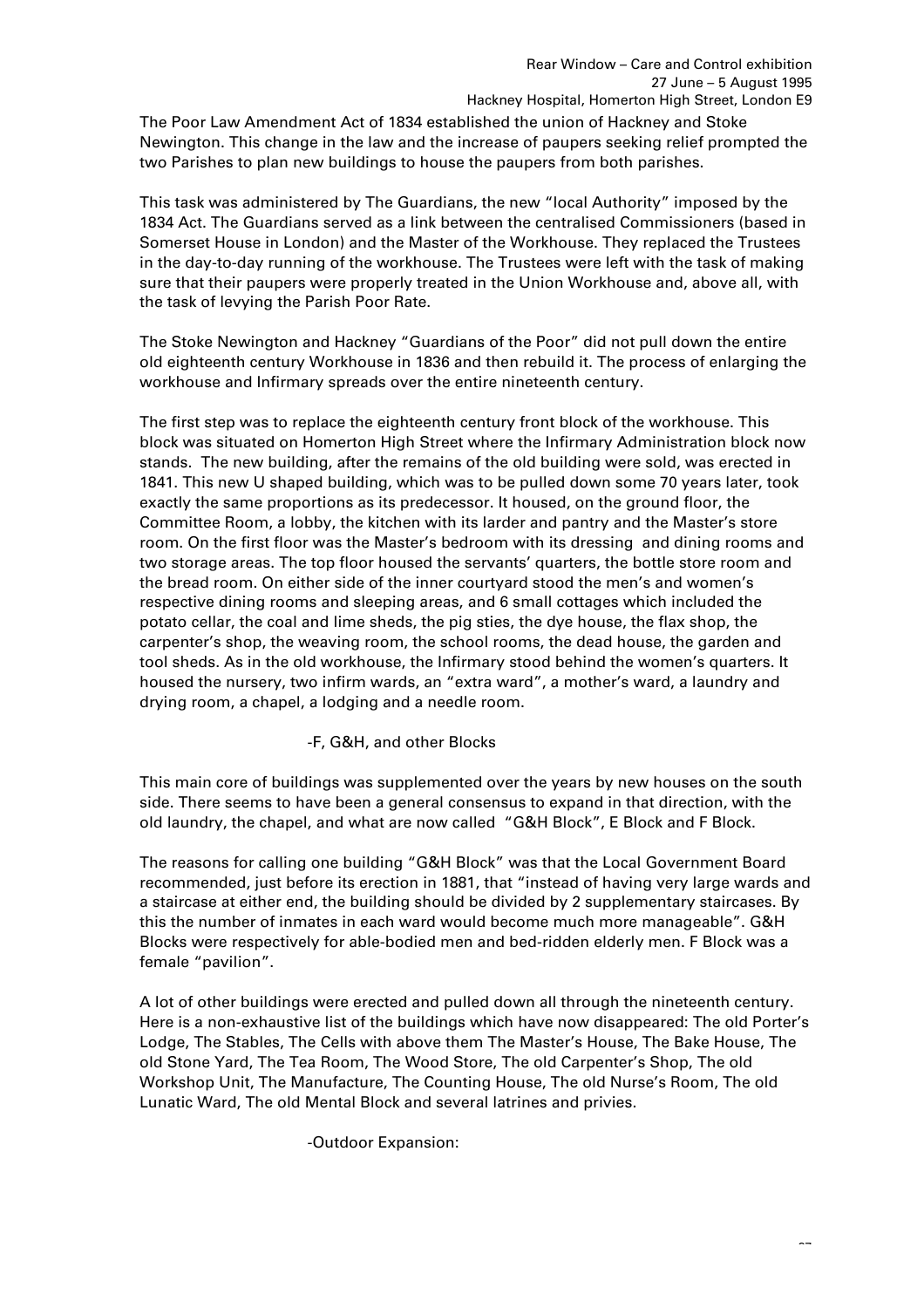The Poor Law Amendment Act of 1834 established the union of Hackney and Stoke Newington. This change in the law and the increase of paupers seeking relief prompted the two Parishes to plan new buildings to house the paupers from both parishes.

This task was administered by The Guardians, the new "local Authority" imposed by the 1834 Act. The Guardians served as a link between the centralised Commissioners (based in Somerset House in London) and the Master of the Workhouse. They replaced the Trustees in the day-to-day running of the workhouse. The Trustees were left with the task of making sure that their paupers were properly treated in the Union Workhouse and, above all, with the task of levying the Parish Poor Rate.

The Stoke Newington and Hackney "Guardians of the Poor" did not pull down the entire old eighteenth century Workhouse in 1836 and then rebuild it. The process of enlarging the workhouse and Infirmary spreads over the entire nineteenth century.

The first step was to replace the eighteenth century front block of the workhouse. This block was situated on Homerton High Street where the Infirmary Administration block now stands. The new building, after the remains of the old building were sold, was erected in 1841. This new U shaped building, which was to be pulled down some 70 years later, took exactly the same proportions as its predecessor. It housed, on the ground floor, the Committee Room, a lobby, the kitchen with its larder and pantry and the Master's store room. On the first floor was the Master's bedroom with its dressing and dining rooms and two storage areas. The top floor housed the servants' quarters, the bottle store room and the bread room. On either side of the inner courtyard stood the men's and women's respective dining rooms and sleeping areas, and 6 small cottages which included the potato cellar, the coal and lime sheds, the pig sties, the dye house, the flax shop, the carpenter's shop, the weaving room, the school rooms, the dead house, the garden and tool sheds. As in the old workhouse, the Infirmary stood behind the women's quarters. It housed the nursery, two infirm wards, an "extra ward", a mother's ward, a laundry and drying room, a chapel, a lodging and a needle room.

# -F, G&H, and other Blocks

This main core of buildings was supplemented over the years by new houses on the south side. There seems to have been a general consensus to expand in that direction, with the old laundry, the chapel, and what are now called "G&H Block", E Block and F Block.

The reasons for calling one building "G&H Block" was that the Local Government Board recommended, just before its erection in 1881, that "instead of having very large wards and a staircase at either end, the building should be divided by 2 supplementary staircases. By this the number of inmates in each ward would become much more manageable". G&H Blocks were respectively for able-bodied men and bed-ridden elderly men. F Block was a female "pavilion".

A lot of other buildings were erected and pulled down all through the nineteenth century. Here is a non-exhaustive list of the buildings which have now disappeared: The old Porter's Lodge, The Stables, The Cells with above them The Master's House, The Bake House, The old Stone Yard, The Tea Room, The Wood Store, The old Carpenter's Shop, The old Workshop Unit, The Manufacture, The Counting House, The old Nurse's Room, The old Lunatic Ward, The old Mental Block and several latrines and privies.

-Outdoor Expansion: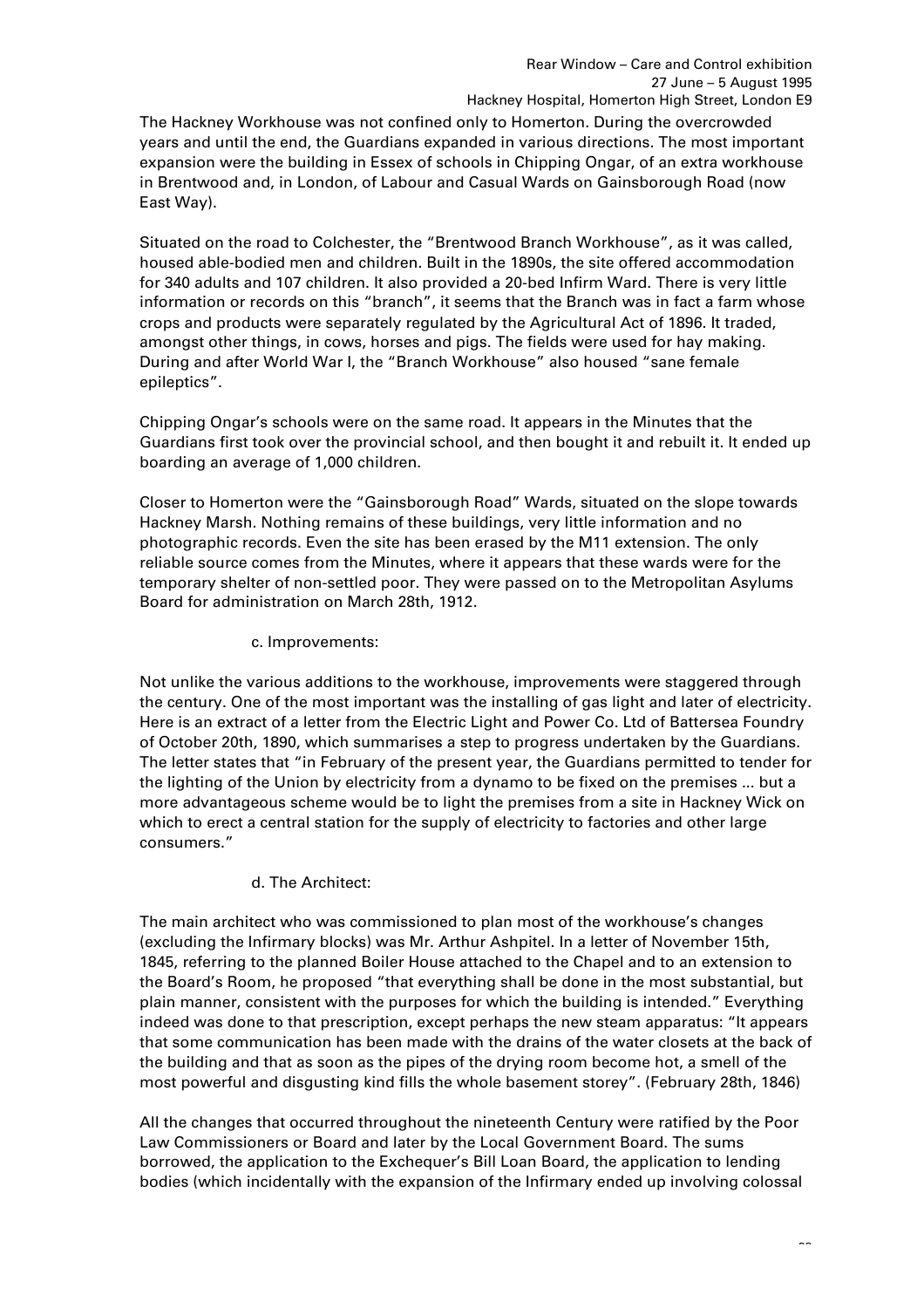The Hackney Workhouse was not confined only to Homerton. During the overcrowded years and until the end, the Guardians expanded in various directions. The most important expansion were the building in Essex of schools in Chipping Ongar, of an extra workhouse in Brentwood and, in London, of Labour and Casual Wards on Gainsborough Road (now East Way).

Situated on the road to Colchester, the "Brentwood Branch Workhouse", as it was called, housed able-bodied men and children. Built in the 1890s, the site offered accommodation for 340 adults and 107 children. It also provided a 20-bed Infirm Ward. There is very little information or records on this "branch", it seems that the Branch was in fact a farm whose crops and products were separately regulated by the Agricultural Act of 1896. It traded, amongst other things, in cows, horses and pigs. The fields were used for hay making. During and after World War I, the "Branch Workhouse" also housed "sane female epileptics".

Chipping Ongar's schools were on the same road. It appears in the Minutes that the Guardians first took over the provincial school, and then bought it and rebuilt it. It ended up boarding an average of 1,000 children.

Closer to Homerton were the "Gainsborough Road" Wards, situated on the slope towards Hackney Marsh. Nothing remains of these buildings, very little information and no photographic records. Even the site has been erased by the M11 extension. The only reliable source comes from the Minutes, where it appears that these wards were for the temporary shelter of non-settled poor. They were passed on to the Metropolitan Asylums Board for administration on March 28th, 1912.

# c. Improvements:

Not unlike the various additions to the workhouse, improvements were staggered through the century. One of the most important was the installing of gas light and later of electricity. Here is an extract of a letter from the Electric Light and Power Co. Ltd of Battersea Foundry of October 20th, 1890, which summarises a step to progress undertaken by the Guardians. The letter states that "in February of the present year, the Guardians permitted to tender for the lighting of the Union by electricity from a dynamo to be fixed on the premises ... but a more advantageous scheme would be to light the premises from a site in Hackney Wick on which to erect a central station for the supply of electricity to factories and other large consumers."

# d. The Architect:

The main architect who was commissioned to plan most of the workhouse's changes (excluding the Infirmary blocks) was Mr. Arthur Ashpitel. In a letter of November 15th, 1845, referring to the planned Boiler House attached to the Chapel and to an extension to the Board's Room, he proposed "that everything shall be done in the most substantial, but plain manner, consistent with the purposes for which the building is intended." Everything indeed was done to that prescription, except perhaps the new steam apparatus: "It appears that some communication has been made with the drains of the water closets at the back of the building and that as soon as the pipes of the drying room become hot, a smell of the most powerful and disgusting kind fills the whole basement storey". (February 28th, 1846)

All the changes that occurred throughout the nineteenth Century were ratified by the Poor Law Commissioners or Board and later by the Local Government Board. The sums borrowed, the application to the Exchequer's Bill Loan Board, the application to lending bodies (which incidentally with the expansion of the Infirmary ended up involving colossal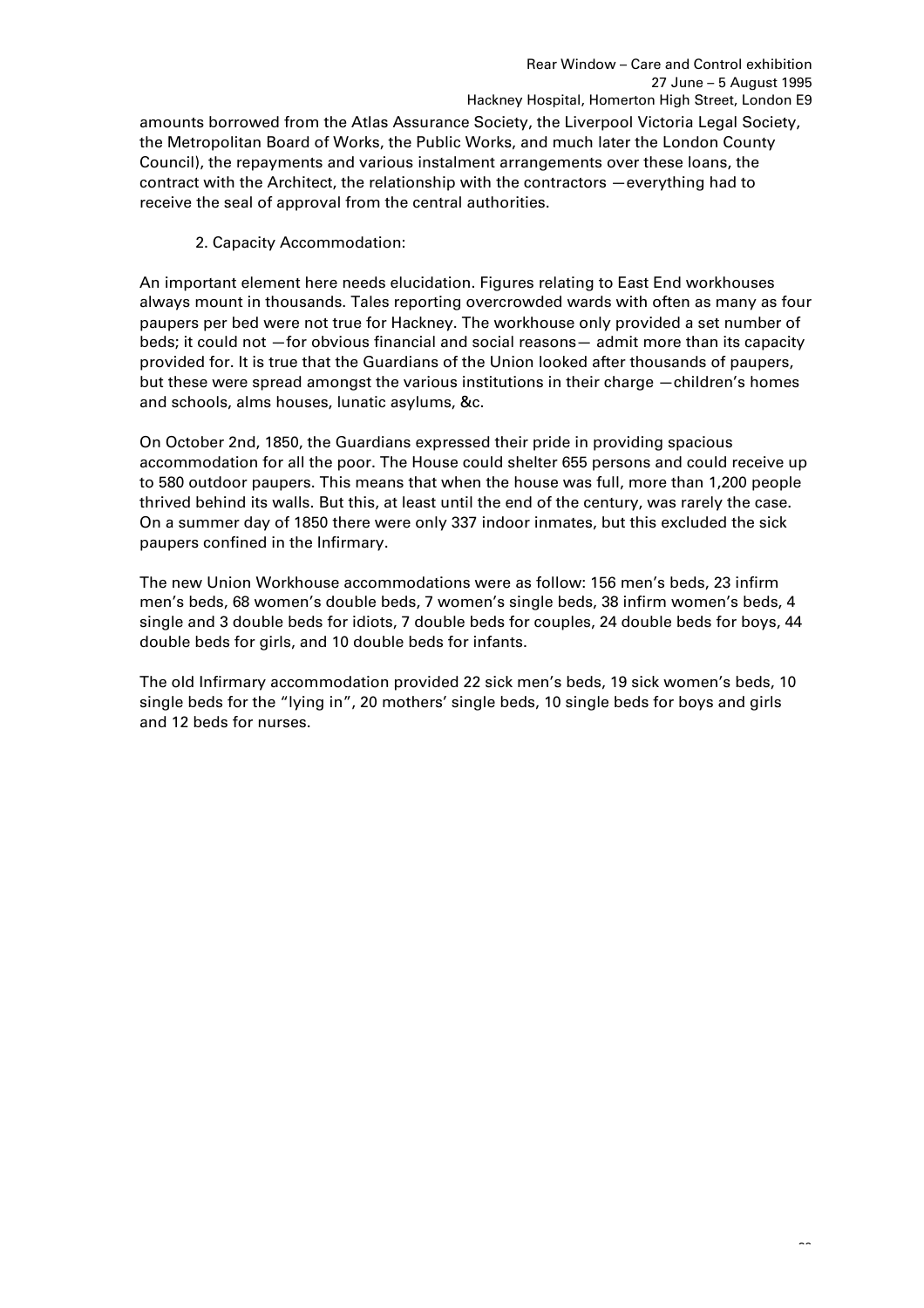amounts borrowed from the Atlas Assurance Society, the Liverpool Victoria Legal Society, the Metropolitan Board of Works, the Public Works, and much later the London County Council), the repayments and various instalment arrangements over these loans, the contract with the Architect, the relationship with the contractors —everything had to receive the seal of approval from the central authorities.

2. Capacity Accommodation:

An important element here needs elucidation. Figures relating to East End workhouses always mount in thousands. Tales reporting overcrowded wards with often as many as four paupers per bed were not true for Hackney. The workhouse only provided a set number of beds; it could not —for obvious financial and social reasons— admit more than its capacity provided for. It is true that the Guardians of the Union looked after thousands of paupers, but these were spread amongst the various institutions in their charge —children's homes and schools, alms houses, lunatic asylums, &c.

On October 2nd, 1850, the Guardians expressed their pride in providing spacious accommodation for all the poor. The House could shelter 655 persons and could receive up to 580 outdoor paupers. This means that when the house was full, more than 1,200 people thrived behind its walls. But this, at least until the end of the century, was rarely the case. On a summer day of 1850 there were only 337 indoor inmates, but this excluded the sick paupers confined in the Infirmary.

The new Union Workhouse accommodations were as follow: 156 men's beds, 23 infirm men's beds, 68 women's double beds, 7 women's single beds, 38 infirm women's beds, 4 single and 3 double beds for idiots, 7 double beds for couples, 24 double beds for boys, 44 double beds for girls, and 10 double beds for infants.

The old Infirmary accommodation provided 22 sick men's beds, 19 sick women's beds, 10 single beds for the "lying in", 20 mothers' single beds, 10 single beds for boys and girls and 12 beds for nurses.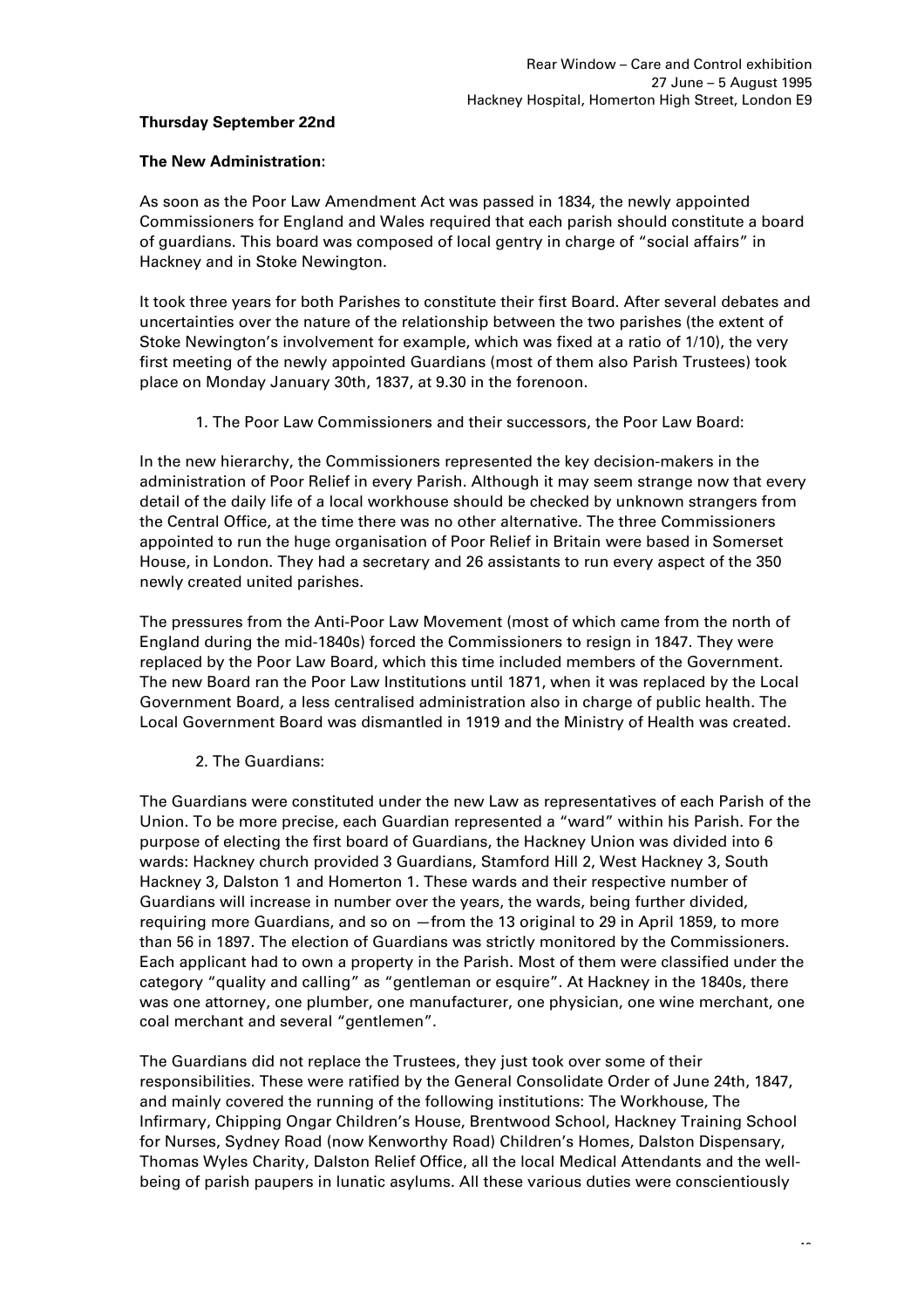# **Thursday September 22nd**

# **The New Administration:**

As soon as the Poor Law Amendment Act was passed in 1834, the newly appointed Commissioners for England and Wales required that each parish should constitute a board of guardians. This board was composed of local gentry in charge of "social affairs" in Hackney and in Stoke Newington.

It took three years for both Parishes to constitute their first Board. After several debates and uncertainties over the nature of the relationship between the two parishes (the extent of Stoke Newington's involvement for example, which was fixed at a ratio of 1/10), the very first meeting of the newly appointed Guardians (most of them also Parish Trustees) took place on Monday January 30th, 1837, at 9.30 in the forenoon.

1. The Poor Law Commissioners and their successors, the Poor Law Board:

In the new hierarchy, the Commissioners represented the key decision-makers in the administration of Poor Relief in every Parish. Although it may seem strange now that every detail of the daily life of a local workhouse should be checked by unknown strangers from the Central Office, at the time there was no other alternative. The three Commissioners appointed to run the huge organisation of Poor Relief in Britain were based in Somerset House, in London. They had a secretary and 26 assistants to run every aspect of the 350 newly created united parishes.

The pressures from the Anti-Poor Law Movement (most of which came from the north of England during the mid-1840s) forced the Commissioners to resign in 1847. They were replaced by the Poor Law Board, which this time included members of the Government. The new Board ran the Poor Law Institutions until 1871, when it was replaced by the Local Government Board, a less centralised administration also in charge of public health. The Local Government Board was dismantled in 1919 and the Ministry of Health was created.

# 2. The Guardians:

The Guardians were constituted under the new Law as representatives of each Parish of the Union. To be more precise, each Guardian represented a "ward" within his Parish. For the purpose of electing the first board of Guardians, the Hackney Union was divided into 6 wards: Hackney church provided 3 Guardians, Stamford Hill 2, West Hackney 3, South Hackney 3, Dalston 1 and Homerton 1. These wards and their respective number of Guardians will increase in number over the years, the wards, being further divided, requiring more Guardians, and so on —from the 13 original to 29 in April 1859, to more than 56 in 1897. The election of Guardians was strictly monitored by the Commissioners. Each applicant had to own a property in the Parish. Most of them were classified under the category "quality and calling" as "gentleman or esquire". At Hackney in the 1840s, there was one attorney, one plumber, one manufacturer, one physician, one wine merchant, one coal merchant and several "gentlemen".

The Guardians did not replace the Trustees, they just took over some of their responsibilities. These were ratified by the General Consolidate Order of June 24th, 1847, and mainly covered the running of the following institutions: The Workhouse, The Infirmary, Chipping Ongar Children's House, Brentwood School, Hackney Training School for Nurses, Sydney Road (now Kenworthy Road) Children's Homes, Dalston Dispensary, Thomas Wyles Charity, Dalston Relief Office, all the local Medical Attendants and the wellbeing of parish paupers in lunatic asylums. All these various duties were conscientiously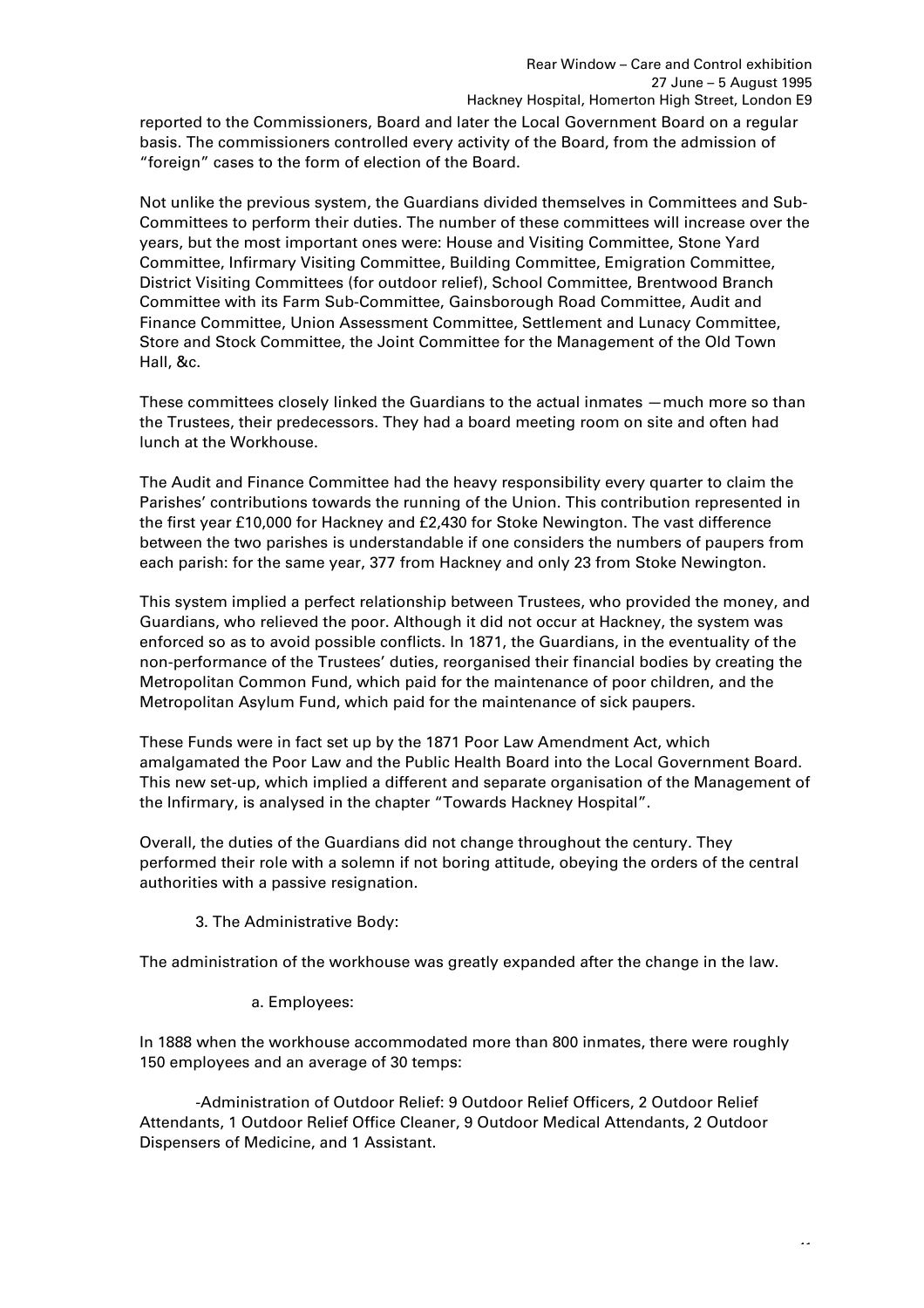reported to the Commissioners, Board and later the Local Government Board on a regular basis. The commissioners controlled every activity of the Board, from the admission of "foreign" cases to the form of election of the Board.

Not unlike the previous system, the Guardians divided themselves in Committees and Sub-Committees to perform their duties. The number of these committees will increase over the years, but the most important ones were: House and Visiting Committee, Stone Yard Committee, Infirmary Visiting Committee, Building Committee, Emigration Committee, District Visiting Committees (for outdoor relief), School Committee, Brentwood Branch Committee with its Farm Sub-Committee, Gainsborough Road Committee, Audit and Finance Committee, Union Assessment Committee, Settlement and Lunacy Committee, Store and Stock Committee, the Joint Committee for the Management of the Old Town Hall, &c.

These committees closely linked the Guardians to the actual inmates —much more so than the Trustees, their predecessors. They had a board meeting room on site and often had lunch at the Workhouse.

The Audit and Finance Committee had the heavy responsibility every quarter to claim the Parishes' contributions towards the running of the Union. This contribution represented in the first year £10,000 for Hackney and £2,430 for Stoke Newington. The vast difference between the two parishes is understandable if one considers the numbers of paupers from each parish: for the same year, 377 from Hackney and only 23 from Stoke Newington.

This system implied a perfect relationship between Trustees, who provided the money, and Guardians, who relieved the poor. Although it did not occur at Hackney, the system was enforced so as to avoid possible conflicts. In 1871, the Guardians, in the eventuality of the non-performance of the Trustees' duties, reorganised their financial bodies by creating the Metropolitan Common Fund, which paid for the maintenance of poor children, and the Metropolitan Asylum Fund, which paid for the maintenance of sick paupers.

These Funds were in fact set up by the 1871 Poor Law Amendment Act, which amalgamated the Poor Law and the Public Health Board into the Local Government Board. This new set-up, which implied a different and separate organisation of the Management of the Infirmary, is analysed in the chapter "Towards Hackney Hospital".

Overall, the duties of the Guardians did not change throughout the century. They performed their role with a solemn if not boring attitude, obeying the orders of the central authorities with a passive resignation.

3. The Administrative Body:

The administration of the workhouse was greatly expanded after the change in the law.

a. Employees:

In 1888 when the workhouse accommodated more than 800 inmates, there were roughly 150 employees and an average of 30 temps:

-Administration of Outdoor Relief: 9 Outdoor Relief Officers, 2 Outdoor Relief Attendants, 1 Outdoor Relief Office Cleaner, 9 Outdoor Medical Attendants, 2 Outdoor Dispensers of Medicine, and 1 Assistant.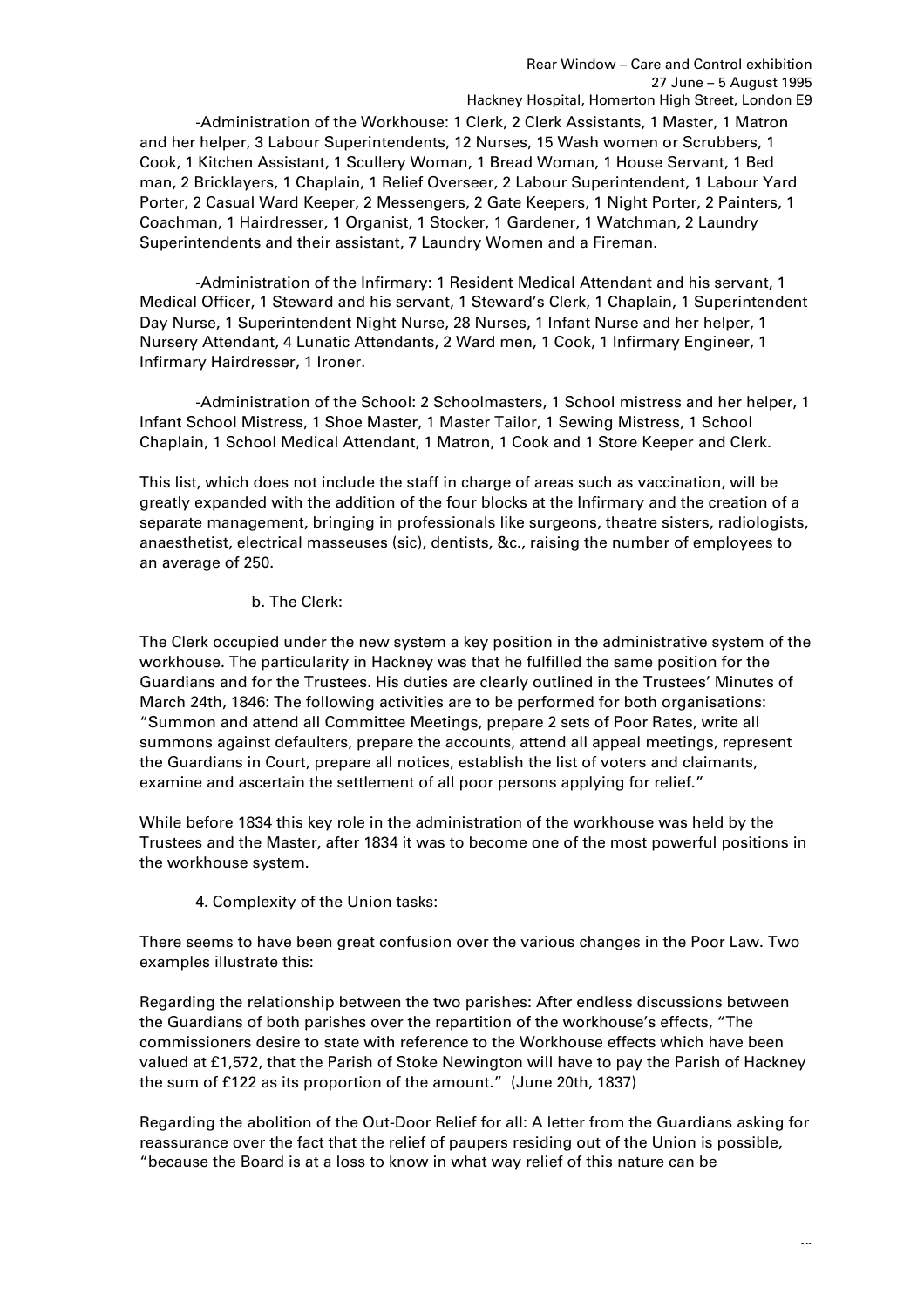-Administration of the Workhouse: 1 Clerk, 2 Clerk Assistants, 1 Master, 1 Matron and her helper, 3 Labour Superintendents, 12 Nurses, 15 Wash women or Scrubbers, 1 Cook, 1 Kitchen Assistant, 1 Scullery Woman, 1 Bread Woman, 1 House Servant, 1 Bed man, 2 Bricklayers, 1 Chaplain, 1 Relief Overseer, 2 Labour Superintendent, 1 Labour Yard Porter, 2 Casual Ward Keeper, 2 Messengers, 2 Gate Keepers, 1 Night Porter, 2 Painters, 1 Coachman, 1 Hairdresser, 1 Organist, 1 Stocker, 1 Gardener, 1 Watchman, 2 Laundry Superintendents and their assistant, 7 Laundry Women and a Fireman.

-Administration of the Infirmary: 1 Resident Medical Attendant and his servant, 1 Medical Officer, 1 Steward and his servant, 1 Steward's Clerk, 1 Chaplain, 1 Superintendent Day Nurse, 1 Superintendent Night Nurse, 28 Nurses, 1 Infant Nurse and her helper, 1 Nursery Attendant, 4 Lunatic Attendants, 2 Ward men, 1 Cook, 1 Infirmary Engineer, 1 Infirmary Hairdresser, 1 Ironer.

-Administration of the School: 2 Schoolmasters, 1 School mistress and her helper, 1 Infant School Mistress, 1 Shoe Master, 1 Master Tailor, 1 Sewing Mistress, 1 School Chaplain, 1 School Medical Attendant, 1 Matron, 1 Cook and 1 Store Keeper and Clerk.

This list, which does not include the staff in charge of areas such as vaccination, will be greatly expanded with the addition of the four blocks at the Infirmary and the creation of a separate management, bringing in professionals like surgeons, theatre sisters, radiologists, anaesthetist, electrical masseuses (sic), dentists, &c., raising the number of employees to an average of 250.

#### b. The Clerk:

The Clerk occupied under the new system a key position in the administrative system of the workhouse. The particularity in Hackney was that he fulfilled the same position for the Guardians and for the Trustees. His duties are clearly outlined in the Trustees' Minutes of March 24th, 1846: The following activities are to be performed for both organisations: "Summon and attend all Committee Meetings, prepare 2 sets of Poor Rates, write all summons against defaulters, prepare the accounts, attend all appeal meetings, represent the Guardians in Court, prepare all notices, establish the list of voters and claimants, examine and ascertain the settlement of all poor persons applying for relief."

While before 1834 this key role in the administration of the workhouse was held by the Trustees and the Master, after 1834 it was to become one of the most powerful positions in the workhouse system.

4. Complexity of the Union tasks:

There seems to have been great confusion over the various changes in the Poor Law. Two examples illustrate this:

Regarding the relationship between the two parishes: After endless discussions between the Guardians of both parishes over the repartition of the workhouse's effects, "The commissioners desire to state with reference to the Workhouse effects which have been valued at £1,572, that the Parish of Stoke Newington will have to pay the Parish of Hackney the sum of £122 as its proportion of the amount." (June 20th, 1837)

Regarding the abolition of the Out-Door Relief for all: A letter from the Guardians asking for reassurance over the fact that the relief of paupers residing out of the Union is possible, "because the Board is at a loss to know in what way relief of this nature can be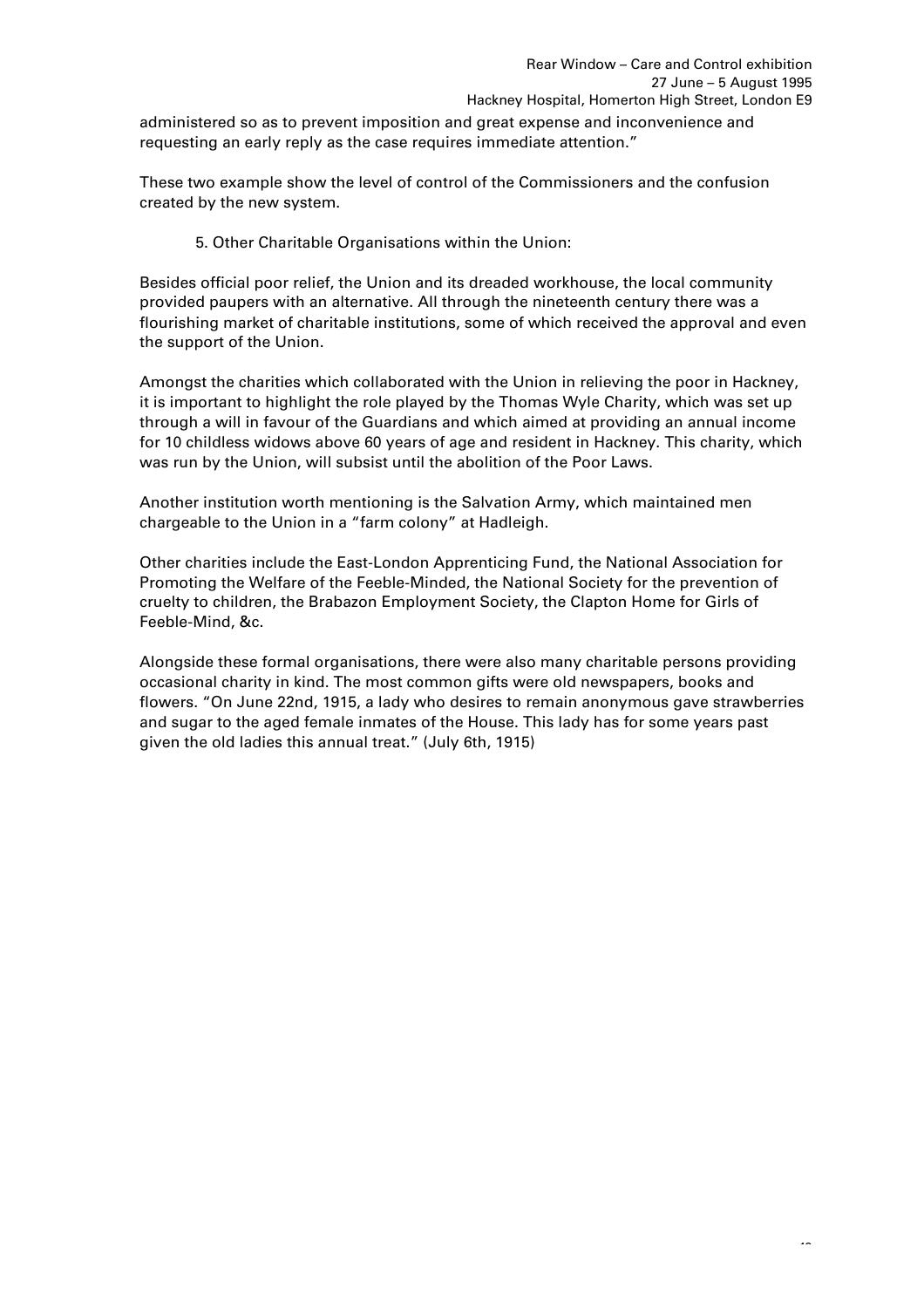administered so as to prevent imposition and great expense and inconvenience and requesting an early reply as the case requires immediate attention."

These two example show the level of control of the Commissioners and the confusion created by the new system.

5. Other Charitable Organisations within the Union:

Besides official poor relief, the Union and its dreaded workhouse, the local community provided paupers with an alternative. All through the nineteenth century there was a flourishing market of charitable institutions, some of which received the approval and even the support of the Union.

Amongst the charities which collaborated with the Union in relieving the poor in Hackney, it is important to highlight the role played by the Thomas Wyle Charity, which was set up through a will in favour of the Guardians and which aimed at providing an annual income for 10 childless widows above 60 years of age and resident in Hackney. This charity, which was run by the Union, will subsist until the abolition of the Poor Laws.

Another institution worth mentioning is the Salvation Army, which maintained men chargeable to the Union in a "farm colony" at Hadleigh.

Other charities include the East-London Apprenticing Fund, the National Association for Promoting the Welfare of the Feeble-Minded, the National Society for the prevention of cruelty to children, the Brabazon Employment Society, the Clapton Home for Girls of Feeble-Mind, &c.

Alongside these formal organisations, there were also many charitable persons providing occasional charity in kind. The most common gifts were old newspapers, books and flowers. "On June 22nd, 1915, a lady who desires to remain anonymous gave strawberries and sugar to the aged female inmates of the House. This lady has for some years past given the old ladies this annual treat." (July 6th, 1915)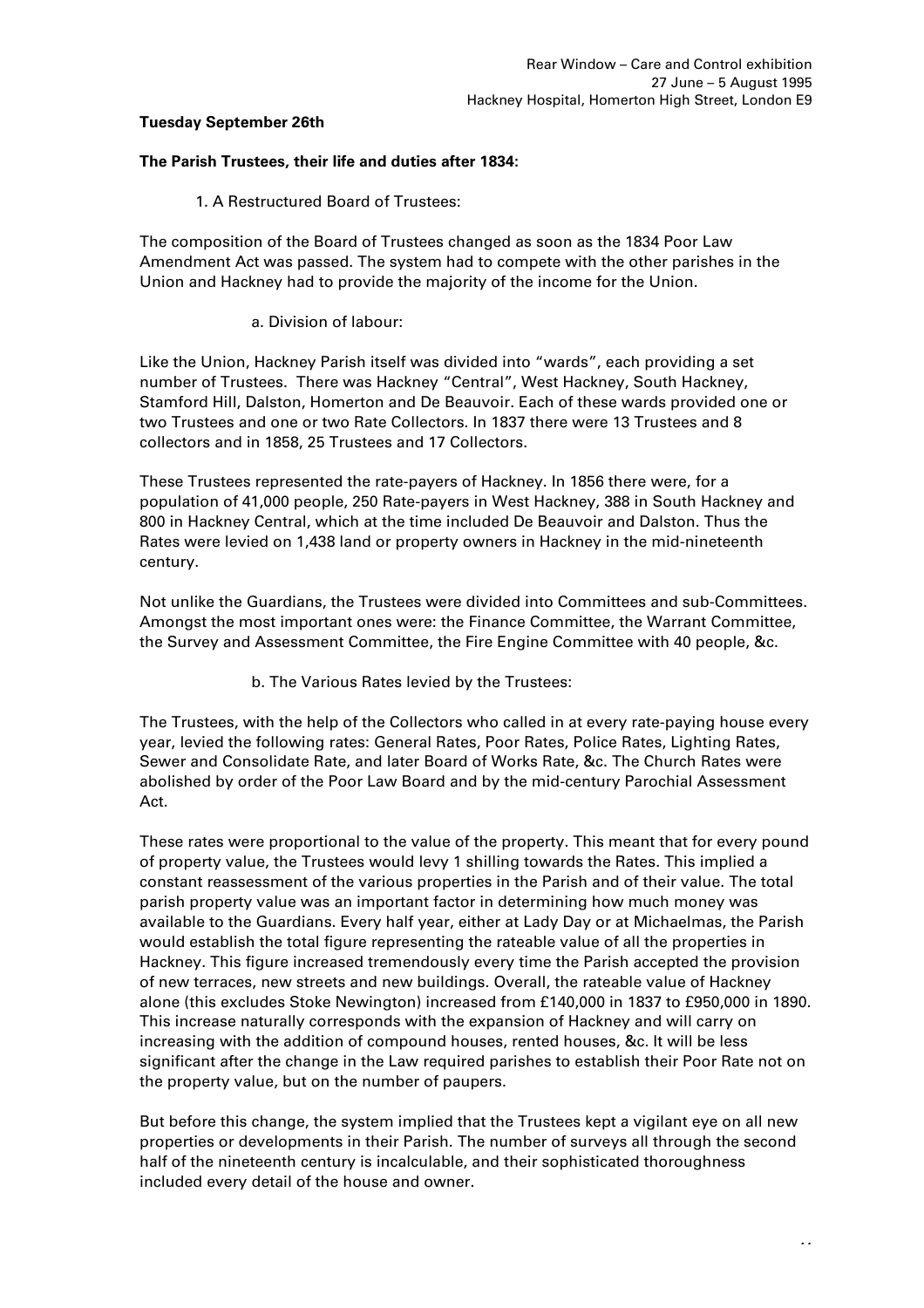# **Tuesday September 26th**

#### **The Parish Trustees, their life and duties after 1834:**

1. A Restructured Board of Trustees:

The composition of the Board of Trustees changed as soon as the 1834 Poor Law Amendment Act was passed. The system had to compete with the other parishes in the Union and Hackney had to provide the majority of the income for the Union.

### a. Division of labour:

Like the Union, Hackney Parish itself was divided into "wards", each providing a set number of Trustees. There was Hackney "Central", West Hackney, South Hackney, Stamford Hill, Dalston, Homerton and De Beauvoir. Each of these wards provided one or two Trustees and one or two Rate Collectors. In 1837 there were 13 Trustees and 8 collectors and in 1858, 25 Trustees and 17 Collectors.

These Trustees represented the rate-payers of Hackney. In 1856 there were, for a population of 41,000 people, 250 Rate-payers in West Hackney, 388 in South Hackney and 800 in Hackney Central, which at the time included De Beauvoir and Dalston. Thus the Rates were levied on 1,438 land or property owners in Hackney in the mid-nineteenth century.

Not unlike the Guardians, the Trustees were divided into Committees and sub-Committees. Amongst the most important ones were: the Finance Committee, the Warrant Committee, the Survey and Assessment Committee, the Fire Engine Committee with 40 people, &c.

b. The Various Rates levied by the Trustees:

The Trustees, with the help of the Collectors who called in at every rate-paying house every year, levied the following rates: General Rates, Poor Rates, Police Rates, Lighting Rates, Sewer and Consolidate Rate, and later Board of Works Rate, &c. The Church Rates were abolished by order of the Poor Law Board and by the mid-century Parochial Assessment Act.

These rates were proportional to the value of the property. This meant that for every pound of property value, the Trustees would levy 1 shilling towards the Rates. This implied a constant reassessment of the various properties in the Parish and of their value. The total parish property value was an important factor in determining how much money was available to the Guardians. Every half year, either at Lady Day or at Michaelmas, the Parish would establish the total figure representing the rateable value of all the properties in Hackney. This figure increased tremendously every time the Parish accepted the provision of new terraces, new streets and new buildings. Overall, the rateable value of Hackney alone (this excludes Stoke Newington) increased from £140,000 in 1837 to £950,000 in 1890. This increase naturally corresponds with the expansion of Hackney and will carry on increasing with the addition of compound houses, rented houses, &c. It will be less significant after the change in the Law required parishes to establish their Poor Rate not on the property value, but on the number of paupers.

But before this change, the system implied that the Trustees kept a vigilant eye on all new properties or developments in their Parish. The number of surveys all through the second half of the nineteenth century is incalculable, and their sophisticated thoroughness included every detail of the house and owner.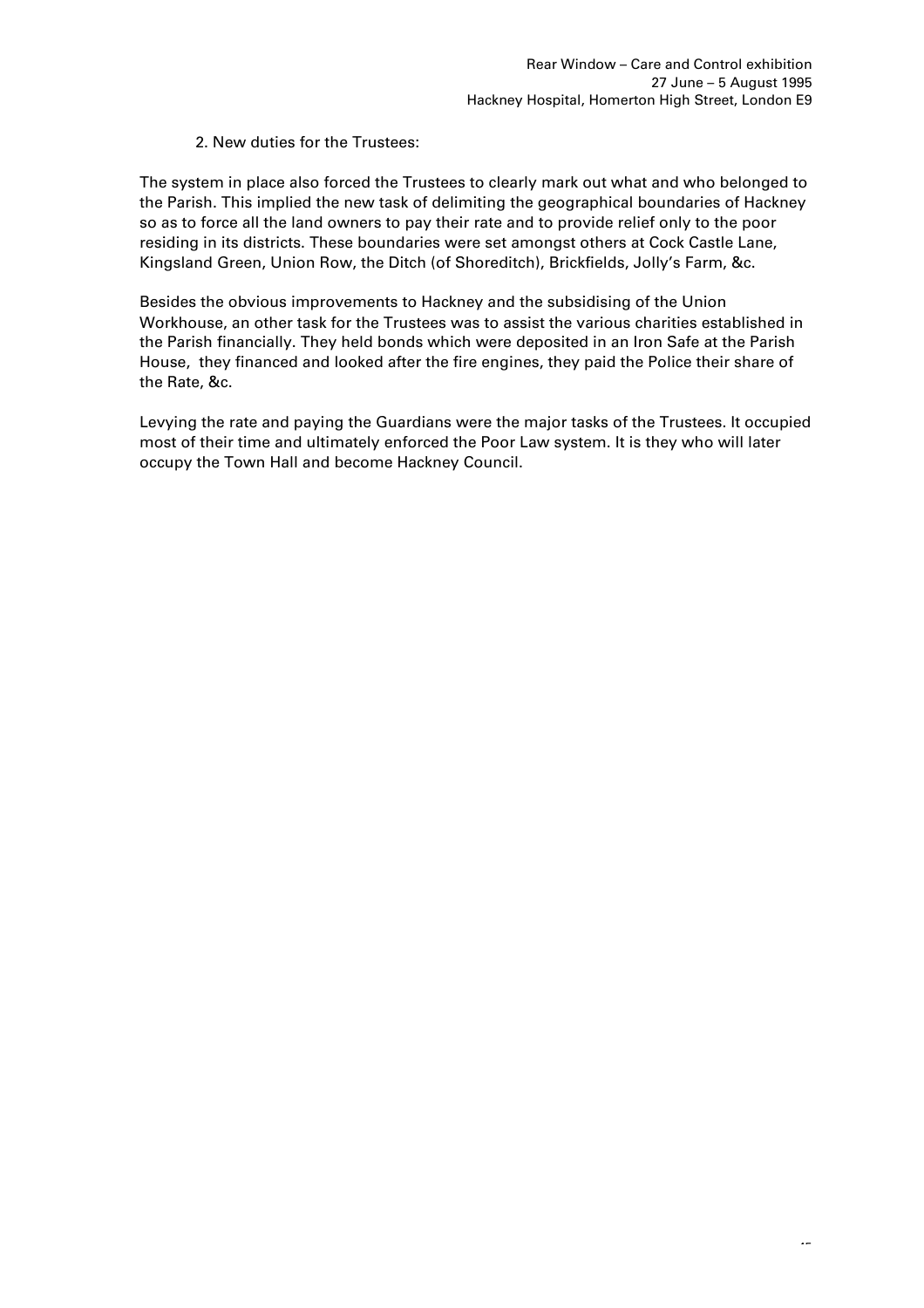# 2. New duties for the Trustees:

The system in place also forced the Trustees to clearly mark out what and who belonged to the Parish. This implied the new task of delimiting the geographical boundaries of Hackney so as to force all the land owners to pay their rate and to provide relief only to the poor residing in its districts. These boundaries were set amongst others at Cock Castle Lane, Kingsland Green, Union Row, the Ditch (of Shoreditch), Brickfields, Jolly's Farm, &c.

Besides the obvious improvements to Hackney and the subsidising of the Union Workhouse, an other task for the Trustees was to assist the various charities established in the Parish financially. They held bonds which were deposited in an Iron Safe at the Parish House, they financed and looked after the fire engines, they paid the Police their share of the Rate, &c.

Levying the rate and paying the Guardians were the major tasks of the Trustees. It occupied most of their time and ultimately enforced the Poor Law system. It is they who will later occupy the Town Hall and become Hackney Council.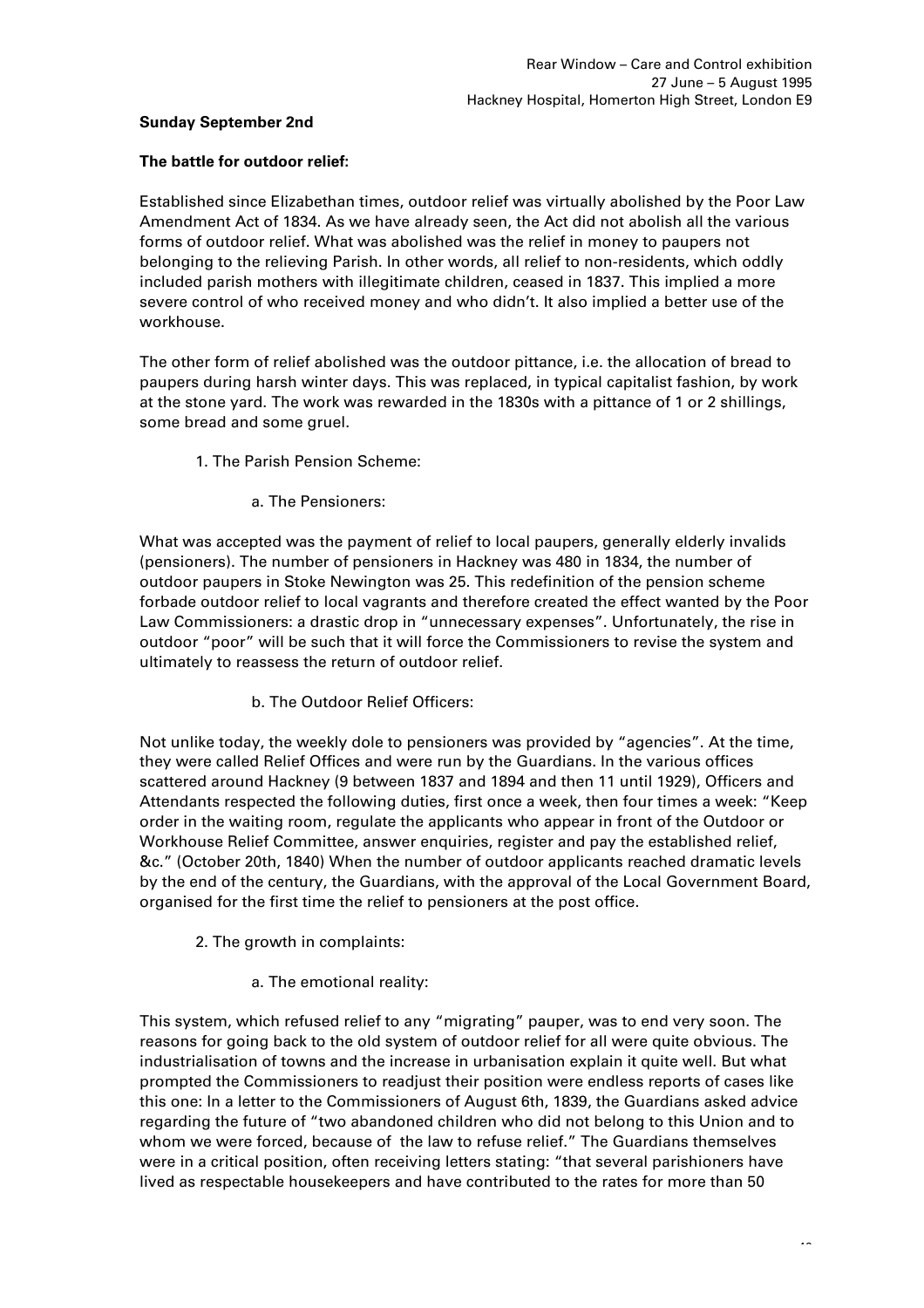# **Sunday September 2nd**

### **The battle for outdoor relief:**

Established since Elizabethan times, outdoor relief was virtually abolished by the Poor Law Amendment Act of 1834. As we have already seen, the Act did not abolish all the various forms of outdoor relief. What was abolished was the relief in money to paupers not belonging to the relieving Parish. In other words, all relief to non-residents, which oddly included parish mothers with illegitimate children, ceased in 1837. This implied a more severe control of who received money and who didn't. It also implied a better use of the workhouse.

The other form of relief abolished was the outdoor pittance, i.e. the allocation of bread to paupers during harsh winter days. This was replaced, in typical capitalist fashion, by work at the stone yard. The work was rewarded in the 1830s with a pittance of 1 or 2 shillings, some bread and some gruel.

- 1. The Parish Pension Scheme:
	- a. The Pensioners:

What was accepted was the payment of relief to local paupers, generally elderly invalids (pensioners). The number of pensioners in Hackney was 480 in 1834, the number of outdoor paupers in Stoke Newington was 25. This redefinition of the pension scheme forbade outdoor relief to local vagrants and therefore created the effect wanted by the Poor Law Commissioners: a drastic drop in "unnecessary expenses". Unfortunately, the rise in outdoor "poor" will be such that it will force the Commissioners to revise the system and ultimately to reassess the return of outdoor relief.

b. The Outdoor Relief Officers:

Not unlike today, the weekly dole to pensioners was provided by "agencies". At the time, they were called Relief Offices and were run by the Guardians. In the various offices scattered around Hackney (9 between 1837 and 1894 and then 11 until 1929), Officers and Attendants respected the following duties, first once a week, then four times a week: "Keep order in the waiting room, regulate the applicants who appear in front of the Outdoor or Workhouse Relief Committee, answer enquiries, register and pay the established relief, &c." (October 20th, 1840) When the number of outdoor applicants reached dramatic levels by the end of the century, the Guardians, with the approval of the Local Government Board, organised for the first time the relief to pensioners at the post office.

- 2. The growth in complaints:
	- a. The emotional reality:

This system, which refused relief to any "migrating" pauper, was to end very soon. The reasons for going back to the old system of outdoor relief for all were quite obvious. The industrialisation of towns and the increase in urbanisation explain it quite well. But what prompted the Commissioners to readjust their position were endless reports of cases like this one: In a letter to the Commissioners of August 6th, 1839, the Guardians asked advice regarding the future of "two abandoned children who did not belong to this Union and to whom we were forced, because of the law to refuse relief." The Guardians themselves were in a critical position, often receiving letters stating: "that several parishioners have lived as respectable housekeepers and have contributed to the rates for more than 50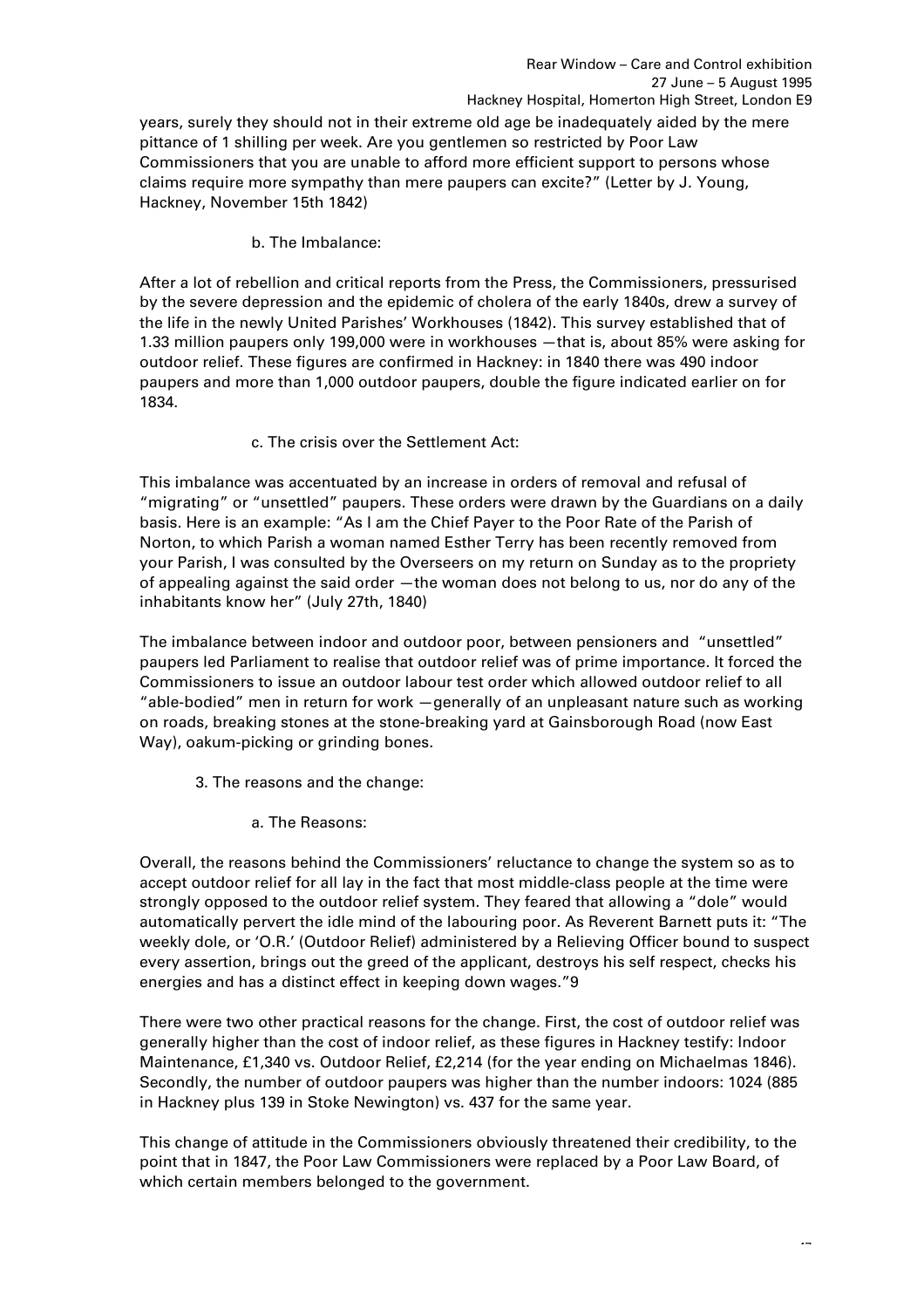years, surely they should not in their extreme old age be inadequately aided by the mere pittance of 1 shilling per week. Are you gentlemen so restricted by Poor Law Commissioners that you are unable to afford more efficient support to persons whose claims require more sympathy than mere paupers can excite?" (Letter by J. Young, Hackney, November 15th 1842)

b. The Imbalance:

After a lot of rebellion and critical reports from the Press, the Commissioners, pressurised by the severe depression and the epidemic of cholera of the early 1840s, drew a survey of the life in the newly United Parishes' Workhouses (1842). This survey established that of 1.33 million paupers only 199,000 were in workhouses —that is, about 85% were asking for outdoor relief. These figures are confirmed in Hackney: in 1840 there was 490 indoor paupers and more than 1,000 outdoor paupers, double the figure indicated earlier on for 1834.

c. The crisis over the Settlement Act:

This imbalance was accentuated by an increase in orders of removal and refusal of "migrating" or "unsettled" paupers. These orders were drawn by the Guardians on a daily basis. Here is an example: "As I am the Chief Payer to the Poor Rate of the Parish of Norton, to which Parish a woman named Esther Terry has been recently removed from your Parish, I was consulted by the Overseers on my return on Sunday as to the propriety of appealing against the said order —the woman does not belong to us, nor do any of the inhabitants know her" (July 27th, 1840)

The imbalance between indoor and outdoor poor, between pensioners and "unsettled" paupers led Parliament to realise that outdoor relief was of prime importance. It forced the Commissioners to issue an outdoor labour test order which allowed outdoor relief to all "able-bodied" men in return for work —generally of an unpleasant nature such as working on roads, breaking stones at the stone-breaking yard at Gainsborough Road (now East Way), oakum-picking or grinding bones.

- 3. The reasons and the change:
	- a. The Reasons:

Overall, the reasons behind the Commissioners' reluctance to change the system so as to accept outdoor relief for all lay in the fact that most middle-class people at the time were strongly opposed to the outdoor relief system. They feared that allowing a "dole" would automatically pervert the idle mind of the labouring poor. As Reverent Barnett puts it: "The weekly dole, or 'O.R.' (Outdoor Relief) administered by a Relieving Officer bound to suspect every assertion, brings out the greed of the applicant, destroys his self respect, checks his energies and has a distinct effect in keeping down wages."9

There were two other practical reasons for the change. First, the cost of outdoor relief was generally higher than the cost of indoor relief, as these figures in Hackney testify: Indoor Maintenance, £1,340 vs. Outdoor Relief, £2,214 (for the year ending on Michaelmas 1846). Secondly, the number of outdoor paupers was higher than the number indoors: 1024 (885 in Hackney plus 139 in Stoke Newington) vs. 437 for the same year.

This change of attitude in the Commissioners obviously threatened their credibility, to the point that in 1847, the Poor Law Commissioners were replaced by a Poor Law Board, of which certain members belonged to the government.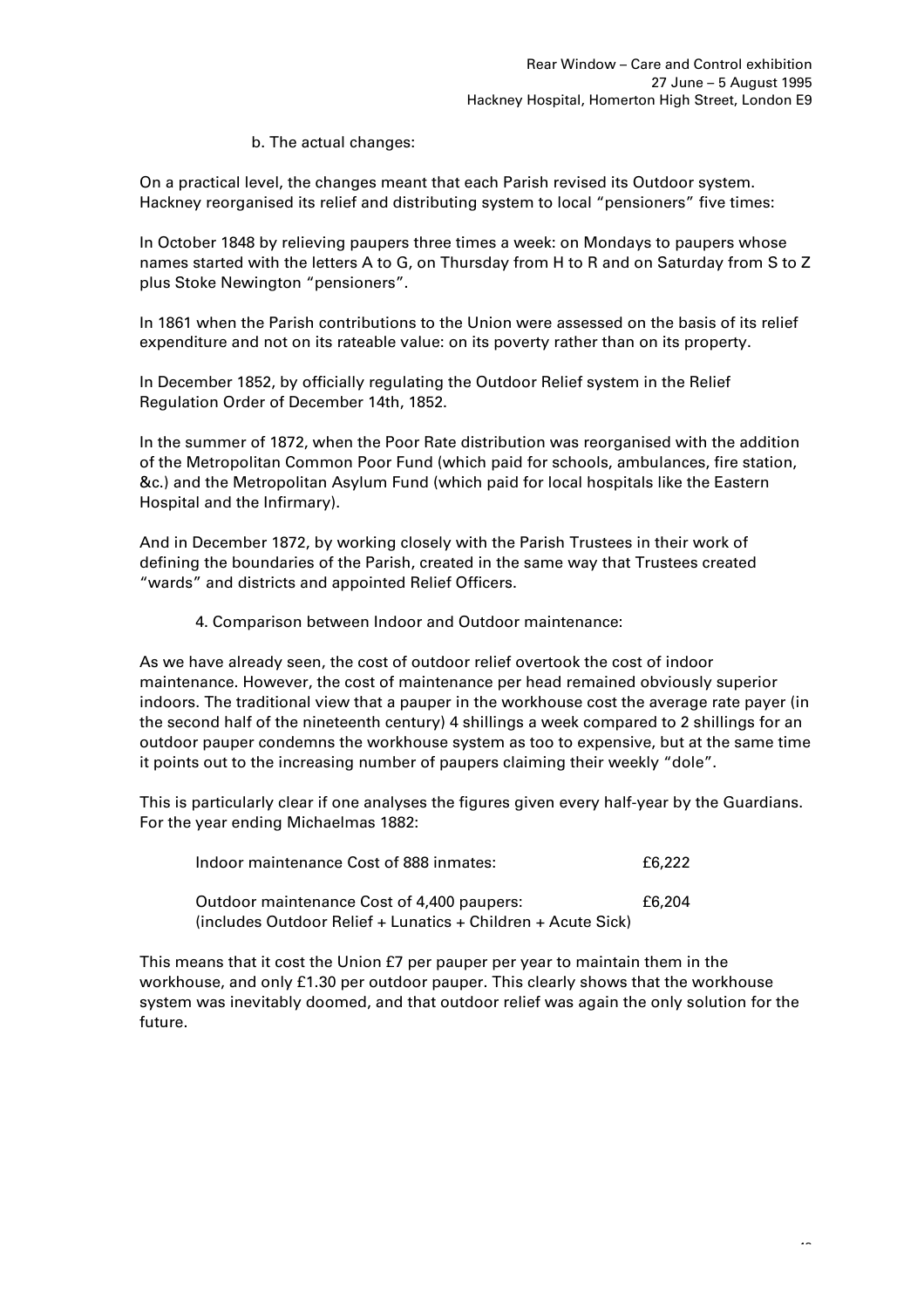# b. The actual changes:

On a practical level, the changes meant that each Parish revised its Outdoor system. Hackney reorganised its relief and distributing system to local "pensioners" five times:

In October 1848 by relieving paupers three times a week: on Mondays to paupers whose names started with the letters A to G, on Thursday from H to R and on Saturday from S to Z plus Stoke Newington "pensioners".

In 1861 when the Parish contributions to the Union were assessed on the basis of its relief expenditure and not on its rateable value: on its poverty rather than on its property.

In December 1852, by officially regulating the Outdoor Relief system in the Relief Regulation Order of December 14th, 1852.

In the summer of 1872, when the Poor Rate distribution was reorganised with the addition of the Metropolitan Common Poor Fund (which paid for schools, ambulances, fire station, &c.) and the Metropolitan Asylum Fund (which paid for local hospitals like the Eastern Hospital and the Infirmary).

And in December 1872, by working closely with the Parish Trustees in their work of defining the boundaries of the Parish, created in the same way that Trustees created "wards" and districts and appointed Relief Officers.

4. Comparison between Indoor and Outdoor maintenance:

As we have already seen, the cost of outdoor relief overtook the cost of indoor maintenance. However, the cost of maintenance per head remained obviously superior indoors. The traditional view that a pauper in the workhouse cost the average rate payer (in the second half of the nineteenth century) 4 shillings a week compared to 2 shillings for an outdoor pauper condemns the workhouse system as too to expensive, but at the same time it points out to the increasing number of paupers claiming their weekly "dole".

This is particularly clear if one analyses the figures given every half-year by the Guardians. For the year ending Michaelmas 1882:

| Indoor maintenance Cost of 888 inmates:                      |        |  |  |
|--------------------------------------------------------------|--------|--|--|
| Outdoor maintenance Cost of 4,400 paupers:                   | £6.204 |  |  |
| (includes Outdoor Relief + Lunatics + Children + Acute Sick) |        |  |  |

This means that it cost the Union £7 per pauper per year to maintain them in the workhouse, and only £1.30 per outdoor pauper. This clearly shows that the workhouse system was inevitably doomed, and that outdoor relief was again the only solution for the future.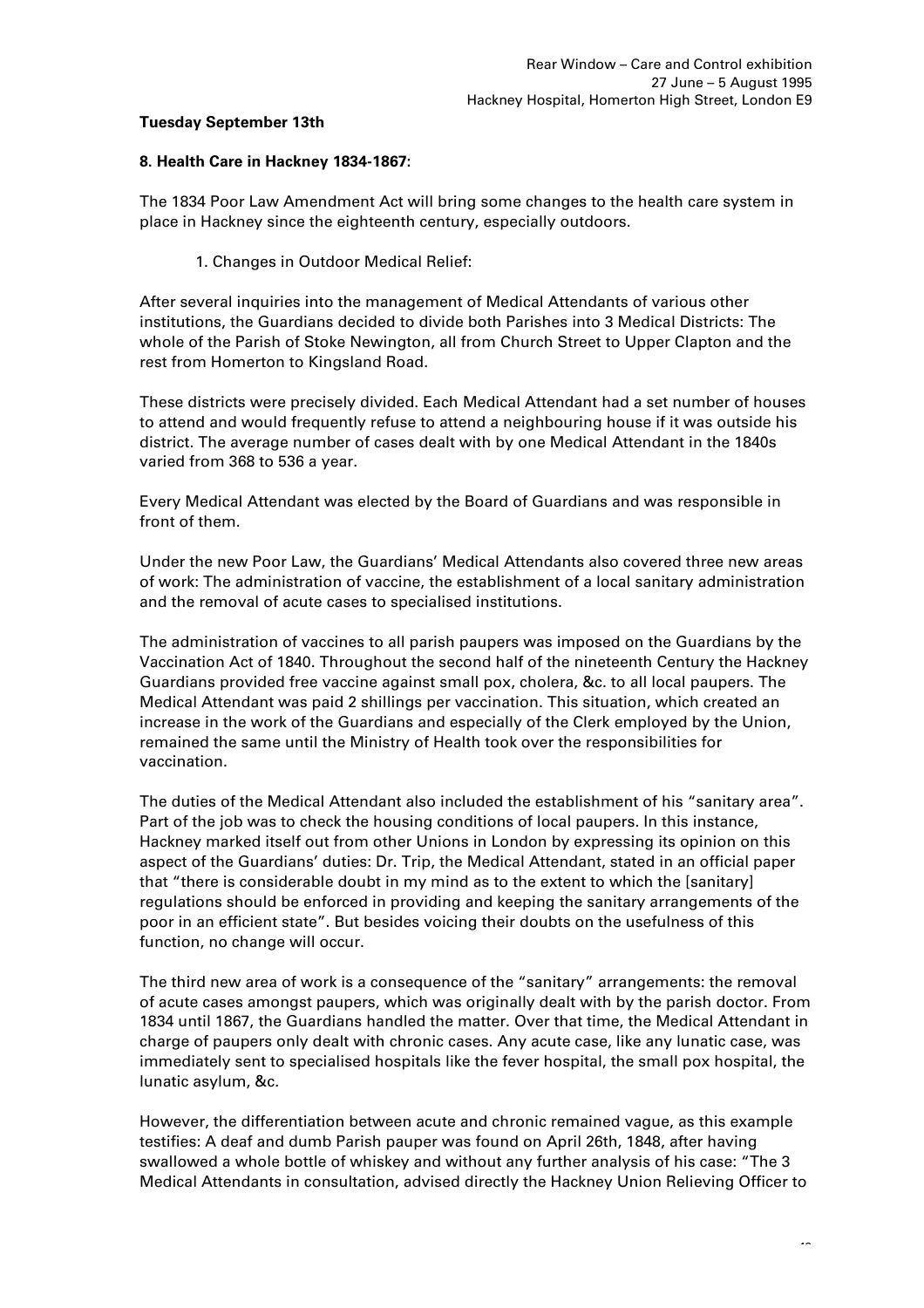# **Tuesday September 13th**

### **8. Health Care in Hackney 1834-1867:**

The 1834 Poor Law Amendment Act will bring some changes to the health care system in place in Hackney since the eighteenth century, especially outdoors.

### 1. Changes in Outdoor Medical Relief:

After several inquiries into the management of Medical Attendants of various other institutions, the Guardians decided to divide both Parishes into 3 Medical Districts: The whole of the Parish of Stoke Newington, all from Church Street to Upper Clapton and the rest from Homerton to Kingsland Road.

These districts were precisely divided. Each Medical Attendant had a set number of houses to attend and would frequently refuse to attend a neighbouring house if it was outside his district. The average number of cases dealt with by one Medical Attendant in the 1840s varied from 368 to 536 a year.

Every Medical Attendant was elected by the Board of Guardians and was responsible in front of them.

Under the new Poor Law, the Guardians' Medical Attendants also covered three new areas of work: The administration of vaccine, the establishment of a local sanitary administration and the removal of acute cases to specialised institutions.

The administration of vaccines to all parish paupers was imposed on the Guardians by the Vaccination Act of 1840. Throughout the second half of the nineteenth Century the Hackney Guardians provided free vaccine against small pox, cholera, &c. to all local paupers. The Medical Attendant was paid 2 shillings per vaccination. This situation, which created an increase in the work of the Guardians and especially of the Clerk employed by the Union, remained the same until the Ministry of Health took over the responsibilities for vaccination.

The duties of the Medical Attendant also included the establishment of his "sanitary area". Part of the job was to check the housing conditions of local paupers. In this instance, Hackney marked itself out from other Unions in London by expressing its opinion on this aspect of the Guardians' duties: Dr. Trip, the Medical Attendant, stated in an official paper that "there is considerable doubt in my mind as to the extent to which the [sanitary] regulations should be enforced in providing and keeping the sanitary arrangements of the poor in an efficient state". But besides voicing their doubts on the usefulness of this function, no change will occur.

The third new area of work is a consequence of the "sanitary" arrangements: the removal of acute cases amongst paupers, which was originally dealt with by the parish doctor. From 1834 until 1867, the Guardians handled the matter. Over that time, the Medical Attendant in charge of paupers only dealt with chronic cases. Any acute case, like any lunatic case, was immediately sent to specialised hospitals like the fever hospital, the small pox hospital, the lunatic asylum, &c.

However, the differentiation between acute and chronic remained vague, as this example testifies: A deaf and dumb Parish pauper was found on April 26th, 1848, after having swallowed a whole bottle of whiskey and without any further analysis of his case: "The 3 Medical Attendants in consultation, advised directly the Hackney Union Relieving Officer to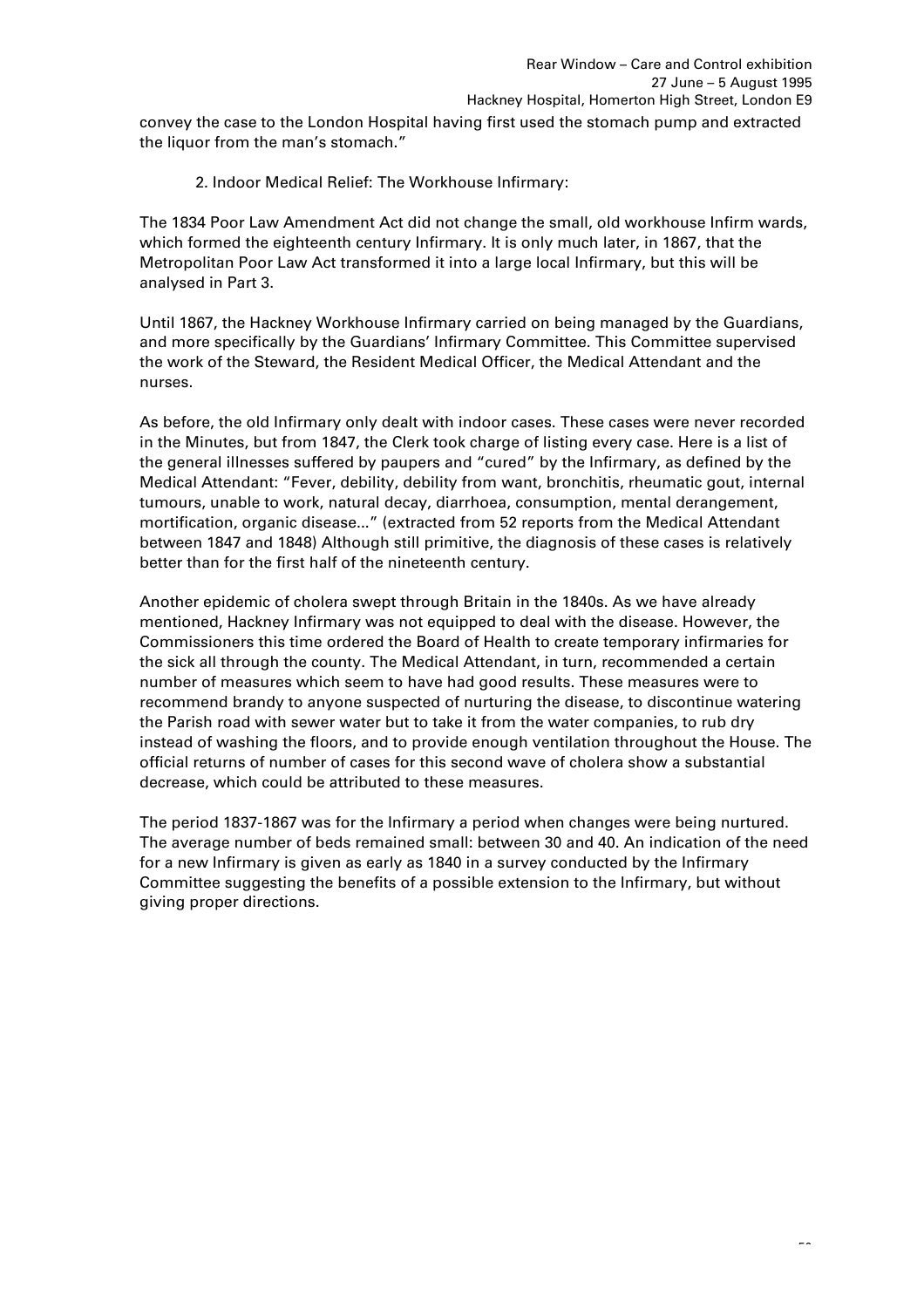convey the case to the London Hospital having first used the stomach pump and extracted the liquor from the man's stomach."

2. Indoor Medical Relief: The Workhouse Infirmary:

The 1834 Poor Law Amendment Act did not change the small, old workhouse Infirm wards, which formed the eighteenth century Infirmary. It is only much later, in 1867, that the Metropolitan Poor Law Act transformed it into a large local Infirmary, but this will be analysed in Part 3.

Until 1867, the Hackney Workhouse Infirmary carried on being managed by the Guardians, and more specifically by the Guardians' Infirmary Committee. This Committee supervised the work of the Steward, the Resident Medical Officer, the Medical Attendant and the nurses.

As before, the old Infirmary only dealt with indoor cases. These cases were never recorded in the Minutes, but from 1847, the Clerk took charge of listing every case. Here is a list of the general illnesses suffered by paupers and "cured" by the Infirmary, as defined by the Medical Attendant: "Fever, debility, debility from want, bronchitis, rheumatic gout, internal tumours, unable to work, natural decay, diarrhoea, consumption, mental derangement, mortification, organic disease..." (extracted from 52 reports from the Medical Attendant between 1847 and 1848) Although still primitive, the diagnosis of these cases is relatively better than for the first half of the nineteenth century.

Another epidemic of cholera swept through Britain in the 1840s. As we have already mentioned, Hackney Infirmary was not equipped to deal with the disease. However, the Commissioners this time ordered the Board of Health to create temporary infirmaries for the sick all through the county. The Medical Attendant, in turn, recommended a certain number of measures which seem to have had good results. These measures were to recommend brandy to anyone suspected of nurturing the disease, to discontinue watering the Parish road with sewer water but to take it from the water companies, to rub dry instead of washing the floors, and to provide enough ventilation throughout the House. The official returns of number of cases for this second wave of cholera show a substantial decrease, which could be attributed to these measures.

The period 1837-1867 was for the Infirmary a period when changes were being nurtured. The average number of beds remained small: between 30 and 40. An indication of the need for a new Infirmary is given as early as 1840 in a survey conducted by the Infirmary Committee suggesting the benefits of a possible extension to the Infirmary, but without giving proper directions.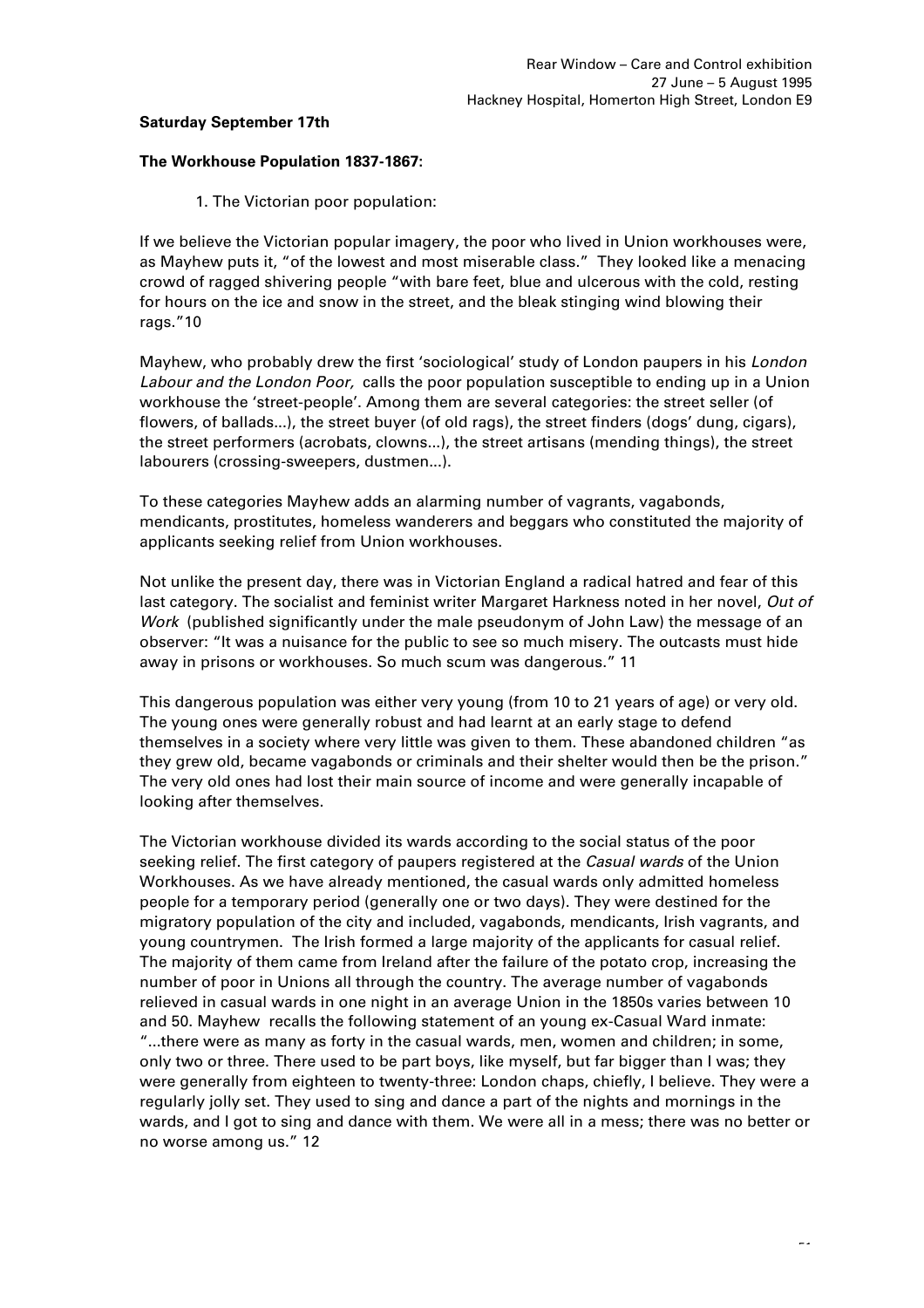# **Saturday September 17th**

### **The Workhouse Population 1837-1867:**

1. The Victorian poor population:

If we believe the Victorian popular imagery, the poor who lived in Union workhouses were, as Mayhew puts it, "of the lowest and most miserable class." They looked like a menacing crowd of ragged shivering people "with bare feet, blue and ulcerous with the cold, resting for hours on the ice and snow in the street, and the bleak stinging wind blowing their rags."10

Mayhew, who probably drew the first 'sociological' study of London paupers in his *London Labour and the London Poor,* calls the poor population susceptible to ending up in a Union workhouse the 'street-people'. Among them are several categories: the street seller (of flowers, of ballads...), the street buyer (of old rags), the street finders (dogs' dung, cigars), the street performers (acrobats, clowns...), the street artisans (mending things), the street labourers (crossing-sweepers, dustmen...).

To these categories Mayhew adds an alarming number of vagrants, vagabonds, mendicants, prostitutes, homeless wanderers and beggars who constituted the majority of applicants seeking relief from Union workhouses.

Not unlike the present day, there was in Victorian England a radical hatred and fear of this last category. The socialist and feminist writer Margaret Harkness noted in her novel, *Out of Work* (published significantly under the male pseudonym of John Law) the message of an observer: "It was a nuisance for the public to see so much misery. The outcasts must hide away in prisons or workhouses. So much scum was dangerous." 11

This dangerous population was either very young (from 10 to 21 years of age) or very old. The young ones were generally robust and had learnt at an early stage to defend themselves in a society where very little was given to them. These abandoned children "as they grew old, became vagabonds or criminals and their shelter would then be the prison." The very old ones had lost their main source of income and were generally incapable of looking after themselves.

The Victorian workhouse divided its wards according to the social status of the poor seeking relief. The first category of paupers registered at the *Casual wards* of the Union Workhouses. As we have already mentioned, the casual wards only admitted homeless people for a temporary period (generally one or two days). They were destined for the migratory population of the city and included, vagabonds, mendicants, Irish vagrants, and young countrymen. The Irish formed a large majority of the applicants for casual relief. The majority of them came from Ireland after the failure of the potato crop, increasing the number of poor in Unions all through the country. The average number of vagabonds relieved in casual wards in one night in an average Union in the 1850s varies between 10 and 50. Mayhew recalls the following statement of an young ex-Casual Ward inmate: "...there were as many as forty in the casual wards, men, women and children; in some, only two or three. There used to be part boys, like myself, but far bigger than I was; they were generally from eighteen to twenty-three: London chaps, chiefly, I believe. They were a regularly jolly set. They used to sing and dance a part of the nights and mornings in the wards, and I got to sing and dance with them. We were all in a mess; there was no better or no worse among us." 12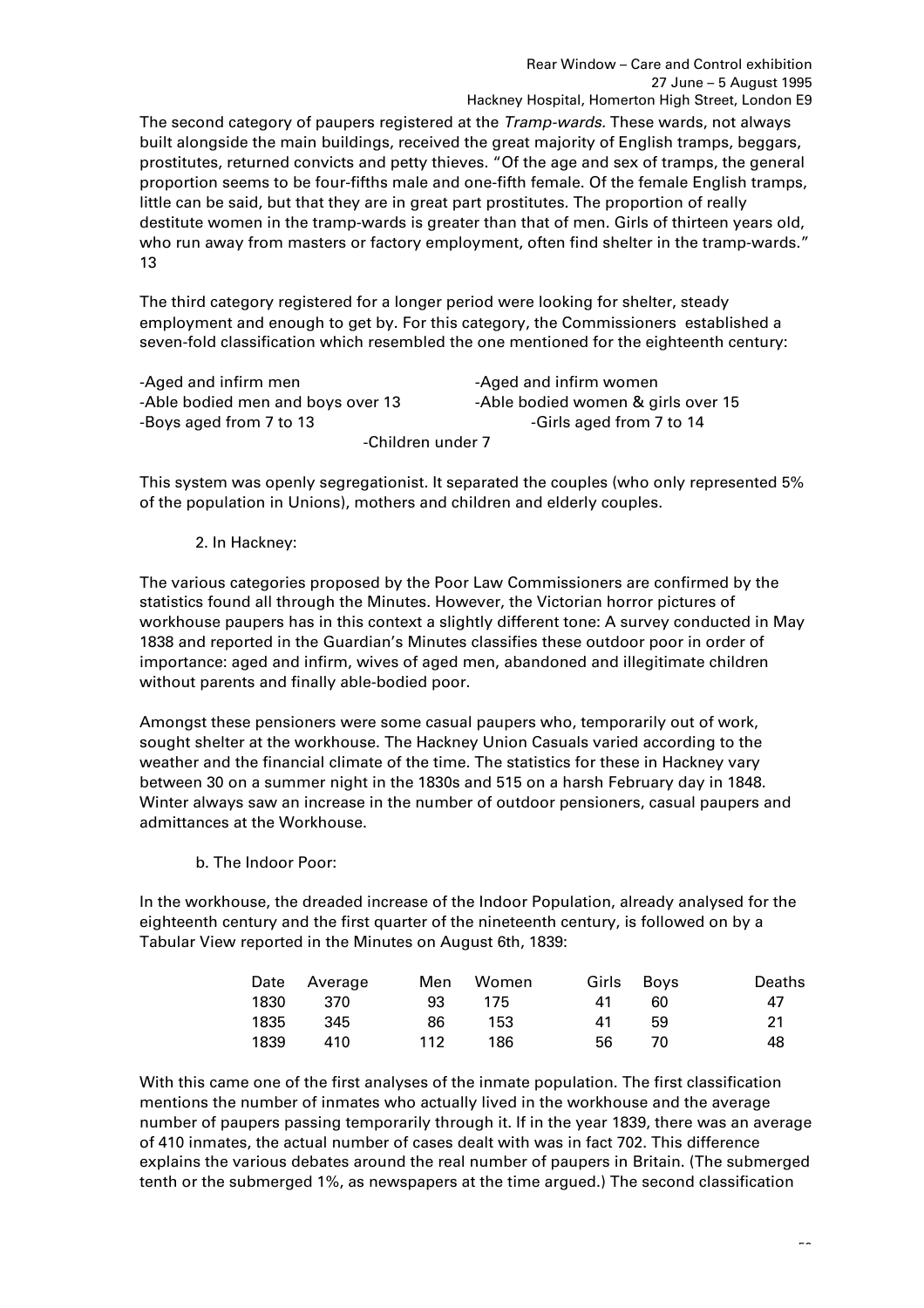The second category of paupers registered at the *Tramp-wards.* These wards, not always built alongside the main buildings, received the great majority of English tramps, beggars, prostitutes, returned convicts and petty thieves. "Of the age and sex of tramps, the general proportion seems to be four-fifths male and one-fifth female. Of the female English tramps, little can be said, but that they are in great part prostitutes. The proportion of really destitute women in the tramp-wards is greater than that of men. Girls of thirteen years old, who run away from masters or factory employment, often find shelter in the tramp-wards." 13

The third category registered for a longer period were looking for shelter, steady employment and enough to get by. For this category, the Commissioners established a seven-fold classification which resembled the one mentioned for the eighteenth century:

| -Aged and infirm men              | -Aged and infirm women             |  |  |  |
|-----------------------------------|------------------------------------|--|--|--|
| -Able bodied men and boys over 13 | -Able bodied women & girls over 15 |  |  |  |
| -Boys aged from 7 to 13           | -Girls aged from 7 to 14           |  |  |  |
| -Children under 7                 |                                    |  |  |  |

This system was openly segregationist. It separated the couples (who only represented 5% of the population in Unions), mothers and children and elderly couples.

# 2. In Hackney:

The various categories proposed by the Poor Law Commissioners are confirmed by the statistics found all through the Minutes. However, the Victorian horror pictures of workhouse paupers has in this context a slightly different tone: A survey conducted in May 1838 and reported in the Guardian's Minutes classifies these outdoor poor in order of importance: aged and infirm, wives of aged men, abandoned and illegitimate children without parents and finally able-bodied poor.

Amongst these pensioners were some casual paupers who, temporarily out of work, sought shelter at the workhouse. The Hackney Union Casuals varied according to the weather and the financial climate of the time. The statistics for these in Hackney vary between 30 on a summer night in the 1830s and 515 on a harsh February day in 1848. Winter always saw an increase in the number of outdoor pensioners, casual paupers and admittances at the Workhouse.

b. The Indoor Poor:

In the workhouse, the dreaded increase of the Indoor Population, already analysed for the eighteenth century and the first quarter of the nineteenth century, is followed on by a Tabular View reported in the Minutes on August 6th, 1839:

|      | Date Average | Men | Women |    | Girls Boys | Deaths |
|------|--------------|-----|-------|----|------------|--------|
| 1830 | 370          | 93. | 175   | 41 | 60         | 47     |
| 1835 | 345          | 86  | 153.  | 41 | 59         | 21     |
| 1839 | 410          | 112 | 186   | 56 | 70         | 48     |

With this came one of the first analyses of the inmate population. The first classification mentions the number of inmates who actually lived in the workhouse and the average number of paupers passing temporarily through it. If in the year 1839, there was an average of 410 inmates, the actual number of cases dealt with was in fact 702. This difference explains the various debates around the real number of paupers in Britain. (The submerged tenth or the submerged 1%, as newspapers at the time argued.) The second classification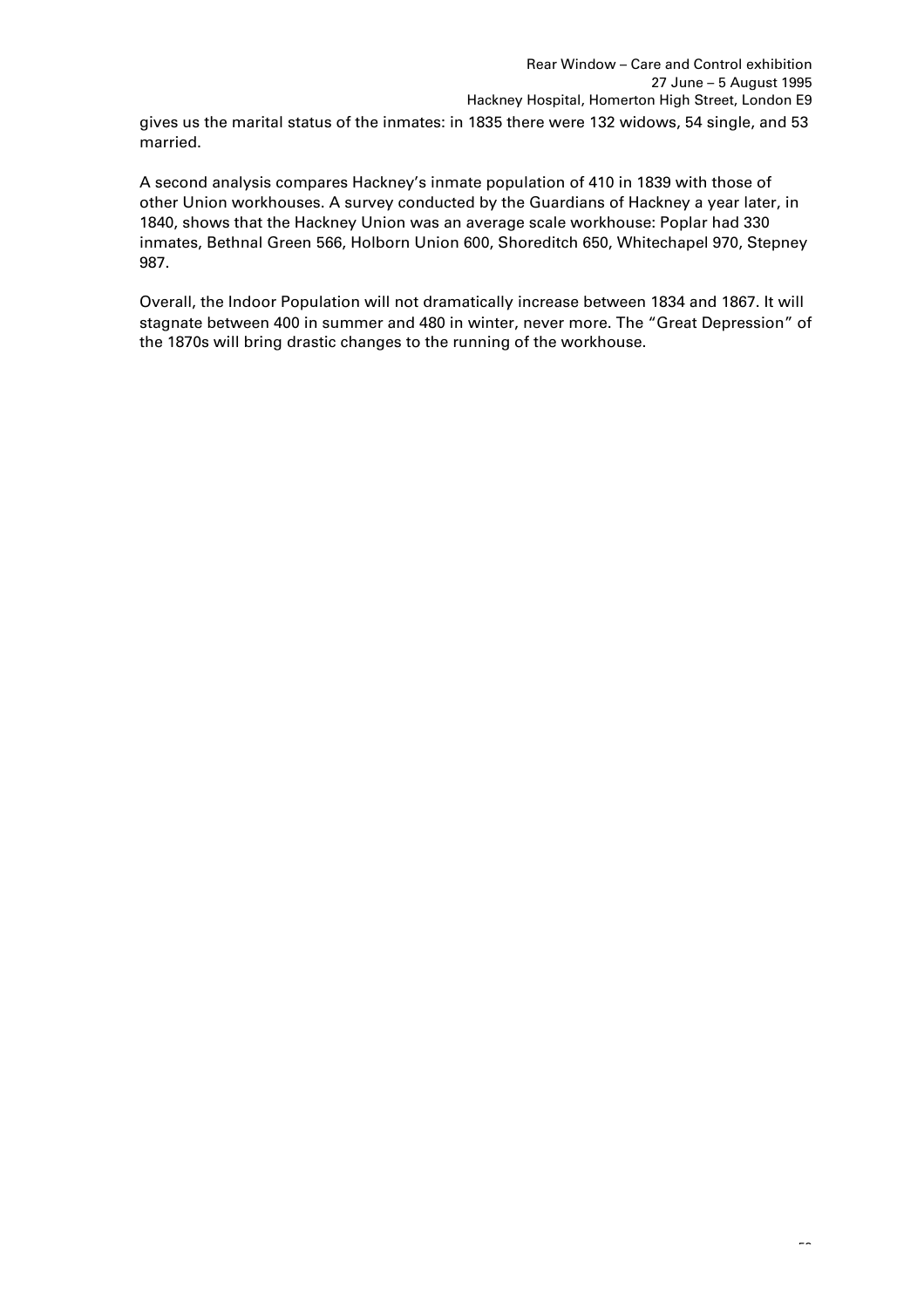gives us the marital status of the inmates: in 1835 there were 132 widows, 54 single, and 53 married.

A second analysis compares Hackney's inmate population of 410 in 1839 with those of other Union workhouses. A survey conducted by the Guardians of Hackney a year later, in 1840, shows that the Hackney Union was an average scale workhouse: Poplar had 330 inmates, Bethnal Green 566, Holborn Union 600, Shoreditch 650, Whitechapel 970, Stepney 987.

Overall, the Indoor Population will not dramatically increase between 1834 and 1867. It will stagnate between 400 in summer and 480 in winter, never more. The "Great Depression" of the 1870s will bring drastic changes to the running of the workhouse.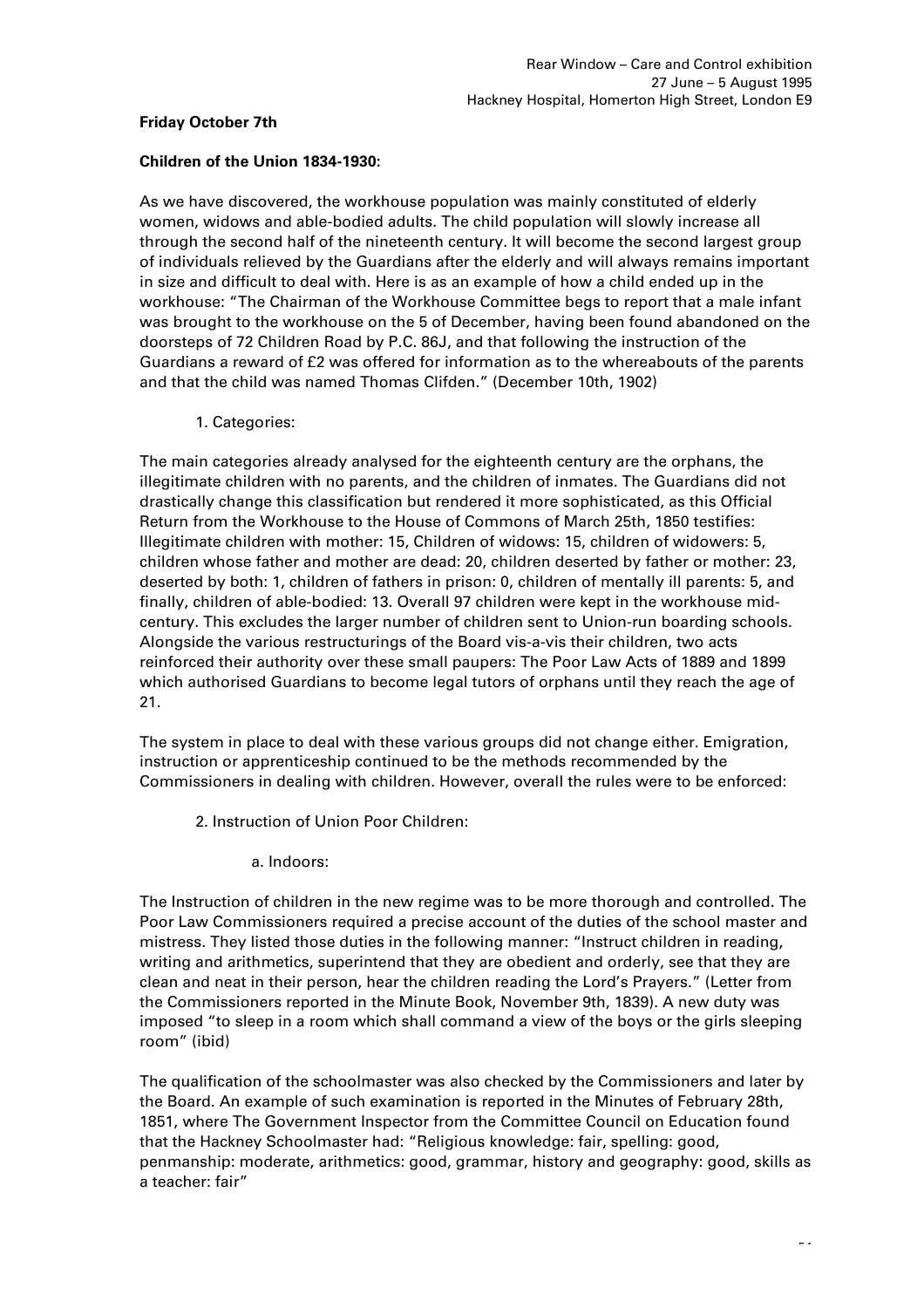### **Friday October 7th**

### **Children of the Union 1834-1930:**

As we have discovered, the workhouse population was mainly constituted of elderly women, widows and able-bodied adults. The child population will slowly increase all through the second half of the nineteenth century. It will become the second largest group of individuals relieved by the Guardians after the elderly and will always remains important in size and difficult to deal with. Here is as an example of how a child ended up in the workhouse: "The Chairman of the Workhouse Committee begs to report that a male infant was brought to the workhouse on the 5 of December, having been found abandoned on the doorsteps of 72 Children Road by P.C. 86J, and that following the instruction of the Guardians a reward of £2 was offered for information as to the whereabouts of the parents and that the child was named Thomas Clifden." (December 10th, 1902)

1. Categories:

The main categories already analysed for the eighteenth century are the orphans, the illegitimate children with no parents, and the children of inmates. The Guardians did not drastically change this classification but rendered it more sophisticated, as this Official Return from the Workhouse to the House of Commons of March 25th, 1850 testifies: Illegitimate children with mother: 15, Children of widows: 15, children of widowers: 5, children whose father and mother are dead: 20, children deserted by father or mother: 23, deserted by both: 1, children of fathers in prison: 0, children of mentally ill parents: 5, and finally, children of able-bodied: 13. Overall 97 children were kept in the workhouse midcentury. This excludes the larger number of children sent to Union-run boarding schools. Alongside the various restructurings of the Board vis-a-vis their children, two acts reinforced their authority over these small paupers: The Poor Law Acts of 1889 and 1899 which authorised Guardians to become legal tutors of orphans until they reach the age of 21.

The system in place to deal with these various groups did not change either. Emigration, instruction or apprenticeship continued to be the methods recommended by the Commissioners in dealing with children. However, overall the rules were to be enforced:

2. Instruction of Union Poor Children:

a. Indoors:

The Instruction of children in the new regime was to be more thorough and controlled. The Poor Law Commissioners required a precise account of the duties of the school master and mistress. They listed those duties in the following manner: "Instruct children in reading, writing and arithmetics, superintend that they are obedient and orderly, see that they are clean and neat in their person, hear the children reading the Lord's Prayers." (Letter from the Commissioners reported in the Minute Book, November 9th, 1839). A new duty was imposed "to sleep in a room which shall command a view of the boys or the girls sleeping room" (ibid)

The qualification of the schoolmaster was also checked by the Commissioners and later by the Board. An example of such examination is reported in the Minutes of February 28th, 1851, where The Government Inspector from the Committee Council on Education found that the Hackney Schoolmaster had: "Religious knowledge: fair, spelling: good, penmanship: moderate, arithmetics: good, grammar, history and geography: good, skills as a teacher: fair"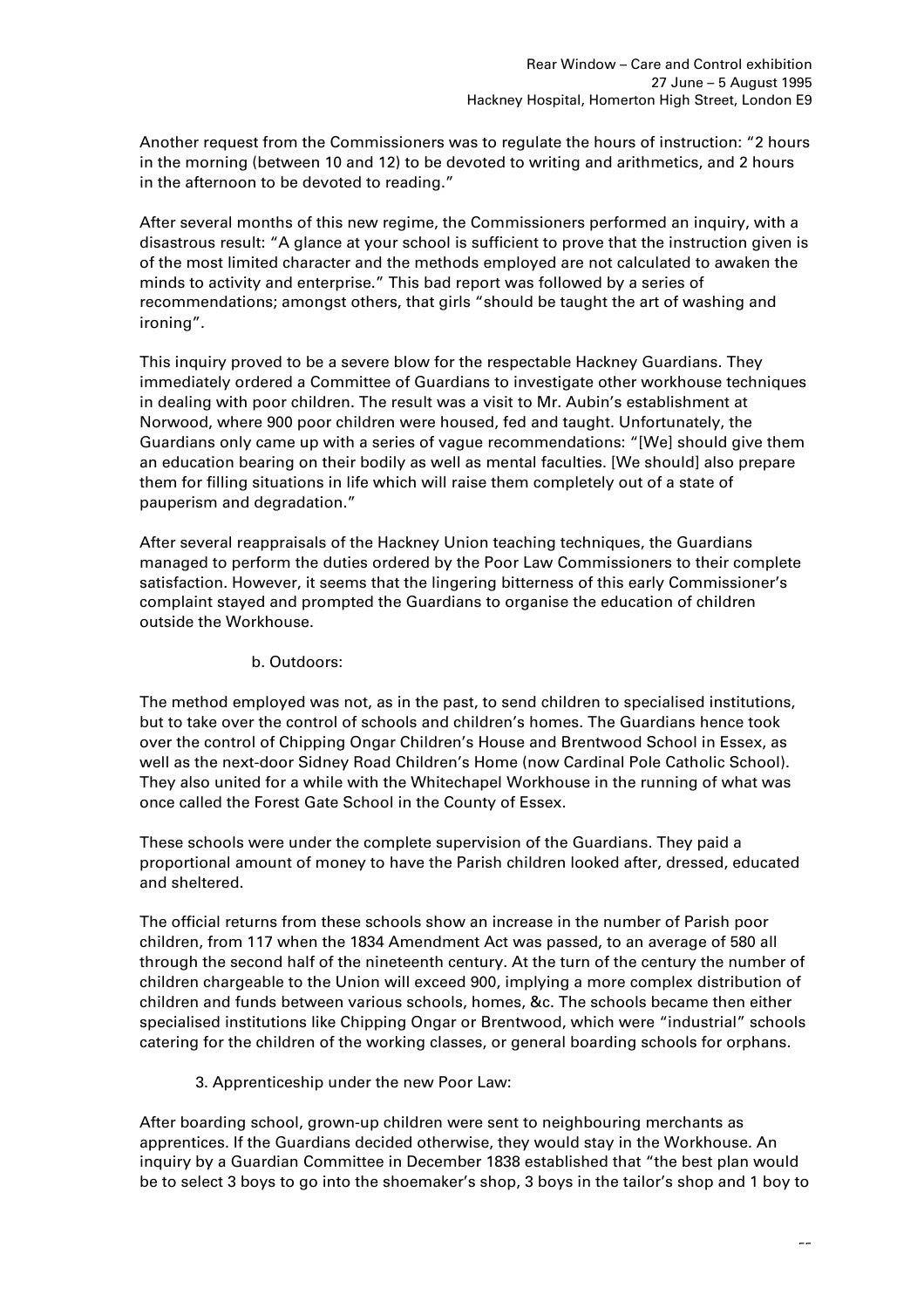Another request from the Commissioners was to regulate the hours of instruction: "2 hours in the morning (between 10 and 12) to be devoted to writing and arithmetics, and 2 hours in the afternoon to be devoted to reading."

After several months of this new regime, the Commissioners performed an inquiry, with a disastrous result: "A glance at your school is sufficient to prove that the instruction given is of the most limited character and the methods employed are not calculated to awaken the minds to activity and enterprise." This bad report was followed by a series of recommendations; amongst others, that girls "should be taught the art of washing and ironing".

This inquiry proved to be a severe blow for the respectable Hackney Guardians. They immediately ordered a Committee of Guardians to investigate other workhouse techniques in dealing with poor children. The result was a visit to Mr. Aubin's establishment at Norwood, where 900 poor children were housed, fed and taught. Unfortunately, the Guardians only came up with a series of vague recommendations: "[We] should give them an education bearing on their bodily as well as mental faculties. [We should] also prepare them for filling situations in life which will raise them completely out of a state of pauperism and degradation."

After several reappraisals of the Hackney Union teaching techniques, the Guardians managed to perform the duties ordered by the Poor Law Commissioners to their complete satisfaction. However, it seems that the lingering bitterness of this early Commissioner's complaint stayed and prompted the Guardians to organise the education of children outside the Workhouse.

### b. Outdoors:

The method employed was not, as in the past, to send children to specialised institutions, but to take over the control of schools and children's homes. The Guardians hence took over the control of Chipping Ongar Children's House and Brentwood School in Essex, as well as the next-door Sidney Road Children's Home (now Cardinal Pole Catholic School). They also united for a while with the Whitechapel Workhouse in the running of what was once called the Forest Gate School in the County of Essex.

These schools were under the complete supervision of the Guardians. They paid a proportional amount of money to have the Parish children looked after, dressed, educated and sheltered.

The official returns from these schools show an increase in the number of Parish poor children, from 117 when the 1834 Amendment Act was passed, to an average of 580 all through the second half of the nineteenth century. At the turn of the century the number of children chargeable to the Union will exceed 900, implying a more complex distribution of children and funds between various schools, homes, &c. The schools became then either specialised institutions like Chipping Ongar or Brentwood, which were "industrial" schools catering for the children of the working classes, or general boarding schools for orphans.

# 3. Apprenticeship under the new Poor Law:

After boarding school, grown-up children were sent to neighbouring merchants as apprentices. If the Guardians decided otherwise, they would stay in the Workhouse. An inquiry by a Guardian Committee in December 1838 established that "the best plan would be to select 3 boys to go into the shoemaker's shop, 3 boys in the tailor's shop and 1 boy to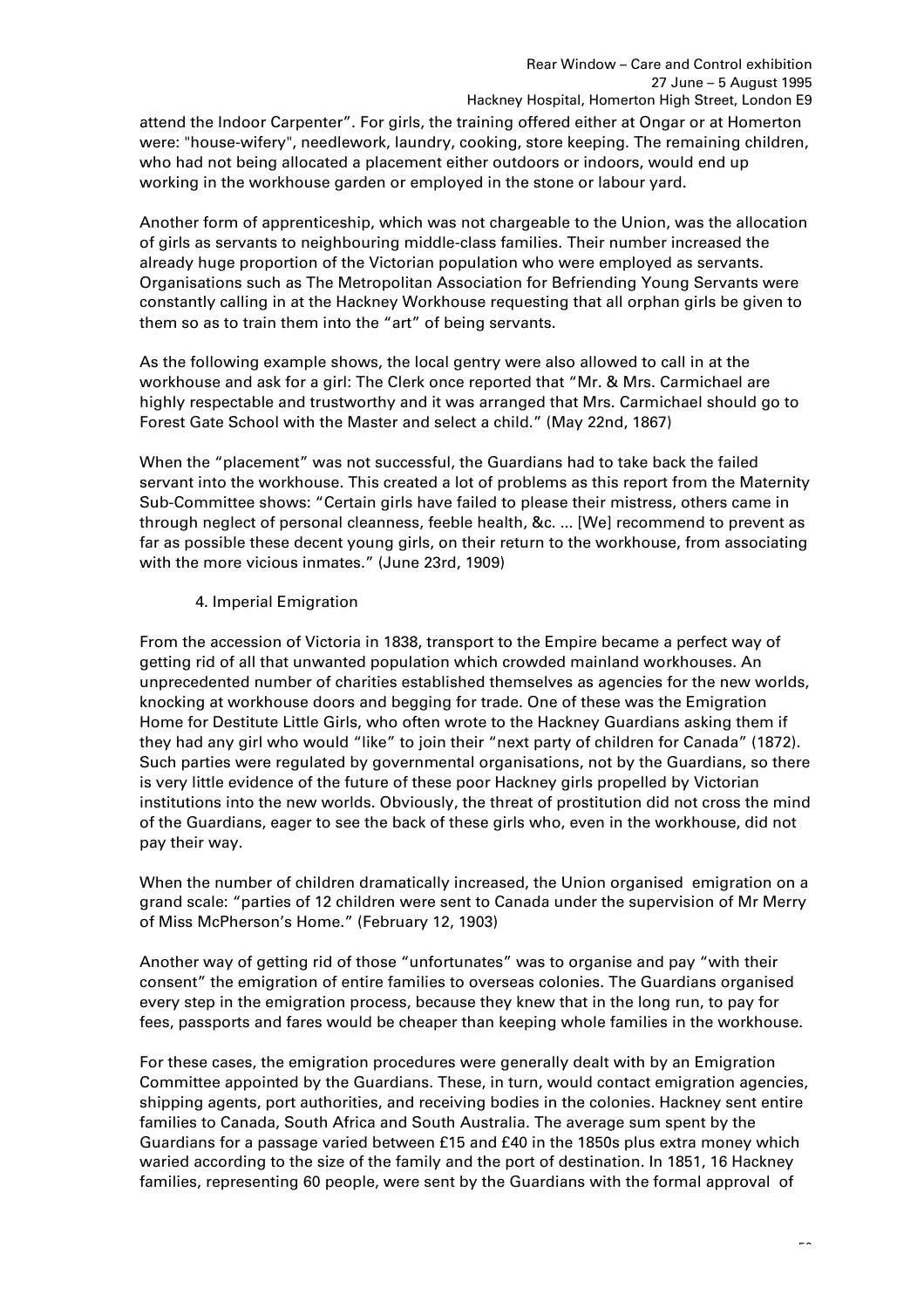attend the Indoor Carpenter". For girls, the training offered either at Ongar or at Homerton were: "house-wifery", needlework, laundry, cooking, store keeping. The remaining children, who had not being allocated a placement either outdoors or indoors, would end up working in the workhouse garden or employed in the stone or labour yard.

Another form of apprenticeship, which was not chargeable to the Union, was the allocation of girls as servants to neighbouring middle-class families. Their number increased the already huge proportion of the Victorian population who were employed as servants. Organisations such as The Metropolitan Association for Befriending Young Servants were constantly calling in at the Hackney Workhouse requesting that all orphan girls be given to them so as to train them into the "art" of being servants.

As the following example shows, the local gentry were also allowed to call in at the workhouse and ask for a girl: The Clerk once reported that "Mr. & Mrs. Carmichael are highly respectable and trustworthy and it was arranged that Mrs. Carmichael should go to Forest Gate School with the Master and select a child." (May 22nd, 1867)

When the "placement" was not successful, the Guardians had to take back the failed servant into the workhouse. This created a lot of problems as this report from the Maternity Sub-Committee shows: "Certain girls have failed to please their mistress, others came in through neglect of personal cleanness, feeble health, &c. ... [We] recommend to prevent as far as possible these decent young girls, on their return to the workhouse, from associating with the more vicious inmates." (June 23rd, 1909)

# 4. Imperial Emigration

From the accession of Victoria in 1838, transport to the Empire became a perfect way of getting rid of all that unwanted population which crowded mainland workhouses. An unprecedented number of charities established themselves as agencies for the new worlds, knocking at workhouse doors and begging for trade. One of these was the Emigration Home for Destitute Little Girls, who often wrote to the Hackney Guardians asking them if they had any girl who would "like" to join their "next party of children for Canada" (1872). Such parties were regulated by governmental organisations, not by the Guardians, so there is very little evidence of the future of these poor Hackney girls propelled by Victorian institutions into the new worlds. Obviously, the threat of prostitution did not cross the mind of the Guardians, eager to see the back of these girls who, even in the workhouse, did not pay their way.

When the number of children dramatically increased, the Union organised emigration on a grand scale: "parties of 12 children were sent to Canada under the supervision of Mr Merry of Miss McPherson's Home." (February 12, 1903)

Another way of getting rid of those "unfortunates" was to organise and pay "with their consent" the emigration of entire families to overseas colonies. The Guardians organised every step in the emigration process, because they knew that in the long run, to pay for fees, passports and fares would be cheaper than keeping whole families in the workhouse.

For these cases, the emigration procedures were generally dealt with by an Emigration Committee appointed by the Guardians. These, in turn, would contact emigration agencies, shipping agents, port authorities, and receiving bodies in the colonies. Hackney sent entire families to Canada, South Africa and South Australia. The average sum spent by the Guardians for a passage varied between £15 and £40 in the 1850s plus extra money which waried according to the size of the family and the port of destination. In 1851, 16 Hackney families, representing 60 people, were sent by the Guardians with the formal approval of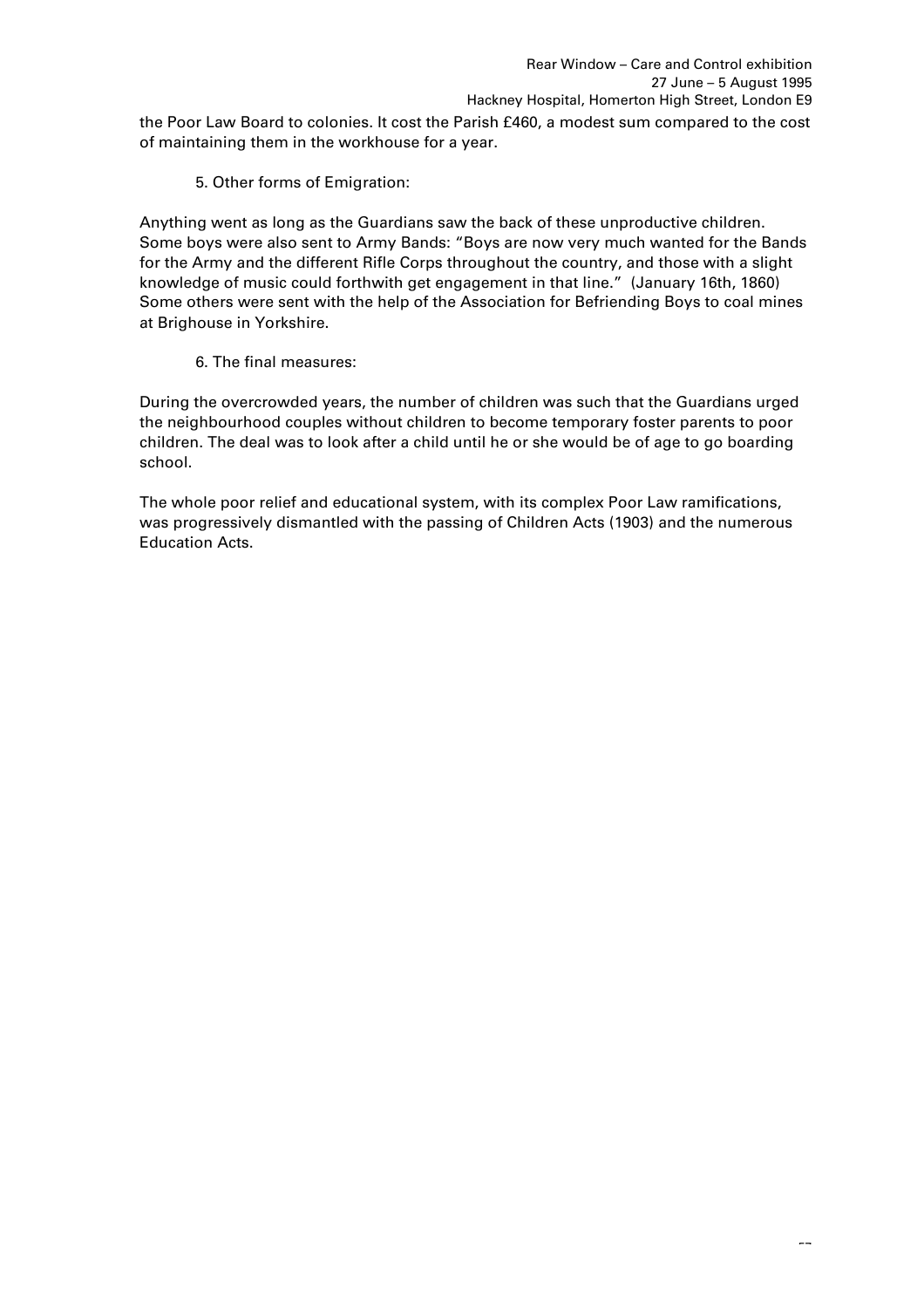the Poor Law Board to colonies. It cost the Parish £460, a modest sum compared to the cost of maintaining them in the workhouse for a year.

5. Other forms of Emigration:

Anything went as long as the Guardians saw the back of these unproductive children. Some boys were also sent to Army Bands: "Boys are now very much wanted for the Bands for the Army and the different Rifle Corps throughout the country, and those with a slight knowledge of music could forthwith get engagement in that line." (January 16th, 1860) Some others were sent with the help of the Association for Befriending Boys to coal mines at Brighouse in Yorkshire.

6. The final measures:

During the overcrowded years, the number of children was such that the Guardians urged the neighbourhood couples without children to become temporary foster parents to poor children. The deal was to look after a child until he or she would be of age to go boarding school.

The whole poor relief and educational system, with its complex Poor Law ramifications, was progressively dismantled with the passing of Children Acts (1903) and the numerous Education Acts.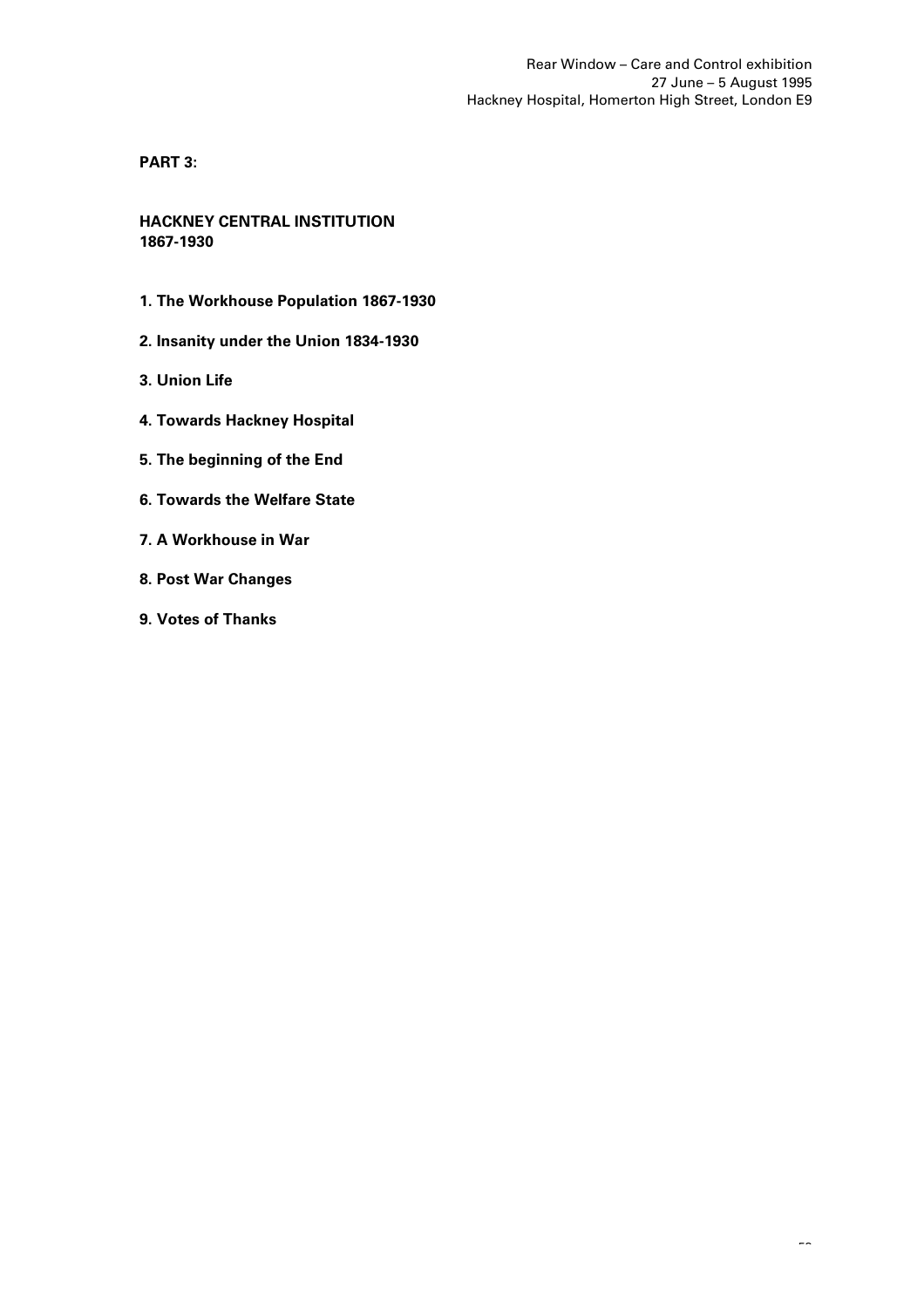**PART 3:**

**HACKNEY CENTRAL INSTITUTION 1867-1930**

- **1. The Workhouse Population 1867-1930**
- **2. Insanity under the Union 1834-1930**
- **3. Union Life**
- **4. Towards Hackney Hospital**
- **5. The beginning of the End**
- **6. Towards the Welfare State**
- **7. A Workhouse in War**
- **8. Post War Changes**
- **9. Votes of Thanks**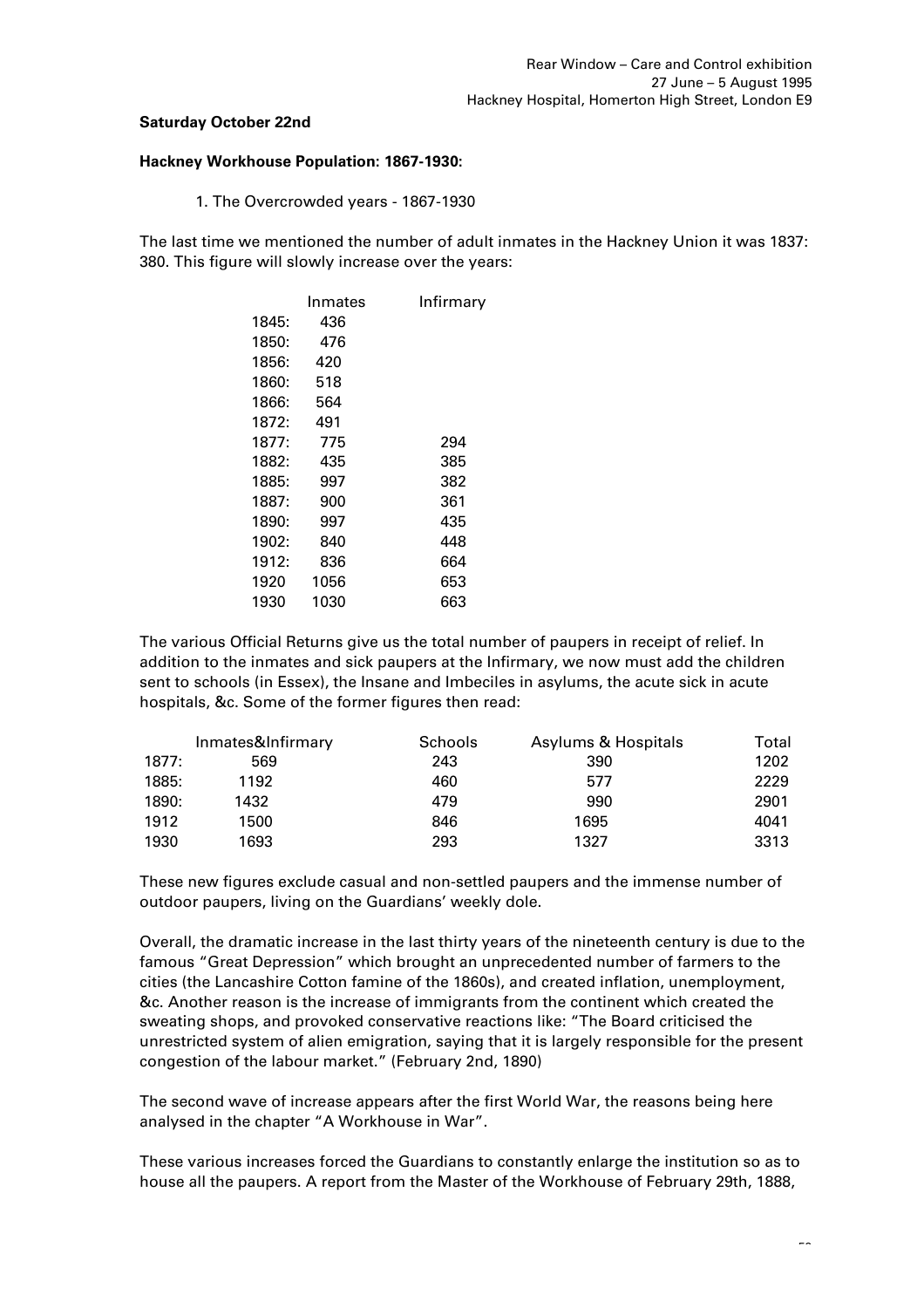# **Saturday October 22nd**

#### **Hackney Workhouse Population: 1867-1930:**

1. The Overcrowded years - 1867-1930

The last time we mentioned the number of adult inmates in the Hackney Union it was 1837: 380. This figure will slowly increase over the years:

|       | Inmates | Infirmary |  |
|-------|---------|-----------|--|
| 1845: | 436     |           |  |
| 1850: | 476     |           |  |
| 1856: | 420     |           |  |
| 1860: | 518     |           |  |
| 1866: | 564     |           |  |
| 1872: | 491     |           |  |
| 1877: | 775     | 294       |  |
| 1882: | 435     | 385       |  |
| 1885: | 997     | 382       |  |
| 1887: | 900     | 361       |  |
| 1890: | 997     | 435       |  |
| 1902: | 840     | 448       |  |
| 1912: | 836     | 664       |  |
| 1920  | 1056    | 653       |  |
| 1930  | 1030    | 663       |  |

The various Official Returns give us the total number of paupers in receipt of relief. In addition to the inmates and sick paupers at the Infirmary, we now must add the children sent to schools (in Essex), the Insane and Imbeciles in asylums, the acute sick in acute hospitals, &c. Some of the former figures then read:

|       | Inmates&Infirmary | <b>Schools</b> | Asylums & Hospitals | Total |
|-------|-------------------|----------------|---------------------|-------|
| 1877: | 569               | 243            | 390                 | 1202  |
| 1885: | 1192              | 460            | 577                 | 2229  |
| 1890: | 1432              | 479            | 990                 | 2901  |
| 1912  | 1500              | 846            | 1695                | 4041  |
| 1930  | 1693              | 293            | 1327                | 3313  |

These new figures exclude casual and non-settled paupers and the immense number of outdoor paupers, living on the Guardians' weekly dole.

Overall, the dramatic increase in the last thirty years of the nineteenth century is due to the famous "Great Depression" which brought an unprecedented number of farmers to the cities (the Lancashire Cotton famine of the 1860s), and created inflation, unemployment, &c. Another reason is the increase of immigrants from the continent which created the sweating shops, and provoked conservative reactions like: "The Board criticised the unrestricted system of alien emigration, saying that it is largely responsible for the present congestion of the labour market." (February 2nd, 1890)

The second wave of increase appears after the first World War, the reasons being here analysed in the chapter "A Workhouse in War".

These various increases forced the Guardians to constantly enlarge the institution so as to house all the paupers. A report from the Master of the Workhouse of February 29th, 1888,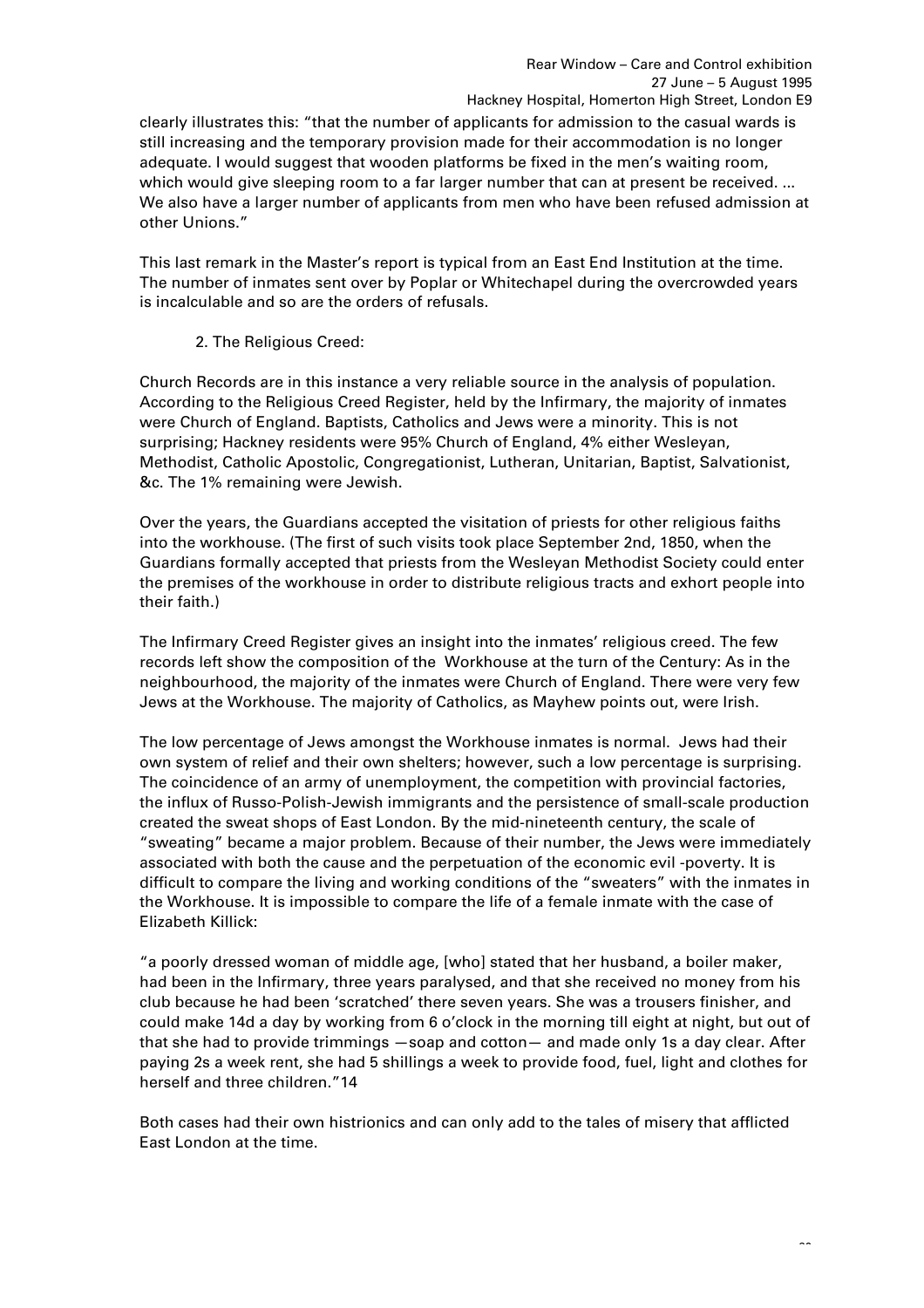clearly illustrates this: "that the number of applicants for admission to the casual wards is still increasing and the temporary provision made for their accommodation is no longer adequate. I would suggest that wooden platforms be fixed in the men's waiting room, which would give sleeping room to a far larger number that can at present be received. ... We also have a larger number of applicants from men who have been refused admission at other Unions."

This last remark in the Master's report is typical from an East End Institution at the time. The number of inmates sent over by Poplar or Whitechapel during the overcrowded years is incalculable and so are the orders of refusals.

2. The Religious Creed:

Church Records are in this instance a very reliable source in the analysis of population. According to the Religious Creed Register, held by the Infirmary, the majority of inmates were Church of England. Baptists, Catholics and Jews were a minority. This is not surprising; Hackney residents were 95% Church of England, 4% either Wesleyan, Methodist, Catholic Apostolic, Congregationist, Lutheran, Unitarian, Baptist, Salvationist, &c. The 1% remaining were Jewish.

Over the years, the Guardians accepted the visitation of priests for other religious faiths into the workhouse. (The first of such visits took place September 2nd, 1850, when the Guardians formally accepted that priests from the Wesleyan Methodist Society could enter the premises of the workhouse in order to distribute religious tracts and exhort people into their faith.)

The Infirmary Creed Register gives an insight into the inmates' religious creed. The few records left show the composition of the Workhouse at the turn of the Century: As in the neighbourhood, the majority of the inmates were Church of England. There were very few Jews at the Workhouse. The majority of Catholics, as Mayhew points out, were Irish.

The low percentage of Jews amongst the Workhouse inmates is normal. Jews had their own system of relief and their own shelters; however, such a low percentage is surprising. The coincidence of an army of unemployment, the competition with provincial factories, the influx of Russo-Polish-Jewish immigrants and the persistence of small-scale production created the sweat shops of East London. By the mid-nineteenth century, the scale of "sweating" became a major problem. Because of their number, the Jews were immediately associated with both the cause and the perpetuation of the economic evil -poverty. It is difficult to compare the living and working conditions of the "sweaters" with the inmates in the Workhouse. It is impossible to compare the life of a female inmate with the case of Elizabeth Killick:

"a poorly dressed woman of middle age, [who] stated that her husband, a boiler maker, had been in the Infirmary, three years paralysed, and that she received no money from his club because he had been 'scratched' there seven years. She was a trousers finisher, and could make 14d a day by working from 6 o'clock in the morning till eight at night, but out of that she had to provide trimmings —soap and cotton— and made only 1s a day clear. After paying 2s a week rent, she had 5 shillings a week to provide food, fuel, light and clothes for herself and three children."14

Both cases had their own histrionics and can only add to the tales of misery that afflicted East London at the time.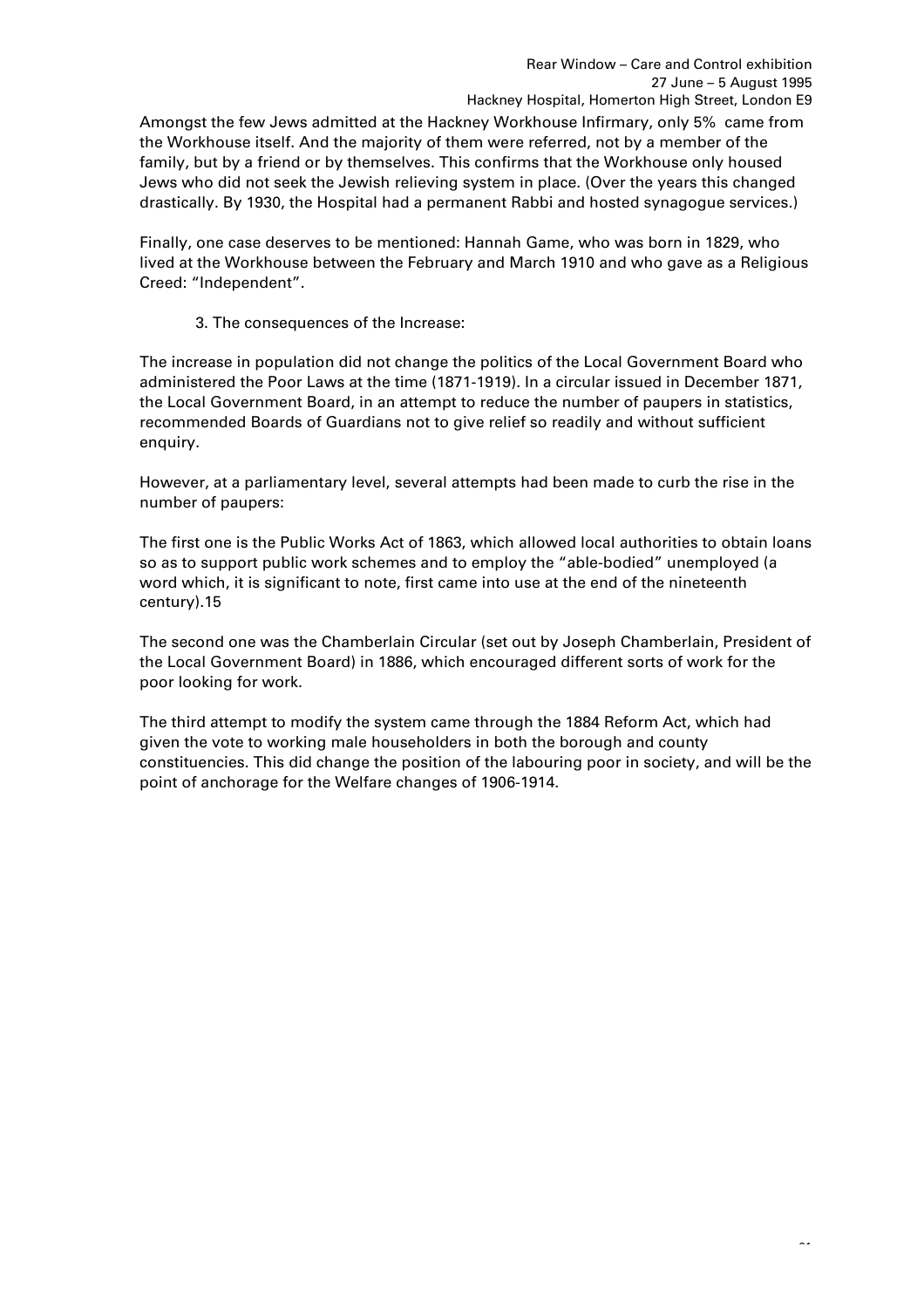Amongst the few Jews admitted at the Hackney Workhouse Infirmary, only 5% came from the Workhouse itself. And the majority of them were referred, not by a member of the family, but by a friend or by themselves. This confirms that the Workhouse only housed Jews who did not seek the Jewish relieving system in place. (Over the years this changed drastically. By 1930, the Hospital had a permanent Rabbi and hosted synagogue services.)

Finally, one case deserves to be mentioned: Hannah Game, who was born in 1829, who lived at the Workhouse between the February and March 1910 and who gave as a Religious Creed: "Independent".

3. The consequences of the Increase:

The increase in population did not change the politics of the Local Government Board who administered the Poor Laws at the time (1871-1919). In a circular issued in December 1871, the Local Government Board, in an attempt to reduce the number of paupers in statistics, recommended Boards of Guardians not to give relief so readily and without sufficient enquiry.

However, at a parliamentary level, several attempts had been made to curb the rise in the number of paupers:

The first one is the Public Works Act of 1863, which allowed local authorities to obtain loans so as to support public work schemes and to employ the "able-bodied" unemployed (a word which, it is significant to note, first came into use at the end of the nineteenth century).15

The second one was the Chamberlain Circular (set out by Joseph Chamberlain, President of the Local Government Board) in 1886, which encouraged different sorts of work for the poor looking for work.

The third attempt to modify the system came through the 1884 Reform Act, which had given the vote to working male householders in both the borough and county constituencies. This did change the position of the labouring poor in society, and will be the point of anchorage for the Welfare changes of 1906-1914.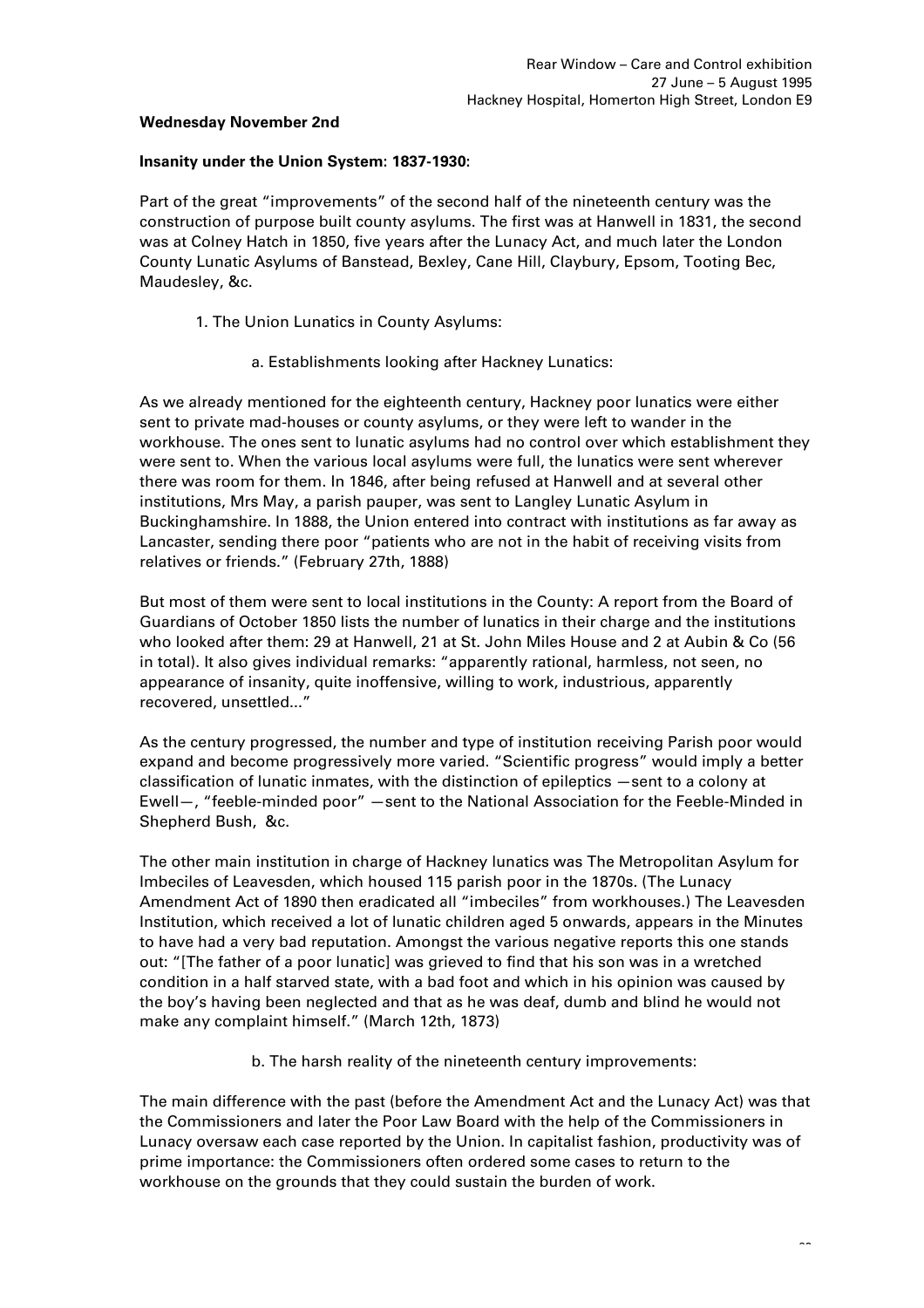#### **Wednesday November 2nd**

#### **Insanity under the Union System: 1837-1930:**

Part of the great "improvements" of the second half of the nineteenth century was the construction of purpose built county asylums. The first was at Hanwell in 1831, the second was at Colney Hatch in 1850, five years after the Lunacy Act, and much later the London County Lunatic Asylums of Banstead, Bexley, Cane Hill, Claybury, Epsom, Tooting Bec, Maudesley, &c.

- 1. The Union Lunatics in County Asylums:
	- a. Establishments looking after Hackney Lunatics:

As we already mentioned for the eighteenth century, Hackney poor lunatics were either sent to private mad-houses or county asylums, or they were left to wander in the workhouse. The ones sent to lunatic asylums had no control over which establishment they were sent to. When the various local asylums were full, the lunatics were sent wherever there was room for them. In 1846, after being refused at Hanwell and at several other institutions, Mrs May, a parish pauper, was sent to Langley Lunatic Asylum in Buckinghamshire. In 1888, the Union entered into contract with institutions as far away as Lancaster, sending there poor "patients who are not in the habit of receiving visits from relatives or friends." (February 27th, 1888)

But most of them were sent to local institutions in the County: A report from the Board of Guardians of October 1850 lists the number of lunatics in their charge and the institutions who looked after them: 29 at Hanwell, 21 at St. John Miles House and 2 at Aubin & Co (56 in total). It also gives individual remarks: "apparently rational, harmless, not seen, no appearance of insanity, quite inoffensive, willing to work, industrious, apparently recovered, unsettled..."

As the century progressed, the number and type of institution receiving Parish poor would expand and become progressively more varied. "Scientific progress" would imply a better classification of lunatic inmates, with the distinction of epileptics —sent to a colony at Ewell—, "feeble-minded poor" —sent to the National Association for the Feeble-Minded in Shepherd Bush, &c.

The other main institution in charge of Hackney lunatics was The Metropolitan Asylum for Imbeciles of Leavesden, which housed 115 parish poor in the 1870s. (The Lunacy Amendment Act of 1890 then eradicated all "imbeciles" from workhouses.) The Leavesden Institution, which received a lot of lunatic children aged 5 onwards, appears in the Minutes to have had a very bad reputation. Amongst the various negative reports this one stands out: "[The father of a poor lunatic] was grieved to find that his son was in a wretched condition in a half starved state, with a bad foot and which in his opinion was caused by the boy's having been neglected and that as he was deaf, dumb and blind he would not make any complaint himself." (March 12th, 1873)

b. The harsh reality of the nineteenth century improvements:

The main difference with the past (before the Amendment Act and the Lunacy Act) was that the Commissioners and later the Poor Law Board with the help of the Commissioners in Lunacy oversaw each case reported by the Union. In capitalist fashion, productivity was of prime importance: the Commissioners often ordered some cases to return to the workhouse on the grounds that they could sustain the burden of work.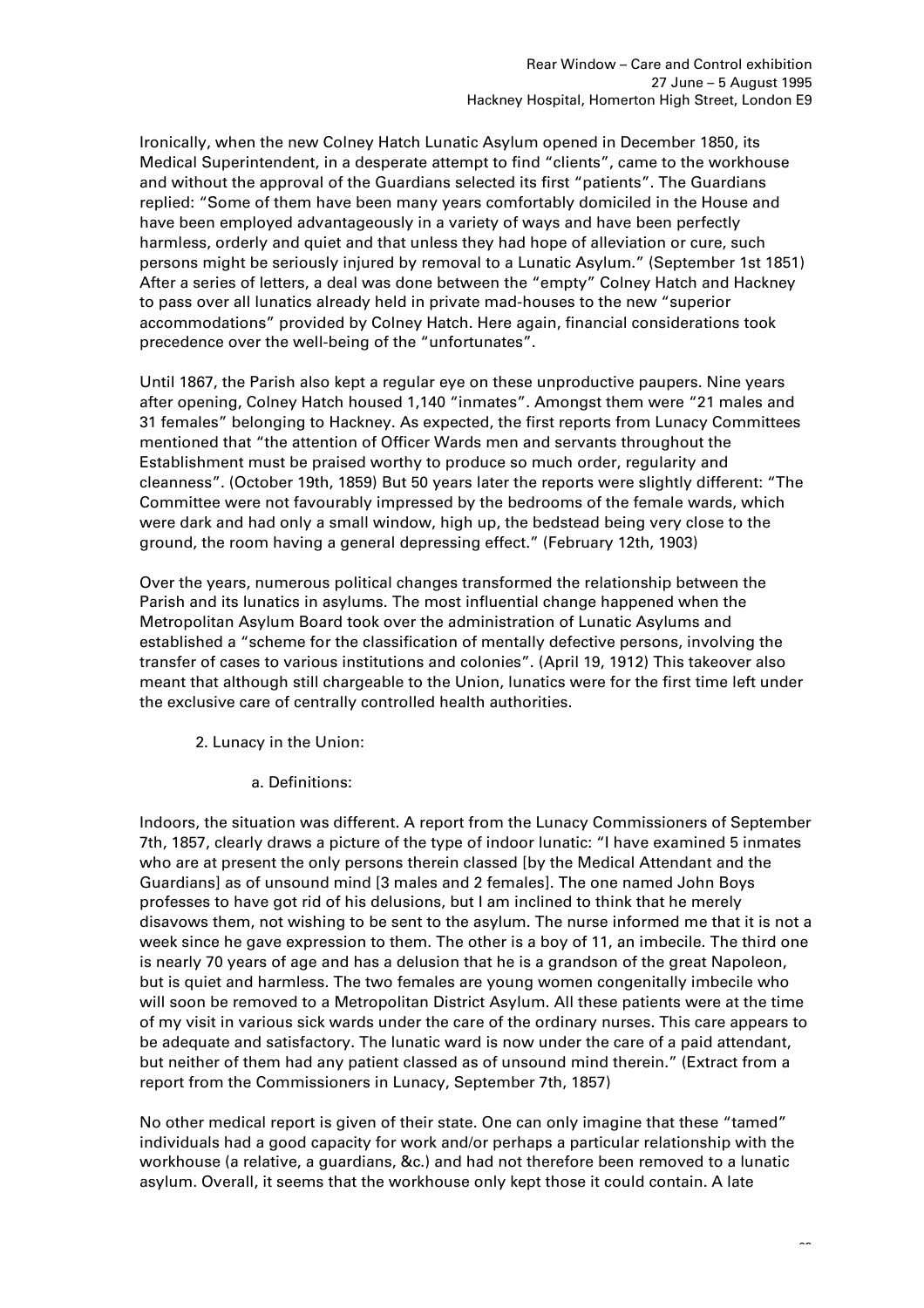Ironically, when the new Colney Hatch Lunatic Asylum opened in December 1850, its Medical Superintendent, in a desperate attempt to find "clients", came to the workhouse and without the approval of the Guardians selected its first "patients". The Guardians replied: "Some of them have been many years comfortably domiciled in the House and have been employed advantageously in a variety of ways and have been perfectly harmless, orderly and quiet and that unless they had hope of alleviation or cure, such persons might be seriously injured by removal to a Lunatic Asylum." (September 1st 1851) After a series of letters, a deal was done between the "empty" Colney Hatch and Hackney to pass over all lunatics already held in private mad-houses to the new "superior accommodations" provided by Colney Hatch. Here again, financial considerations took precedence over the well-being of the "unfortunates".

Until 1867, the Parish also kept a regular eye on these unproductive paupers. Nine years after opening, Colney Hatch housed 1,140 "inmates". Amongst them were "21 males and 31 females" belonging to Hackney. As expected, the first reports from Lunacy Committees mentioned that "the attention of Officer Wards men and servants throughout the Establishment must be praised worthy to produce so much order, regularity and cleanness". (October 19th, 1859) But 50 years later the reports were slightly different: "The Committee were not favourably impressed by the bedrooms of the female wards, which were dark and had only a small window, high up, the bedstead being very close to the ground, the room having a general depressing effect." (February 12th, 1903)

Over the years, numerous political changes transformed the relationship between the Parish and its lunatics in asylums. The most influential change happened when the Metropolitan Asylum Board took over the administration of Lunatic Asylums and established a "scheme for the classification of mentally defective persons, involving the transfer of cases to various institutions and colonies". (April 19, 1912) This takeover also meant that although still chargeable to the Union, lunatics were for the first time left under the exclusive care of centrally controlled health authorities.

- 2. Lunacy in the Union:
	- a. Definitions:

Indoors, the situation was different. A report from the Lunacy Commissioners of September 7th, 1857, clearly draws a picture of the type of indoor lunatic: "I have examined 5 inmates who are at present the only persons therein classed [by the Medical Attendant and the Guardians] as of unsound mind [3 males and 2 females]. The one named John Boys professes to have got rid of his delusions, but I am inclined to think that he merely disavows them, not wishing to be sent to the asylum. The nurse informed me that it is not a week since he gave expression to them. The other is a boy of 11, an imbecile. The third one is nearly 70 years of age and has a delusion that he is a grandson of the great Napoleon, but is quiet and harmless. The two females are young women congenitally imbecile who will soon be removed to a Metropolitan District Asylum. All these patients were at the time of my visit in various sick wards under the care of the ordinary nurses. This care appears to be adequate and satisfactory. The lunatic ward is now under the care of a paid attendant, but neither of them had any patient classed as of unsound mind therein." (Extract from a report from the Commissioners in Lunacy, September 7th, 1857)

No other medical report is given of their state. One can only imagine that these "tamed" individuals had a good capacity for work and/or perhaps a particular relationship with the workhouse (a relative, a guardians, &c.) and had not therefore been removed to a lunatic asylum. Overall, it seems that the workhouse only kept those it could contain. A late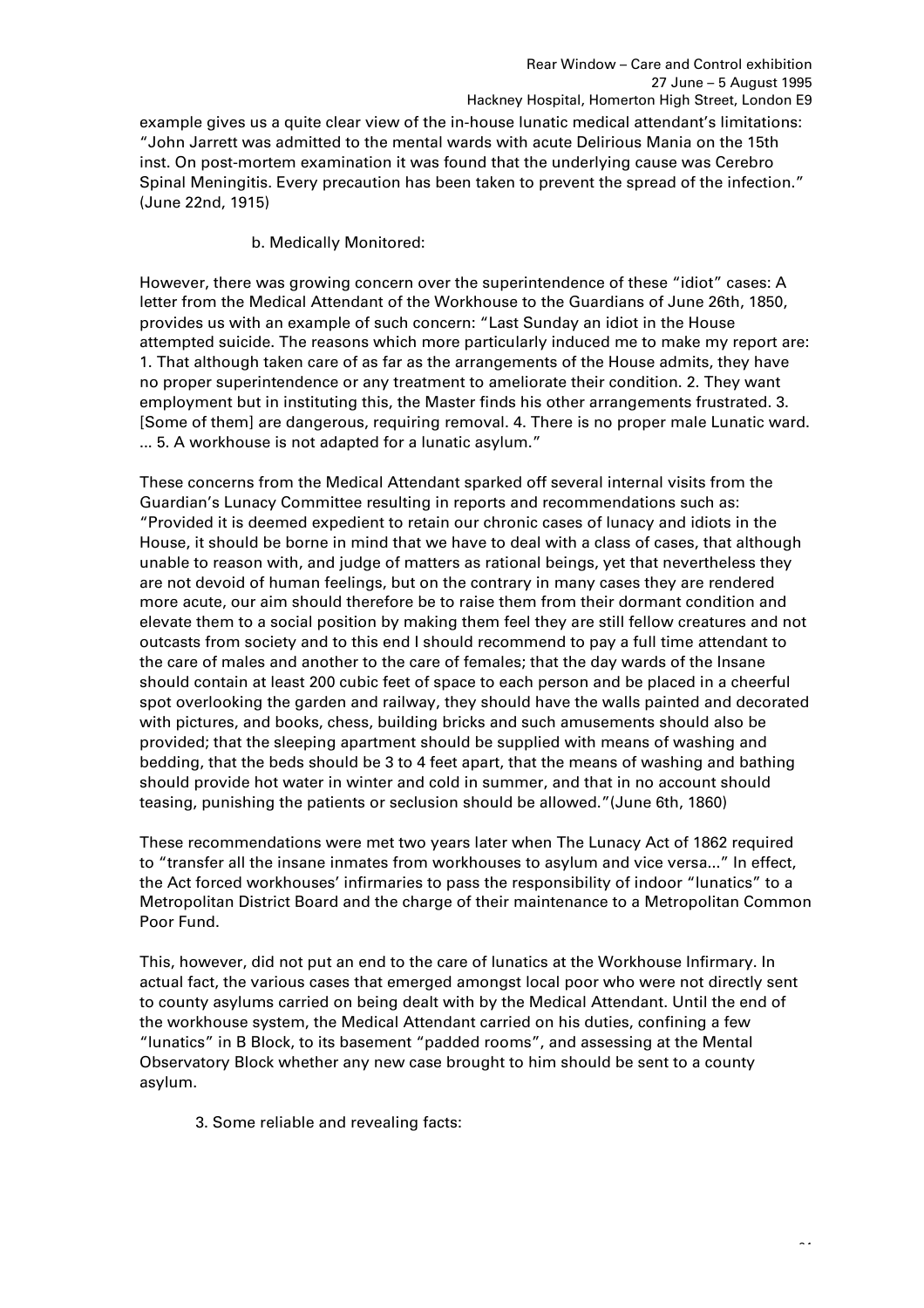example gives us a quite clear view of the in-house lunatic medical attendant's limitations: "John Jarrett was admitted to the mental wards with acute Delirious Mania on the 15th inst. On post-mortem examination it was found that the underlying cause was Cerebro Spinal Meningitis. Every precaution has been taken to prevent the spread of the infection." (June 22nd, 1915)

b. Medically Monitored:

However, there was growing concern over the superintendence of these "idiot" cases: A letter from the Medical Attendant of the Workhouse to the Guardians of June 26th, 1850, provides us with an example of such concern: "Last Sunday an idiot in the House attempted suicide. The reasons which more particularly induced me to make my report are: 1. That although taken care of as far as the arrangements of the House admits, they have no proper superintendence or any treatment to ameliorate their condition. 2. They want employment but in instituting this, the Master finds his other arrangements frustrated. 3. [Some of them] are dangerous, requiring removal. 4. There is no proper male Lunatic ward. ... 5. A workhouse is not adapted for a lunatic asylum."

These concerns from the Medical Attendant sparked off several internal visits from the Guardian's Lunacy Committee resulting in reports and recommendations such as: "Provided it is deemed expedient to retain our chronic cases of lunacy and idiots in the House, it should be borne in mind that we have to deal with a class of cases, that although unable to reason with, and judge of matters as rational beings, yet that nevertheless they are not devoid of human feelings, but on the contrary in many cases they are rendered more acute, our aim should therefore be to raise them from their dormant condition and elevate them to a social position by making them feel they are still fellow creatures and not outcasts from society and to this end I should recommend to pay a full time attendant to the care of males and another to the care of females; that the day wards of the Insane should contain at least 200 cubic feet of space to each person and be placed in a cheerful spot overlooking the garden and railway, they should have the walls painted and decorated with pictures, and books, chess, building bricks and such amusements should also be provided; that the sleeping apartment should be supplied with means of washing and bedding, that the beds should be 3 to 4 feet apart, that the means of washing and bathing should provide hot water in winter and cold in summer, and that in no account should teasing, punishing the patients or seclusion should be allowed."(June 6th, 1860)

These recommendations were met two years later when The Lunacy Act of 1862 required to "transfer all the insane inmates from workhouses to asylum and vice versa..." In effect, the Act forced workhouses' infirmaries to pass the responsibility of indoor "lunatics" to a Metropolitan District Board and the charge of their maintenance to a Metropolitan Common Poor Fund.

This, however, did not put an end to the care of lunatics at the Workhouse Infirmary. In actual fact, the various cases that emerged amongst local poor who were not directly sent to county asylums carried on being dealt with by the Medical Attendant. Until the end of the workhouse system, the Medical Attendant carried on his duties, confining a few "lunatics" in B Block, to its basement "padded rooms", and assessing at the Mental Observatory Block whether any new case brought to him should be sent to a county asylum.

3. Some reliable and revealing facts: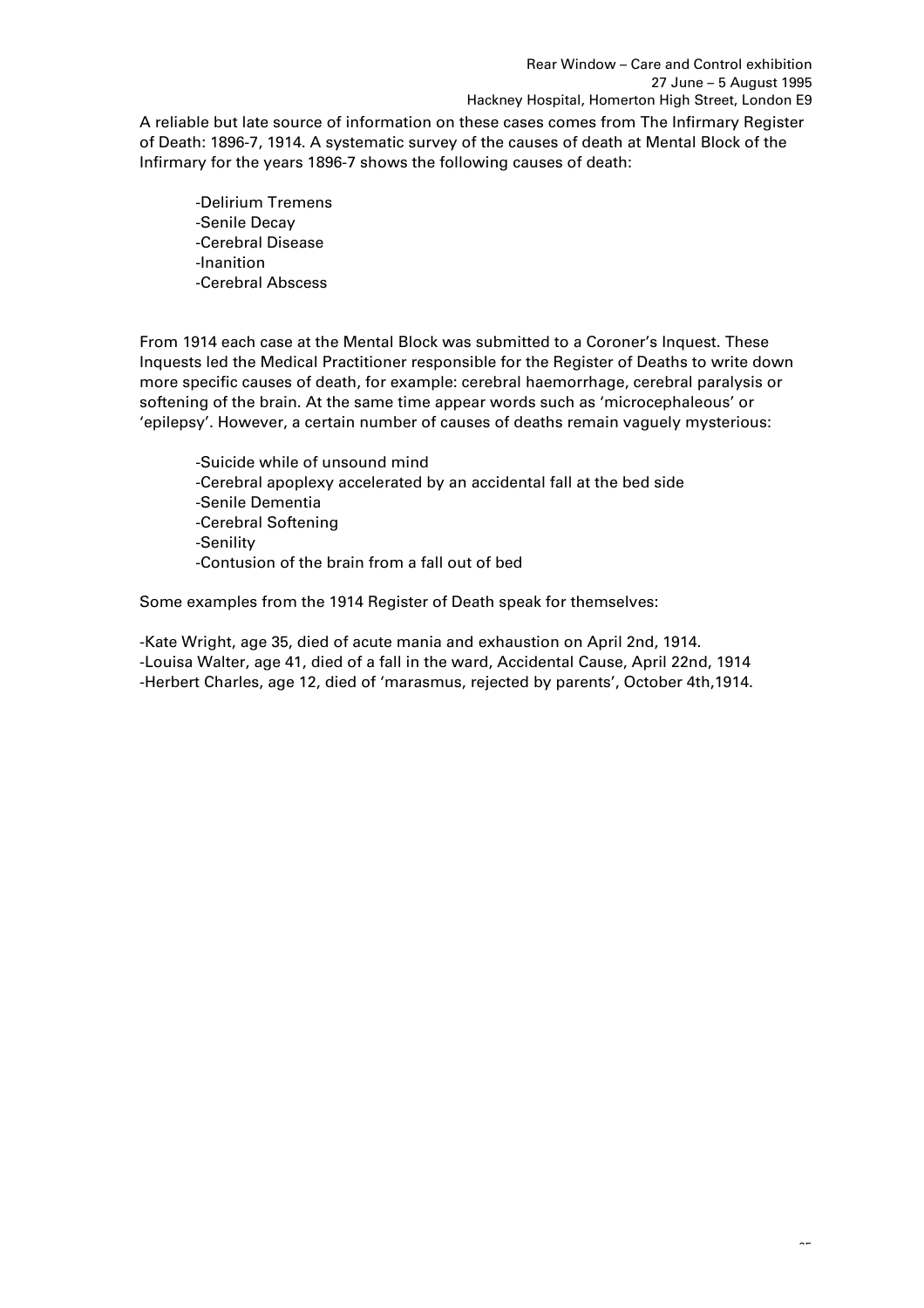A reliable but late source of information on these cases comes from The Infirmary Register of Death: 1896-7, 1914. A systematic survey of the causes of death at Mental Block of the Infirmary for the years 1896-7 shows the following causes of death:

-Delirium Tremens -Senile Decay -Cerebral Disease -Inanition -Cerebral Abscess

From 1914 each case at the Mental Block was submitted to a Coroner's Inquest. These Inquests led the Medical Practitioner responsible for the Register of Deaths to write down more specific causes of death, for example: cerebral haemorrhage, cerebral paralysis or softening of the brain. At the same time appear words such as 'microcephaleous' or 'epilepsy'. However, a certain number of causes of deaths remain vaguely mysterious:

-Suicide while of unsound mind -Cerebral apoplexy accelerated by an accidental fall at the bed side -Senile Dementia -Cerebral Softening -Senility -Contusion of the brain from a fall out of bed

Some examples from the 1914 Register of Death speak for themselves:

-Kate Wright, age 35, died of acute mania and exhaustion on April 2nd, 1914. -Louisa Walter, age 41, died of a fall in the ward, Accidental Cause, April 22nd, 1914 -Herbert Charles, age 12, died of 'marasmus, rejected by parents', October 4th,1914.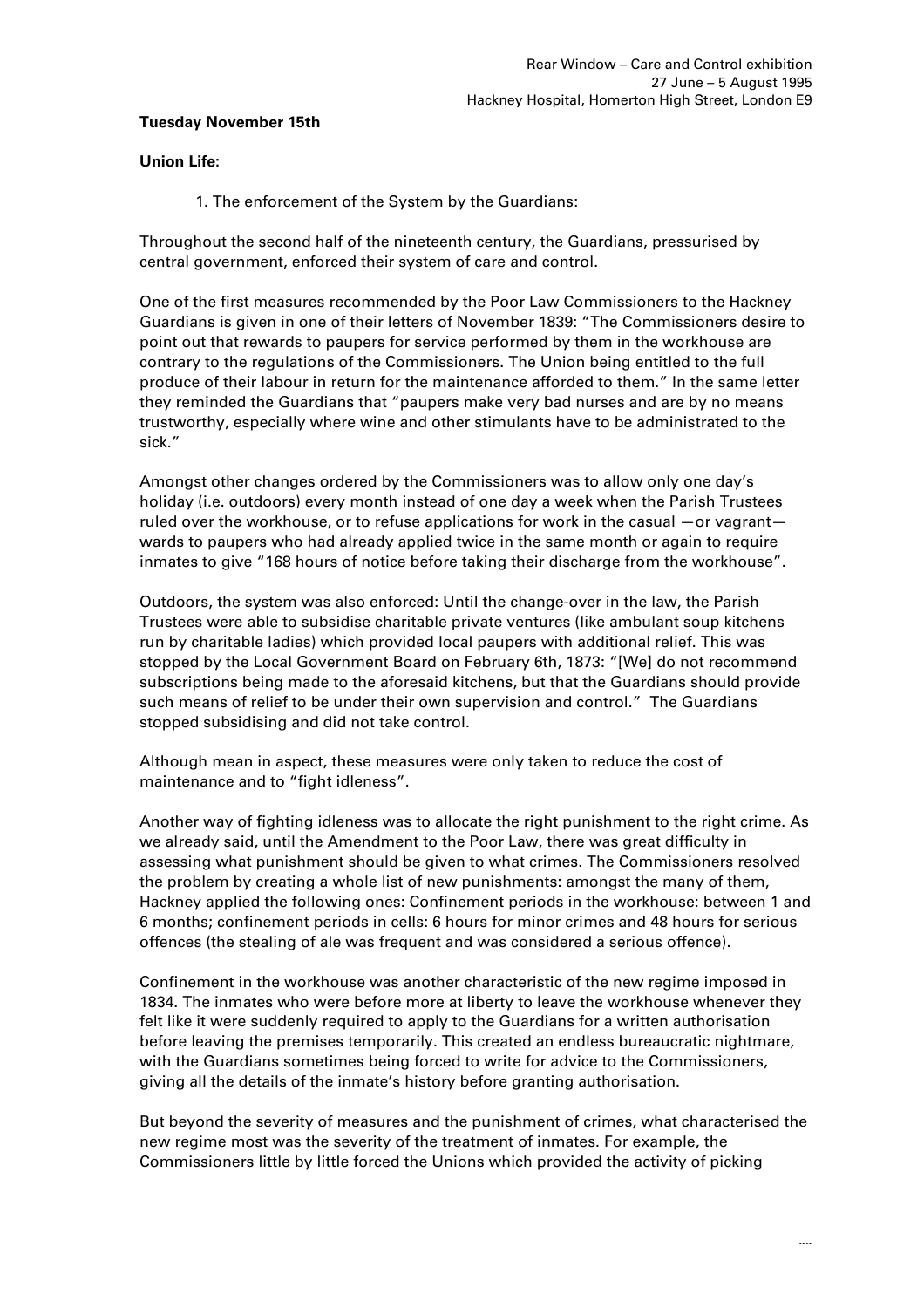# **Tuesday November 15th**

# **Union Life:**

1. The enforcement of the System by the Guardians:

Throughout the second half of the nineteenth century, the Guardians, pressurised by central government, enforced their system of care and control.

One of the first measures recommended by the Poor Law Commissioners to the Hackney Guardians is given in one of their letters of November 1839: "The Commissioners desire to point out that rewards to paupers for service performed by them in the workhouse are contrary to the regulations of the Commissioners. The Union being entitled to the full produce of their labour in return for the maintenance afforded to them." In the same letter they reminded the Guardians that "paupers make very bad nurses and are by no means trustworthy, especially where wine and other stimulants have to be administrated to the sick."

Amongst other changes ordered by the Commissioners was to allow only one day's holiday (i.e. outdoors) every month instead of one day a week when the Parish Trustees ruled over the workhouse, or to refuse applications for work in the casual —or vagrant wards to paupers who had already applied twice in the same month or again to require inmates to give "168 hours of notice before taking their discharge from the workhouse".

Outdoors, the system was also enforced: Until the change-over in the law, the Parish Trustees were able to subsidise charitable private ventures (like ambulant soup kitchens run by charitable ladies) which provided local paupers with additional relief. This was stopped by the Local Government Board on February 6th, 1873: "[We] do not recommend subscriptions being made to the aforesaid kitchens, but that the Guardians should provide such means of relief to be under their own supervision and control." The Guardians stopped subsidising and did not take control.

Although mean in aspect, these measures were only taken to reduce the cost of maintenance and to "fight idleness".

Another way of fighting idleness was to allocate the right punishment to the right crime. As we already said, until the Amendment to the Poor Law, there was great difficulty in assessing what punishment should be given to what crimes. The Commissioners resolved the problem by creating a whole list of new punishments: amongst the many of them, Hackney applied the following ones: Confinement periods in the workhouse: between 1 and 6 months; confinement periods in cells: 6 hours for minor crimes and 48 hours for serious offences (the stealing of ale was frequent and was considered a serious offence).

Confinement in the workhouse was another characteristic of the new regime imposed in 1834. The inmates who were before more at liberty to leave the workhouse whenever they felt like it were suddenly required to apply to the Guardians for a written authorisation before leaving the premises temporarily. This created an endless bureaucratic nightmare, with the Guardians sometimes being forced to write for advice to the Commissioners, giving all the details of the inmate's history before granting authorisation.

But beyond the severity of measures and the punishment of crimes, what characterised the new regime most was the severity of the treatment of inmates. For example, the Commissioners little by little forced the Unions which provided the activity of picking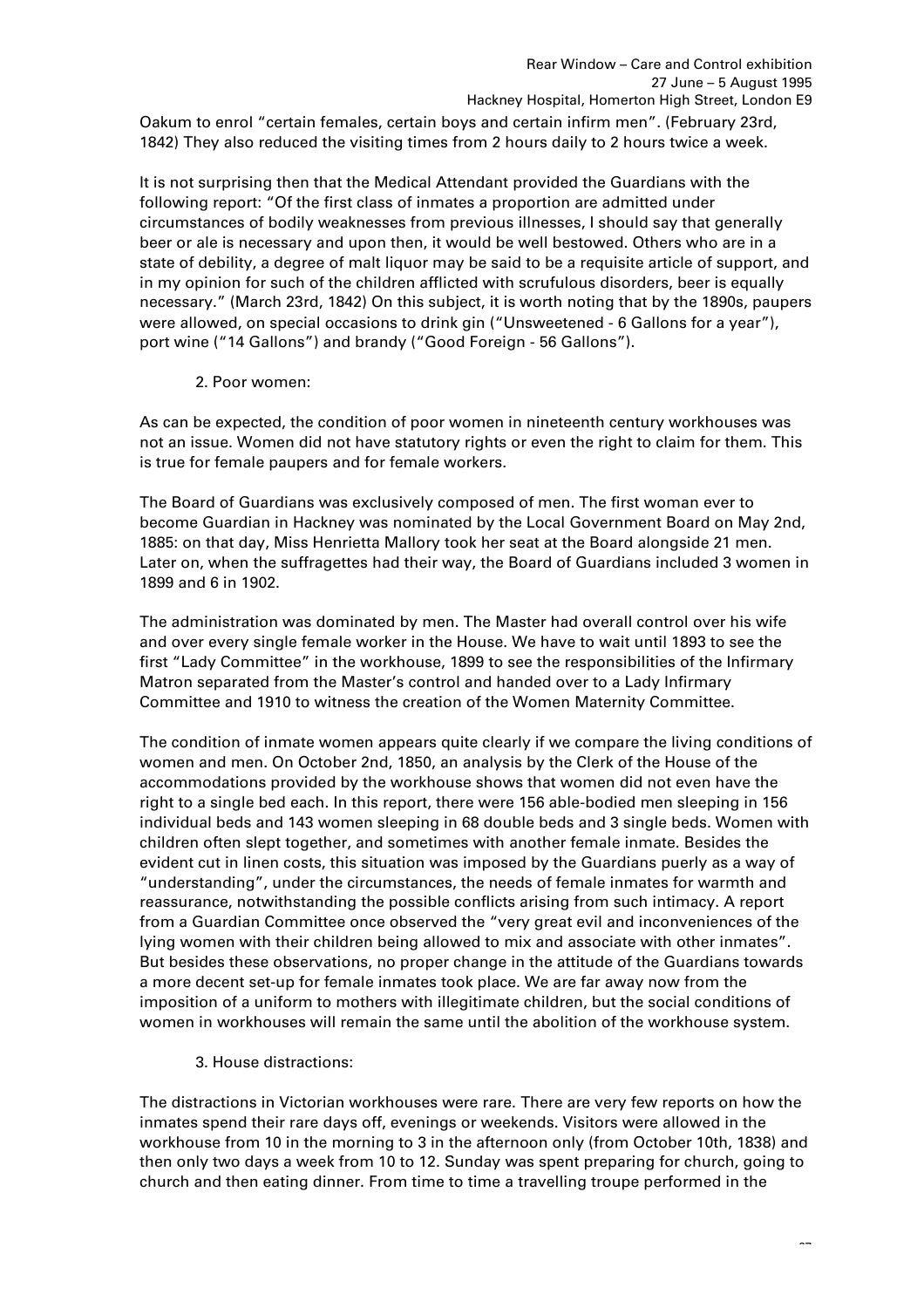Oakum to enrol "certain females, certain boys and certain infirm men". (February 23rd, 1842) They also reduced the visiting times from 2 hours daily to 2 hours twice a week.

It is not surprising then that the Medical Attendant provided the Guardians with the following report: "Of the first class of inmates a proportion are admitted under circumstances of bodily weaknesses from previous illnesses, I should say that generally beer or ale is necessary and upon then, it would be well bestowed. Others who are in a state of debility, a degree of malt liquor may be said to be a requisite article of support, and in my opinion for such of the children afflicted with scrufulous disorders, beer is equally necessary." (March 23rd, 1842) On this subject, it is worth noting that by the 1890s, paupers were allowed, on special occasions to drink gin ("Unsweetened - 6 Gallons for a year"), port wine ("14 Gallons") and brandy ("Good Foreign - 56 Gallons").

# 2. Poor women:

As can be expected, the condition of poor women in nineteenth century workhouses was not an issue. Women did not have statutory rights or even the right to claim for them. This is true for female paupers and for female workers.

The Board of Guardians was exclusively composed of men. The first woman ever to become Guardian in Hackney was nominated by the Local Government Board on May 2nd, 1885: on that day, Miss Henrietta Mallory took her seat at the Board alongside 21 men. Later on, when the suffragettes had their way, the Board of Guardians included 3 women in 1899 and 6 in 1902.

The administration was dominated by men. The Master had overall control over his wife and over every single female worker in the House. We have to wait until 1893 to see the first "Lady Committee" in the workhouse, 1899 to see the responsibilities of the Infirmary Matron separated from the Master's control and handed over to a Lady Infirmary Committee and 1910 to witness the creation of the Women Maternity Committee.

The condition of inmate women appears quite clearly if we compare the living conditions of women and men. On October 2nd, 1850, an analysis by the Clerk of the House of the accommodations provided by the workhouse shows that women did not even have the right to a single bed each. In this report, there were 156 able-bodied men sleeping in 156 individual beds and 143 women sleeping in 68 double beds and 3 single beds. Women with children often slept together, and sometimes with another female inmate. Besides the evident cut in linen costs, this situation was imposed by the Guardians puerly as a way of "understanding", under the circumstances, the needs of female inmates for warmth and reassurance, notwithstanding the possible conflicts arising from such intimacy. A report from a Guardian Committee once observed the "very great evil and inconveniences of the lying women with their children being allowed to mix and associate with other inmates". But besides these observations, no proper change in the attitude of the Guardians towards a more decent set-up for female inmates took place. We are far away now from the imposition of a uniform to mothers with illegitimate children, but the social conditions of women in workhouses will remain the same until the abolition of the workhouse system.

# 3. House distractions:

The distractions in Victorian workhouses were rare. There are very few reports on how the inmates spend their rare days off, evenings or weekends. Visitors were allowed in the workhouse from 10 in the morning to 3 in the afternoon only (from October 10th, 1838) and then only two days a week from 10 to 12. Sunday was spent preparing for church, going to church and then eating dinner. From time to time a travelling troupe performed in the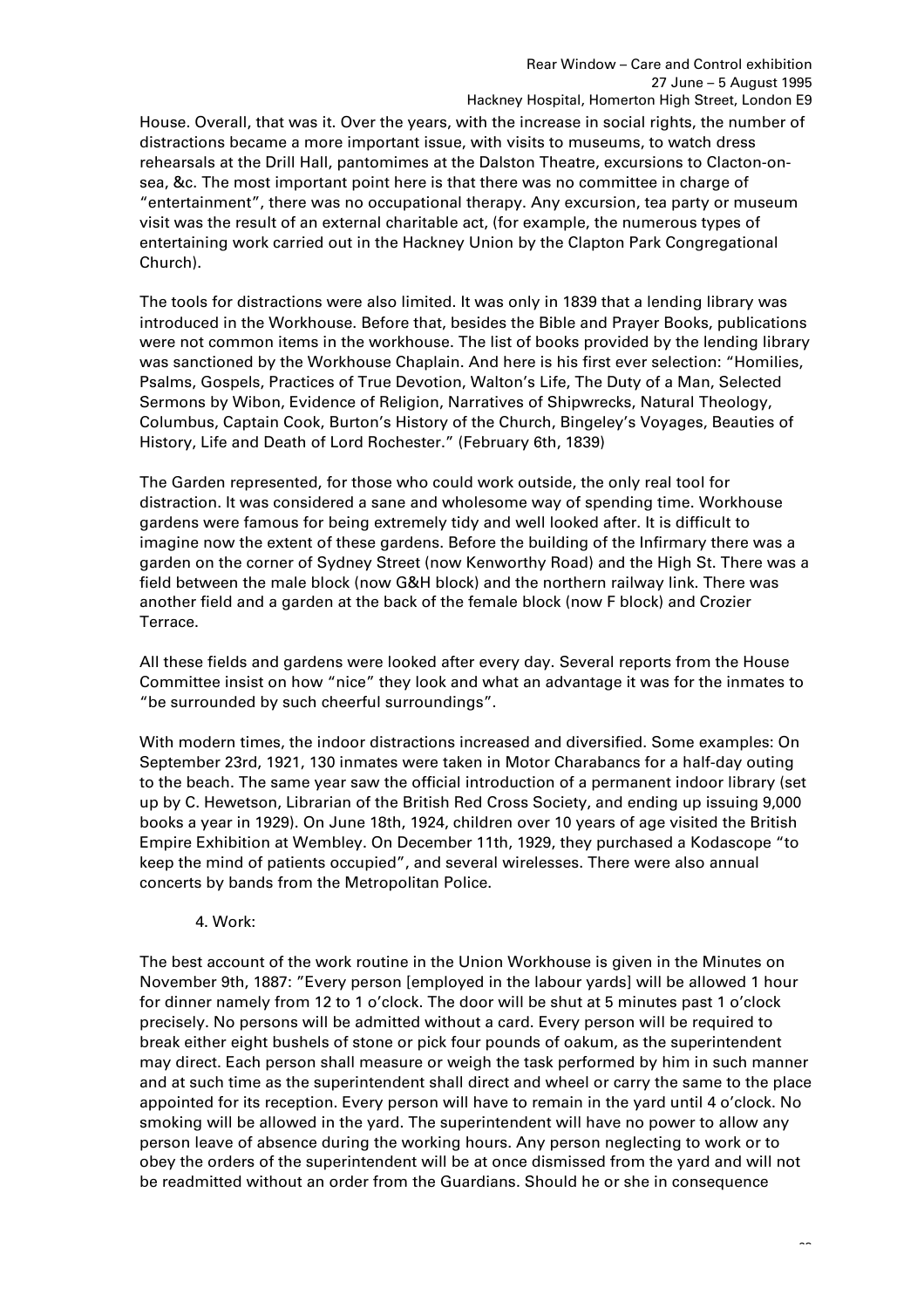House. Overall, that was it. Over the years, with the increase in social rights, the number of distractions became a more important issue, with visits to museums, to watch dress rehearsals at the Drill Hall, pantomimes at the Dalston Theatre, excursions to Clacton-onsea, &c. The most important point here is that there was no committee in charge of "entertainment", there was no occupational therapy. Any excursion, tea party or museum visit was the result of an external charitable act, (for example, the numerous types of entertaining work carried out in the Hackney Union by the Clapton Park Congregational Church).

The tools for distractions were also limited. It was only in 1839 that a lending library was introduced in the Workhouse. Before that, besides the Bible and Prayer Books, publications were not common items in the workhouse. The list of books provided by the lending library was sanctioned by the Workhouse Chaplain. And here is his first ever selection: "Homilies, Psalms, Gospels, Practices of True Devotion, Walton's Life, The Duty of a Man, Selected Sermons by Wibon, Evidence of Religion, Narratives of Shipwrecks, Natural Theology, Columbus, Captain Cook, Burton's History of the Church, Bingeley's Voyages, Beauties of History, Life and Death of Lord Rochester." (February 6th, 1839)

The Garden represented, for those who could work outside, the only real tool for distraction. It was considered a sane and wholesome way of spending time. Workhouse gardens were famous for being extremely tidy and well looked after. It is difficult to imagine now the extent of these gardens. Before the building of the Infirmary there was a garden on the corner of Sydney Street (now Kenworthy Road) and the High St. There was a field between the male block (now G&H block) and the northern railway link. There was another field and a garden at the back of the female block (now F block) and Crozier Terrace.

All these fields and gardens were looked after every day. Several reports from the House Committee insist on how "nice" they look and what an advantage it was for the inmates to "be surrounded by such cheerful surroundings".

With modern times, the indoor distractions increased and diversified. Some examples: On September 23rd, 1921, 130 inmates were taken in Motor Charabancs for a half-day outing to the beach. The same year saw the official introduction of a permanent indoor library (set up by C. Hewetson, Librarian of the British Red Cross Society, and ending up issuing 9,000 books a year in 1929). On June 18th, 1924, children over 10 years of age visited the British Empire Exhibition at Wembley. On December 11th, 1929, they purchased a Kodascope "to keep the mind of patients occupied", and several wirelesses. There were also annual concerts by bands from the Metropolitan Police.

# 4. Work:

The best account of the work routine in the Union Workhouse is given in the Minutes on November 9th, 1887: "Every person [employed in the labour yards] will be allowed 1 hour for dinner namely from 12 to 1 o'clock. The door will be shut at 5 minutes past 1 o'clock precisely. No persons will be admitted without a card. Every person will be required to break either eight bushels of stone or pick four pounds of oakum, as the superintendent may direct. Each person shall measure or weigh the task performed by him in such manner and at such time as the superintendent shall direct and wheel or carry the same to the place appointed for its reception. Every person will have to remain in the yard until 4 o'clock. No smoking will be allowed in the yard. The superintendent will have no power to allow any person leave of absence during the working hours. Any person neglecting to work or to obey the orders of the superintendent will be at once dismissed from the yard and will not be readmitted without an order from the Guardians. Should he or she in consequence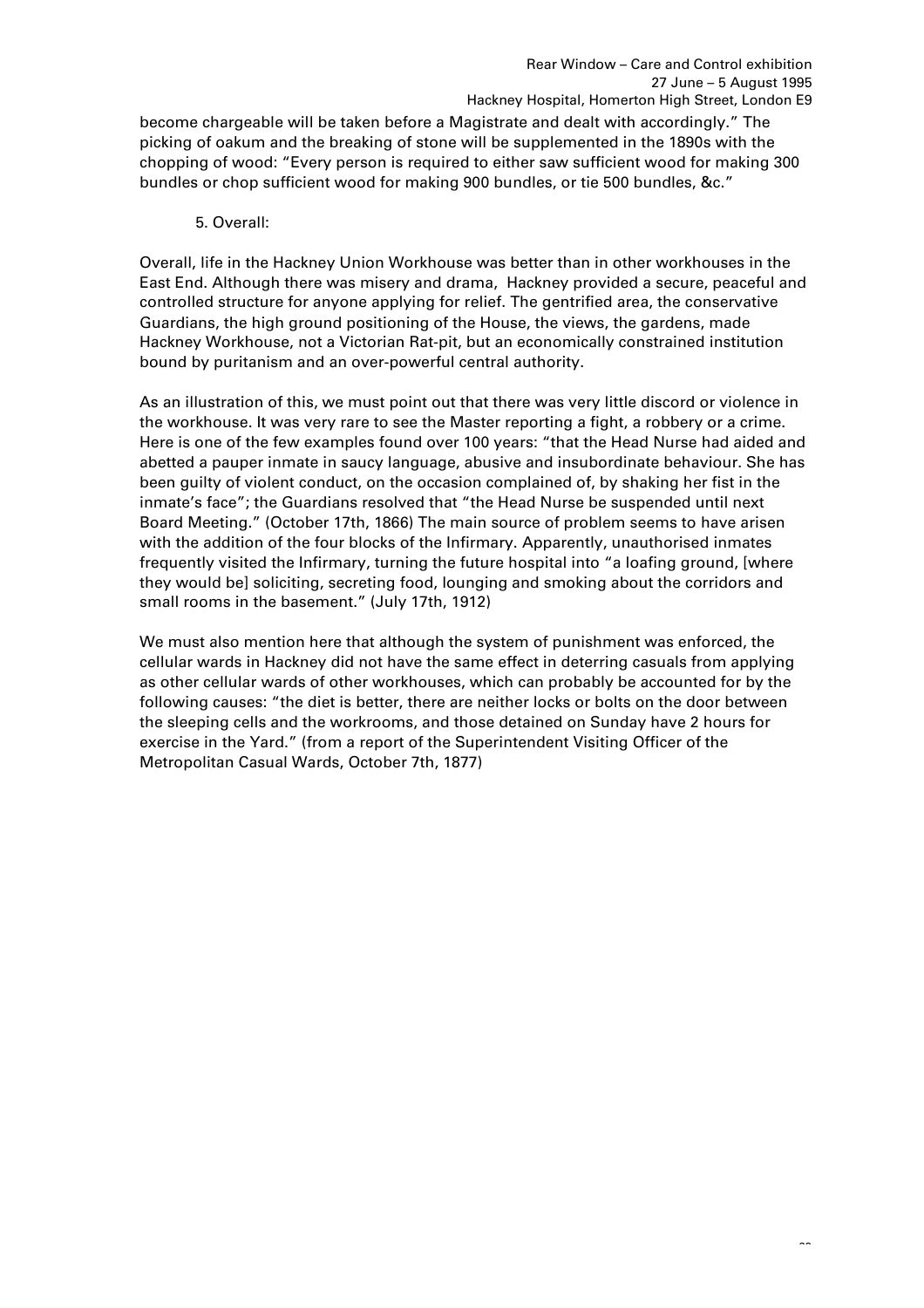become chargeable will be taken before a Magistrate and dealt with accordingly." The picking of oakum and the breaking of stone will be supplemented in the 1890s with the chopping of wood: "Every person is required to either saw sufficient wood for making 300 bundles or chop sufficient wood for making 900 bundles, or tie 500 bundles, &c."

5. Overall:

Overall, life in the Hackney Union Workhouse was better than in other workhouses in the East End. Although there was misery and drama, Hackney provided a secure, peaceful and controlled structure for anyone applying for relief. The gentrified area, the conservative Guardians, the high ground positioning of the House, the views, the gardens, made Hackney Workhouse, not a Victorian Rat-pit, but an economically constrained institution bound by puritanism and an over-powerful central authority.

As an illustration of this, we must point out that there was very little discord or violence in the workhouse. It was very rare to see the Master reporting a fight, a robbery or a crime. Here is one of the few examples found over 100 years: "that the Head Nurse had aided and abetted a pauper inmate in saucy language, abusive and insubordinate behaviour. She has been guilty of violent conduct, on the occasion complained of, by shaking her fist in the inmate's face"; the Guardians resolved that "the Head Nurse be suspended until next Board Meeting." (October 17th, 1866) The main source of problem seems to have arisen with the addition of the four blocks of the Infirmary. Apparently, unauthorised inmates frequently visited the Infirmary, turning the future hospital into "a loafing ground, [where they would be] soliciting, secreting food, lounging and smoking about the corridors and small rooms in the basement." (July 17th, 1912)

We must also mention here that although the system of punishment was enforced, the cellular wards in Hackney did not have the same effect in deterring casuals from applying as other cellular wards of other workhouses, which can probably be accounted for by the following causes: "the diet is better, there are neither locks or bolts on the door between the sleeping cells and the workrooms, and those detained on Sunday have 2 hours for exercise in the Yard." (from a report of the Superintendent Visiting Officer of the Metropolitan Casual Wards, October 7th, 1877)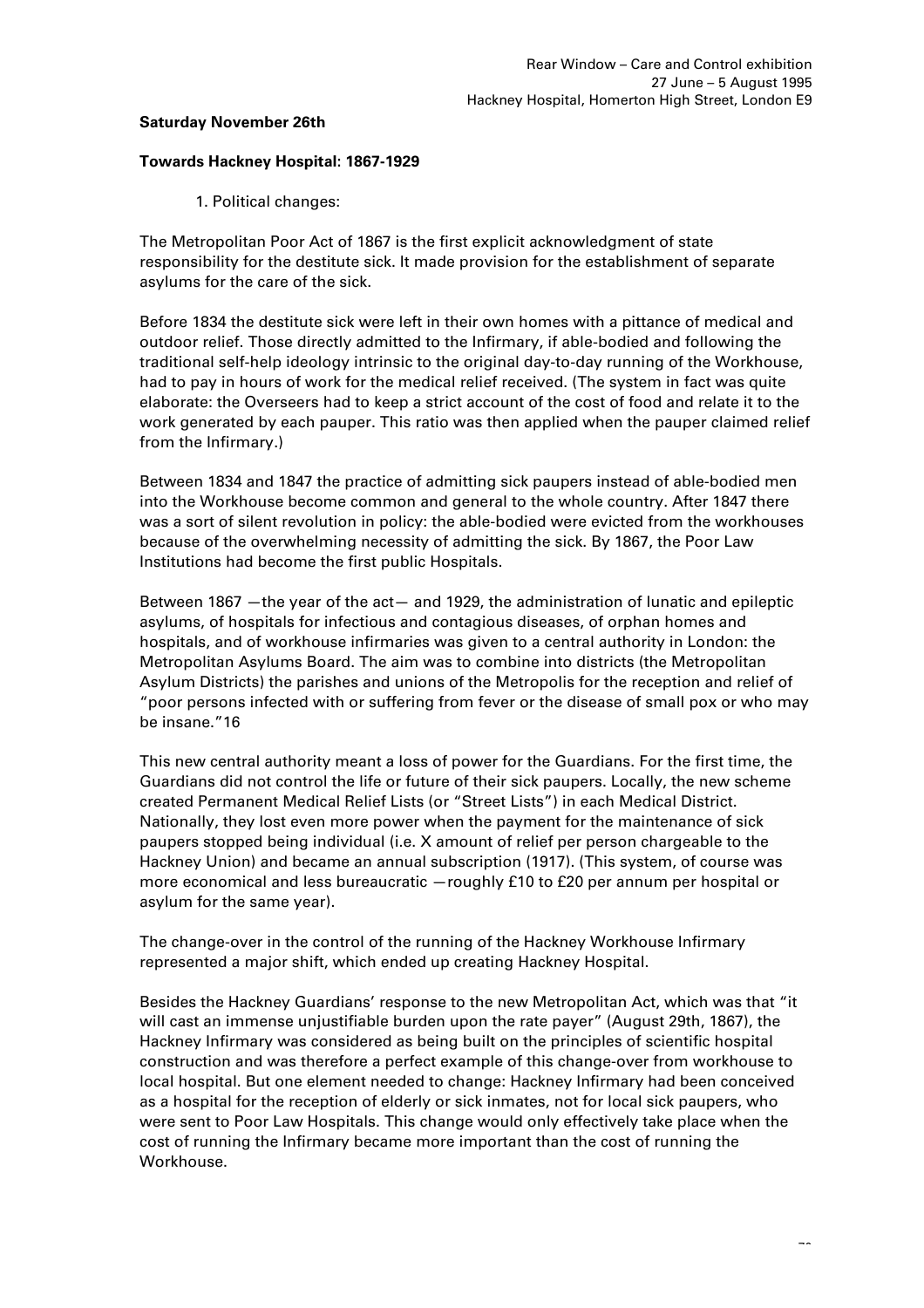### **Saturday November 26th**

#### **Towards Hackney Hospital: 1867-1929**

1. Political changes:

The Metropolitan Poor Act of 1867 is the first explicit acknowledgment of state responsibility for the destitute sick. It made provision for the establishment of separate asylums for the care of the sick.

Before 1834 the destitute sick were left in their own homes with a pittance of medical and outdoor relief. Those directly admitted to the Infirmary, if able-bodied and following the traditional self-help ideology intrinsic to the original day-to-day running of the Workhouse, had to pay in hours of work for the medical relief received. (The system in fact was quite elaborate: the Overseers had to keep a strict account of the cost of food and relate it to the work generated by each pauper. This ratio was then applied when the pauper claimed relief from the Infirmary.)

Between 1834 and 1847 the practice of admitting sick paupers instead of able-bodied men into the Workhouse become common and general to the whole country. After 1847 there was a sort of silent revolution in policy: the able-bodied were evicted from the workhouses because of the overwhelming necessity of admitting the sick. By 1867, the Poor Law Institutions had become the first public Hospitals.

Between 1867 —the year of the act— and 1929, the administration of lunatic and epileptic asylums, of hospitals for infectious and contagious diseases, of orphan homes and hospitals, and of workhouse infirmaries was given to a central authority in London: the Metropolitan Asylums Board. The aim was to combine into districts (the Metropolitan Asylum Districts) the parishes and unions of the Metropolis for the reception and relief of "poor persons infected with or suffering from fever or the disease of small pox or who may be insane."16

This new central authority meant a loss of power for the Guardians. For the first time, the Guardians did not control the life or future of their sick paupers. Locally, the new scheme created Permanent Medical Relief Lists (or "Street Lists") in each Medical District. Nationally, they lost even more power when the payment for the maintenance of sick paupers stopped being individual (i.e. X amount of relief per person chargeable to the Hackney Union) and became an annual subscription (1917). (This system, of course was more economical and less bureaucratic —roughly £10 to £20 per annum per hospital or asylum for the same year).

The change-over in the control of the running of the Hackney Workhouse Infirmary represented a major shift, which ended up creating Hackney Hospital.

Besides the Hackney Guardians' response to the new Metropolitan Act, which was that "it will cast an immense unjustifiable burden upon the rate payer" (August 29th, 1867), the Hackney Infirmary was considered as being built on the principles of scientific hospital construction and was therefore a perfect example of this change-over from workhouse to local hospital. But one element needed to change: Hackney Infirmary had been conceived as a hospital for the reception of elderly or sick inmates, not for local sick paupers, who were sent to Poor Law Hospitals. This change would only effectively take place when the cost of running the Infirmary became more important than the cost of running the Workhouse.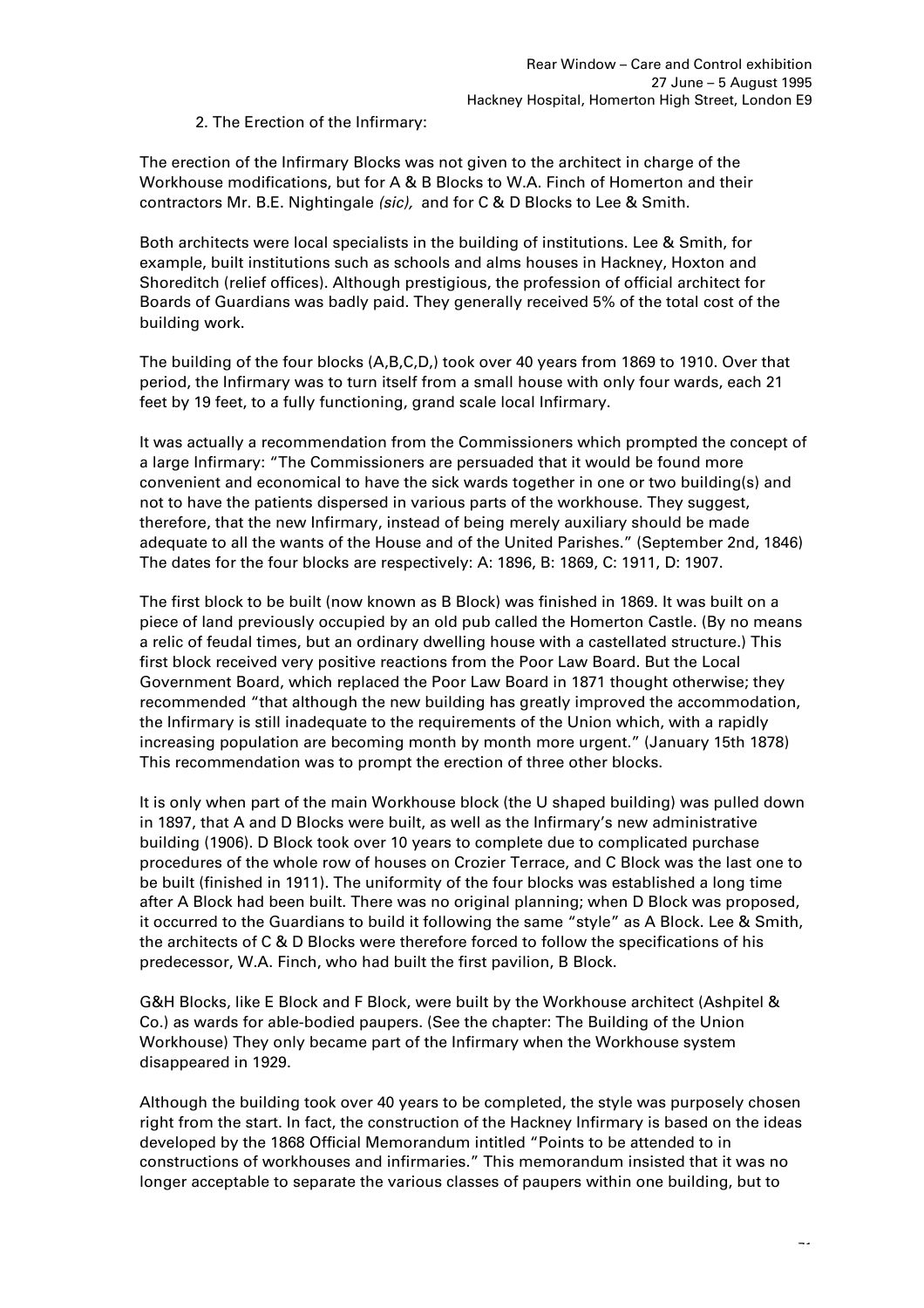2. The Erection of the Infirmary:

The erection of the Infirmary Blocks was not given to the architect in charge of the Workhouse modifications, but for A & B Blocks to W.A. Finch of Homerton and their contractors Mr. B.E. Nightingale *(sic),* and for C & D Blocks to Lee & Smith.

Both architects were local specialists in the building of institutions. Lee & Smith, for example, built institutions such as schools and alms houses in Hackney, Hoxton and Shoreditch (relief offices). Although prestigious, the profession of official architect for Boards of Guardians was badly paid. They generally received 5% of the total cost of the building work.

The building of the four blocks (A,B,C,D,) took over 40 years from 1869 to 1910. Over that period, the Infirmary was to turn itself from a small house with only four wards, each 21 feet by 19 feet, to a fully functioning, grand scale local Infirmary.

It was actually a recommendation from the Commissioners which prompted the concept of a large Infirmary: "The Commissioners are persuaded that it would be found more convenient and economical to have the sick wards together in one or two building(s) and not to have the patients dispersed in various parts of the workhouse. They suggest, therefore, that the new Infirmary, instead of being merely auxiliary should be made adequate to all the wants of the House and of the United Parishes." (September 2nd, 1846) The dates for the four blocks are respectively: A: 1896, B: 1869, C: 1911, D: 1907.

The first block to be built (now known as B Block) was finished in 1869. It was built on a piece of land previously occupied by an old pub called the Homerton Castle. (By no means a relic of feudal times, but an ordinary dwelling house with a castellated structure.) This first block received very positive reactions from the Poor Law Board. But the Local Government Board, which replaced the Poor Law Board in 1871 thought otherwise; they recommended "that although the new building has greatly improved the accommodation, the Infirmary is still inadequate to the requirements of the Union which, with a rapidly increasing population are becoming month by month more urgent." (January 15th 1878) This recommendation was to prompt the erection of three other blocks.

It is only when part of the main Workhouse block (the U shaped building) was pulled down in 1897, that A and D Blocks were built, as well as the Infirmary's new administrative building (1906). D Block took over 10 years to complete due to complicated purchase procedures of the whole row of houses on Crozier Terrace, and C Block was the last one to be built (finished in 1911). The uniformity of the four blocks was established a long time after A Block had been built. There was no original planning; when D Block was proposed, it occurred to the Guardians to build it following the same "style" as A Block. Lee & Smith, the architects of C & D Blocks were therefore forced to follow the specifications of his predecessor, W.A. Finch, who had built the first pavilion, B Block.

G&H Blocks, like E Block and F Block, were built by the Workhouse architect (Ashpitel & Co.) as wards for able-bodied paupers. (See the chapter: The Building of the Union Workhouse) They only became part of the Infirmary when the Workhouse system disappeared in 1929.

Although the building took over 40 years to be completed, the style was purposely chosen right from the start. In fact, the construction of the Hackney Infirmary is based on the ideas developed by the 1868 Official Memorandum intitled "Points to be attended to in constructions of workhouses and infirmaries." This memorandum insisted that it was no longer acceptable to separate the various classes of paupers within one building, but to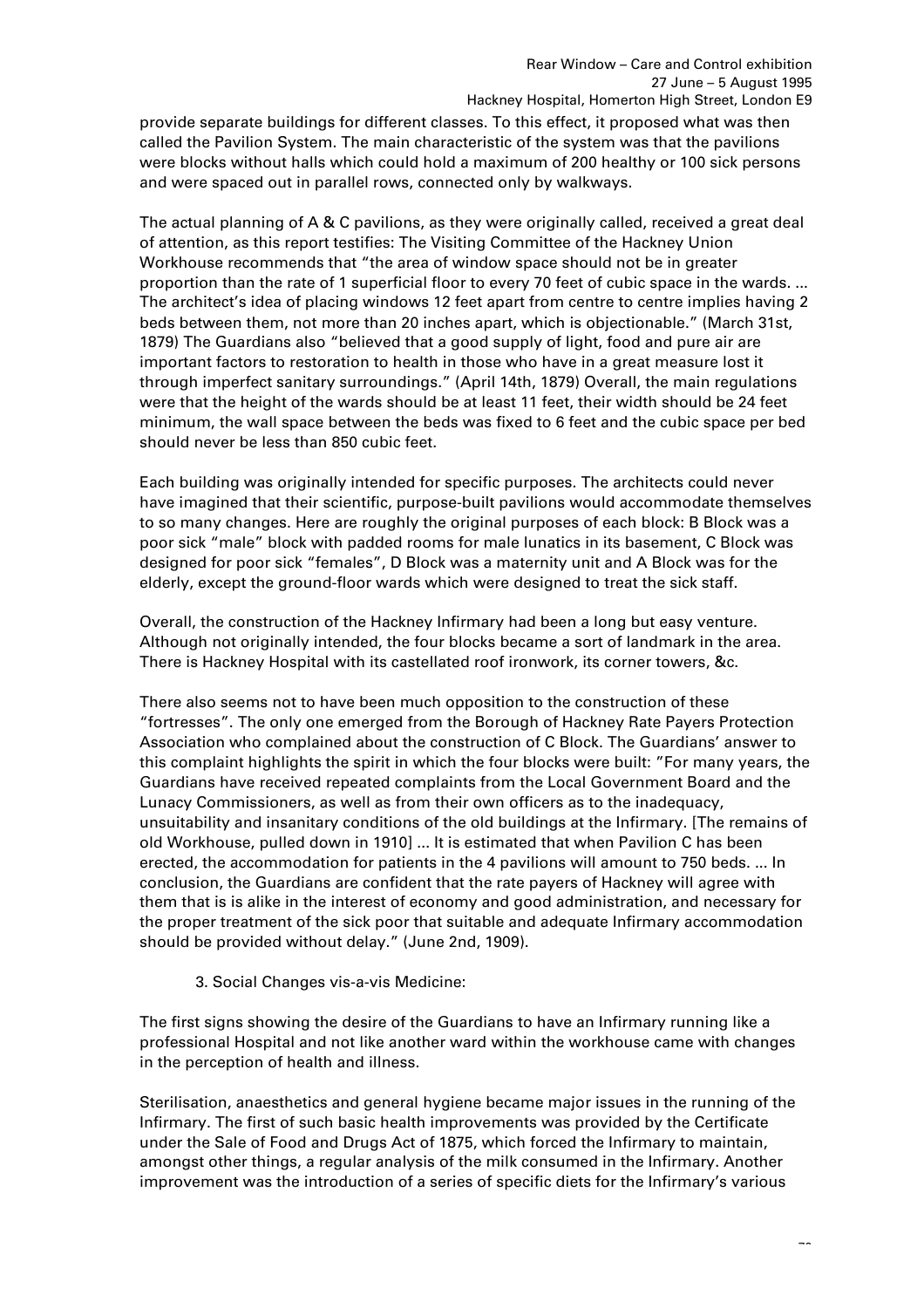provide separate buildings for different classes. To this effect, it proposed what was then called the Pavilion System. The main characteristic of the system was that the pavilions were blocks without halls which could hold a maximum of 200 healthy or 100 sick persons and were spaced out in parallel rows, connected only by walkways.

The actual planning of A & C pavilions, as they were originally called, received a great deal of attention, as this report testifies: The Visiting Committee of the Hackney Union Workhouse recommends that "the area of window space should not be in greater proportion than the rate of 1 superficial floor to every 70 feet of cubic space in the wards. ... The architect's idea of placing windows 12 feet apart from centre to centre implies having 2 beds between them, not more than 20 inches apart, which is objectionable." (March 31st, 1879) The Guardians also "believed that a good supply of light, food and pure air are important factors to restoration to health in those who have in a great measure lost it through imperfect sanitary surroundings." (April 14th, 1879) Overall, the main regulations were that the height of the wards should be at least 11 feet, their width should be 24 feet minimum, the wall space between the beds was fixed to 6 feet and the cubic space per bed should never be less than 850 cubic feet.

Each building was originally intended for specific purposes. The architects could never have imagined that their scientific, purpose-built pavilions would accommodate themselves to so many changes. Here are roughly the original purposes of each block: B Block was a poor sick "male" block with padded rooms for male lunatics in its basement, C Block was designed for poor sick "females", D Block was a maternity unit and A Block was for the elderly, except the ground-floor wards which were designed to treat the sick staff.

Overall, the construction of the Hackney Infirmary had been a long but easy venture. Although not originally intended, the four blocks became a sort of landmark in the area. There is Hackney Hospital with its castellated roof ironwork, its corner towers, &c.

There also seems not to have been much opposition to the construction of these "fortresses". The only one emerged from the Borough of Hackney Rate Payers Protection Association who complained about the construction of C Block. The Guardians' answer to this complaint highlights the spirit in which the four blocks were built: "For many years, the Guardians have received repeated complaints from the Local Government Board and the Lunacy Commissioners, as well as from their own officers as to the inadequacy, unsuitability and insanitary conditions of the old buildings at the Infirmary. [The remains of old Workhouse, pulled down in 1910] ... It is estimated that when Pavilion C has been erected, the accommodation for patients in the 4 pavilions will amount to 750 beds. ... In conclusion, the Guardians are confident that the rate payers of Hackney will agree with them that is is alike in the interest of economy and good administration, and necessary for the proper treatment of the sick poor that suitable and adequate Infirmary accommodation should be provided without delay." (June 2nd, 1909).

3. Social Changes vis-a-vis Medicine:

The first signs showing the desire of the Guardians to have an Infirmary running like a professional Hospital and not like another ward within the workhouse came with changes in the perception of health and illness.

Sterilisation, anaesthetics and general hygiene became major issues in the running of the Infirmary. The first of such basic health improvements was provided by the Certificate under the Sale of Food and Drugs Act of 1875, which forced the Infirmary to maintain, amongst other things, a regular analysis of the milk consumed in the Infirmary. Another improvement was the introduction of a series of specific diets for the Infirmary's various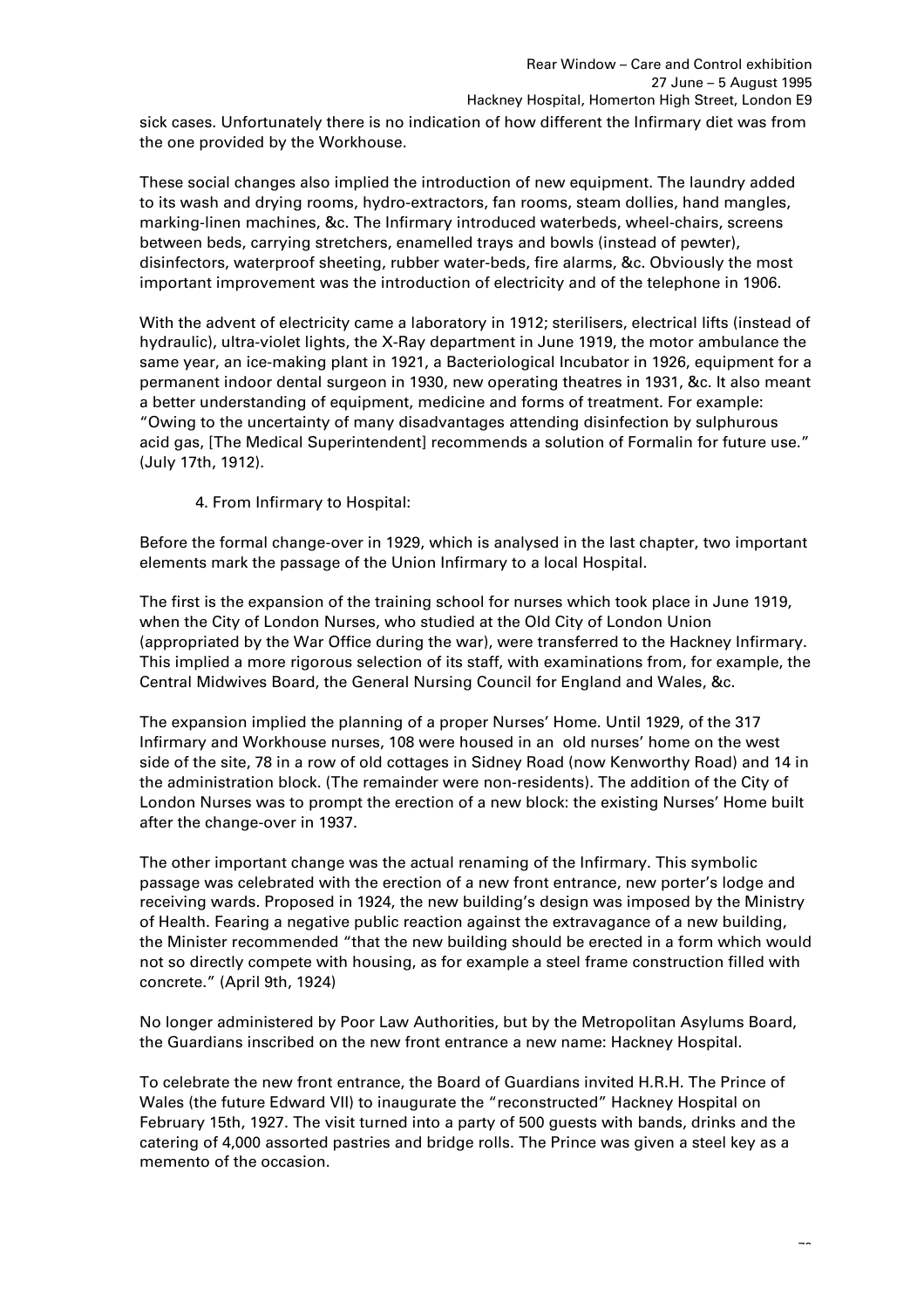sick cases. Unfortunately there is no indication of how different the Infirmary diet was from the one provided by the Workhouse.

These social changes also implied the introduction of new equipment. The laundry added to its wash and drying rooms, hydro-extractors, fan rooms, steam dollies, hand mangles, marking-linen machines, &c. The Infirmary introduced waterbeds, wheel-chairs, screens between beds, carrying stretchers, enamelled trays and bowls (instead of pewter), disinfectors, waterproof sheeting, rubber water-beds, fire alarms, &c. Obviously the most important improvement was the introduction of electricity and of the telephone in 1906.

With the advent of electricity came a laboratory in 1912; sterilisers, electrical lifts (instead of hydraulic), ultra-violet lights, the X-Ray department in June 1919, the motor ambulance the same year, an ice-making plant in 1921, a Bacteriological Incubator in 1926, equipment for a permanent indoor dental surgeon in 1930, new operating theatres in 1931, &c. It also meant a better understanding of equipment, medicine and forms of treatment. For example: "Owing to the uncertainty of many disadvantages attending disinfection by sulphurous acid gas, [The Medical Superintendent] recommends a solution of Formalin for future use." (July 17th, 1912).

4. From Infirmary to Hospital:

Before the formal change-over in 1929, which is analysed in the last chapter, two important elements mark the passage of the Union Infirmary to a local Hospital.

The first is the expansion of the training school for nurses which took place in June 1919, when the City of London Nurses, who studied at the Old City of London Union (appropriated by the War Office during the war), were transferred to the Hackney Infirmary. This implied a more rigorous selection of its staff, with examinations from, for example, the Central Midwives Board, the General Nursing Council for England and Wales, &c.

The expansion implied the planning of a proper Nurses' Home. Until 1929, of the 317 Infirmary and Workhouse nurses, 108 were housed in an old nurses' home on the west side of the site, 78 in a row of old cottages in Sidney Road (now Kenworthy Road) and 14 in the administration block. (The remainder were non-residents). The addition of the City of London Nurses was to prompt the erection of a new block: the existing Nurses' Home built after the change-over in 1937.

The other important change was the actual renaming of the Infirmary. This symbolic passage was celebrated with the erection of a new front entrance, new porter's lodge and receiving wards. Proposed in 1924, the new building's design was imposed by the Ministry of Health. Fearing a negative public reaction against the extravagance of a new building, the Minister recommended "that the new building should be erected in a form which would not so directly compete with housing, as for example a steel frame construction filled with concrete." (April 9th, 1924)

No longer administered by Poor Law Authorities, but by the Metropolitan Asylums Board, the Guardians inscribed on the new front entrance a new name: Hackney Hospital.

To celebrate the new front entrance, the Board of Guardians invited H.R.H. The Prince of Wales (the future Edward VII) to inaugurate the "reconstructed" Hackney Hospital on February 15th, 1927. The visit turned into a party of 500 guests with bands, drinks and the catering of 4,000 assorted pastries and bridge rolls. The Prince was given a steel key as a memento of the occasion.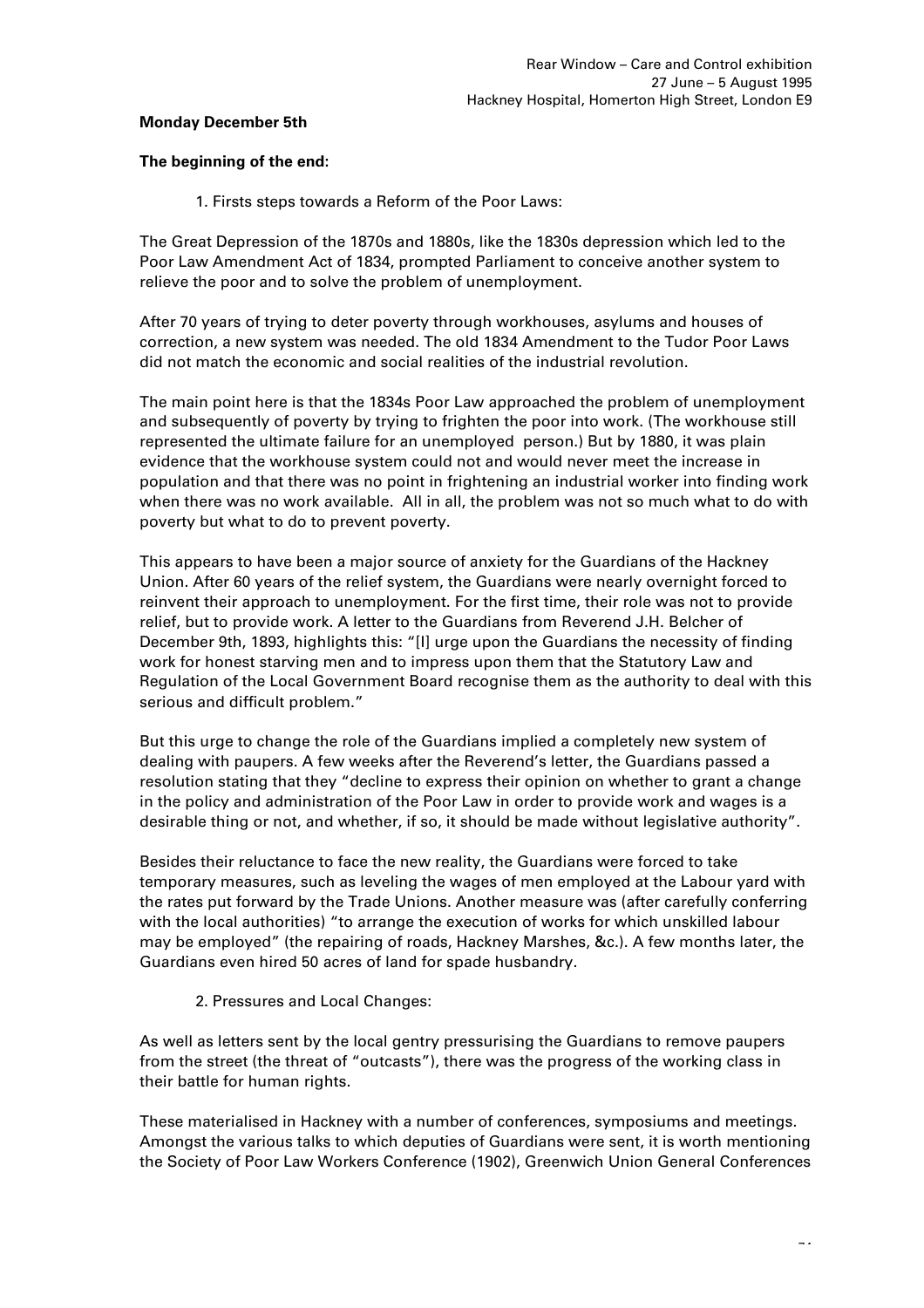### **Monday December 5th**

### **The beginning of the end:**

1. Firsts steps towards a Reform of the Poor Laws:

The Great Depression of the 1870s and 1880s, like the 1830s depression which led to the Poor Law Amendment Act of 1834, prompted Parliament to conceive another system to relieve the poor and to solve the problem of unemployment.

After 70 years of trying to deter poverty through workhouses, asylums and houses of correction, a new system was needed. The old 1834 Amendment to the Tudor Poor Laws did not match the economic and social realities of the industrial revolution.

The main point here is that the 1834s Poor Law approached the problem of unemployment and subsequently of poverty by trying to frighten the poor into work. (The workhouse still represented the ultimate failure for an unemployed person.) But by 1880, it was plain evidence that the workhouse system could not and would never meet the increase in population and that there was no point in frightening an industrial worker into finding work when there was no work available. All in all, the problem was not so much what to do with poverty but what to do to prevent poverty.

This appears to have been a major source of anxiety for the Guardians of the Hackney Union. After 60 years of the relief system, the Guardians were nearly overnight forced to reinvent their approach to unemployment. For the first time, their role was not to provide relief, but to provide work. A letter to the Guardians from Reverend J.H. Belcher of December 9th, 1893, highlights this: "[I] urge upon the Guardians the necessity of finding work for honest starving men and to impress upon them that the Statutory Law and Regulation of the Local Government Board recognise them as the authority to deal with this serious and difficult problem."

But this urge to change the role of the Guardians implied a completely new system of dealing with paupers. A few weeks after the Reverend's letter, the Guardians passed a resolution stating that they "decline to express their opinion on whether to grant a change in the policy and administration of the Poor Law in order to provide work and wages is a desirable thing or not, and whether, if so, it should be made without legislative authority".

Besides their reluctance to face the new reality, the Guardians were forced to take temporary measures, such as leveling the wages of men employed at the Labour yard with the rates put forward by the Trade Unions. Another measure was (after carefully conferring with the local authorities) "to arrange the execution of works for which unskilled labour may be employed" (the repairing of roads, Hackney Marshes, &c.). A few months later, the Guardians even hired 50 acres of land for spade husbandry.

2. Pressures and Local Changes:

As well as letters sent by the local gentry pressurising the Guardians to remove paupers from the street (the threat of "outcasts"), there was the progress of the working class in their battle for human rights.

These materialised in Hackney with a number of conferences, symposiums and meetings. Amongst the various talks to which deputies of Guardians were sent, it is worth mentioning the Society of Poor Law Workers Conference (1902), Greenwich Union General Conferences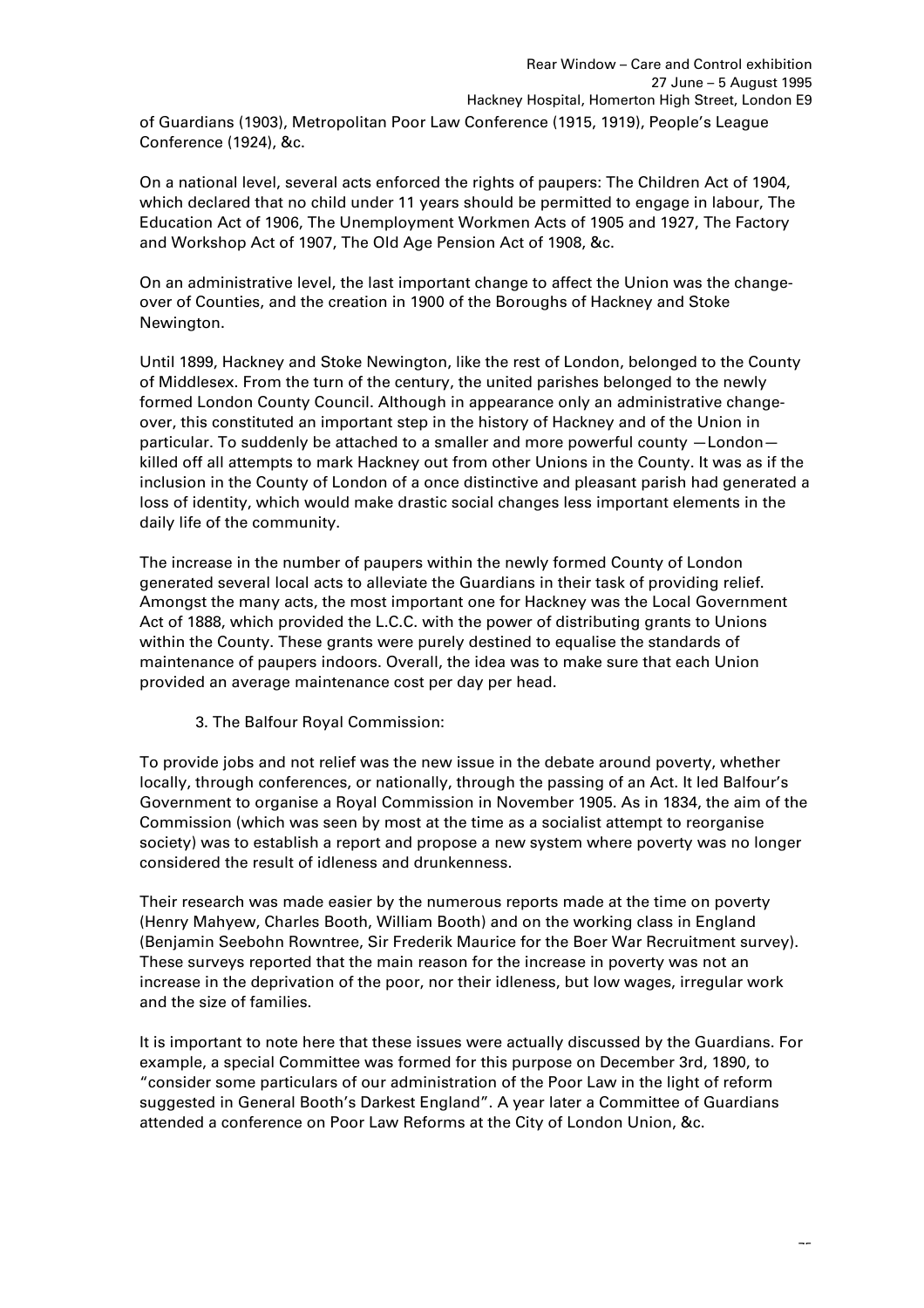of Guardians (1903), Metropolitan Poor Law Conference (1915, 1919), People's League Conference (1924), &c.

On a national level, several acts enforced the rights of paupers: The Children Act of 1904, which declared that no child under 11 years should be permitted to engage in labour, The Education Act of 1906, The Unemployment Workmen Acts of 1905 and 1927, The Factory and Workshop Act of 1907, The Old Age Pension Act of 1908, &c.

On an administrative level, the last important change to affect the Union was the changeover of Counties, and the creation in 1900 of the Boroughs of Hackney and Stoke Newington.

Until 1899, Hackney and Stoke Newington, like the rest of London, belonged to the County of Middlesex. From the turn of the century, the united parishes belonged to the newly formed London County Council. Although in appearance only an administrative changeover, this constituted an important step in the history of Hackney and of the Union in particular. To suddenly be attached to a smaller and more powerful county —London killed off all attempts to mark Hackney out from other Unions in the County. It was as if the inclusion in the County of London of a once distinctive and pleasant parish had generated a loss of identity, which would make drastic social changes less important elements in the daily life of the community.

The increase in the number of paupers within the newly formed County of London generated several local acts to alleviate the Guardians in their task of providing relief. Amongst the many acts, the most important one for Hackney was the Local Government Act of 1888, which provided the L.C.C. with the power of distributing grants to Unions within the County. These grants were purely destined to equalise the standards of maintenance of paupers indoors. Overall, the idea was to make sure that each Union provided an average maintenance cost per day per head.

3. The Balfour Royal Commission:

To provide jobs and not relief was the new issue in the debate around poverty, whether locally, through conferences, or nationally, through the passing of an Act. It led Balfour's Government to organise a Royal Commission in November 1905. As in 1834, the aim of the Commission (which was seen by most at the time as a socialist attempt to reorganise society) was to establish a report and propose a new system where poverty was no longer considered the result of idleness and drunkenness.

Their research was made easier by the numerous reports made at the time on poverty (Henry Mahyew, Charles Booth, William Booth) and on the working class in England (Benjamin Seebohn Rowntree, Sir Frederik Maurice for the Boer War Recruitment survey). These surveys reported that the main reason for the increase in poverty was not an increase in the deprivation of the poor, nor their idleness, but low wages, irregular work and the size of families.

It is important to note here that these issues were actually discussed by the Guardians. For example, a special Committee was formed for this purpose on December 3rd, 1890, to "consider some particulars of our administration of the Poor Law in the light of reform suggested in General Booth's Darkest England". A year later a Committee of Guardians attended a conference on Poor Law Reforms at the City of London Union, &c.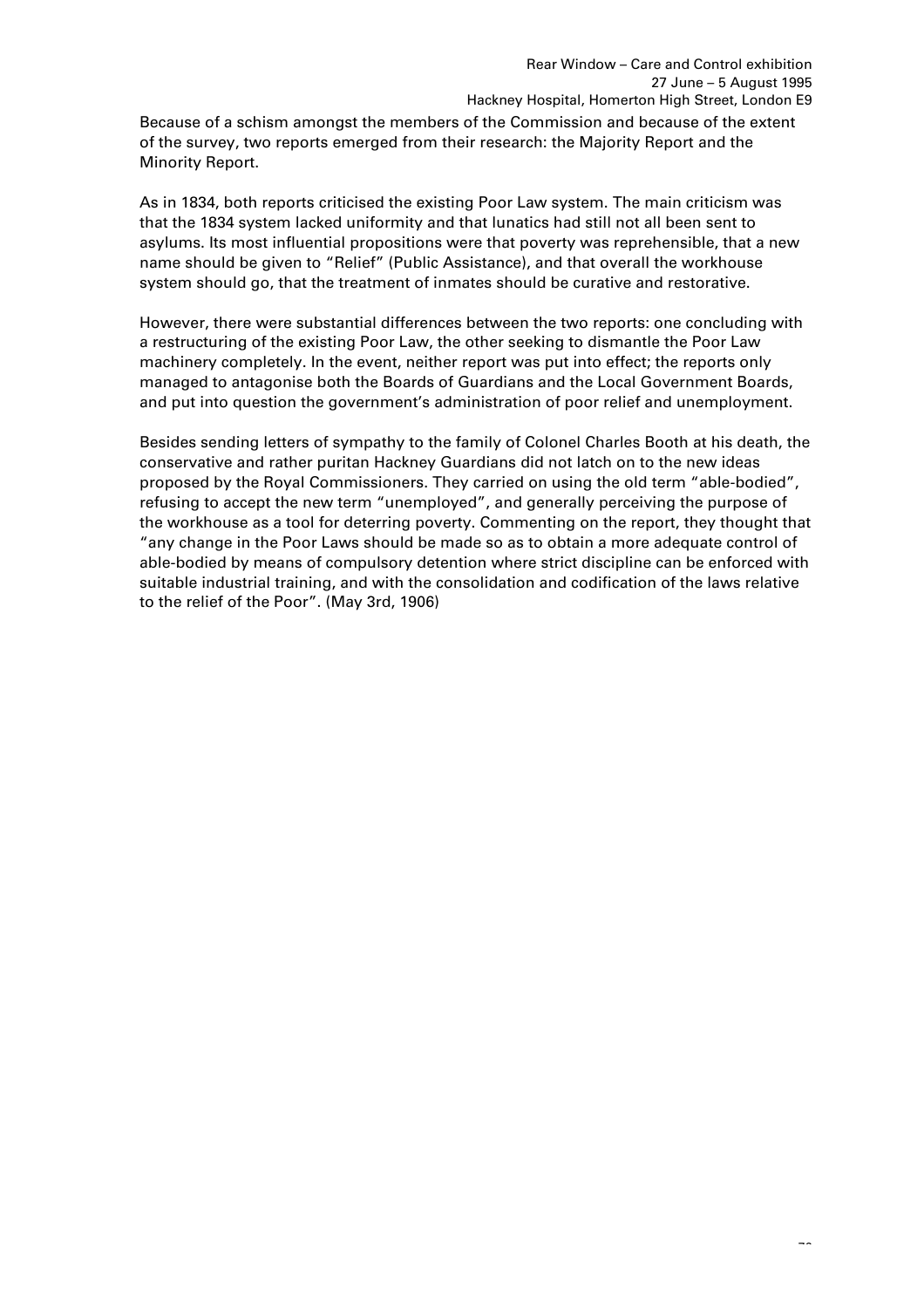Because of a schism amongst the members of the Commission and because of the extent of the survey, two reports emerged from their research: the Majority Report and the Minority Report.

As in 1834, both reports criticised the existing Poor Law system. The main criticism was that the 1834 system lacked uniformity and that lunatics had still not all been sent to asylums. Its most influential propositions were that poverty was reprehensible, that a new name should be given to "Relief" (Public Assistance), and that overall the workhouse system should go, that the treatment of inmates should be curative and restorative.

However, there were substantial differences between the two reports: one concluding with a restructuring of the existing Poor Law, the other seeking to dismantle the Poor Law machinery completely. In the event, neither report was put into effect; the reports only managed to antagonise both the Boards of Guardians and the Local Government Boards, and put into question the government's administration of poor relief and unemployment.

Besides sending letters of sympathy to the family of Colonel Charles Booth at his death, the conservative and rather puritan Hackney Guardians did not latch on to the new ideas proposed by the Royal Commissioners. They carried on using the old term "able-bodied", refusing to accept the new term "unemployed", and generally perceiving the purpose of the workhouse as a tool for deterring poverty. Commenting on the report, they thought that "any change in the Poor Laws should be made so as to obtain a more adequate control of able-bodied by means of compulsory detention where strict discipline can be enforced with suitable industrial training, and with the consolidation and codification of the laws relative to the relief of the Poor". (May 3rd, 1906)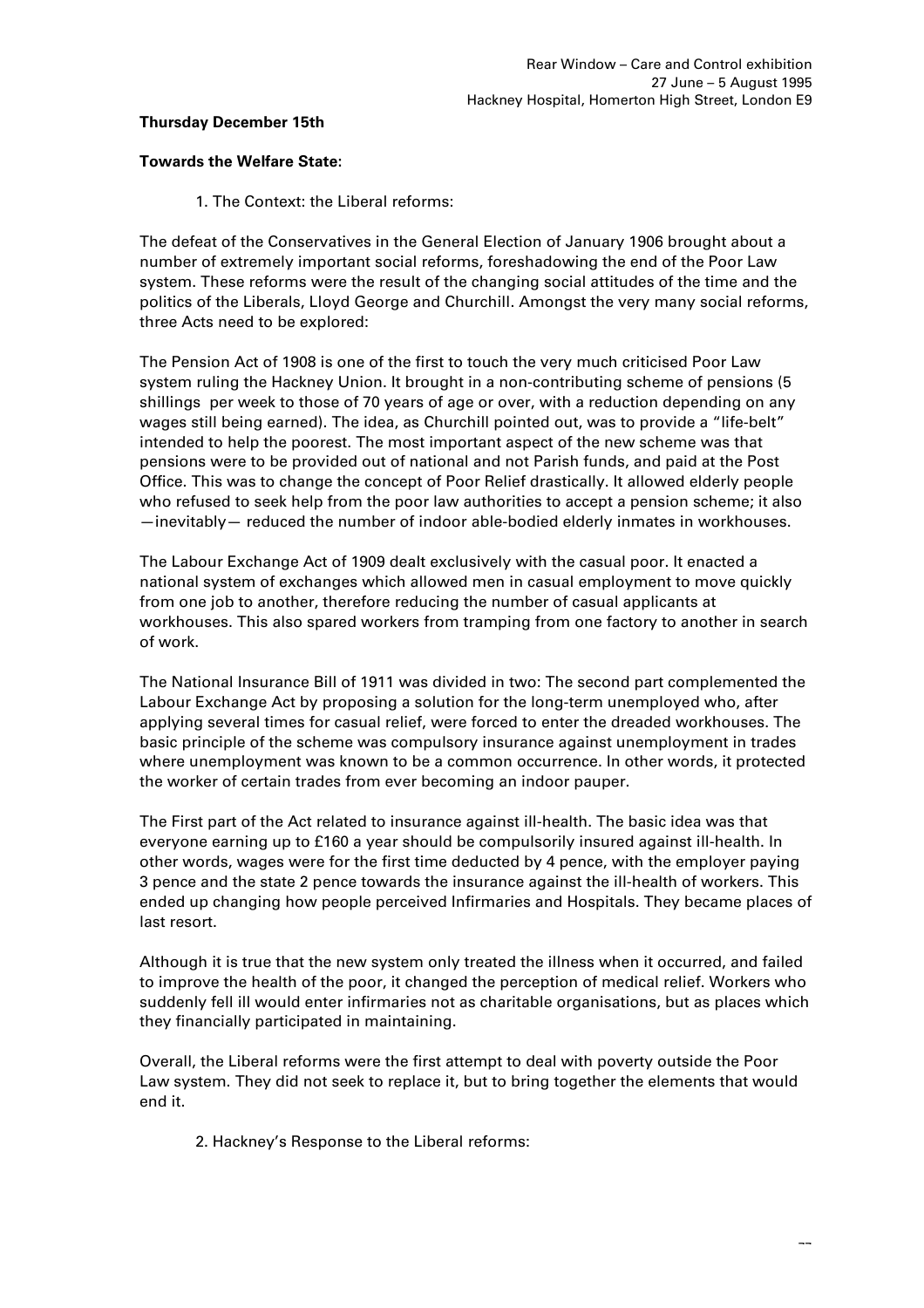## **Thursday December 15th**

### **Towards the Welfare State:**

1. The Context: the Liberal reforms:

The defeat of the Conservatives in the General Election of January 1906 brought about a number of extremely important social reforms, foreshadowing the end of the Poor Law system. These reforms were the result of the changing social attitudes of the time and the politics of the Liberals, Lloyd George and Churchill. Amongst the very many social reforms, three Acts need to be explored:

The Pension Act of 1908 is one of the first to touch the very much criticised Poor Law system ruling the Hackney Union. It brought in a non-contributing scheme of pensions (5 shillings per week to those of 70 years of age or over, with a reduction depending on any wages still being earned). The idea, as Churchill pointed out, was to provide a "life-belt" intended to help the poorest. The most important aspect of the new scheme was that pensions were to be provided out of national and not Parish funds, and paid at the Post Office. This was to change the concept of Poor Relief drastically. It allowed elderly people who refused to seek help from the poor law authorities to accept a pension scheme; it also —inevitably— reduced the number of indoor able-bodied elderly inmates in workhouses.

The Labour Exchange Act of 1909 dealt exclusively with the casual poor. It enacted a national system of exchanges which allowed men in casual employment to move quickly from one job to another, therefore reducing the number of casual applicants at workhouses. This also spared workers from tramping from one factory to another in search of work.

The National Insurance Bill of 1911 was divided in two: The second part complemented the Labour Exchange Act by proposing a solution for the long-term unemployed who, after applying several times for casual relief, were forced to enter the dreaded workhouses. The basic principle of the scheme was compulsory insurance against unemployment in trades where unemployment was known to be a common occurrence. In other words, it protected the worker of certain trades from ever becoming an indoor pauper.

The First part of the Act related to insurance against ill-health. The basic idea was that everyone earning up to £160 a year should be compulsorily insured against ill-health. In other words, wages were for the first time deducted by 4 pence, with the employer paying 3 pence and the state 2 pence towards the insurance against the ill-health of workers. This ended up changing how people perceived Infirmaries and Hospitals. They became places of last resort.

Although it is true that the new system only treated the illness when it occurred, and failed to improve the health of the poor, it changed the perception of medical relief. Workers who suddenly fell ill would enter infirmaries not as charitable organisations, but as places which they financially participated in maintaining.

Overall, the Liberal reforms were the first attempt to deal with poverty outside the Poor Law system. They did not seek to replace it, but to bring together the elements that would end it.

2. Hackney's Response to the Liberal reforms: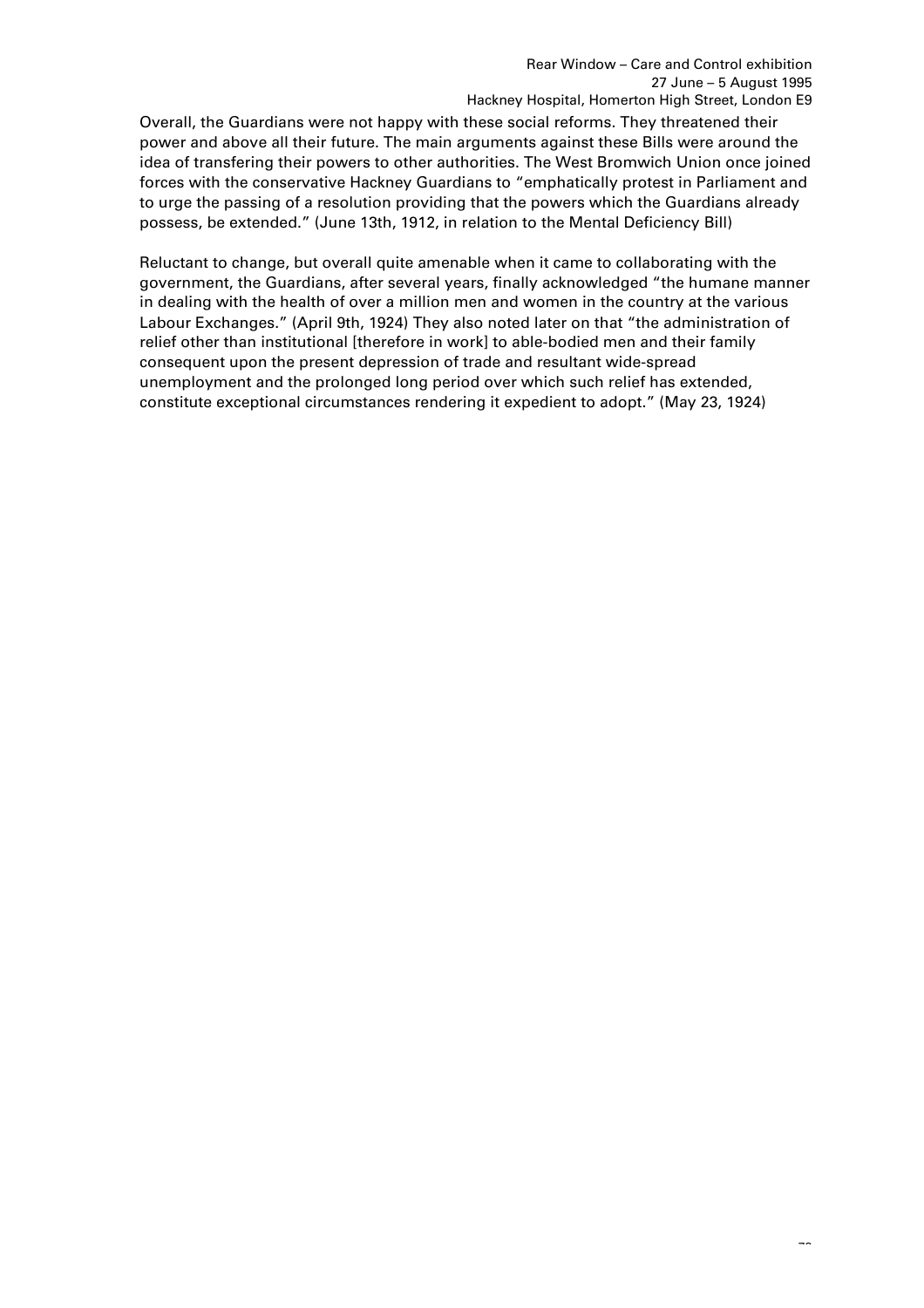Overall, the Guardians were not happy with these social reforms. They threatened their power and above all their future. The main arguments against these Bills were around the idea of transfering their powers to other authorities. The West Bromwich Union once joined forces with the conservative Hackney Guardians to "emphatically protest in Parliament and to urge the passing of a resolution providing that the powers which the Guardians already possess, be extended." (June 13th, 1912, in relation to the Mental Deficiency Bill)

Reluctant to change, but overall quite amenable when it came to collaborating with the government, the Guardians, after several years, finally acknowledged "the humane manner in dealing with the health of over a million men and women in the country at the various Labour Exchanges." (April 9th, 1924) They also noted later on that "the administration of relief other than institutional [therefore in work] to able-bodied men and their family consequent upon the present depression of trade and resultant wide-spread unemployment and the prolonged long period over which such relief has extended, constitute exceptional circumstances rendering it expedient to adopt." (May 23, 1924)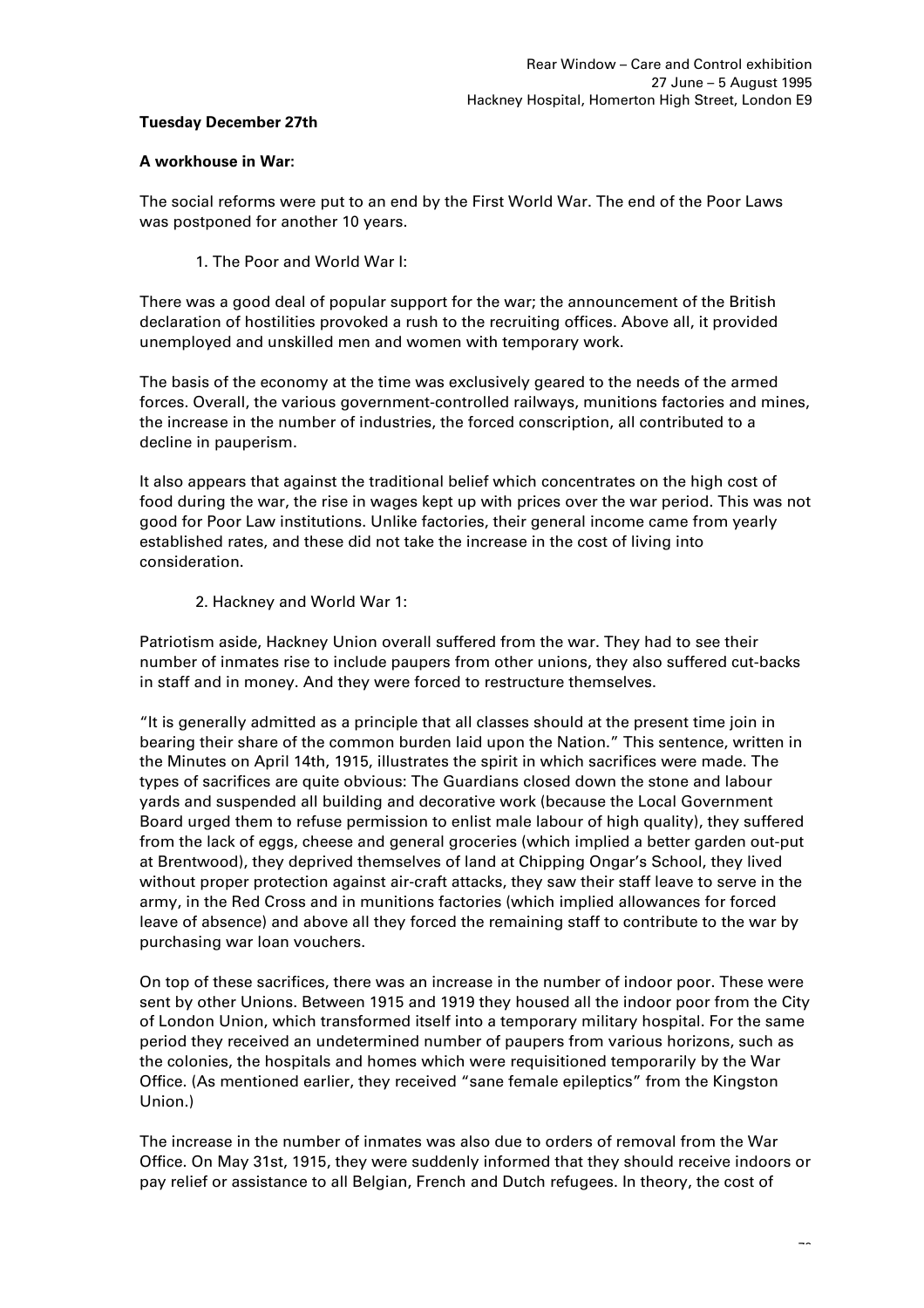## **Tuesday December 27th**

# **A workhouse in War:**

The social reforms were put to an end by the First World War. The end of the Poor Laws was postponed for another 10 years.

1. The Poor and World War I:

There was a good deal of popular support for the war; the announcement of the British declaration of hostilities provoked a rush to the recruiting offices. Above all, it provided unemployed and unskilled men and women with temporary work.

The basis of the economy at the time was exclusively geared to the needs of the armed forces. Overall, the various government-controlled railways, munitions factories and mines, the increase in the number of industries, the forced conscription, all contributed to a decline in pauperism.

It also appears that against the traditional belief which concentrates on the high cost of food during the war, the rise in wages kept up with prices over the war period. This was not good for Poor Law institutions. Unlike factories, their general income came from yearly established rates, and these did not take the increase in the cost of living into consideration.

2. Hackney and World War 1:

Patriotism aside, Hackney Union overall suffered from the war. They had to see their number of inmates rise to include paupers from other unions, they also suffered cut-backs in staff and in money. And they were forced to restructure themselves.

"It is generally admitted as a principle that all classes should at the present time join in bearing their share of the common burden laid upon the Nation." This sentence, written in the Minutes on April 14th, 1915, illustrates the spirit in which sacrifices were made. The types of sacrifices are quite obvious: The Guardians closed down the stone and labour yards and suspended all building and decorative work (because the Local Government Board urged them to refuse permission to enlist male labour of high quality), they suffered from the lack of eggs, cheese and general groceries (which implied a better garden out-put at Brentwood), they deprived themselves of land at Chipping Ongar's School, they lived without proper protection against air-craft attacks, they saw their staff leave to serve in the army, in the Red Cross and in munitions factories (which implied allowances for forced leave of absence) and above all they forced the remaining staff to contribute to the war by purchasing war loan vouchers.

On top of these sacrifices, there was an increase in the number of indoor poor. These were sent by other Unions. Between 1915 and 1919 they housed all the indoor poor from the City of London Union, which transformed itself into a temporary military hospital. For the same period they received an undetermined number of paupers from various horizons, such as the colonies, the hospitals and homes which were requisitioned temporarily by the War Office. (As mentioned earlier, they received "sane female epileptics" from the Kingston Union.)

The increase in the number of inmates was also due to orders of removal from the War Office. On May 31st, 1915, they were suddenly informed that they should receive indoors or pay relief or assistance to all Belgian, French and Dutch refugees. In theory, the cost of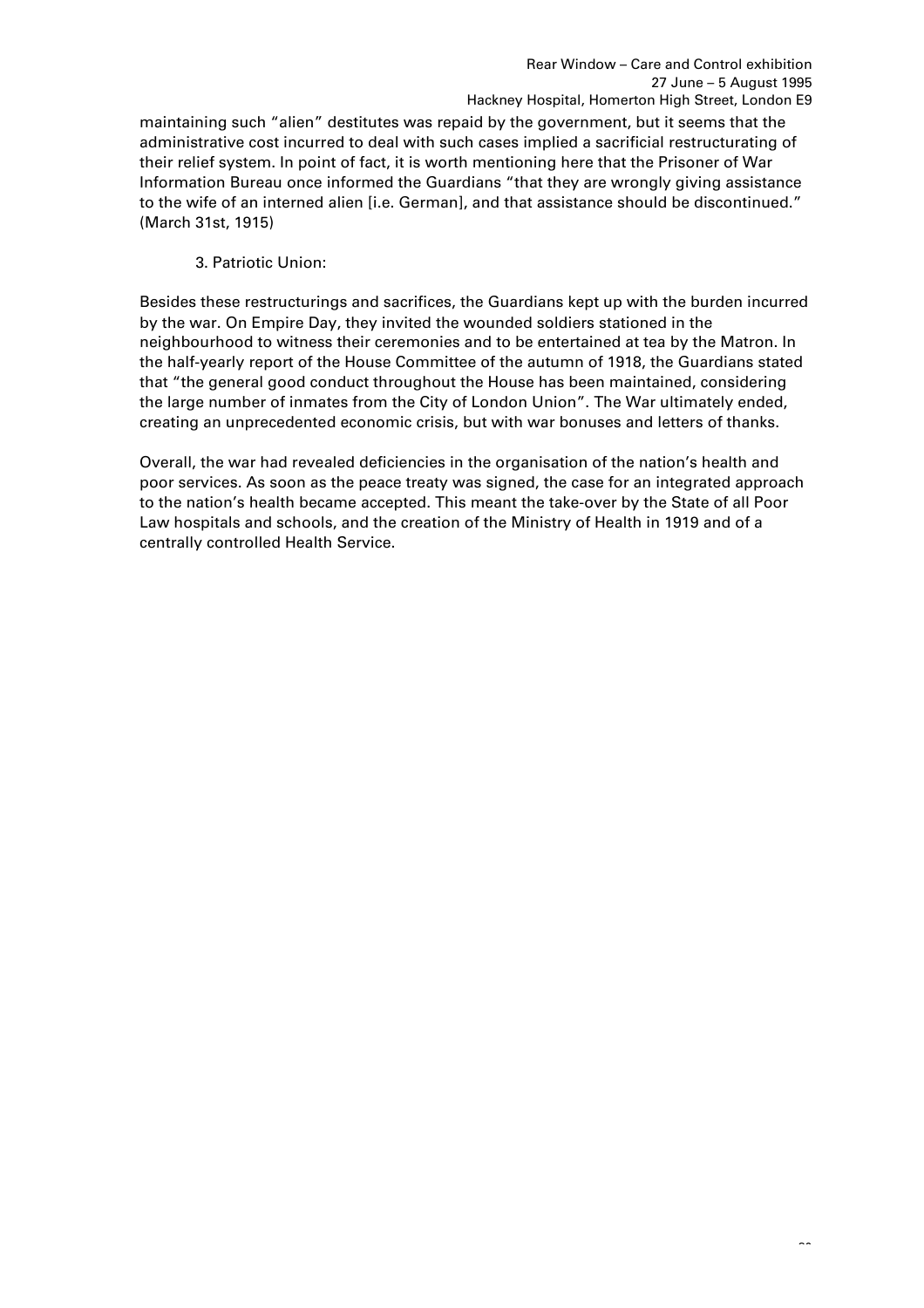maintaining such "alien" destitutes was repaid by the government, but it seems that the administrative cost incurred to deal with such cases implied a sacrificial restructurating of their relief system. In point of fact, it is worth mentioning here that the Prisoner of War Information Bureau once informed the Guardians "that they are wrongly giving assistance to the wife of an interned alien [i.e. German], and that assistance should be discontinued." (March 31st, 1915)

# 3. Patriotic Union:

Besides these restructurings and sacrifices, the Guardians kept up with the burden incurred by the war. On Empire Day, they invited the wounded soldiers stationed in the neighbourhood to witness their ceremonies and to be entertained at tea by the Matron. In the half-yearly report of the House Committee of the autumn of 1918, the Guardians stated that "the general good conduct throughout the House has been maintained, considering the large number of inmates from the City of London Union". The War ultimately ended, creating an unprecedented economic crisis, but with war bonuses and letters of thanks.

Overall, the war had revealed deficiencies in the organisation of the nation's health and poor services. As soon as the peace treaty was signed, the case for an integrated approach to the nation's health became accepted. This meant the take-over by the State of all Poor Law hospitals and schools, and the creation of the Ministry of Health in 1919 and of a centrally controlled Health Service.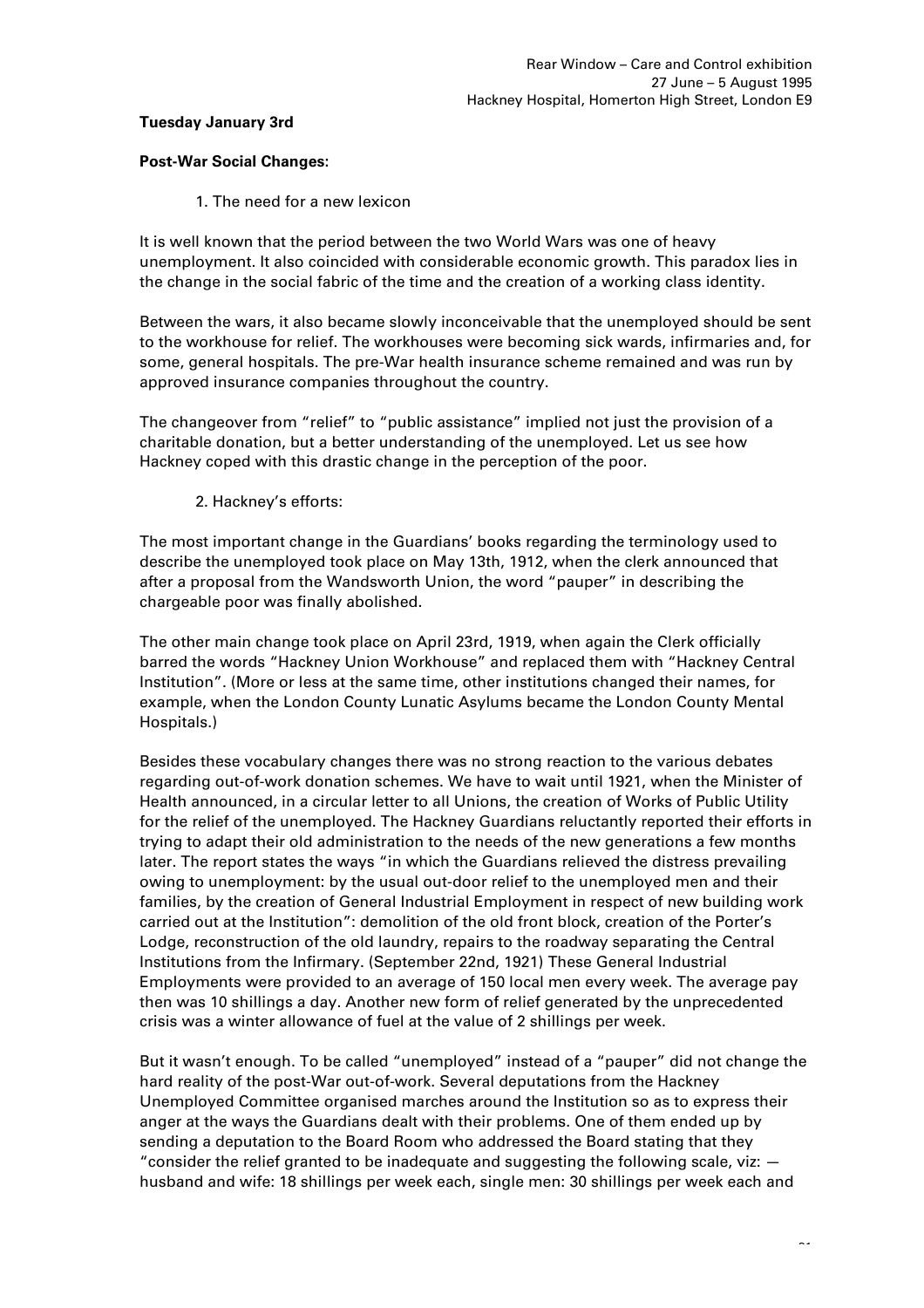## **Tuesday January 3rd**

## **Post-War Social Changes:**

1. The need for a new lexicon

It is well known that the period between the two World Wars was one of heavy unemployment. It also coincided with considerable economic growth. This paradox lies in the change in the social fabric of the time and the creation of a working class identity.

Between the wars, it also became slowly inconceivable that the unemployed should be sent to the workhouse for relief. The workhouses were becoming sick wards, infirmaries and, for some, general hospitals. The pre-War health insurance scheme remained and was run by approved insurance companies throughout the country.

The changeover from "relief" to "public assistance" implied not just the provision of a charitable donation, but a better understanding of the unemployed. Let us see how Hackney coped with this drastic change in the perception of the poor.

2. Hackney's efforts:

The most important change in the Guardians' books regarding the terminology used to describe the unemployed took place on May 13th, 1912, when the clerk announced that after a proposal from the Wandsworth Union, the word "pauper" in describing the chargeable poor was finally abolished.

The other main change took place on April 23rd, 1919, when again the Clerk officially barred the words "Hackney Union Workhouse" and replaced them with "Hackney Central Institution". (More or less at the same time, other institutions changed their names, for example, when the London County Lunatic Asylums became the London County Mental Hospitals.)

Besides these vocabulary changes there was no strong reaction to the various debates regarding out-of-work donation schemes. We have to wait until 1921, when the Minister of Health announced, in a circular letter to all Unions, the creation of Works of Public Utility for the relief of the unemployed. The Hackney Guardians reluctantly reported their efforts in trying to adapt their old administration to the needs of the new generations a few months later. The report states the ways "in which the Guardians relieved the distress prevailing owing to unemployment: by the usual out-door relief to the unemployed men and their families, by the creation of General Industrial Employment in respect of new building work carried out at the Institution": demolition of the old front block, creation of the Porter's Lodge, reconstruction of the old laundry, repairs to the roadway separating the Central Institutions from the Infirmary. (September 22nd, 1921) These General Industrial Employments were provided to an average of 150 local men every week. The average pay then was 10 shillings a day. Another new form of relief generated by the unprecedented crisis was a winter allowance of fuel at the value of 2 shillings per week.

But it wasn't enough. To be called "unemployed" instead of a "pauper" did not change the hard reality of the post-War out-of-work. Several deputations from the Hackney Unemployed Committee organised marches around the Institution so as to express their anger at the ways the Guardians dealt with their problems. One of them ended up by sending a deputation to the Board Room who addressed the Board stating that they "consider the relief granted to be inadequate and suggesting the following scale, viz:  $$ husband and wife: 18 shillings per week each, single men: 30 shillings per week each and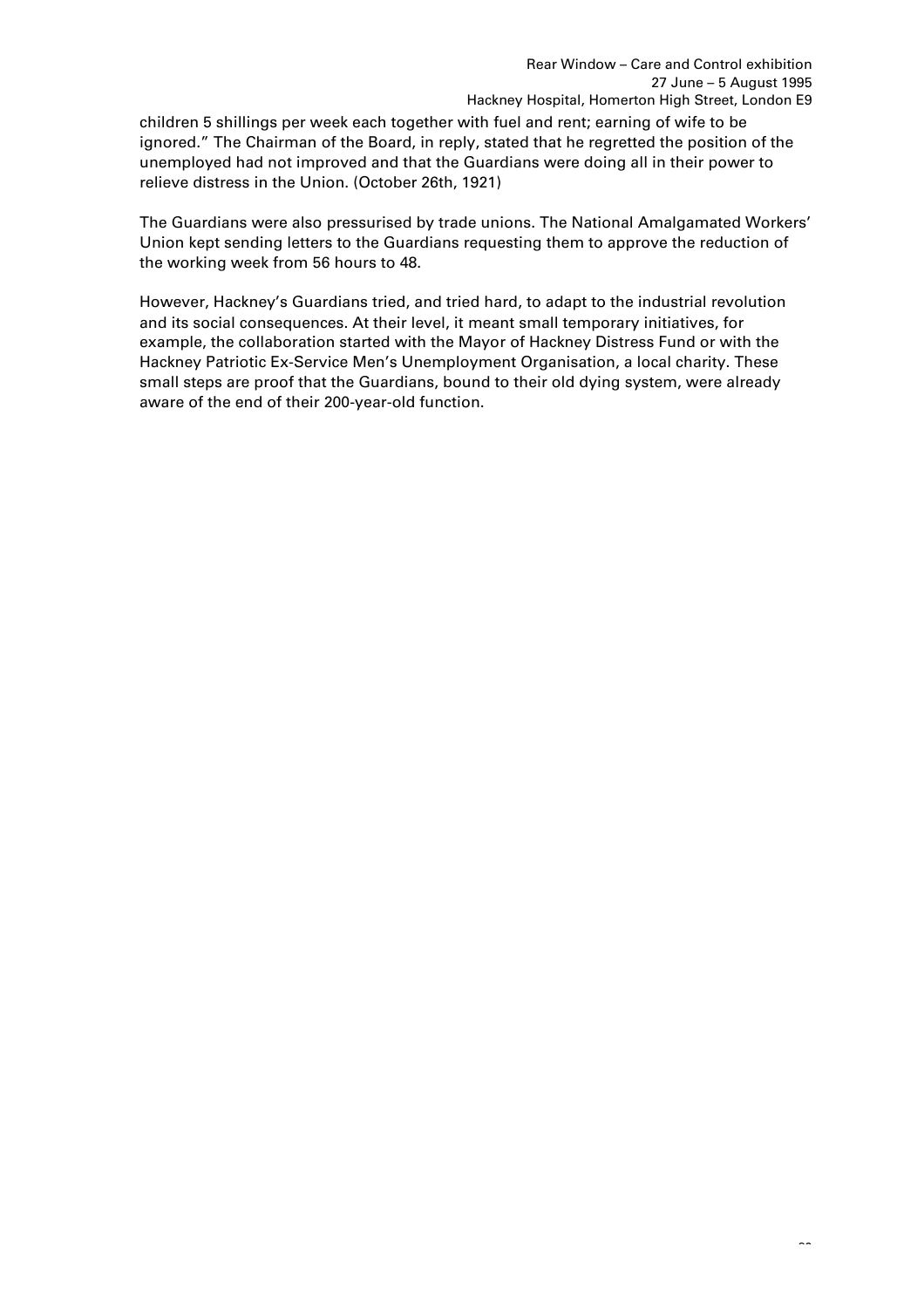children 5 shillings per week each together with fuel and rent; earning of wife to be ignored." The Chairman of the Board, in reply, stated that he regretted the position of the unemployed had not improved and that the Guardians were doing all in their power to relieve distress in the Union. (October 26th, 1921)

The Guardians were also pressurised by trade unions. The National Amalgamated Workers' Union kept sending letters to the Guardians requesting them to approve the reduction of the working week from 56 hours to 48.

However, Hackney's Guardians tried, and tried hard, to adapt to the industrial revolution and its social consequences. At their level, it meant small temporary initiatives, for example, the collaboration started with the Mayor of Hackney Distress Fund or with the Hackney Patriotic Ex-Service Men's Unemployment Organisation, a local charity. These small steps are proof that the Guardians, bound to their old dying system, were already aware of the end of their 200-year-old function.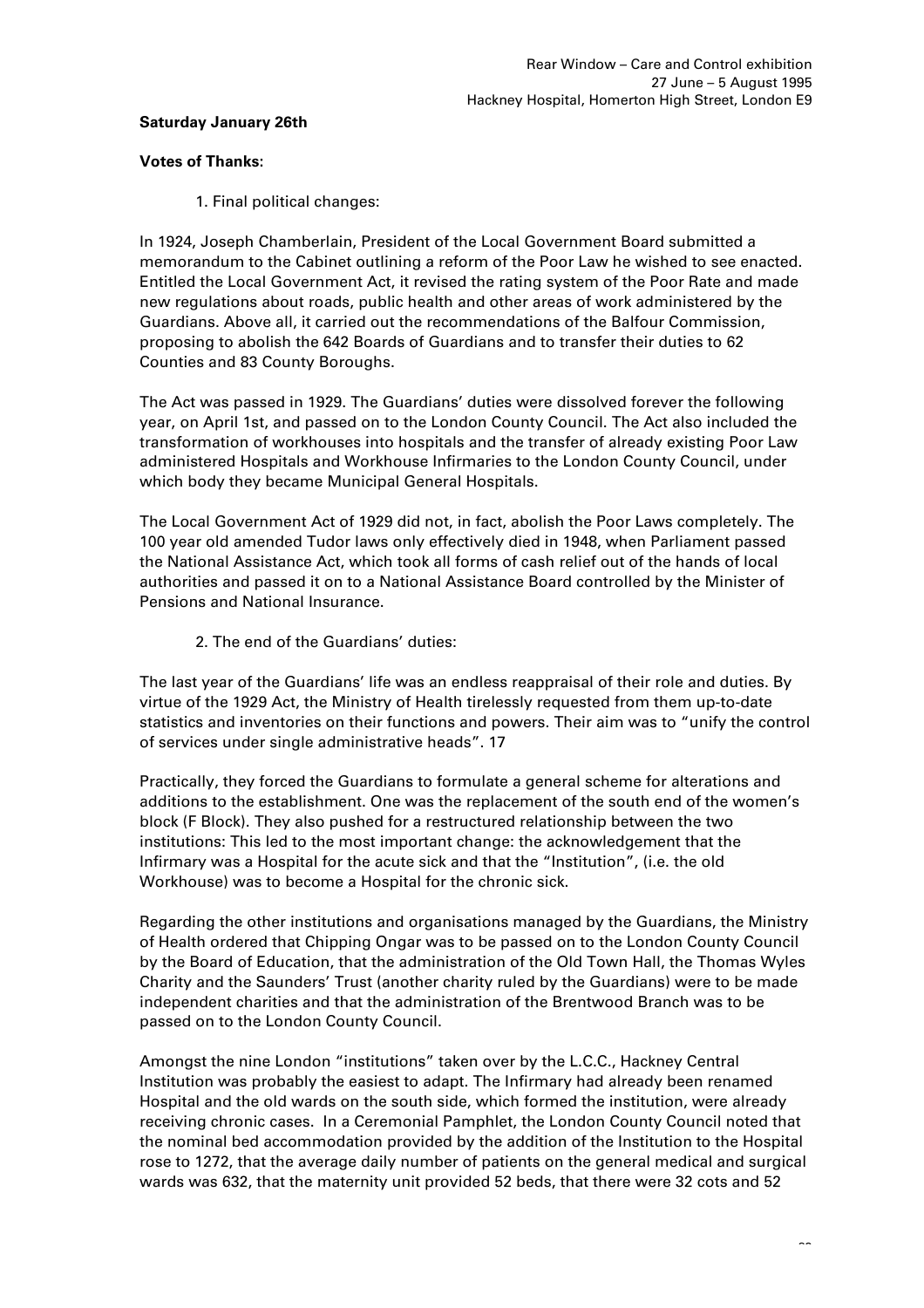# **Saturday January 26th**

### **Votes of Thanks:**

1. Final political changes:

In 1924, Joseph Chamberlain, President of the Local Government Board submitted a memorandum to the Cabinet outlining a reform of the Poor Law he wished to see enacted. Entitled the Local Government Act, it revised the rating system of the Poor Rate and made new regulations about roads, public health and other areas of work administered by the Guardians. Above all, it carried out the recommendations of the Balfour Commission, proposing to abolish the 642 Boards of Guardians and to transfer their duties to 62 Counties and 83 County Boroughs.

The Act was passed in 1929. The Guardians' duties were dissolved forever the following year, on April 1st, and passed on to the London County Council. The Act also included the transformation of workhouses into hospitals and the transfer of already existing Poor Law administered Hospitals and Workhouse Infirmaries to the London County Council, under which body they became Municipal General Hospitals.

The Local Government Act of 1929 did not, in fact, abolish the Poor Laws completely. The 100 year old amended Tudor laws only effectively died in 1948, when Parliament passed the National Assistance Act, which took all forms of cash relief out of the hands of local authorities and passed it on to a National Assistance Board controlled by the Minister of Pensions and National Insurance.

2. The end of the Guardians' duties:

The last year of the Guardians' life was an endless reappraisal of their role and duties. By virtue of the 1929 Act, the Ministry of Health tirelessly requested from them up-to-date statistics and inventories on their functions and powers. Their aim was to "unify the control of services under single administrative heads". 17

Practically, they forced the Guardians to formulate a general scheme for alterations and additions to the establishment. One was the replacement of the south end of the women's block (F Block). They also pushed for a restructured relationship between the two institutions: This led to the most important change: the acknowledgement that the Infirmary was a Hospital for the acute sick and that the "Institution", (i.e. the old Workhouse) was to become a Hospital for the chronic sick.

Regarding the other institutions and organisations managed by the Guardians, the Ministry of Health ordered that Chipping Ongar was to be passed on to the London County Council by the Board of Education, that the administration of the Old Town Hall, the Thomas Wyles Charity and the Saunders' Trust (another charity ruled by the Guardians) were to be made independent charities and that the administration of the Brentwood Branch was to be passed on to the London County Council.

Amongst the nine London "institutions" taken over by the L.C.C., Hackney Central Institution was probably the easiest to adapt. The Infirmary had already been renamed Hospital and the old wards on the south side, which formed the institution, were already receiving chronic cases. In a Ceremonial Pamphlet, the London County Council noted that the nominal bed accommodation provided by the addition of the Institution to the Hospital rose to 1272, that the average daily number of patients on the general medical and surgical wards was 632, that the maternity unit provided 52 beds, that there were 32 cots and 52